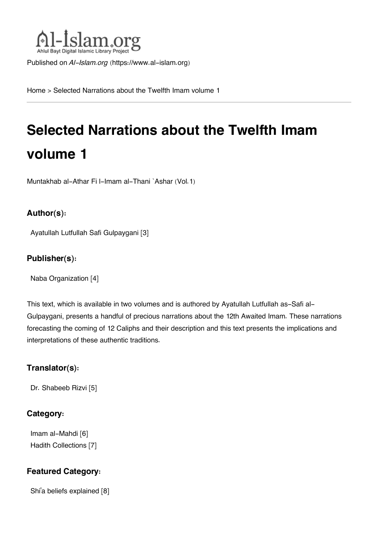

Published on *Al-Islam.org* ([https://www.al-islam.org\)](https://www.al-islam.org)

[Home](https://www.al-islam.org/) > Selected Narrations about the Twelfth Imam volume 1

# **Selected Narrations about the Twelfth Imam volume 1**

Muntakhab al-Athar Fi l-Imam al-Thani `Ashar (Vol.1)

#### **Author(s):**

[Ayatullah Lutfullah Safi Gulpaygani](https://www.al-islam.org/person/ayatullah-lutfullah-safi-gulpaygani) [3]

#### **Publisher(s):**

[Naba Organization](https://www.al-islam.org/organization/naba-organization) [4]

This text, which is available in two volumes and is authored by Ayatullah Lutfullah as-Safi al-Gulpaygani, presents a handful of precious narrations about the 12th Awaited Imam. These narrations forecasting the coming of 12 Caliphs and their description and this text presents the implications and interpretations of these authentic traditions.

#### **Translator(s):**

[Dr. Shabeeb Rizvi](https://www.al-islam.org/person/dr-shabeeb-rizvi) [5]

#### **Category:**

[Imam al-Mahdi](https://www.al-islam.org/library/imam-al-mahdi) [6] [Hadith Collections](https://www.al-islam.org/library/hadith-collections) [7]

#### **Featured Category:**

Shi['a beliefs explained](https://www.al-islam.org/feature/shia-beliefs-explained) [8]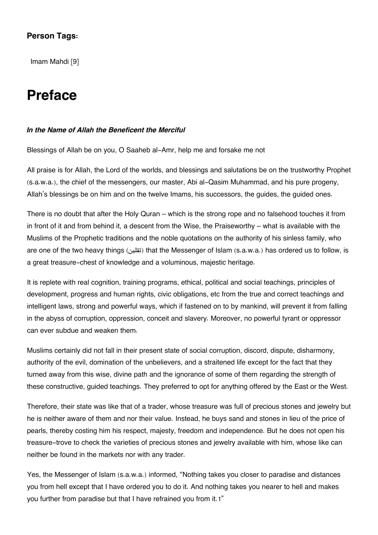#### **Person Tags:**

[Imam Mahdi](https://www.al-islam.org/person/imam-mahdi) [9]

### **Preface**

#### *In the Name of Allah the Beneficent the Merciful*

Blessings of Allah be on you, O Saaheb al-Amr, help me and forsake me not

All praise is for Allah, the Lord of the worlds, and blessings and salutations be on the trustworthy Prophet (s.a.w.a.), the chief of the messengers, our master, Abi al-Qasim Muhammad, and his pure progeny, Allah's blessings be on him and on the twelve Imams, his successors, the guides, the guided ones.

There is no doubt that after the Holy Quran – which is the strong rope and no falsehood touches it from in front of it and from behind it, a descent from the Wise, the Praiseworthy – what is available with the Muslims of the Prophetic traditions and the noble quotations on the authority of his sinless family, who are one of the two heavy things (tially (tially that the Messenger of Islam (s.a.w.a.) has ordered us to follow, is a great treasure-chest of knowledge and a voluminous, majestic heritage.

It is replete with real cognition, training programs, ethical, political and social teachings, principles of development, progress and human rights, civic obligations, etc from the true and correct teachings and intelligent laws, strong and powerful ways, which if fastened on to by mankind, will prevent it from falling in the abyss of corruption, oppression, conceit and slavery. Moreover, no powerful tyrant or oppressor can ever subdue and weaken them.

Muslims certainly did not fall in their present state of social corruption, discord, dispute, disharmony, authority of the evil, domination of the unbelievers, and a straitened life except for the fact that they turned away from this wise, divine path and the ignorance of some of them regarding the strength of these constructive, guided teachings. They preferred to opt for anything offered by the East or the West.

Therefore, their state was like that of a trader, whose treasure was full of precious stones and jewelry but he is neither aware of them and nor their value. Instead, he buys sand and stones in lieu of the price of pearls, thereby costing him his respect, majesty, freedom and independence. But he does not open his treasure-trove to check the varieties of precious stones and jewelry available with him, whose like can neither be found in the markets nor with any trader.

Yes, the Messenger of Islam (s.a.w.a.) informed, "Nothing takes you closer to paradise and distances you from hell except that I have ordered you to do it. And nothing takes you nearer to hell and makes you further from paradise but that I have refrained you from it.[1](#page--1-0)"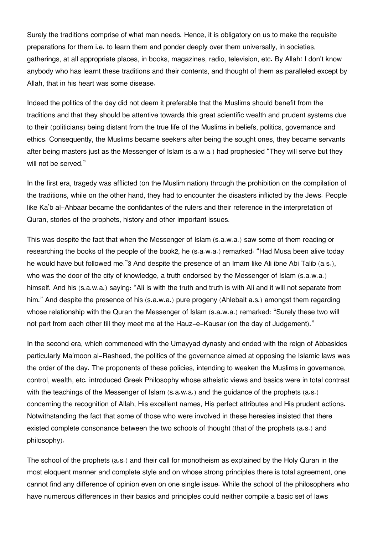Surely the traditions comprise of what man needs. Hence, it is obligatory on us to make the requisite preparations for them i.e. to learn them and ponder deeply over them universally, in societies, gatherings, at all appropriate places, in books, magazines, radio, television, etc. By Allah! I don't know anybody who has learnt these traditions and their contents, and thought of them as paralleled except by Allah, that in his heart was some disease.

Indeed the politics of the day did not deem it preferable that the Muslims should benefit from the traditions and that they should be attentive towards this great scientific wealth and prudent systems due to their (politicians) being distant from the true life of the Muslims in beliefs, politics, governance and ethics. Consequently, the Muslims became seekers after being the sought ones, they became servants after being masters just as the Messenger of Islam (s.a.w.a.) had prophesied "They will serve but they will not be served."

In the first era, tragedy was afflicted (on the Muslim nation) through the prohibition on the compilation of the traditions, while on the other hand, they had to encounter the disasters inflicted by the Jews. People like Ka'b al-Ahbaar became the confidantes of the rulers and their reference in the interpretation of Quran, stories of the prophets, history and other important issues.

This was despite the fact that when the Messenger of Islam (s.a.w.a.) saw some of them reading or researching the books of the people of the book[2](#page--1-0), he (s.a.w.a.) remarked: "Had Musa been alive today he would have but followed me."[3](#page--1-0) And despite the presence of an Imam like Ali ibne Abi Talib (a.s.), who was the door of the city of knowledge, a truth endorsed by the Messenger of Islam (s.a.w.a.) himself. And his (s.a.w.a.) saying: "Ali is with the truth and truth is with Ali and it will not separate from him." And despite the presence of his (s.a.w.a.) pure progeny (Ahlebait a.s.) amongst them regarding whose relationship with the Quran the Messenger of Islam (s.a.w.a.) remarked: "Surely these two will not part from each other till they meet me at the Hauz-e-Kausar (on the day of Judgement)."

In the second era, which commenced with the Umayyad dynasty and ended with the reign of Abbasides particularly Ma'moon al-Rasheed, the politics of the governance aimed at opposing the Islamic laws was the order of the day. The proponents of these policies, intending to weaken the Muslims in governance, control, wealth, etc. introduced Greek Philosophy whose atheistic views and basics were in total contrast with the teachings of the Messenger of Islam (s.a.w.a.) and the guidance of the prophets (a.s.) concerning the recognition of Allah, His excellent names, His perfect attributes and His prudent actions. Notwithstanding the fact that some of those who were involved in these heresies insisted that there existed complete consonance between the two schools of thought (that of the prophets (a.s.) and philosophy).

The school of the prophets (a.s.) and their call for monotheism as explained by the Holy Quran in the most eloquent manner and complete style and on whose strong principles there is total agreement, one cannot find any difference of opinion even on one single issue. While the school of the philosophers who have numerous differences in their basics and principles could neither compile a basic set of laws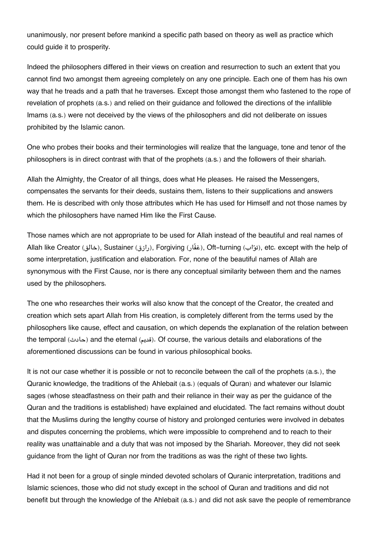unanimously, nor present before mankind a specific path based on theory as well as practice which could guide it to prosperity.

Indeed the philosophers differed in their views on creation and resurrection to such an extent that you cannot find two amongst them agreeing completely on any one principle. Each one of them has his own way that he treads and a path that he traverses. Except those amongst them who fastened to the rope of revelation of prophets (a.s.) and relied on their guidance and followed the directions of the infallible Imams (a.s.) were not deceived by the views of the philosophers and did not deliberate on issues prohibited by the Islamic canon.

One who probes their books and their terminologies will realize that the language, tone and tenor of the philosophers is in direct contrast with that of the prophets (a.s.) and the followers of their shariah.

Allah the Almighty, the Creator of all things, does what He pleases. He raised the Messengers, compensates the servants for their deeds, sustains them, listens to their supplications and answers them. He is described with only those attributes which He has used for Himself and not those names by which the philosophers have named Him like the First Cause.

Those names which are not appropriate to be used for Allah instead of the beautiful and real names of Allah like Creator (خالق), Sustainer (رازق), Forgiving (اغفّار), Oft-turning (ابتواب), etc. except with the help of some interpretation, justification and elaboration. For, none of the beautiful names of Allah are synonymous with the First Cause, nor is there any conceptual similarity between them and the names used by the philosophers.

The one who researches their works will also know that the concept of the Creator, the created and creation which sets apart Allah from His creation, is completely different from the terms used by the philosophers like cause, effect and causation, on which depends the explanation of the relation between the temporal (حادث) and the eternal (setails (and elaborations of the internal (also course, the various details and elaborations of the aforementioned discussions can be found in various philosophical books.

It is not our case whether it is possible or not to reconcile between the call of the prophets (a.s.), the Quranic knowledge, the traditions of the Ahlebait (a.s.) (equals of Quran) and whatever our Islamic sages (whose steadfastness on their path and their reliance in their way as per the guidance of the Quran and the traditions is established) have explained and elucidated. The fact remains without doubt that the Muslims during the lengthy course of history and prolonged centuries were involved in debates and disputes concerning the problems, which were impossible to comprehend and to reach to their reality was unattainable and a duty that was not imposed by the Shariah. Moreover, they did not seek guidance from the light of Quran nor from the traditions as was the right of these two lights.

Had it not been for a group of single minded devoted scholars of Quranic interpretation, traditions and Islamic sciences, those who did not study except in the school of Quran and traditions and did not benefit but through the knowledge of the Ahlebait (a.s.) and did not ask save the people of remembrance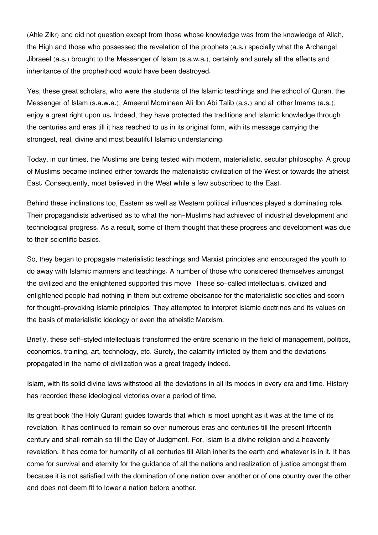(Ahle Zikr) and did not question except from those whose knowledge was from the knowledge of Allah, the High and those who possessed the revelation of the prophets (a.s.) specially what the Archangel Jibraeel (a.s.) brought to the Messenger of Islam (s.a.w.a.), certainly and surely all the effects and inheritance of the prophethood would have been destroyed.

Yes, these great scholars, who were the students of the Islamic teachings and the school of Quran, the Messenger of Islam (s.a.w.a.), Ameerul Momineen Ali Ibn Abi Talib (a.s.) and all other Imams (a.s.), enjoy a great right upon us. Indeed, they have protected the traditions and Islamic knowledge through the centuries and eras till it has reached to us in its original form, with its message carrying the strongest, real, divine and most beautiful Islamic understanding.

Today, in our times, the Muslims are being tested with modern, materialistic, secular philosophy. A group of Muslims became inclined either towards the materialistic civilization of the West or towards the atheist East. Consequently, most believed in the West while a few subscribed to the East.

Behind these inclinations too, Eastern as well as Western political influences played a dominating role. Their propagandists advertised as to what the non-Muslims had achieved of industrial development and technological progress. As a result, some of them thought that these progress and development was due to their scientific basics.

So, they began to propagate materialistic teachings and Marxist principles and encouraged the youth to do away with Islamic manners and teachings. A number of those who considered themselves amongst the civilized and the enlightened supported this move. These so-called intellectuals, civilized and enlightened people had nothing in them but extreme obeisance for the materialistic societies and scorn for thought-provoking Islamic principles. They attempted to interpret Islamic doctrines and its values on the basis of materialistic ideology or even the atheistic Marxism.

Briefly, these self-styled intellectuals transformed the entire scenario in the field of management, politics, economics, training, art, technology, etc. Surely, the calamity inflicted by them and the deviations propagated in the name of civilization was a great tragedy indeed.

Islam, with its solid divine laws withstood all the deviations in all its modes in every era and time. History has recorded these ideological victories over a period of time.

Its great book (the Holy Quran) guides towards that which is most upright as it was at the time of its revelation. It has continued to remain so over numerous eras and centuries till the present fifteenth century and shall remain so till the Day of Judgment. For, Islam is a divine religion and a heavenly revelation. It has come for humanity of all centuries till Allah inherits the earth and whatever is in it. It has come for survival and eternity for the guidance of all the nations and realization of justice amongst them because it is not satisfied with the domination of one nation over another or of one country over the other and does not deem fit to lower a nation before another.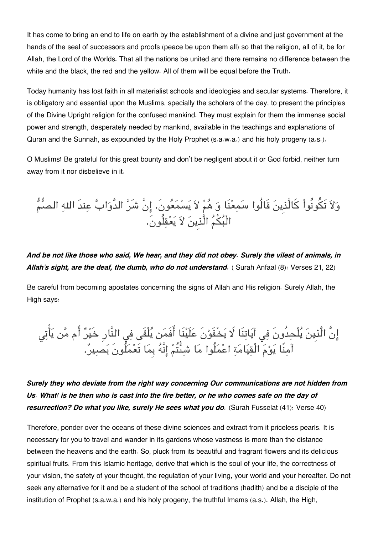It has come to bring an end to life on earth by the establishment of a divine and just government at the hands of the seal of successors and proofs (peace be upon them all) so that the religion, all of it, be for Allah, the Lord of the Worlds. That all the nations be united and there remains no difference between the white and the black, the red and the yellow. All of them will be equal before the Truth.

Today humanity has lost faith in all materialist schools and ideologies and secular systems. Therefore, it is obligatory and essential upon the Muslims, specially the scholars of the day, to present the principles of the Divine Upright religion for the confused mankind. They must explain for them the immense social power and strength, desperately needed by mankind, available in the teachings and explanations of Quran and the Sunnah, as expounded by the Holy Prophet (s.a.w.a.) and his holy progeny (a.s.).

O Muslims! Be grateful for this great bounty and don't be negligent about it or God forbid, neither turn away from it nor disbelieve in it.

وَلاَ تَكُونُواْ كَالَّذِينَ قَالُوا سَمِعْنَا وَ هُمْ لاَ يَسْمَعُونَ. إِنَّ شَرَّ الدَّوَابَّ عِندَ اللهِ الصُّمُّ الْبُكُمُ الَّذِينَ لاَ يَعْقِلُونَ.

*And be not like those who said, We hear, and they did not obey. Surely the vilest of animals, in Allah's sight, are the deaf, the dumb, who do not understand.* ( Surah Anfaal (8): Verses 21, 22)

Be careful from becoming apostates concerning the signs of Allah and His religion. Surely Allah, the High says:

إِنَّ الَّذِينَ يَلْحِدُونَ فِي آيَاتِنَا لَا يَخْفَوْنَ عَلَيْنَا افْمَن يَلْقَى فِي النَّارِ خَيْرٌ ام مِّن يَاتِي آمنًا يوم الْقيامة اعملُوا ما شىتُم انَّه بِما تَعملُونَ بصير.

*Surely they who deviate from the right way concerning Our communications are not hidden from Us. What! is he then who is cast into the fire better, or he who comes safe on the day of resurrection? Do what you like, surely He sees what you do.* (Surah Fusselat (41): Verse 40)

Therefore, ponder over the oceans of these divine sciences and extract from it priceless pearls. It is necessary for you to travel and wander in its gardens whose vastness is more than the distance between the heavens and the earth. So, pluck from its beautiful and fragrant flowers and its delicious spiritual fruits. From this Islamic heritage, derive that which is the soul of your life, the correctness of your vision, the safety of your thought, the regulation of your living, your world and your hereafter. Do not seek any alternative for it and be a student of the school of traditions (hadith) and be a disciple of the institution of Prophet (s.a.w.a.) and his holy progeny, the truthful Imams (a.s.). Allah, the High,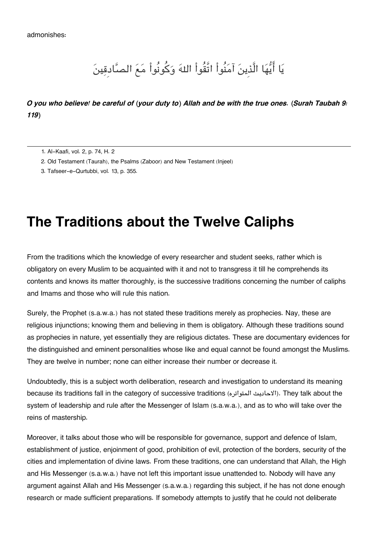## يَا أَيُّهَا الَّذِينَ آمَنُواْ اتَّقُواْ اللهَ وَكُونُواْ مَعَ الصَّادقِينَ

#### *O you who believe! be careful of (your duty to) Allah and be with the true ones. (Surah Taubah 9: 119)*

- [1.](#page--1-0) Al-Kaafi, vol. 2, p. 74, H. 2
- [2.](#page--1-0) Old Testament (Taurah), the Psalms (Zaboor) and New Testament (Injeel)
- [3.](#page--1-0) Tafseer-e-Qurtubbi, vol. 13, p. 355.

### **The Traditions about the Twelve Caliphs**

From the traditions which the knowledge of every researcher and student seeks, rather which is obligatory on every Muslim to be acquainted with it and not to transgress it till he comprehends its contents and knows its matter thoroughly, is the successive traditions concerning the number of caliphs and Imams and those who will rule this nation.

Surely, the Prophet (s.a.w.a.) has not stated these traditions merely as prophecies. Nay, these are religious injunctions; knowing them and believing in them is obligatory. Although these traditions sound as prophecies in nature, yet essentially they are religious dictates. These are documentary evidences for the distinguished and eminent personalities whose like and equal cannot be found amongst the Muslims. They are twelve in number; none can either increase their number or decrease it.

Undoubtedly, this is a subject worth deliberation, research and investigation to understand its meaning because its traditions fall in the category of successive traditions (المتواتره الاحاديث(. They talk about the system of leadership and rule after the Messenger of Islam (s.a.w.a.), and as to who will take over the reins of mastership.

Moreover, it talks about those who will be responsible for governance, support and defence of Islam, establishment of justice, enjoinment of good, prohibition of evil, protection of the borders, security of the cities and implementation of divine laws. From these traditions, one can understand that Allah, the High and His Messenger (s.a.w.a.) have not left this important issue unattended to. Nobody will have any argument against Allah and His Messenger (s.a.w.a.) regarding this subject, if he has not done enough research or made sufficient preparations. If somebody attempts to justify that he could not deliberate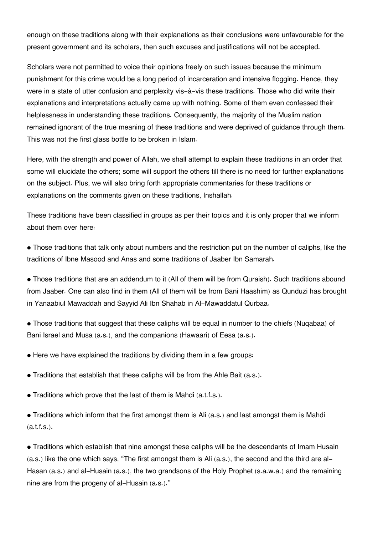enough on these traditions along with their explanations as their conclusions were unfavourable for the present government and its scholars, then such excuses and justifications will not be accepted.

Scholars were not permitted to voice their opinions freely on such issues because the minimum punishment for this crime would be a long period of incarceration and intensive flogging. Hence, they were in a state of utter confusion and perplexity vis-à-vis these traditions. Those who did write their explanations and interpretations actually came up with nothing. Some of them even confessed their helplessness in understanding these traditions. Consequently, the majority of the Muslim nation remained ignorant of the true meaning of these traditions and were deprived of guidance through them. This was not the first glass bottle to be broken in Islam.

Here, with the strength and power of Allah, we shall attempt to explain these traditions in an order that some will elucidate the others; some will support the others till there is no need for further explanations on the subject. Plus, we will also bring forth appropriate commentaries for these traditions or explanations on the comments given on these traditions, Inshallah.

These traditions have been classified in groups as per their topics and it is only proper that we inform about them over here:

• Those traditions that talk only about numbers and the restriction put on the number of caliphs, like the traditions of Ibne Masood and Anas and some traditions of Jaaber Ibn Samarah.

• Those traditions that are an addendum to it (All of them will be from Quraish). Such traditions abound from Jaaber. One can also find in them (All of them will be from Bani Haashim) as Qunduzi has brought in Yanaabiul Mawaddah and Sayyid Ali Ibn Shahab in Al-Mawaddatul Qurbaa.

• Those traditions that suggest that these caliphs will be equal in number to the chiefs (Nuqabaa) of Bani Israel and Musa (a.s.), and the companions (Hawaari) of Eesa (a.s.).

• Here we have explained the traditions by dividing them in a few groups:

• Traditions that establish that these caliphs will be from the Ahle Bait (a.s.).

• Traditions which prove that the last of them is Mahdi (a.t.f.s.).

• Traditions which inform that the first amongst them is Ali (a.s.) and last amongst them is Mahdi (a.t.f.s.).

• Traditions which establish that nine amongst these caliphs will be the descendants of Imam Husain (a.s.) like the one which says, "The first amongst them is Ali (a.s.), the second and the third are al-Hasan (a.s.) and al-Husain (a.s.), the two grandsons of the Holy Prophet (s.a.w.a.) and the remaining nine are from the progeny of al-Husain (a.s.)."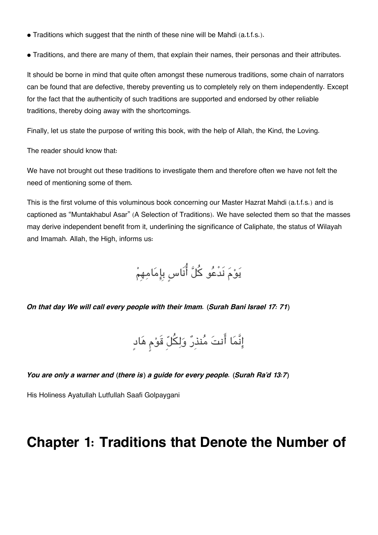- Traditions which suggest that the ninth of these nine will be Mahdi (a.t.f.s.).
- Traditions, and there are many of them, that explain their names, their personas and their attributes.

It should be borne in mind that quite often amongst these numerous traditions, some chain of narrators can be found that are defective, thereby preventing us to completely rely on them independently. Except for the fact that the authenticity of such traditions are supported and endorsed by other reliable traditions, thereby doing away with the shortcomings.

Finally, let us state the purpose of writing this book, with the help of Allah, the Kind, the Loving.

The reader should know that:

We have not brought out these traditions to investigate them and therefore often we have not felt the need of mentioning some of them.

This is the first volume of this voluminous book concerning our Master Hazrat Mahdi (a.t.f.s.) and is captioned as "Muntakhabul Asar" (A Selection of Traditions). We have selected them so that the masses may derive independent benefit from it, underlining the significance of Caliphate, the status of Wilayah and Imamah. Allah, the High, informs us:

يوم نَدْعو كل انَاسٍ بِامامهِم

*On that day We will call every people with their Imam. (Surah Bani Israel 17: 71)*

إِنَّمَا أَنتَ مُنذِرٌ وَلِكُلِّ قَوْمٍ هَادٍ

*You are only a warner and (there is) a guide for every people. (Surah Ra'd 13:7)*

His Holiness Ayatullah Lutfullah Saafi Golpaygani

### **Chapter 1: Traditions that Denote the Number of**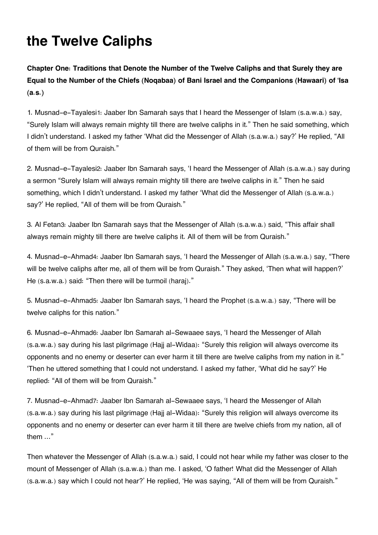## **the Twelve Caliphs**

**Chapter One: Traditions that Denote the Number of the Twelve Caliphs and that Surely they are Equal to the Number of the Chiefs (Noqabaa) of Bani Israel and the Companions (Hawaari) of 'Isa (a.s.)**

1. Musnad-e-Tayalesi[1](#page--1-0): Jaaber Ibn Samarah says that I heard the Messenger of Islam (s.a.w.a.) say, "Surely Islam will always remain mighty till there are twelve caliphs in it." Then he said something, which I didn't understand. I asked my father 'What did the Messenger of Allah (s.a.w.a.) say?' He replied, "All of them will be from Quraish."

2. Musnad-e-Tayalesi[2](#page--1-0): Jaaber Ibn Samarah says, 'I heard the Messenger of Allah (s.a.w.a.) say during a sermon "Surely Islam will always remain mighty till there are twelve caliphs in it." Then he said something, which I didn't understand. I asked my father 'What did the Messenger of Allah (s.a.w.a.) say?' He replied, "All of them will be from Quraish."

3. Al Fetan[3](#page--1-0): Jaaber Ibn Samarah says that the Messenger of Allah (s.a.w.a.) said, "This affair shall always remain mighty till there are twelve caliphs it. All of them will be from Quraish."

4. Musnad-e-Ahmad[4](#page--1-0): Jaaber Ibn Samarah says, 'I heard the Messenger of Allah (s.a.w.a.) say, "There will be twelve caliphs after me, all of them will be from Quraish." They asked, 'Then what will happen?' He (s.a.w.a.) said: "Then there will be turmoil (haraj)."

5. Musnad-e-Ahmad[5](#page--1-0): Jaaber Ibn Samarah says, 'I heard the Prophet (s.a.w.a.) say, "There will be twelve caliphs for this nation."

6. Musnad-e-Ahmad[6](#page--1-0): Jaaber Ibn Samarah al-Sewaaee says, 'I heard the Messenger of Allah (s.a.w.a.) say during his last pilgrimage (Hajj al-Widaa): "Surely this religion will always overcome its opponents and no enemy or deserter can ever harm it till there are twelve caliphs from my nation in it." 'Then he uttered something that I could not understand. I asked my father, 'What did he say?' He replied: "All of them will be from Quraish."

7. Musnad-e-Ahmad[7](#page--1-0): Jaaber Ibn Samarah al-Sewaaee says, 'I heard the Messenger of Allah (s.a.w.a.) say during his last pilgrimage (Hajj al-Widaa): "Surely this religion will always overcome its opponents and no enemy or deserter can ever harm it till there are twelve chiefs from my nation, all of them …"

Then whatever the Messenger of Allah (s.a.w.a.) said, I could not hear while my father was closer to the mount of Messenger of Allah (s.a.w.a.) than me. I asked, 'O father! What did the Messenger of Allah (s.a.w.a.) say which I could not hear?' He replied, 'He was saying, "All of them will be from Quraish."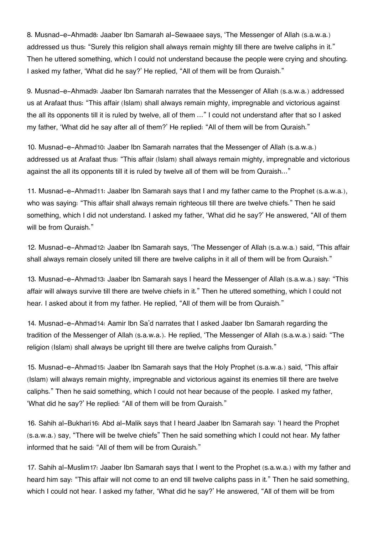8. Musnad-e-Ahmad[8](#page--1-0): Jaaber Ibn Samarah al-Sewaaee says, 'The Messenger of Allah (s.a.w.a.) addressed us thus: "Surely this religion shall always remain mighty till there are twelve caliphs in it." Then he uttered something, which I could not understand because the people were crying and shouting. I asked my father, 'What did he say?' He replied, "All of them will be from Quraish."

9. Musnad-e-Ahmad[9](#page--1-0): Jaaber Ibn Samarah narrates that the Messenger of Allah (s.a.w.a.) addressed us at Arafaat thus: "This affair (Islam) shall always remain mighty, impregnable and victorious against the all its opponents till it is ruled by twelve, all of them …" I could not understand after that so I asked my father, 'What did he say after all of them?' He replied: "All of them will be from Quraish."

10. Musnad-e-Ahmad[10](#page--1-0): Jaaber Ibn Samarah narrates that the Messenger of Allah (s.a.w.a.) addressed us at Arafaat thus: "This affair (Islam) shall always remain mighty, impregnable and victorious against the all its opponents till it is ruled by twelve all of them will be from Quraish…"

11. Musnad-e-Ahmad[11](#page--1-0): Jaaber Ibn Samarah says that I and my father came to the Prophet (s.a.w.a.), who was saying: "This affair shall always remain righteous till there are twelve chiefs." Then he said something, which I did not understand. I asked my father, 'What did he say?' He answered, "All of them will be from Quraish."

12. Musnad-e-Ahmad[12](#page--1-0): Jaaber Ibn Samarah says, 'The Messenger of Allah (s.a.w.a.) said, "This affair shall always remain closely united till there are twelve caliphs in it all of them will be from Quraish."

13. Musnad-e-Ahmad[13](#page--1-0): Jaaber Ibn Samarah says I heard the Messenger of Allah (s.a.w.a.) say: "This affair will always survive till there are twelve chiefs in it." Then he uttered something, which I could not hear. I asked about it from my father. He replied, "All of them will be from Quraish."

14. Musnad-e-Ahmad[14](#page--1-0): Aamir Ibn Sa'd narrates that I asked Jaaber Ibn Samarah regarding the tradition of the Messenger of Allah (s.a.w.a.). He replied, 'The Messenger of Allah (s.a.w.a.) said: "The religion (Islam) shall always be upright till there are twelve caliphs from Quraish."

15. Musnad-e-Ahmad[15](#page--1-0): Jaaber Ibn Samarah says that the Holy Prophet (s.a.w.a.) said, "This affair (Islam) will always remain mighty, impregnable and victorious against its enemies till there are twelve caliphs." Then he said something, which I could not hear because of the people. I asked my father, 'What did he say?' He replied: "All of them will be from Quraish."

16. Sahih al-Bukhari[16](#page--1-0): Abd al-Malik says that I heard Jaaber Ibn Samarah say: 'I heard the Prophet (s.a.w.a.) say, "There will be twelve chiefs" Then he said something which I could not hear. My father informed that he said: "All of them will be from Quraish."

17. Sahih al-Muslim[17](#page--1-0): Jaaber Ibn Samarah says that I went to the Prophet (s.a.w.a.) with my father and heard him say: "This affair will not come to an end till twelve caliphs pass in it." Then he said something, which I could not hear. I asked my father, 'What did he say?' He answered, "All of them will be from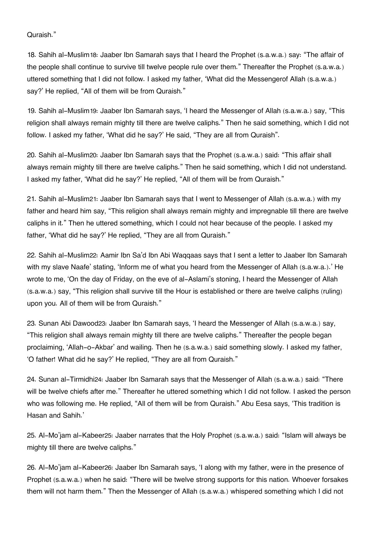#### Quraish."

18. Sahih al-Muslim[18](#page--1-0): Jaaber Ibn Samarah says that I heard the Prophet (s.a.w.a.) say: "The affair of the people shall continue to survive till twelve people rule over them." Thereafter the Prophet (s.a.w.a.) uttered something that I did not follow. I asked my father, 'What did the Messengerof Allah (s.a.w.a.) say?' He replied, "All of them will be from Quraish."

19. Sahih al-Muslim[19](#page--1-0): Jaaber Ibn Samarah says, 'I heard the Messenger of Allah (s.a.w.a.) say, "This religion shall always remain mighty till there are twelve caliphs." Then he said something, which I did not follow. I asked my father, 'What did he say?' He said, "They are all from Quraish".

20. Sahih al-Muslim[20](#page--1-0): Jaaber Ibn Samarah says that the Prophet (s.a.w.a.) said: "This affair shall always remain mighty till there are twelve caliphs." Then he said something, which I did not understand. I asked my father, 'What did he say?' He replied, "All of them will be from Quraish."

21. Sahih al-Muslim[21](#page--1-0): Jaaber Ibn Samarah says that I went to Messenger of Allah (s.a.w.a.) with my father and heard him say, "This religion shall always remain mighty and impregnable till there are twelve caliphs in it." Then he uttered something, which I could not hear because of the people. I asked my father, 'What did he say?' He replied, "They are all from Quraish."

22. Sahih al-Muslim[22](#page--1-0): Aamir Ibn Sa'd Ibn Abi Waqqaas says that I sent a letter to Jaaber Ibn Samarah with my slave Naafe' stating, 'Inform me of what you heard from the Messenger of Allah (s.a.w.a.).' He wrote to me, 'On the day of Friday, on the eve of al-Aslami's stoning, I heard the Messenger of Allah (s.a.w.a.) say, "This religion shall survive till the Hour is established or there are twelve caliphs (ruling) upon you. All of them will be from Quraish."

23. Sunan Abi Dawood[23](#page--1-0): Jaaber Ibn Samarah says, 'I heard the Messenger of Allah (s.a.w.a.) say, "This religion shall always remain mighty till there are twelve caliphs." Thereafter the people began proclaiming, 'Allah-o-Akbar' and wailing. Then he (s.a.w.a.) said something slowly. I asked my father, 'O father! What did he say?' He replied, "They are all from Quraish."

24. Sunan al-Tirmidhi[24](#page--1-0): Jaaber Ibn Samarah says that the Messenger of Allah (s.a.w.a.) said: "There will be twelve chiefs after me." Thereafter he uttered something which I did not follow. I asked the person who was following me. He replied, "All of them will be from Quraish." Abu Eesa says, 'This tradition is Hasan and Sahih.'

25. Al-Mo'jam al-Kabeer[25](#page--1-0): Jaaber narrates that the Holy Prophet (s.a.w.a.) said: "Islam will always be mighty till there are twelve caliphs."

26. Al-Mo'jam al-Kabeer[26](#page--1-0): Jaaber Ibn Samarah says, 'I along with my father, were in the presence of Prophet (s.a.w.a.) when he said: "There will be twelve strong supports for this nation. Whoever forsakes them will not harm them." Then the Messenger of Allah (s.a.w.a.) whispered something which I did not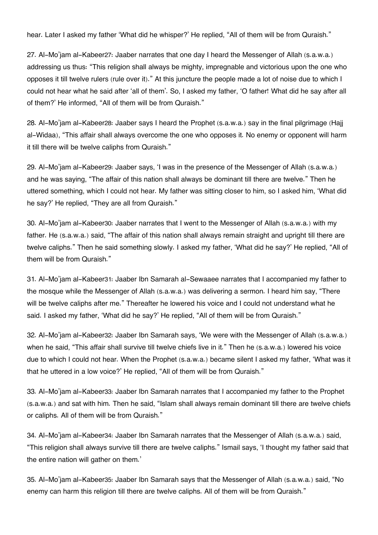hear. Later I asked my father 'What did he whisper?' He replied, "All of them will be from Quraish."

27. Al-Mo'jam al-Kabeer[27](#page--1-0): Jaaber narrates that one day I heard the Messenger of Allah (s.a.w.a.) addressing us thus: "This religion shall always be mighty, impregnable and victorious upon the one who opposes it till twelve rulers (rule over it)." At this juncture the people made a lot of noise due to which I could not hear what he said after 'all of them'. So, I asked my father, 'O father! What did he say after all of them?' He informed, "All of them will be from Quraish."

28. Al-Mo'jam al-Kabeer[28](#page--1-0): Jaaber says I heard the Prophet (s.a.w.a.) say in the final pilgrimage (Hajj al-Widaa), "This affair shall always overcome the one who opposes it. No enemy or opponent will harm it till there will be twelve caliphs from Quraish."

29. Al-Mo'jam al-Kabeer[29](#page--1-0): Jaaber says, 'I was in the presence of the Messenger of Allah (s.a.w.a.) and he was saying, "The affair of this nation shall always be dominant till there are twelve." Then he uttered something, which I could not hear. My father was sitting closer to him, so I asked him, 'What did he say?' He replied, "They are all from Quraish."

30. Al-Mo'jam al-Kabeer[30](#page--1-0): Jaaber narrates that I went to the Messenger of Allah (s.a.w.a.) with my father. He (s.a.w.a.) said, "The affair of this nation shall always remain straight and upright till there are twelve caliphs." Then he said something slowly. I asked my father, 'What did he say?' He replied, "All of them will be from Quraish."

31. Al-Mo'jam al-Kabeer[31](#page--1-0): Jaaber Ibn Samarah al-Sewaaee narrates that I accompanied my father to the mosque while the Messenger of Allah (s.a.w.a.) was delivering a sermon. I heard him say, "There will be twelve caliphs after me." Thereafter he lowered his voice and I could not understand what he said. I asked my father, 'What did he say?' He replied, "All of them will be from Quraish."

32. Al-Mo'jam al-Kabeer[32](#page--1-0): Jaaber Ibn Samarah says, 'We were with the Messenger of Allah (s.a.w.a.) when he said, "This affair shall survive till twelve chiefs live in it." Then he (s.a.w.a.) lowered his voice due to which I could not hear. When the Prophet (s.a.w.a.) became silent I asked my father, 'What was it that he uttered in a low voice?' He replied, "All of them will be from Quraish."

33. Al-Mo'jam al-Kabeer[33](#page--1-0): Jaaber Ibn Samarah narrates that I accompanied my father to the Prophet (s.a.w.a.) and sat with him. Then he said, "Islam shall always remain dominant till there are twelve chiefs or caliphs. All of them will be from Quraish."

34. Al-Mo'jam al-Kabeer[34](#page--1-0): Jaaber Ibn Samarah narrates that the Messenger of Allah (s.a.w.a.) said, "This religion shall always survive till there are twelve caliphs." Ismail says, 'I thought my father said that the entire nation will gather on them.'

35. Al-Mo'jam al-Kabeer[35](#page--1-0): Jaaber Ibn Samarah says that the Messenger of Allah (s.a.w.a.) said, "No enemy can harm this religion till there are twelve caliphs. All of them will be from Quraish."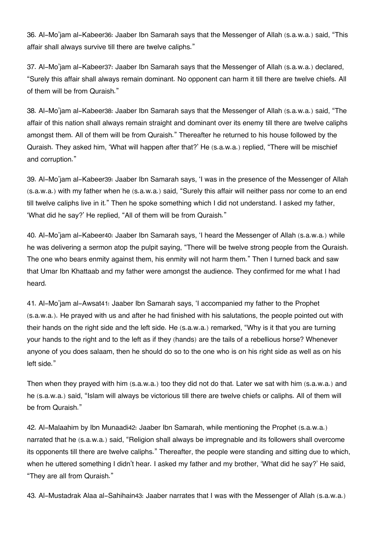36. Al-Mo'jam al-Kabeer[36](#page--1-0): Jaaber Ibn Samarah says that the Messenger of Allah (s.a.w.a.) said, "This affair shall always survive till there are twelve caliphs."

37. Al-Mo'jam al-Kabeer[37](#page--1-0): Jaaber Ibn Samarah says that the Messenger of Allah (s.a.w.a.) declared, "Surely this affair shall always remain dominant. No opponent can harm it till there are twelve chiefs. All of them will be from Quraish."

38. Al-Mo'jam al-Kabeer[38](#page--1-0): Jaaber Ibn Samarah says that the Messenger of Allah (s.a.w.a.) said, "The affair of this nation shall always remain straight and dominant over its enemy till there are twelve caliphs amongst them. All of them will be from Quraish." Thereafter he returned to his house followed by the Quraish. They asked him, 'What will happen after that?' He (s.a.w.a.) replied, "There will be mischief and corruption."

39. Al-Mo'jam al-Kabeer[39](#page--1-0): Jaaber Ibn Samarah says, 'I was in the presence of the Messenger of Allah (s.a.w.a.) with my father when he (s.a.w.a.) said, "Surely this affair will neither pass nor come to an end till twelve caliphs live in it." Then he spoke something which I did not understand. I asked my father, 'What did he say?' He replied, "All of them will be from Quraish."

40. Al-Mo'jam al-Kabeer[40](#page--1-0): Jaaber Ibn Samarah says, 'I heard the Messenger of Allah (s.a.w.a.) while he was delivering a sermon atop the pulpit saying, "There will be twelve strong people from the Quraish. The one who bears enmity against them, his enmity will not harm them." Then I turned back and saw that Umar Ibn Khattaab and my father were amongst the audience. They confirmed for me what I had heard.

41. Al-Mo'jam al-Awsat[41](#page--1-0): Jaaber Ibn Samarah says, 'I accompanied my father to the Prophet (s.a.w.a.). He prayed with us and after he had finished with his salutations, the people pointed out with their hands on the right side and the left side. He (s.a.w.a.) remarked, "Why is it that you are turning your hands to the right and to the left as if they (hands) are the tails of a rebellious horse? Whenever anyone of you does salaam, then he should do so to the one who is on his right side as well as on his left side."

Then when they prayed with him (s.a.w.a.) too they did not do that. Later we sat with him (s.a.w.a.) and he (s.a.w.a.) said, "Islam will always be victorious till there are twelve chiefs or caliphs. All of them will be from Quraish."

42. Al-Malaahim by Ibn Munaadi[42](#page--1-0): Jaaber Ibn Samarah, while mentioning the Prophet (s.a.w.a.) narrated that he (s.a.w.a.) said, "Religion shall always be impregnable and its followers shall overcome its opponents till there are twelve caliphs." Thereafter, the people were standing and sitting due to which, when he uttered something I didn't hear. I asked my father and my brother, 'What did he say?' He said, "They are all from Quraish."

43. Al-Mustadrak Alaa al-Sahihain[43](#page--1-0): Jaaber narrates that I was with the Messenger of Allah (s.a.w.a.)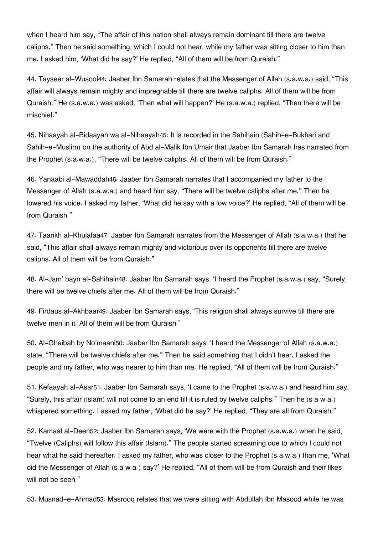when I heard him say, "The affair of this nation shall always remain dominant till there are twelve caliphs." Then he said something, which I could not hear, while my father was sitting closer to him than me. I asked him, 'What did he say?' He replied, "All of them will be from Quraish."

44. Tayseer al-Wusool[44](#page--1-0): Jaaber Ibn Samarah relates that the Messenger of Allah (s.a.w.a.) said, "This affair will always remain mighty and impregnable till there are twelve caliphs. All of them will be from Quraish." He (s.a.w.a.) was asked, 'Then what will happen?' He (s.a.w.a.) replied, "Then there will be mischief."

45. Nihaayah al-Bidaayah wa al-Nihaayah[45](#page--1-0): It is recorded in the Sahihain (Sahih-e-Bukhari and Sahih-e-Muslim) on the authority of Abd al-Malik Ibn Umair that Jaaber Ibn Samarah has narrated from the Prophet (s.a.w.a.), "There will be twelve caliphs. All of them will be from Quraish."

46. Yanaabi al-Mawaddah[46](#page--1-0): Jaaber Ibn Samarah narrates that I accompanied my father to the Messenger of Allah (s.a.w.a.) and heard him say, "There will be twelve caliphs after me." Then he lowered his voice. I asked my father, 'What did he say with a low voice?' He replied, "All of them will be from Quraish."

47. Taarikh al-Khulafaa[47](#page--1-0): Jaaber Ibn Samarah narrates from the Messenger of Allah (s.a.w.a.) that he said, "This affair shall always remain mighty and victorious over its opponents till there are twelve caliphs. All of them will be from Quraish."

48. Al-Jam' bayn al-Sahihain[48](#page--1-0): Jaaber Ibn Samarah says, 'I heard the Prophet (s.a.w.a.) say, "Surely, there will be twelve chiefs after me. All of them will be from Quraish."

49. Firdaus al-Akhbaar[49](#page--1-0): Jaaber Ibn Samarah says, 'This religion shall always survive till there are twelve men in it. All of them will be from Quraish.'

50. Al-Ghaibah by No'maani[50](#page--1-0): Jaaber Ibn Samarah says, 'I heard the Messenger of Allah (s.a.w.a.) state, "There will be twelve chiefs after me." Then he said something that I didn't hear. I asked the people and my father, who was nearer to him than me. He replied, "All of them will be from Quraish."

51. Kefaayah al-Asar[51](#page--1-0): Jaaber Ibn Samarah says, 'I came to the Prophet (s.a.w.a.) and heard him say, "Surely, this affair (Islam) will not come to an end till it is ruled by twelve caliphs." Then he (s.a.w.a.) whispered something. I asked my father, 'What did he say?' He replied, "They are all from Quraish."

52. Kamaal al-Deen[52](#page--1-0): Jaaber Ibn Samarah says, 'We were with the Prophet (s.a.w.a.) when he said, "Twelve (Caliphs) will follow this affair (Islam)." The people started screaming due to which I could not hear what he said thereafter. I asked my father, who was closer to the Prophet (s.a.w.a.) than me, 'What did the Messenger of Allah (s.a.w.a.) say?' He replied, "All of them will be from Quraish and their likes will not be seen."

53. Musnad-e-Ahmad[53](#page--1-0): Masrooq relates that we were sitting with Abdullah Ibn Masood while he was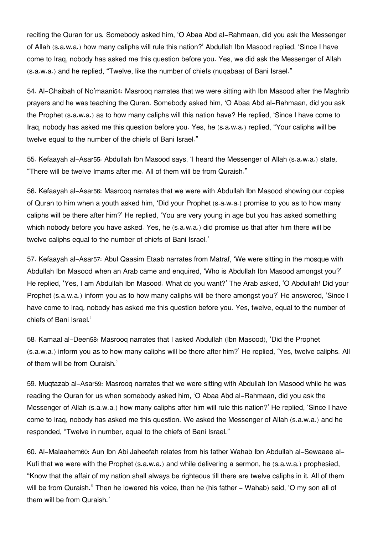reciting the Quran for us. Somebody asked him, 'O Abaa Abd al-Rahmaan, did you ask the Messenger of Allah (s.a.w.a.) how many caliphs will rule this nation?' Abdullah Ibn Masood replied, 'Since I have come to Iraq, nobody has asked me this question before you. Yes, we did ask the Messenger of Allah (s.a.w.a.) and he replied, "Twelve, like the number of chiefs (nuqabaa) of Bani Israel."

54. Al-Ghaibah of No'maani[54](#page--1-0): Masrooq narrates that we were sitting with Ibn Masood after the Maghrib prayers and he was teaching the Quran. Somebody asked him, 'O Abaa Abd al-Rahmaan, did you ask the Prophet (s.a.w.a.) as to how many caliphs will this nation have? He replied, 'Since I have come to Iraq, nobody has asked me this question before you. Yes, he (s.a.w.a.) replied, "Your caliphs will be twelve equal to the number of the chiefs of Bani Israel."

55. Kefaayah al-Asar[55](#page--1-0): Abdullah Ibn Masood says, 'I heard the Messenger of Allah (s.a.w.a.) state, "There will be twelve Imams after me. All of them will be from Quraish."

56. Kefaayah al-Asar[56](#page--1-0): Masrooq narrates that we were with Abdullah Ibn Masood showing our copies of Quran to him when a youth asked him, 'Did your Prophet (s.a.w.a.) promise to you as to how many caliphs will be there after him?' He replied, 'You are very young in age but you has asked something which nobody before you have asked. Yes, he (s.a.w.a.) did promise us that after him there will be twelve caliphs equal to the number of chiefs of Bani Israel.'

57. Kefaayah al-Asar[57](#page--1-0): Abul Qaasim Etaab narrates from Matraf, 'We were sitting in the mosque with Abdullah Ibn Masood when an Arab came and enquired, 'Who is Abdullah Ibn Masood amongst you?' He replied, 'Yes, I am Abdullah Ibn Masood. What do you want?' The Arab asked, 'O Abdullah! Did your Prophet (s.a.w.a.) inform you as to how many caliphs will be there amongst you?' He answered, 'Since I have come to Iraq, nobody has asked me this question before you. Yes, twelve, equal to the number of chiefs of Bani Israel.'

58. Kamaal al-Deen[58](#page--1-0): Masrooq narrates that I asked Abdullah (Ibn Masood), 'Did the Prophet (s.a.w.a.) inform you as to how many caliphs will be there after him?' He replied, 'Yes, twelve caliphs. All of them will be from Quraish.'

59. Muqtazab al-Asar[59](#page--1-0): Masrooq narrates that we were sitting with Abdullah Ibn Masood while he was reading the Quran for us when somebody asked him, 'O Abaa Abd al-Rahmaan, did you ask the Messenger of Allah (s.a.w.a.) how many caliphs after him will rule this nation?' He replied, 'Since I have come to Iraq, nobody has asked me this question. We asked the Messenger of Allah (s.a.w.a.) and he responded, "Twelve in number, equal to the chiefs of Bani Israel."

60. Al-Malaahem[60](#page--1-0): Aun Ibn Abi Jaheefah relates from his father Wahab Ibn Abdullah al-Sewaaee al-Kufi that we were with the Prophet (s.a.w.a.) and while delivering a sermon, he (s.a.w.a.) prophesied, "Know that the affair of my nation shall always be righteous till there are twelve caliphs in it. All of them will be from Quraish." Then he lowered his voice, then he (his father - Wahab) said, 'O my son all of them will be from Quraish.'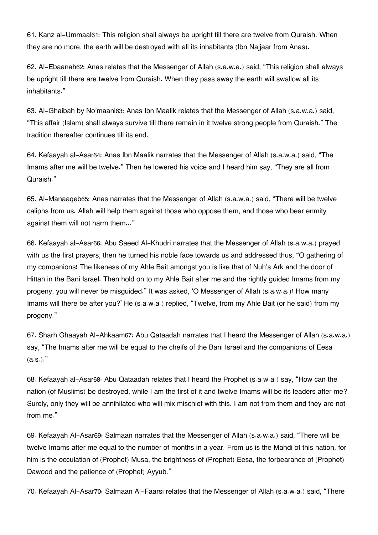61. Kanz al-Ummaal[61](#page--1-0): This religion shall always be upright till there are twelve from Quraish. When they are no more, the earth will be destroyed with all its inhabitants (Ibn Najjaar from Anas).

62. Al-Ebaanah[62](#page--1-0): Anas relates that the Messenger of Allah (s.a.w.a.) said, "This religion shall always be upright till there are twelve from Quraish. When they pass away the earth will swallow all its inhabitants."

63. Al-Ghaibah by No'maani[63](#page--1-0): Anas Ibn Maalik relates that the Messenger of Allah (s.a.w.a.) said, "This affair (Islam) shall always survive till there remain in it twelve strong people from Quraish." The tradition thereafter continues till its end.

64. Kefaayah al-Asar[64](#page--1-0): Anas Ibn Maalik narrates that the Messenger of Allah (s.a.w.a.) said, "The Imams after me will be twelve." Then he lowered his voice and I heard him say, "They are all from Quraish."

65. Al-Manaaqeb[65](#page--1-0): Anas narrates that the Messenger of Allah (s.a.w.a.) said, "There will be twelve caliphs from us. Allah will help them against those who oppose them, and those who bear enmity against them will not harm them…"

66. Kefaayah al-Asar[66](#page--1-0): Abu Saeed Al-Khudri narrates that the Messenger of Allah (s.a.w.a.) prayed with us the first prayers, then he turned his noble face towards us and addressed thus, "O gathering of my companions! The likeness of my Ahle Bait amongst you is like that of Nuh's Ark and the door of Hittah in the Bani Israel. Then hold on to my Ahle Bait after me and the rightly guided Imams from my progeny, you will never be misguided." It was asked, 'O Messenger of Allah (s.a.w.a.)! How many Imams will there be after you?' He (s.a.w.a.) replied, "Twelve, from my Ahle Bait (or he said) from my progeny."

67. Sharh Ghaayah Al-Ahkaam[67](#page--1-0): Abu Qataadah narrates that I heard the Messenger of Allah (s.a.w.a.) say, "The Imams after me will be equal to the cheifs of the Bani Israel and the companions of Eesa  $(a.s.).$ 

68. Kefaayah al-Asar[68](#page--1-0): Abu Qataadah relates that I heard the Prophet (s.a.w.a.) say, "How can the nation (of Muslims) be destroyed, while I am the first of it and twelve Imams will be its leaders after me? Surely, only they will be annihilated who will mix mischief with this. I am not from them and they are not from me."

69. Kefaayah Al-Asar[69](#page--1-0): Salmaan narrates that the Messenger of Allah (s.a.w.a.) said, "There will be twelve Imams after me equal to the number of months in a year. From us is the Mahdi of this nation, for him is the occulation of (Prophet) Musa, the brightness of (Prophet) Eesa, the forbearance of (Prophet) Dawood and the patience of (Prophet) Ayyub."

70. Kefaayah Al-Asar[70](#page--1-0): Salmaan Al-Faarsi relates that the Messenger of Allah (s.a.w.a.) said, "There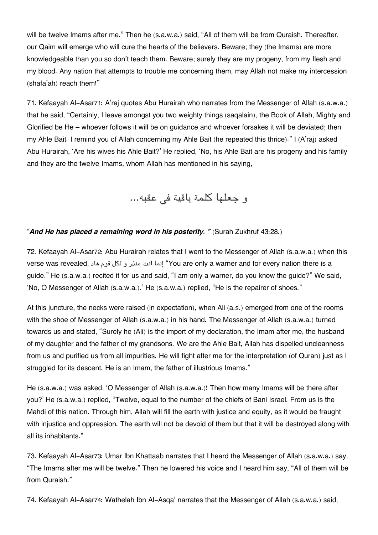will be twelve Imams after me." Then he (s.a.w.a.) said, "All of them will be from Quraish. Thereafter, our Qaim will emerge who will cure the hearts of the believers. Beware; they (the Imams) are more knowledgeable than you so don't teach them. Beware; surely they are my progeny, from my flesh and my blood. Any nation that attempts to trouble me concerning them, may Allah not make my intercession (shafa'ah) reach them!"

71. Kefaayah Al-Asar[71](#page--1-0): A'raj quotes Abu Hurairah who narrates from the Messenger of Allah (s.a.w.a.) that he said, "Certainly, I leave amongst you two weighty things (saqalain), the Book of Allah, Mighty and Glorified be He – whoever follows it will be on guidance and whoever forsakes it will be deviated; then my Ahle Bait. I remind you of Allah concerning my Ahle Bait (he repeated this thrice)." I (A'raj) asked Abu Hurairah, 'Are his wives his Ahle Bait?' He replied, 'No, his Ahle Bait are his progeny and his family and they are the twelve Imams, whom Allah has mentioned in his saying,

و جعلها كلمة باقية في عقبه...

#### "*And He has placed a remaining word in his posterity. "* (Surah Zukhruf 43:28.)

72. Kefaayah Al-Asar[72](#page--1-0): Abu Hurairah relates that I went to the Messenger of Allah (s.a.w.a.) when this verse was revealed, هاد قوم لل و منذر انت إنما" You are only a warner and for every nation there is a guide." He (s.a.w.a.) recited it for us and said, "I am only a warner, do you know the guide?" We said, 'No, O Messenger of Allah (s.a.w.a.).' He (s.a.w.a.) replied, "He is the repairer of shoes."

At this juncture, the necks were raised (in expectation), when Ali (a.s.) emerged from one of the rooms with the shoe of Messenger of Allah (s.a.w.a.) in his hand. The Messenger of Allah (s.a.w.a.) turned towards us and stated, "Surely he (Ali) is the import of my declaration, the Imam after me, the husband of my daughter and the father of my grandsons. We are the Ahle Bait, Allah has dispelled uncleanness from us and purified us from all impurities. He will fight after me for the interpretation (of Quran) just as I struggled for its descent. He is an Imam, the father of illustrious Imams."

He (s.a.w.a.) was asked, 'O Messenger of Allah (s.a.w.a.)! Then how many Imams will be there after you?' He (s.a.w.a.) replied, "Twelve, equal to the number of the chiefs of Bani Israel. From us is the Mahdi of this nation. Through him, Allah will fill the earth with justice and equity, as it would be fraught with injustice and oppression. The earth will not be devoid of them but that it will be destroyed along with all its inhabitants."

73. Kefaayah Al-Asar[73](#page--1-0): Umar Ibn Khattaab narrates that I heard the Messenger of Allah (s.a.w.a.) say, "The Imams after me will be twelve." Then he lowered his voice and I heard him say, "All of them will be from Quraish."

74. Kefaayah Al-Asar[74](#page--1-0): Wathelah Ibn Al-Asqa' narrates that the Messenger of Allah (s.a.w.a.) said,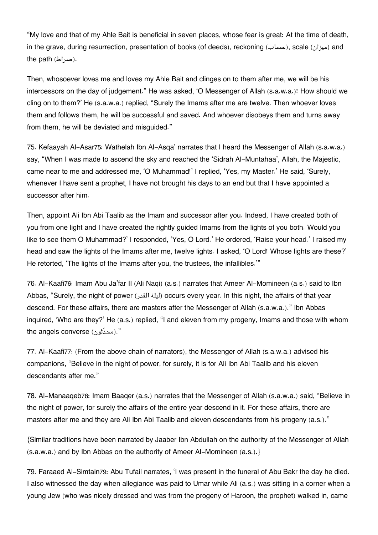"My love and that of my Ahle Bait is beneficial in seven places, whose fear is great: At the time of death, in the grave, during resurrection, presentation of books (of deeds), reckoning (حساب), scale ( $\omega_i$ ) and the path (صراط).

Then, whosoever loves me and loves my Ahle Bait and clinges on to them after me, we will be his intercessors on the day of judgement." He was asked, 'O Messenger of Allah (s.a.w.a.)! How should we cling on to them?' He (s.a.w.a.) replied, "Surely the Imams after me are twelve. Then whoever loves them and follows them, he will be successful and saved. And whoever disobeys them and turns away from them, he will be deviated and misguided."

75. Kefaayah Al-Asar[75](#page--1-0): Wathelah Ibn Al-Asqa' narrates that I heard the Messenger of Allah (s.a.w.a.) say, "When I was made to ascend the sky and reached the 'Sidrah Al-Muntahaa', Allah, the Majestic, came near to me and addressed me, 'O Muhammad!' I replied, 'Yes, my Master.' He said, 'Surely, whenever I have sent a prophet, I have not brought his days to an end but that I have appointed a successor after him.

Then, appoint Ali Ibn Abi Taalib as the Imam and successor after you. Indeed, I have created both of you from one light and I have created the rightly guided Imams from the lights of you both. Would you like to see them O Muhammad?' I responded, 'Yes, O Lord.' He ordered, 'Raise your head.' I raised my head and saw the lights of the Imams after me, twelve lights. I asked, 'O Lord! Whose lights are these?' He retorted, 'The lights of the Imams after you, the trustees, the infallibles.'"

76. Al-Kaafi[76](#page--1-0): Imam Abu Ja'far II (Ali Naqi) (a.s.) narrates that Ameer Al-Momineen (a.s.) said to Ibn Abbas, "Surely, the night of power (القدر ليلة (occurs every year. In this night, the affairs of that year descend. For these affairs, there are masters after the Messenger of Allah (s.a.w.a.)." Ibn Abbas inquired, 'Who are they?' He (a.s.) replied, "I and eleven from my progeny, Imams and those with whom the angels converse (محدّثون)."

77. Al-Kaafi[77](#page--1-0): (From the above chain of narrators), the Messenger of Allah (s.a.w.a.) advised his companions, "Believe in the night of power, for surely, it is for Ali Ibn Abi Taalib and his eleven descendants after me."

78. Al-Manaaqeb[78](#page--1-0): Imam Baaqer (a.s.) narrates that the Messenger of Allah (s.a.w.a.) said, "Believe in the night of power, for surely the affairs of the entire year descend in it. For these affairs, there are masters after me and they are Ali Ibn Abi Taalib and eleven descendants from his progeny (a.s.)."

{Similar traditions have been narrated by Jaaber Ibn Abdullah on the authority of the Messenger of Allah  $(s.a.w.a.)$  and by Ibn Abbas on the authority of Ameer Al-Momineen  $(a.s.).$ 

79. Faraaed Al-Simtain[79](#page--1-0): Abu Tufail narrates, 'I was present in the funeral of Abu Bakr the day he died. I also witnessed the day when allegiance was paid to Umar while Ali (a.s.) was sitting in a corner when a young Jew (who was nicely dressed and was from the progeny of Haroon, the prophet) walked in, came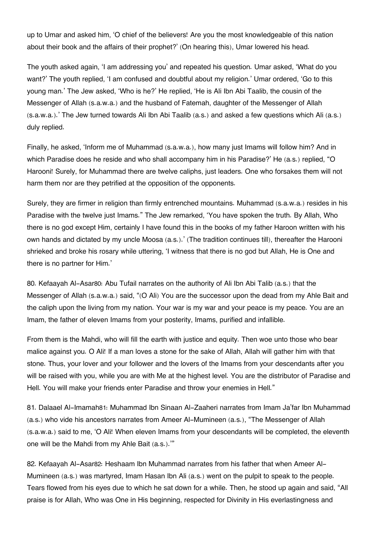up to Umar and asked him, 'O chief of the believers! Are you the most knowledgeable of this nation about their book and the affairs of their prophet?' (On hearing this), Umar lowered his head.

The youth asked again, 'I am addressing you' and repeated his question. Umar asked, 'What do you want?' The youth replied, 'I am confused and doubtful about my religion.' Umar ordered, 'Go to this young man.' The Jew asked, 'Who is he?' He replied, 'He is Ali Ibn Abi Taalib, the cousin of the Messenger of Allah (s.a.w.a.) and the husband of Fatemah, daughter of the Messenger of Allah (s.a.w.a.).' The Jew turned towards Ali Ibn Abi Taalib (a.s.) and asked a few questions which Ali (a.s.) duly replied.

Finally, he asked, 'Inform me of Muhammad (s.a.w.a.), how many just Imams will follow him? And in which Paradise does he reside and who shall accompany him in his Paradise?' He (a.s.) replied, "O Harooni! Surely, for Muhammad there are twelve caliphs, just leaders. One who forsakes them will not harm them nor are they petrified at the opposition of the opponents.

Surely, they are firmer in religion than firmly entrenched mountains. Muhammad (s.a.w.a.) resides in his Paradise with the twelve just Imams." The Jew remarked, 'You have spoken the truth. By Allah, Who there is no god except Him, certainly I have found this in the books of my father Haroon written with his own hands and dictated by my uncle Moosa (a.s.).' (The tradition continues till), thereafter the Harooni shrieked and broke his rosary while uttering, 'I witness that there is no god but Allah, He is One and there is no partner for Him.'

80. Kefaayah Al-Asar[80](#page--1-0): Abu Tufail narrates on the authority of Ali Ibn Abi Talib (a.s.) that the Messenger of Allah (s.a.w.a.) said, "(O Ali) You are the successor upon the dead from my Ahle Bait and the caliph upon the living from my nation. Your war is my war and your peace is my peace. You are an Imam, the father of eleven Imams from your posterity, Imams, purified and infallible.

From them is the Mahdi, who will fill the earth with justice and equity. Then woe unto those who bear malice against you. O Ali! If a man loves a stone for the sake of Allah, Allah will gather him with that stone. Thus, your lover and your follower and the lovers of the Imams from your descendants after you will be raised with you, while you are with Me at the highest level. You are the distributor of Paradise and Hell. You will make your friends enter Paradise and throw your enemies in Hell."

81. Dalaael Al-Imamah[81](#page--1-0): Muhammad Ibn Sinaan Al-Zaaheri narrates from Imam Ja'far Ibn Muhammad (a.s.) who vide his ancestors narrates from Ameer Al-Mumineen (a.s.), "The Messenger of Allah (s.a.w.a.) said to me, 'O Ali! When eleven Imams from your descendants will be completed, the eleventh one will be the Mahdi from my Ahle Bait (a.s.).'"

82. Kefaayah Al-Asar[82](#page--1-0): Heshaam Ibn Muhammad narrates from his father that when Ameer Al-Mumineen (a.s.) was martyred, Imam Hasan Ibn Ali (a.s.) went on the pulpit to speak to the people. Tears flowed from his eyes due to which he sat down for a while. Then, he stood up again and said, "All praise is for Allah, Who was One in His beginning, respected for Divinity in His everlastingness and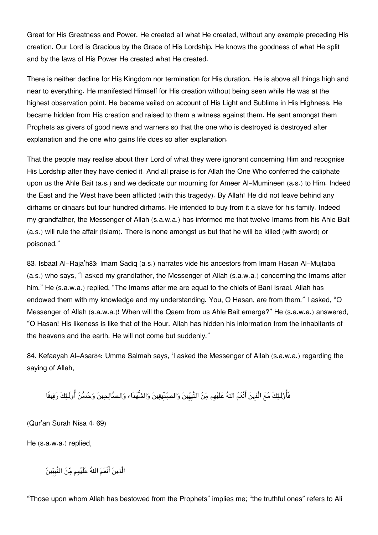Great for His Greatness and Power. He created all what He created, without any example preceding His creation. Our Lord is Gracious by the Grace of His Lordship. He knows the goodness of what He split and by the laws of His Power He created what He created.

There is neither decline for His Kingdom nor termination for His duration. He is above all things high and near to everything. He manifested Himself for His creation without being seen while He was at the highest observation point. He became veiled on account of His Light and Sublime in His Highness. He became hidden from His creation and raised to them a witness against them. He sent amongst them Prophets as givers of good news and warners so that the one who is destroyed is destroyed after explanation and the one who gains life does so after explanation.

That the people may realise about their Lord of what they were ignorant concerning Him and recognise His Lordship after they have denied it. And all praise is for Allah the One Who conferred the caliphate upon us the Ahle Bait (a.s.) and we dedicate our mourning for Ameer Al-Mumineen (a.s.) to Him. Indeed the East and the West have been afflicted (with this tragedy). By Allah! He did not leave behind any dirhams or dinaars but four hundred dirhams. He intended to buy from it a slave for his family. Indeed my grandfather, the Messenger of Allah (s.a.w.a.) has informed me that twelve Imams from his Ahle Bait (a.s.) will rule the affair (Islam). There is none amongst us but that he will be killed (with sword) or poisoned."

83. Isbaat Al-Raja'h[83](#page--1-0): Imam Sadiq (a.s.) narrates vide his ancestors from Imam Hasan Al-Mujtaba (a.s.) who says, "I asked my grandfather, the Messenger of Allah (s.a.w.a.) concerning the Imams after him." He (s.a.w.a.) replied, "The Imams after me are equal to the chiefs of Bani Israel. Allah has endowed them with my knowledge and my understanding. You, O Hasan, are from them." I asked, "O Messenger of Allah (s.a.w.a.)! When will the Qaem from us Ahle Bait emerge?" He (s.a.w.a.) answered, "O Hasan! His likeness is like that of the Hour. Allah has hidden his information from the inhabitants of the heavens and the earth. He will not come but suddenly."

84. Kefaayah Al-Asar[84](#page--1-0): Umme Salmah says, 'I asked the Messenger of Allah (s.a.w.a.) regarding the saying of Allah,

```
فَاولَـئكَ مع الَّذِين انْعم اله علَيهِم من النَّبِيِين والصدِّيقين والشُّهدَاء والصالحين وحسن اولَـئكَ رفيقًا
```
(Qur'an Surah Nisa 4: 69)

He (s.a.w.a.) replied,

الَّذِين انْعم اله علَيهِم من النَّبِيِين

"Those upon whom Allah has bestowed from the Prophets" implies me; "the truthful ones" refers to Ali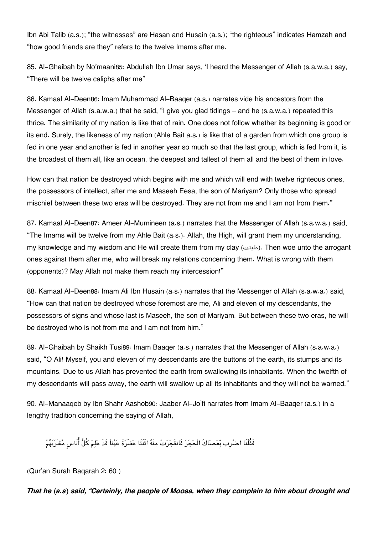Ibn Abi Talib (a.s.); "the witnesses" are Hasan and Husain (a.s.); "the righteous" indicates Hamzah and "how good friends are they" refers to the twelve Imams after me.

85. Al-Ghaibah by No'maani[85](#page--1-0): Abdullah Ibn Umar says, 'I heard the Messenger of Allah (s.a.w.a.) say, "There will be twelve caliphs after me"

86. Kamaal Al-Deen[86](#page--1-0): Imam Muhammad Al-Baaqer (a.s.) narrates vide his ancestors from the Messenger of Allah (s.a.w.a.) that he said, "I give you glad tidings – and he (s.a.w.a.) repeated this thrice. The similarity of my nation is like that of rain. One does not follow whether its beginning is good or its end. Surely, the likeness of my nation (Ahle Bait a.s.) is like that of a garden from which one group is fed in one year and another is fed in another year so much so that the last group, which is fed from it, is the broadest of them all, like an ocean, the deepest and tallest of them all and the best of them in love.

How can that nation be destroyed which begins with me and which will end with twelve righteous ones, the possessors of intellect, after me and Maseeh Eesa, the son of Mariyam? Only those who spread mischief between these two eras will be destroyed. They are not from me and I am not from them."

87. Kamaal Al-Deen[87](#page--1-0): Ameer Al-Mumineen (a.s.) narrates that the Messenger of Allah (s.a.w.a.) said, "The Imams will be twelve from my Ahle Bait (a.s.). Allah, the High, will grant them my understanding, my knowledge and my wisdom and He will create them from my clay (طينت). Then woe unto the arrogant ones against them after me, who will break my relations concerning them. What is wrong with them (opponents)? May Allah not make them reach my intercession!"

88. Kamaal Al-Deen[88](#page--1-0): Imam Ali Ibn Husain (a.s.) narrates that the Messenger of Allah (s.a.w.a.) said, "How can that nation be destroyed whose foremost are me, Ali and eleven of my descendants, the possessors of signs and whose last is Maseeh, the son of Mariyam. But between these two eras, he will be destroyed who is not from me and I am not from him."

[89](#page--1-0). Al-Ghaibah by Shaikh Tusi89: Imam Baager (a.s.) narrates that the Messenger of Allah (s.a.w.a.) said, "O Ali! Myself, you and eleven of my descendants are the buttons of the earth, its stumps and its mountains. Due to us Allah has prevented the earth from swallowing its inhabitants. When the twelfth of my descendants will pass away, the earth will swallow up all its inhabitants and they will not be warned."

90. Al-Manaaqeb by Ibn Shahr Aashob[90](#page--1-0): Jaaber Al-Jo'fi narrates from Imam Al-Baaqer (a.s.) in a lengthy tradition concerning the saying of Allah,

فَقُلْنَا اضرْب بّعَصَاكَ الْحَجَرَ فَانفَجَرَتْ مِنْهُ اثْنَتَا عَشْرَةَ عَيْناً قَدْ عَلِمَ كُلُّ أُنَاسٍ مَّشْرَبَهُمْ

(Qur'an Surah Baqarah 2: 60 )

*That he (a.s) said, "Certainly, the people of Moosa, when they complain to him about drought and*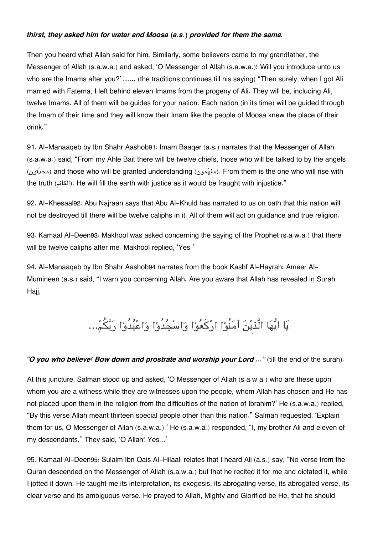#### *thirst, they asked him for water and Moosa (a.s.) provided for them the same.*

Then you heard what Allah said for him. Similarly, some believers came to my grandfather, the Messenger of Allah (s.a.w.a.) and asked, 'O Messenger of Allah (s.a.w.a.)! Will you introduce unto us who are the Imams after you?' ...... (the traditions continues till his saying) "Then surely, when I got Ali married with Fatema, I left behind eleven Imams from the progeny of Ali. They will be, including Ali, twelve Imams. All of them will be guides for your nation. Each nation (in its time) will be guided through the Imam of their time and they will know their Imam like the people of Moosa knew the place of their drink."

91. Al-Manaaqeb by Ibn Shahr Aashob[91](#page--1-0): Imam Baaqer (a.s.) narrates that the Messenger of Allah (s.a.w.a.) said, "From my Ahle Bait there will be twelve chiefs, those who will be talked to by the angels (ثونّمحد (and those who will be granted understanding (مونمفه(. From them is the one who will rise with the truth (القائم). He will fill the earth with justice as it would be fraught with injustice."

92. Al-Khesaal[92](#page--1-0): Abu Najraan says that Abu Al-Khuld has narrated to us on oath that this nation will not be destroyed till there will be twelve caliphs in it. All of them will act on guidance and true religion.

93. Kamaal Al-Deen[93](#page--1-0): Makhool was asked concerning the saying of the Prophet (s.a.w.a.) that there will be twelve caliphs after me. Makhool replied, 'Yes.'

94. Al-Manaaqeb by Ibn Shahr Aashob[94](#page--1-0) narrates from the book Kashf Al-Hayrah: Ameer Al-Mumineen (a.s.) said, "I warn you concerning Allah. Are you aware that Allah has revealed in Surah Hajj,

يَا ايُّهَا الَّذِينَ آمَنُوْا ارْكَعُوْا وَاسْجُدُوْا وَاعْبُدُوْا رَبَّكُمْ...

#### *"O you who believe! Bow down and prostrate and worship your Lord …"* (till the end of the surah).

At this juncture, Salman stood up and asked, 'O Messenger of Allah (s.a.w.a.) who are these upon whom you are a witness while they are witnesses upon the people, whom Allah has chosen and He has not placed upon them in the religion from the difficulties of the nation of Ibrahim?' He (s.a.w.a.) replied, "By this verse Allah meant thirteen special people other than this nation." Salman requested, 'Explain them for us, O Messenger of Allah (s.a.w.a.).' He (s.a.w.a.) responded, "I, my brother Ali and eleven of my descendants." They said, 'O Allah! Yes…'

95. Kamaal Al-Deen[95](#page--1-0): Sulaim Ibn Qais Al-Hilaali relates that I heard Ali (a.s.) say, "No verse from the Quran descended on the Messenger of Allah (s.a.w.a.) but that he recited it for me and dictated it, while I jotted it down. He taught me its interpretation, its exegesis, its abrogating verse, its abrogated verse, its clear verse and its ambiguous verse. He prayed to Allah, Mighty and Glorified be He, that he should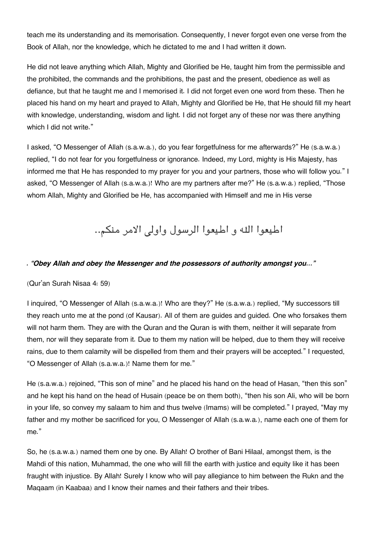teach me its understanding and its memorisation. Consequently, I never forgot even one verse from the Book of Allah, nor the knowledge, which he dictated to me and I had written it down.

He did not leave anything which Allah, Mighty and Glorified be He, taught him from the permissible and the prohibited, the commands and the prohibitions, the past and the present, obedience as well as defiance, but that he taught me and I memorised it. I did not forget even one word from these. Then he placed his hand on my heart and prayed to Allah, Mighty and Glorified be He, that He should fill my heart with knowledge, understanding, wisdom and light. I did not forget any of these nor was there anything which I did not write."

I asked, "O Messenger of Allah (s.a.w.a.), do you fear forgetfulness for me afterwards?" He (s.a.w.a.) replied, "I do not fear for you forgetfulness or ignorance. Indeed, my Lord, mighty is His Majesty, has informed me that He has responded to my prayer for you and your partners, those who will follow you." I asked, "O Messenger of Allah (s.a.w.a.)! Who are my partners after me?" He (s.a.w.a.) replied, "Those whom Allah, Mighty and Glorified be He, has accompanied with Himself and me in His verse

اطيعوا الله و اطيعوا الرسول واولى الامر منكم..

#### *. "Obey Allah and obey the Messenger and the possessors of authority amongst you…"*

(Qur'an Surah Nisaa 4: 59)

I inquired, "O Messenger of Allah (s.a.w.a.)! Who are they?" He (s.a.w.a.) replied, "My successors till they reach unto me at the pond (of Kausar). All of them are guides and guided. One who forsakes them will not harm them. They are with the Quran and the Quran is with them, neither it will separate from them, nor will they separate from it. Due to them my nation will be helped, due to them they will receive rains, due to them calamity will be dispelled from them and their prayers will be accepted." I requested, "O Messenger of Allah (s.a.w.a.)! Name them for me."

He (s.a.w.a.) rejoined, "This son of mine" and he placed his hand on the head of Hasan, "then this son" and he kept his hand on the head of Husain (peace be on them both), "then his son Ali, who will be born in your life, so convey my salaam to him and thus twelve (Imams) will be completed." I prayed, "May my father and my mother be sacrificed for you, O Messenger of Allah (s.a.w.a.), name each one of them for me."

So, he (s.a.w.a.) named them one by one. By Allah! O brother of Bani Hilaal, amongst them, is the Mahdi of this nation, Muhammad, the one who will fill the earth with justice and equity like it has been fraught with injustice. By Allah! Surely I know who will pay allegiance to him between the Rukn and the Maqaam (in Kaabaa) and I know their names and their fathers and their tribes.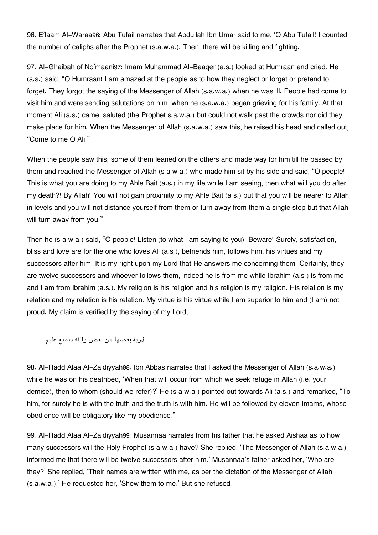96. E'laam Al-Waraa[96](#page--1-0): Abu Tufail narrates that Abdullah Ibn Umar said to me, 'O Abu Tufail! I counted the number of caliphs after the Prophet (s.a.w.a.). Then, there will be killing and fighting.

97. Al-Ghaibah of No'maani[97](#page--1-0): Imam Muhammad Al-Baaqer (a.s.) looked at Humraan and cried. He (a.s.) said, "O Humraan! I am amazed at the people as to how they neglect or forget or pretend to forget. They forgot the saying of the Messenger of Allah (s.a.w.a.) when he was ill. People had come to visit him and were sending salutations on him, when he (s.a.w.a.) began grieving for his family. At that moment Ali (a.s.) came, saluted (the Prophet s.a.w.a.) but could not walk past the crowds nor did they make place for him. When the Messenger of Allah (s.a.w.a.) saw this, he raised his head and called out, "Come to me O Ali."

When the people saw this, some of them leaned on the others and made way for him till he passed by them and reached the Messenger of Allah (s.a.w.a.) who made him sit by his side and said, "O people! This is what you are doing to my Ahle Bait (a.s.) in my life while I am seeing, then what will you do after my death?! By Allah! You will not gain proximity to my Ahle Bait (a.s.) but that you will be nearer to Allah in levels and you will not distance yourself from them or turn away from them a single step but that Allah will turn away from you."

Then he (s.a.w.a.) said, "O people! Listen (to what I am saying to you). Beware! Surely, satisfaction, bliss and love are for the one who loves Ali (a.s.), befriends him, follows him, his virtues and my successors after him. It is my right upon my Lord that He answers me concerning them. Certainly, they are twelve successors and whoever follows them, indeed he is from me while Ibrahim (a.s.) is from me and I am from Ibrahim (a.s.). My religion is his religion and his religion is my religion. His relation is my relation and my relation is his relation. My virtue is his virtue while I am superior to him and (I am) not proud. My claim is verified by the saying of my Lord,

ذرية بعضها من بعض واله سميع عليم

98. Al-Radd Alaa Al-Zaidiyyah[98](#page--1-0): Ibn Abbas narrates that I asked the Messenger of Allah (s.a.w.a.) while he was on his deathbed, 'When that will occur from which we seek refuge in Allah (i.e. your demise), then to whom (should we refer)?' He (s.a.w.a.) pointed out towards Ali (a.s.) and remarked, "To him, for surely he is with the truth and the truth is with him. He will be followed by eleven Imams, whose obedience will be obligatory like my obedience."

99. Al-Radd Alaa Al-Zaidiyyah[99](#page--1-0): Musannaa narrates from his father that he asked Aishaa as to how many successors will the Holy Prophet (s.a.w.a.) have? She replied, 'The Messenger of Allah (s.a.w.a.) informed me that there will be twelve successors after him.' Musannaa's father asked her, 'Who are they?' She replied, 'Their names are written with me, as per the dictation of the Messenger of Allah (s.a.w.a.).' He requested her, 'Show them to me.' But she refused.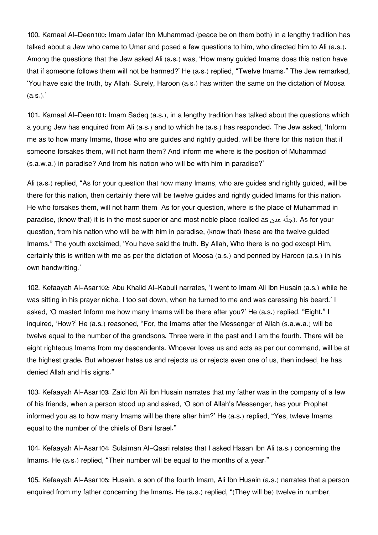100. Kamaal Al-Deen[100](#page--1-0): Imam Jafar Ibn Muhammad (peace be on them both) in a lengthy tradition has talked about a Jew who came to Umar and posed a few questions to him, who directed him to Ali (a.s.). Among the questions that the Jew asked Ali (a.s.) was, 'How many guided Imams does this nation have that if someone follows them will not be harmed?' He (a.s.) replied, "Twelve Imams." The Jew remarked, 'You have said the truth, by Allah. Surely, Haroon (a.s.) has written the same on the dictation of Moosa  $(a.s.).$ 

101. Kamaal Al-Deen[101](#page--1-0): Imam Sadeq (a.s.), in a lengthy tradition has talked about the questions which a young Jew has enquired from Ali (a.s.) and to which he (a.s.) has responded. The Jew asked, 'Inform me as to how many Imams, those who are guides and rightly guided, will be there for this nation that if someone forsakes them, will not harm them? And inform me where is the position of Muhammad (s.a.w.a.) in paradise? And from his nation who will be with him in paradise?'

Ali (a.s.) replied, "As for your question that how many Imams, who are guides and rightly guided, will be there for this nation, then certainly there will be twelve guides and rightly guided Imams for this nation. He who forsakes them, will not harm them. As for your question, where is the place of Muhammad in paradise, (know that) it is in the most superior and most noble place (called as عدن ةّجن(. As for your question, from his nation who will be with him in paradise, (know that) these are the twelve guided Imams." The youth exclaimed, 'You have said the truth. By Allah, Who there is no god except Him, certainly this is written with me as per the dictation of Moosa (a.s.) and penned by Haroon (a.s.) in his own handwriting.'

102. Kefaayah Al-Asar[102](#page--1-0): Abu Khalid Al-Kabuli narrates, 'I went to Imam Ali Ibn Husain (a.s.) while he was sitting in his prayer niche. I too sat down, when he turned to me and was caressing his beard.' I asked, 'O master! Inform me how many Imams will be there after you?' He (a.s.) replied, "Eight." I inquired, 'How?' He (a.s.) reasoned, "For, the Imams after the Messenger of Allah (s.a.w.a.) will be twelve equal to the number of the grandsons. Three were in the past and I am the fourth. There will be eight righteous Imams from my descendents. Whoever loves us and acts as per our command, will be at the highest grade. But whoever hates us and rejects us or rejects even one of us, then indeed, he has denied Allah and His signs."

103. Kefaayah Al-Asar[103](#page--1-0): Zaid Ibn Ali Ibn Husain narrates that my father was in the company of a few of his friends, when a person stood up and asked, 'O son of Allah's Messenger, has your Prophet informed you as to how many Imams will be there after him?' He (a.s.) replied, "Yes, twleve Imams equal to the number of the chiefs of Bani Israel."

104. Kefaayah Al-Asar[104](#page--1-0): Sulaiman Al-Qasri relates that I asked Hasan Ibn Ali (a.s.) concerning the Imams. He (a.s.) replied, "Their number will be equal to the months of a year."

105. Kefaayah Al-Asar[105](#page--1-0): Husain, a son of the fourth Imam, Ali Ibn Husain (a.s.) narrates that a person enquired from my father concerning the Imams. He (a.s.) replied, "(They will be) twelve in number,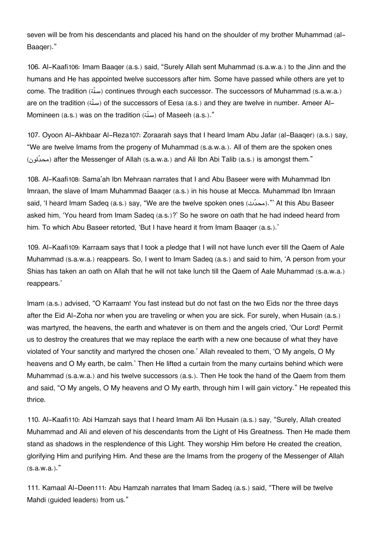seven will be from his descendants and placed his hand on the shoulder of my brother Muhammad (al-Baaqer)."

106. Al-Kaafi[106](#page--1-0): Imam Baaqer (a.s.) said, "Surely Allah sent Muhammad (s.a.w.a.) to the Jinn and the humans and He has appointed twelve successors after him. Some have passed while others are yet to come. The tradition (سنّة) continues through each successor. The successors of Muhammad (s.a.w.a.) are on the tradition (سنّة) of the successors of Eesa (a.s.) and they are twelve in number. Ameer Al-Momineen (a.s.) was on the tradition ( $\omega$ i) of Maseeh (a.s.)."

107. Oyoon Al-Akhbaar Al-Reza[107](#page--1-0): Zoraarah says that I heard Imam Abu Jafar (al-Baaqer) (a.s.) say, "We are twelve Imams from the progeny of Muhammad (s.a.w.a.). All of them are the spoken ones (محدّثون) after the Messenger of Allah (s.a.w.a.) and Ali Ibn Abi Talib (a.s.) is amongst them."

108. Al-Kaafi[108](#page--1-0): Sama'ah Ibn Mehraan narrates that I and Abu Baseer were with Muhammad Ibn Imraan, the slave of Imam Muhammad Baaqer (a.s.) in his house at Mecca. Muhammad Ibn Imraan said, 'I heard Imam Sadeg (a.s.) say, "We are the twelve spoken ones (محدّث)." At this Abu Baseer asked him, 'You heard from Imam Sadeq (a.s.)?' So he swore on oath that he had indeed heard from him. To which Abu Baseer retorted, 'But I have heard it from Imam Baaqer (a.s.).'

109. Al-Kaafi[109](#page--1-0): Karraam says that I took a pledge that I will not have lunch ever till the Qaem of Aale Muhammad (s.a.w.a.) reappears. So, I went to Imam Sadeq (a.s.) and said to him, 'A person from your Shias has taken an oath on Allah that he will not take lunch till the Qaem of Aale Muhammad (s.a.w.a.) reappears.'

Imam (a.s.) advised, "O Karraam! You fast instead but do not fast on the two Eids nor the three days after the Eid Al-Zoha nor when you are traveling or when you are sick. For surely, when Husain (a.s.) was martyred, the heavens, the earth and whatever is on them and the angels cried, 'Our Lord! Permit us to destroy the creatures that we may replace the earth with a new one because of what they have violated of Your sanctity and martyred the chosen one.' Allah revealed to them, 'O My angels, O My heavens and O My earth, be calm.' Then He lifted a curtain from the many curtains behind which were Muhammad (s.a.w.a.) and his twelve successors (a.s.). Then He took the hand of the Qaem from them and said, "O My angels, O My heavens and O My earth, through him I will gain victory." He repeated this thrice.

110. Al-Kaafi[110](#page--1-0): Abi Hamzah says that I heard Imam Ali Ibn Husain (a.s.) say, "Surely, Allah created Muhammad and Ali and eleven of his descendants from the Light of His Greatness. Then He made them stand as shadows in the resplendence of this Light. They worship Him before He created the creation, glorifying Him and purifying Him. And these are the Imams from the progeny of the Messenger of Allah  $(s.a.w.a.).$ 

111. Kamaal Al-Deen[111](#page--1-0): Abu Hamzah narrates that Imam Sadeq (a.s.) said, "There will be twelve Mahdi (guided leaders) from us."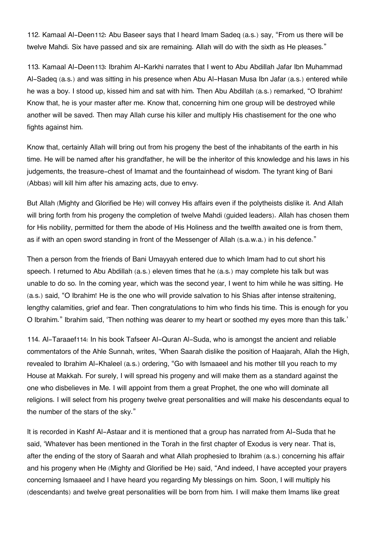112. Kamaal Al-Deen[112](#page--1-0): Abu Baseer says that I heard Imam Sadeq (a.s.) say, "From us there will be twelve Mahdi. Six have passed and six are remaining. Allah will do with the sixth as He pleases."

113. Kamaal Al-Deen[113](#page--1-0): Ibrahim Al-Karkhi narrates that I went to Abu Abdillah Jafar Ibn Muhammad Al-Sadeq (a.s.) and was sitting in his presence when Abu Al-Hasan Musa Ibn Jafar (a.s.) entered while he was a boy. I stood up, kissed him and sat with him. Then Abu Abdillah (a.s.) remarked, "O Ibrahim! Know that, he is your master after me. Know that, concerning him one group will be destroyed while another will be saved. Then may Allah curse his killer and multiply His chastisement for the one who fights against him.

Know that, certainly Allah will bring out from his progeny the best of the inhabitants of the earth in his time. He will be named after his grandfather, he will be the inheritor of this knowledge and his laws in his judgements, the treasure-chest of Imamat and the fountainhead of wisdom. The tyrant king of Bani (Abbas) will kill him after his amazing acts, due to envy.

But Allah (Mighty and Glorified be He) will convey His affairs even if the polytheists dislike it. And Allah will bring forth from his progeny the completion of twelve Mahdi (guided leaders). Allah has chosen them for His nobility, permitted for them the abode of His Holiness and the twelfth awaited one is from them, as if with an open sword standing in front of the Messenger of Allah (s.a.w.a.) in his defence."

Then a person from the friends of Bani Umayyah entered due to which Imam had to cut short his speech. I returned to Abu Abdillah (a.s.) eleven times that he (a.s.) may complete his talk but was unable to do so. In the coming year, which was the second year, I went to him while he was sitting. He (a.s.) said, "O Ibrahim! He is the one who will provide salvation to his Shias after intense straitening, lengthy calamities, grief and fear. Then congratulations to him who finds his time. This is enough for you O Ibrahim." Ibrahim said, 'Then nothing was dearer to my heart or soothed my eyes more than this talk.'

114. Al-Taraaef[114](#page--1-0): In his book Tafseer Al-Quran Al-Suda, who is amongst the ancient and reliable commentators of the Ahle Sunnah, writes, 'When Saarah dislike the position of Haajarah, Allah the High, revealed to Ibrahim Al-Khaleel (a.s.) ordering, "Go with Ismaaeel and his mother till you reach to my House at Makkah. For surely, I will spread his progeny and will make them as a standard against the one who disbelieves in Me. I will appoint from them a great Prophet, the one who will dominate all religions. I will select from his progeny twelve great personalities and will make his descendants equal to the number of the stars of the sky."

It is recorded in Kashf Al-Astaar and it is mentioned that a group has narrated from Al-Suda that he said, 'Whatever has been mentioned in the Torah in the first chapter of Exodus is very near. That is, after the ending of the story of Saarah and what Allah prophesied to Ibrahim (a.s.) concerning his affair and his progeny when He (Mighty and Glorified be He) said, "And indeed, I have accepted your prayers concerning Ismaaeel and I have heard you regarding My blessings on him. Soon, I will multiply his (descendants) and twelve great personalities will be born from him. I will make them Imams like great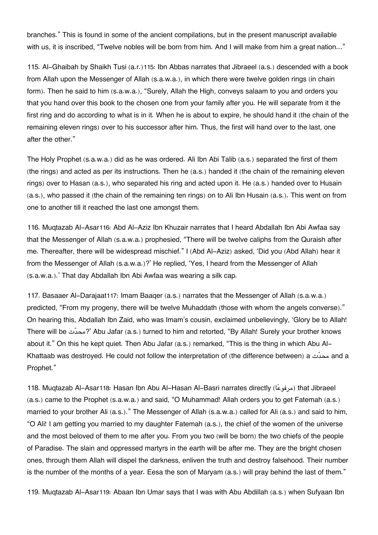branches." This is found in some of the ancient compilations, but in the present manuscript available with us, it is inscribed, "Twelve nobles will be born from him. And I will make from him a great nation..."

115. Al-Ghaibah by Shaikh Tusi (a.r.)[115](#page--1-0): Ibn Abbas narrates that Jibraeel (a.s.) descended with a book from Allah upon the Messenger of Allah (s.a.w.a.), in which there were twelve golden rings (in chain form). Then he said to him (s.a.w.a.), "Surely, Allah the High, conveys salaam to you and orders you that you hand over this book to the chosen one from your family after you. He will separate from it the first ring and do according to what is in it. When he is about to expire, he should hand it (the chain of the remaining eleven rings) over to his successor after him. Thus, the first will hand over to the last, one after the other."

The Holy Prophet (s.a.w.a.) did as he was ordered. Ali Ibn Abi Talib (a.s.) separated the first of them (the rings) and acted as per its instructions. Then he (a.s.) handed it (the chain of the remaining eleven rings) over to Hasan (a.s.), who separated his ring and acted upon it. He (a.s.) handed over to Husain (a.s.), who passed it (the chain of the remaining ten rings) on to Ali Ibn Husain (a.s.). This went on from one to another till it reached the last one amongst them.

116. Muqtazab Al-Asar[116](#page--1-0): Abd Al-Aziz Ibn Khuzair narrates that I heard Abdallah Ibn Abi Awfaa say that the Messenger of Allah (s.a.w.a.) prophesied, "There will be twelve caliphs from the Quraish after me. Thereafter, there will be widespread mischief." I (Abd Al-Aziz) asked, 'Did you (Abd Allah) hear it from the Messenger of Allah (s.a.w.a.)?' He replied, 'Yes, I heard from the Messenger of Allah (s.a.w.a.).' That day Abdallah Ibn Abi Awfaa was wearing a silk cap.

117. Basaaer Al-Darajaat[117](#page--1-0): Imam Baaqer (a.s.) narrates that the Messenger of Allah (s.a.w.a.) predicted, "From my progeny, there will be twelve Muhaddath (those with whom the angels converse)." On hearing this, Abdallah Ibn Zaid, who was Imam's cousin, exclaimed unbelievingly, 'Glory be to Allah! There will be ثّمحد '?Abu Jafar (a.s.) turned to him and retorted, "By Allah! Surely your brother knows about it." On this he kept quiet. Then Abu Jafar (a.s.) remarked, "This is the thing in which Abu Al-Khattaab was destroyed. He could not follow the interpretation of (the difference between) a ثّمحد and a Prophet."

[118](#page--1-0). Muqtazab Al-Asar118: Hasan Ibn Abu Al-Hasan Al-Basri narrates directly (مرفوعًا) that Jibraeel (a.s.) came to the Prophet (s.a.w.a.) and said, "O Muhammad! Allah orders you to get Fatemah (a.s.) married to your brother Ali (a.s.)." The Messenger of Allah (s.a.w.a.) called for Ali (a.s.) and said to him, "O Ali! I am getting you married to my daughter Fatemah (a.s.), the chief of the women of the universe and the most beloved of them to me after you. From you two (will be born) the two chiefs of the people of Paradise. The slain and oppressed martyrs in the earth will be after me. They are the bright chosen ones, through them Allah will dispel the darkness, enliven the truth and destroy falsehood. Their number is the number of the months of a year. Eesa the son of Maryam (a.s.) will pray behind the last of them."

119. Muqtazab Al-Asar[119](#page--1-0): Abaan Ibn Umar says that I was with Abu Abdillah (a.s.) when Sufyaan Ibn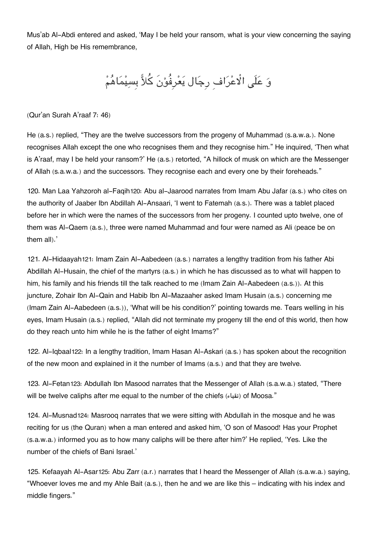Mus'ab Al-Abdi entered and asked, 'May I be held your ransom, what is your view concerning the saying of Allah, High be His remembrance,

وَ عَلَى الْاعْرَاف رِجَال يَعْرِفُوْنَ كُلاًّ بِسِيْمَاهُمْ

(Qur'an Surah A'raaf 7: 46)

He (a.s.) replied, "They are the twelve successors from the progeny of Muhammad (s.a.w.a.). None recognises Allah except the one who recognises them and they recognise him." He inquired, 'Then what is A'raaf, may I be held your ransom?' He (a.s.) retorted, "A hillock of musk on which are the Messenger of Allah (s.a.w.a.) and the successors. They recognise each and every one by their foreheads."

120. Man Laa Yahzoroh al-Faqih[120](#page--1-0): Abu al-Jaarood narrates from Imam Abu Jafar (a.s.) who cites on the authority of Jaaber Ibn Abdillah Al-Ansaari, 'I went to Fatemah (a.s.). There was a tablet placed before her in which were the names of the successors from her progeny. I counted upto twelve, one of them was Al-Qaem (a.s.), three were named Muhammad and four were named as Ali (peace be on them all).'

121. Al-Hidaayah[121](#page--1-0): Imam Zain Al-Aabedeen (a.s.) narrates a lengthy tradition from his father Abi Abdillah Al-Husain, the chief of the martyrs (a.s.) in which he has discussed as to what will happen to him, his family and his friends till the talk reached to me (Imam Zain Al-Aabedeen (a.s.)). At this juncture, Zohair Ibn Al-Qain and Habib Ibn Al-Mazaaher asked Imam Husain (a.s.) concerning me (Imam Zain Al-Aabedeen (a.s.)), 'What will be his condition?' pointing towards me. Tears welling in his eyes, Imam Husain (a.s.) replied, "Allah did not terminate my progeny till the end of this world, then how do they reach unto him while he is the father of eight Imams?"

122. Al-Iqbaal[122](#page--1-0): In a lengthy tradition, Imam Hasan Al-Askari (a.s.) has spoken about the recognition of the new moon and explained in it the number of Imams (a.s.) and that they are twelve.

123. Al-Fetan[123](#page--1-0): Abdullah Ibn Masood narrates that the Messenger of Allah (s.a.w.a.) stated, "There will be twelve caliphs after me equal to the number of the chiefs (iii) of Moosa."

124. Al-Musnad[124](#page--1-0): Masrooq narrates that we were sitting with Abdullah in the mosque and he was reciting for us (the Quran) when a man entered and asked him, 'O son of Masood! Has your Prophet (s.a.w.a.) informed you as to how many caliphs will be there after him?' He replied, 'Yes. Like the number of the chiefs of Bani Israel.'

125. Kefaayah Al-Asar[125](#page--1-0): Abu Zarr (a.r.) narrates that I heard the Messenger of Allah (s.a.w.a.) saying, "Whoever loves me and my Ahle Bait (a.s.), then he and we are like this – indicating with his index and middle fingers."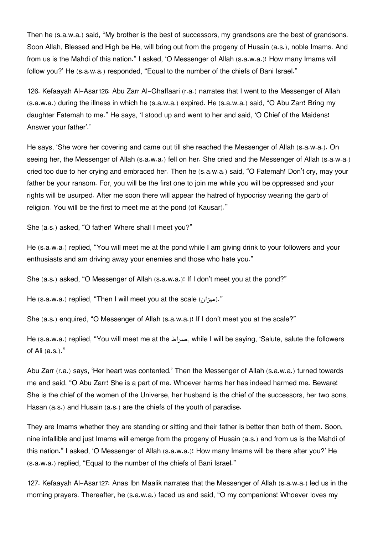Then he (s.a.w.a.) said, "My brother is the best of successors, my grandsons are the best of grandsons. Soon Allah, Blessed and High be He, will bring out from the progeny of Husain (a.s.), noble Imams. And from us is the Mahdi of this nation." I asked, 'O Messenger of Allah (s.a.w.a.)! How many Imams will follow you?' He (s.a.w.a.) responded, "Equal to the number of the chiefs of Bani Israel."

126. Kefaayah Al-Asar[126](#page--1-0): Abu Zarr Al-Ghaffaari (r.a.) narrates that I went to the Messenger of Allah (s.a.w.a.) during the illness in which he (s.a.w.a.) expired. He (s.a.w.a.) said, "O Abu Zarr! Bring my daughter Fatemah to me." He says, 'I stood up and went to her and said, 'O Chief of the Maidens! Answer your father'.'

He says, 'She wore her covering and came out till she reached the Messenger of Allah (s.a.w.a.). On seeing her, the Messenger of Allah (s.a.w.a.) fell on her. She cried and the Messenger of Allah (s.a.w.a.) cried too due to her crying and embraced her. Then he (s.a.w.a.) said, "O Fatemah! Don't cry, may your father be your ransom. For, you will be the first one to join me while you will be oppressed and your rights will be usurped. After me soon there will appear the hatred of hypocrisy wearing the garb of religion. You will be the first to meet me at the pond (of Kausar)."

She (a.s.) asked, "O father! Where shall I meet you?"

He (s.a.w.a.) replied, "You will meet me at the pond while I am giving drink to your followers and your enthusiasts and am driving away your enemies and those who hate you."

She (a.s.) asked, "O Messenger of Allah (s.a.w.a.)! If I don't meet you at the pond?"

He (s.a.w.a.) replied, "Then I will meet you at the scale (ميزان)."

She (a.s.) enquired, "O Messenger of Allah (s.a.w.a.)! If I don't meet you at the scale?"

He (s.a.w.a.) replied, "You will meet me at the صراط, while I will be saying, 'Salute, salute the followers of Ali (a.s.)."

Abu Zarr (r.a.) says, 'Her heart was contented.' Then the Messenger of Allah (s.a.w.a.) turned towards me and said, "O Abu Zarr! She is a part of me. Whoever harms her has indeed harmed me. Beware! She is the chief of the women of the Universe, her husband is the chief of the successors, her two sons, Hasan (a.s.) and Husain (a.s.) are the chiefs of the youth of paradise.

They are Imams whether they are standing or sitting and their father is better than both of them. Soon, nine infallible and just Imams will emerge from the progeny of Husain (a.s.) and from us is the Mahdi of this nation." I asked, 'O Messenger of Allah (s.a.w.a.)! How many Imams will be there after you?' He (s.a.w.a.) replied, "Equal to the number of the chiefs of Bani Israel."

127. Kefaayah Al-Asar[127](#page--1-0): Anas Ibn Maalik narrates that the Messenger of Allah (s.a.w.a.) led us in the morning prayers. Thereafter, he (s.a.w.a.) faced us and said, "O my companions! Whoever loves my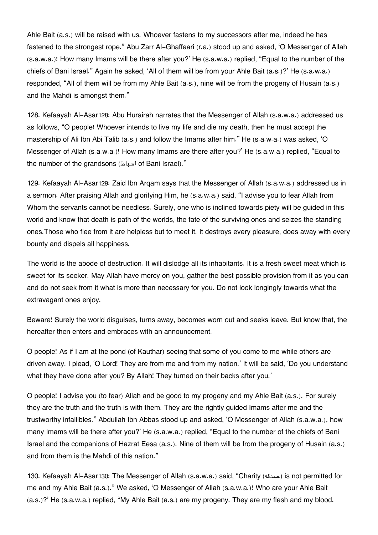Ahle Bait (a.s.) will be raised with us. Whoever fastens to my successors after me, indeed he has fastened to the strongest rope." Abu Zarr Al-Ghaffaari (r.a.) stood up and asked, 'O Messenger of Allah (s.a.w.a.)! How many Imams will be there after you?' He (s.a.w.a.) replied, "Equal to the number of the chiefs of Bani Israel." Again he asked, 'All of them will be from your Ahle Bait (a.s.)?' He (s.a.w.a.) responded, "All of them will be from my Ahle Bait (a.s.), nine will be from the progeny of Husain (a.s.) and the Mahdi is amongst them."

128. Kefaayah Al-Asar[128](#page--1-0): Abu Hurairah narrates that the Messenger of Allah (s.a.w.a.) addressed us as follows, "O people! Whoever intends to live my life and die my death, then he must accept the mastership of Ali Ibn Abi Talib (a.s.) and follow the Imams after him." He (s.a.w.a.) was asked, 'O Messenger of Allah (s.a.w.a.)! How many Imams are there after you?' He (s.a.w.a.) replied, "Equal to the number of the grandsons (اسباط of Bani Israel)."

129. Kefaayah Al-Asar[129](#page--1-0): Zaid Ibn Arqam says that the Messenger of Allah (s.a.w.a.) addressed us in a sermon. After praising Allah and glorifying Him, he (s.a.w.a.) said, "I advise you to fear Allah from Whom the servants cannot be needless. Surely, one who is inclined towards piety will be guided in this world and know that death is path of the worlds, the fate of the surviving ones and seizes the standing ones.Those who flee from it are helpless but to meet it. It destroys every pleasure, does away with every bounty and dispels all happiness.

The world is the abode of destruction. It will dislodge all its inhabitants. It is a fresh sweet meat which is sweet for its seeker. May Allah have mercy on you, gather the best possible provision from it as you can and do not seek from it what is more than necessary for you. Do not look longingly towards what the extravagant ones enjoy.

Beware! Surely the world disguises, turns away, becomes worn out and seeks leave. But know that, the hereafter then enters and embraces with an announcement.

O people! As if I am at the pond (of Kauthar) seeing that some of you come to me while others are driven away. I plead, 'O Lord! They are from me and from my nation.' It will be said, 'Do you understand what they have done after you? By Allah! They turned on their backs after you.'

O people! I advise you (to fear) Allah and be good to my progeny and my Ahle Bait (a.s.). For surely they are the truth and the truth is with them. They are the rightly guided Imams after me and the trustworthy infallibles." Abdullah Ibn Abbas stood up and asked, 'O Messenger of Allah (s.a.w.a.), how many Imams will be there after you?' He (s.a.w.a.) replied, "Equal to the number of the chiefs of Bani Israel and the companions of Hazrat Eesa (a.s.). Nine of them will be from the progeny of Husain (a.s.) and from them is the Mahdi of this nation."

130. Kefaayah Al-Asar[130](#page--1-0): The Messenger of Allah (s.a.w.a.) said, "Charity (صدقه (is not permitted for me and my Ahle Bait (a.s.)." We asked, 'O Messenger of Allah (s.a.w.a.)! Who are your Ahle Bait (a.s.)?' He (s.a.w.a.) replied, "My Ahle Bait (a.s.) are my progeny. They are my flesh and my blood.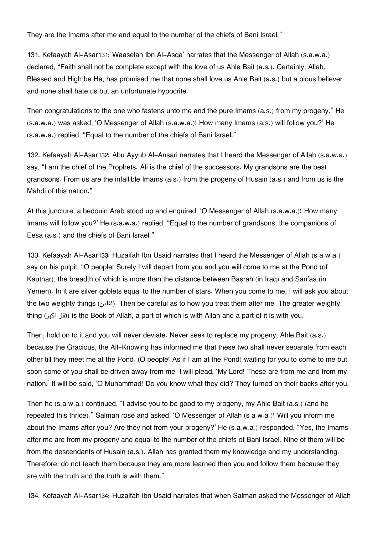They are the Imams after me and equal to the number of the chiefs of Bani Israel."

131. Kefaayah Al-Asar[131](#page--1-0): Waaselah Ibn Al-Asqa' narrates that the Messenger of Allah (s.a.w.a.) declared, "Faith shall not be complete except with the love of us Ahle Bait (a.s.). Certainly, Allah, Blessed and High be He, has promised me that none shall love us Ahle Bait (a.s.) but a pious believer and none shall hate us but an unfortunate hypocrite.

Then congratulations to the one who fastens unto me and the pure Imams (a.s.) from my progeny." He (s.a.w.a.) was asked, 'O Messenger of Allah (s.a.w.a.)! How many Imams (a.s.) will follow you?' He (s.a.w.a.) replied, "Equal to the number of the chiefs of Bani Israel."

132. Kefaayah Al-Asar[132](#page--1-0): Abu Ayyub Al-Ansari narrates that I heard the Messenger of Allah (s.a.w.a.) say, "I am the chief of the Prophets. Ali is the chief of the successors. My grandsons are the best grandsons. From us are the infallible Imams (a.s.) from the progeny of Husain (a.s.) and from us is the Mahdi of this nation."

At this juncture, a bedouin Arab stood up and enquired, 'O Messenger of Allah (s.a.w.a.)! How many Imams will follow you?' He (s.a.w.a.) replied, "Equal to the number of grandsons, the companions of Eesa (a.s.) and the chiefs of Bani Israel."

133. Kefaayah Al-Asar[133](#page--1-0): Huzaifah Ibn Usaid narrates that I heard the Messenger of Allah (s.a.w.a.) say on his pulpit, "O people! Surely I will depart from you and you will come to me at the Pond (of Kauthar), the breadth of which is more than the distance between Basrah (in Iraq) and San'aa (in Yemen). In it are silver goblets equal to the number of stars. When you come to me, I will ask you about the two weighty things (itilian be careful as to how you treat them after me. The greater weighty thing (اكبر ثقل (is the Book of Allah, a part of which is with Allah and a part of it is with you.

Then, hold on to it and you will never deviate. Never seek to replace my progeny, Ahle Bait (a.s.) because the Gracious, the All-Knowing has informed me that these two shall never separate from each other till they meet me at the Pond. (O people! As if I am at the Pond) waiting for you to come to me but soon some of you shall be driven away from me. I will plead, 'My Lord! These are from me and from my nation.' It will be said, 'O Muhammad! Do you know what they did? They turned on their backs after you.'

Then he (s.a.w.a.) continued, "I advise you to be good to my progeny, my Ahle Bait (a.s.) (and he repeated this thrice)." Salman rose and asked, 'O Messenger of Allah (s.a.w.a.)! Will you inform me about the Imams after you? Are they not from your progeny?' He (s.a.w.a.) responded, "Yes, the Imams after me are from my progeny and equal to the number of the chiefs of Bani Israel. Nine of them will be from the descendants of Husain (a.s.). Allah has granted them my knowledge and my understanding. Therefore, do not teach them because they are more learned than you and follow them because they are with the truth and the truth is with them."

134. Kefaayah Al-Asar[134](#page--1-0): Huzaifah Ibn Usaid narrates that when Salman asked the Messenger of Allah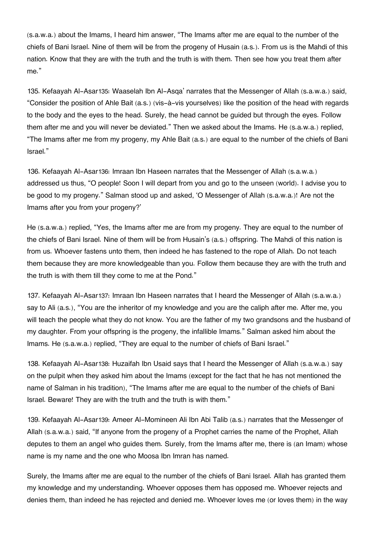(s.a.w.a.) about the Imams, I heard him answer, "The Imams after me are equal to the number of the chiefs of Bani Israel. Nine of them will be from the progeny of Husain (a.s.). From us is the Mahdi of this nation. Know that they are with the truth and the truth is with them. Then see how you treat them after me."

135. Kefaayah Al-Asar[135](#page--1-0): Waaselah Ibn Al-Asqa' narrates that the Messenger of Allah (s.a.w.a.) said, "Consider the position of Ahle Bait (a.s.) (vis-à-vis yourselves) like the position of the head with regards to the body and the eyes to the head. Surely, the head cannot be guided but through the eyes. Follow them after me and you will never be deviated." Then we asked about the Imams. He (s.a.w.a.) replied, "The Imams after me from my progeny, my Ahle Bait (a.s.) are equal to the number of the chiefs of Bani Israel."

136. Kefaayah Al-Asar[136](#page--1-0): Imraan Ibn Haseen narrates that the Messenger of Allah (s.a.w.a.) addressed us thus, "O people! Soon I will depart from you and go to the unseen (world). I advise you to be good to my progeny." Salman stood up and asked, 'O Messenger of Allah (s.a.w.a.)! Are not the Imams after you from your progeny?'

He (s.a.w.a.) replied, "Yes, the Imams after me are from my progeny. They are equal to the number of the chiefs of Bani Israel. Nine of them will be from Husain's (a.s.) offspring. The Mahdi of this nation is from us. Whoever fastens unto them, then indeed he has fastened to the rope of Allah. Do not teach them because they are more knowledgeable than you. Follow them because they are with the truth and the truth is with them till they come to me at the Pond."

137. Kefaayah Al-Asar[137](#page--1-0): Imraan Ibn Haseen narrates that I heard the Messenger of Allah (s.a.w.a.) say to Ali (a.s.), "You are the inheritor of my knowledge and you are the caliph after me. After me, you will teach the people what they do not know. You are the father of my two grandsons and the husband of my daughter. From your offspring is the progeny, the infallible Imams." Salman asked him about the Imams. He (s.a.w.a.) replied, "They are equal to the number of chiefs of Bani Israel."

138. Kefaayah Al-Asar[138](#page--1-0): Huzaifah Ibn Usaid says that I heard the Messenger of Allah (s.a.w.a.) say on the pulpit when they asked him about the Imams (except for the fact that he has not mentioned the name of Salman in his tradition), "The Imams after me are equal to the number of the chiefs of Bani Israel. Beware! They are with the truth and the truth is with them."

139. Kefaayah Al-Asar[139](#page--1-0): Ameer Al-Momineen Ali Ibn Abi Talib (a.s.) narrates that the Messenger of Allah (s.a.w.a.) said, "If anyone from the progeny of a Prophet carries the name of the Prophet, Allah deputes to them an angel who guides them. Surely, from the Imams after me, there is (an Imam) whose name is my name and the one who Moosa Ibn Imran has named.

Surely, the Imams after me are equal to the number of the chiefs of Bani Israel. Allah has granted them my knowledge and my understanding. Whoever opposes them has opposed me. Whoever rejects and denies them, than indeed he has rejected and denied me. Whoever loves me (or loves them) in the way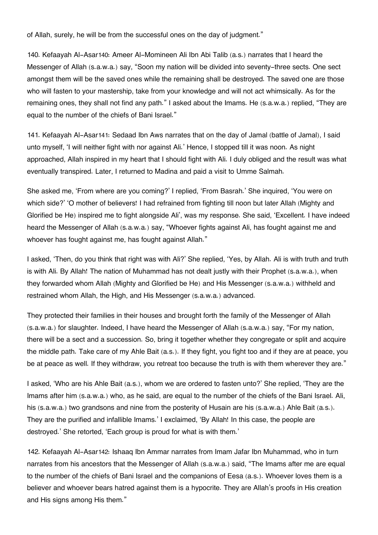of Allah, surely, he will be from the successful ones on the day of judgment."

140. Kefaayah Al-Asar[140](#page--1-0): Ameer Al-Momineen Ali Ibn Abi Talib (a.s.) narrates that I heard the Messenger of Allah (s.a.w.a.) say, "Soon my nation will be divided into seventy-three sects. One sect amongst them will be the saved ones while the remaining shall be destroyed. The saved one are those who will fasten to your mastership, take from your knowledge and will not act whimsically. As for the remaining ones, they shall not find any path." I asked about the Imams. He (s.a.w.a.) replied, "They are equal to the number of the chiefs of Bani Israel."

141. Kefaayah Al-Asar[141](#page--1-0): Sedaad Ibn Aws narrates that on the day of Jamal (battle of Jamal), I said unto myself, 'I will neither fight with nor against Ali.' Hence, I stopped till it was noon. As night approached, Allah inspired in my heart that I should fight with Ali. I duly obliged and the result was what eventually transpired. Later, I returned to Madina and paid a visit to Umme Salmah.

She asked me, 'From where are you coming?' I replied, 'From Basrah.' She inquired, 'You were on which side?' 'O mother of believers! I had refrained from fighting till noon but later Allah (Mighty and Glorified be He) inspired me to fight alongside Ali', was my response. She said, 'Excellent. I have indeed heard the Messenger of Allah (s.a.w.a.) say, "Whoever fights against Ali, has fought against me and whoever has fought against me, has fought against Allah."

I asked, 'Then, do you think that right was with Ali?' She replied, 'Yes, by Allah. Ali is with truth and truth is with Ali. By Allah! The nation of Muhammad has not dealt justly with their Prophet (s.a.w.a.), when they forwarded whom Allah (Mighty and Glorified be He) and His Messenger (s.a.w.a.) withheld and restrained whom Allah, the High, and His Messenger (s.a.w.a.) advanced.

They protected their families in their houses and brought forth the family of the Messenger of Allah (s.a.w.a.) for slaughter. Indeed, I have heard the Messenger of Allah (s.a.w.a.) say, "For my nation, there will be a sect and a succession. So, bring it together whether they congregate or split and acquire the middle path. Take care of my Ahle Bait (a.s.). If they fight, you fight too and if they are at peace, you be at peace as well. If they withdraw, you retreat too because the truth is with them wherever they are."

I asked, 'Who are his Ahle Bait (a.s.), whom we are ordered to fasten unto?' She replied, 'They are the Imams after him (s.a.w.a.) who, as he said, are equal to the number of the chiefs of the Bani Israel. Ali, his (s.a.w.a.) two grandsons and nine from the posterity of Husain are his (s.a.w.a.) Ahle Bait (a.s.). They are the purified and infallible Imams.' I exclaimed, 'By Allah! In this case, the people are destroyed.' She retorted, 'Each group is proud for what is with them.'

142. Kefaayah Al-Asar[142](#page--1-0): Ishaaq Ibn Ammar narrates from Imam Jafar Ibn Muhammad, who in turn narrates from his ancestors that the Messenger of Allah (s.a.w.a.) said, "The Imams after me are equal to the number of the chiefs of Bani Israel and the companions of Eesa (a.s.). Whoever loves them is a believer and whoever bears hatred against them is a hypocrite. They are Allah's proofs in His creation and His signs among His them."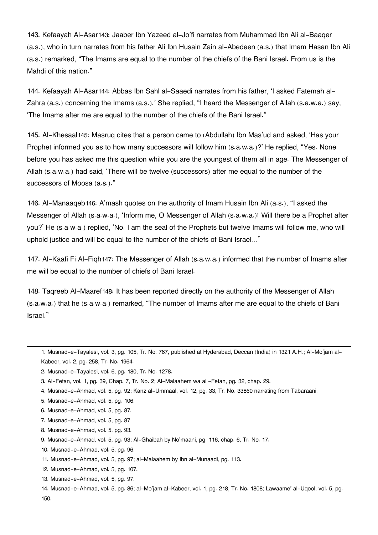143. Kefaayah Al-Asar[143](#page--1-0): Jaaber Ibn Yazeed al-Jo'fi narrates from Muhammad Ibn Ali al-Baaqer (a.s.), who in turn narrates from his father Ali Ibn Husain Zain al-Abedeen (a.s.) that Imam Hasan Ibn Ali (a.s.) remarked, "The Imams are equal to the number of the chiefs of the Bani Israel. From us is the Mahdi of this nation."

144. Kefaayah Al-Asar[144](#page--1-0): Abbas Ibn Sahl al-Saaedi narrates from his father, 'I asked Fatemah al-Zahra (a.s.) concerning the Imams (a.s.).' She replied, "I heard the Messenger of Allah (s.a.w.a.) say, 'The Imams after me are equal to the number of the chiefs of the Bani Israel."

145. Al-Khesaal[145](#page--1-0): Masruq cites that a person came to (Abdullah) Ibn Mas'ud and asked, 'Has your Prophet informed you as to how many successors will follow him (s.a.w.a.)?' He replied, "Yes. None before you has asked me this question while you are the youngest of them all in age. The Messenger of Allah (s.a.w.a.) had said, 'There will be twelve (successors) after me equal to the number of the successors of Moosa (a.s.)."

146. Al-Manaaqeb[146](#page--1-0): A'mash quotes on the authority of Imam Husain Ibn Ali (a.s.), "I asked the Messenger of Allah (s.a.w.a.), 'Inform me, O Messenger of Allah (s.a.w.a.)! Will there be a Prophet after you?' He (s.a.w.a.) replied, 'No. I am the seal of the Prophets but twelve Imams will follow me, who will uphold justice and will be equal to the number of the chiefs of Bani Israel…"

147. Al-Kaafi Fi Al-Fiqh[147](#page--1-0): The Messenger of Allah (s.a.w.a.) informed that the number of Imams after me will be equal to the number of chiefs of Bani Israel.

148. Taqreeb Al-Maaref[148](#page--1-0): It has been reported directly on the authority of the Messenger of Allah (s.a.w.a.) that he (s.a.w.a.) remarked, "The number of Imams after me are equal to the chiefs of Bani Israel."

- [4.](#page--1-0) Musnad-e-Ahmad, vol. 5, pg. 92; Kanz al-Ummaal, vol. 12, pg. 33, Tr. No. 33860 narrating from Tabaraani.
- [5.](#page--1-0) Musnad-e-Ahmad, vol. 5, pg. 106.
- [6.](#page--1-0) Musnad-e-Ahmad, vol. 5, pg. 87.
- [7.](#page--1-0) Musnad-e-Ahmad, vol. 5, pg. 87
- [8.](#page--1-0) Musnad-e-Ahmad, vol. 5, pg. 93.

- [10.](#page--1-0) Musnad-e-Ahmad, vol. 5, pg. 96.
- [11.](#page--1-0) Musnad-e-Ahmad, vol. 5, pg. 97; al-Malaahem by Ibn al-Munaadi, pg. 113.
- [12.](#page--1-0) Musnad-e-Ahmad, vol. 5, pg. 107.
- [13.](#page--1-0) Musnad-e-Ahmad, vol. 5, pg. 97.

[<sup>1.</sup>](#page--1-0) Musnad-e-Tayalesi, vol. 3, pg. 105, Tr. No. 767, published at Hyderabad, Deccan (India) in 1321 A.H.; Al-Mo'jam al-Kabeer, vol. 2, pg. 258, Tr. No. 1964.

[<sup>2.</sup>](#page--1-0) Musnad-e-Tayalesi, vol. 6, pg. 180, Tr. No. 1278.

[<sup>3.</sup>](#page--1-0) Al-Fetan, vol. 1, pg. 39, Chap. 7, Tr. No. 2; Al-Malaahem wa al -Fetan, pg. 32, chap. 29.

[<sup>9.</sup>](#page--1-0) Musnad-e-Ahmad, vol. 5, pg. 93; Al-Ghaibah by No'maani, pg. 116, chap. 6, Tr. No. 17.

[<sup>14.</sup>](#page--1-0) Musnad-e-Ahmad, vol. 5, pg. 86; al-Mo'jam al-Kabeer, vol. 1, pg. 218, Tr. No. 1808; Lawaame' al-Uqool, vol. 5, pg. 150.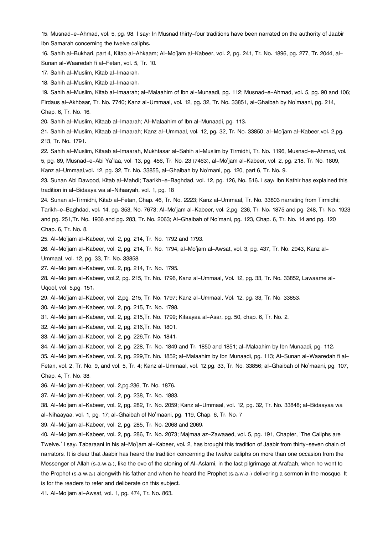[15.](#page--1-0) Musnad-e-Ahmad, vol. 5, pg. 98. I say: In Musnad thirty-four traditions have been narrated on the authority of Jaabir Ibn Samarah concerning the twelve caliphs.

[16.](#page--1-0) Sahih al-Bukhari, part 4, Kitab al-Ahkaam; Al-Mo'jam al-Kabeer, vol. 2, pg. 241, Tr. No. 1896, pg. 277, Tr. 2044, al-Sunan al-Waaredah fi al-Fetan, vol. 5, Tr. 10.

[17.](#page--1-0) Sahih al-Muslim, Kitab al-Imaarah.

[18.](#page--1-0) Sahih al-Muslim, Kitab al-Imaarah.

[19.](#page--1-0) Sahih al-Muslim, Kitab al-Imaarah; al-Malaahim of Ibn al-Munaadi, pg. 112; Musnad-e-Ahmad, vol. 5, pg. 90 and 106; Firdaus al-Akhbaar, Tr. No. 7740; Kanz al-Ummaal, vol. 12, pg. 32, Tr. No. 33851, al-Ghaibah by No'maani, pg. 214, Chap. 6, Tr. No. 16.

[20.](#page--1-0) Sahih al-Muslim, Kitaab al-Imaarah; Al-Malaahim of Ibn al-Munaadi, pg. 113.

[21.](#page--1-0) Sahih al-Muslim, Kitaab al-Imaarah; Kanz al-Ummaal, vol. 12, pg. 32, Tr. No. 33850; al-Mo'jam al-Kabeer,vol. 2,pg. 213, Tr. No. 1791.

[22.](#page--1-0) Sahih al-Muslim, Kitaab al-Imaarah, Mukhtasar al-Sahih al-Muslim by Tirmidhi, Tr. No. 1196, Musnad-e-Ahmad, vol. 5, pg. 89, Musnad-e-Abi Ya'laa, vol. 13, pg. 456, Tr. No. 23 (7463), al-Mo'jam al-Kabeer, vol. 2, pg. 218, Tr. No. 1809, Kanz al-Ummaal,vol. 12, pg. 32, Tr. No. 33855, al-Ghaibah by No'mani, pg. 120, part 6, Tr. No. 9.

[23.](#page--1-0) Sunan Abi Dawood, Kitab al-Mahdi; Taarikh-e-Baghdad, vol. 12, pg. 126, No. 516. I say: Ibn Kathir has explained this tradition in al-Bidaaya wa al-Nihaayah, vol. 1, pg. 18

[24.](#page--1-0) Sunan al-Tirmidhi, Kitab al-Fetan, Chap. 46, Tr. No. 2223; Kanz al-Ummaal, Tr. No. 33803 narrating from Tirmidhi; Tarikh-e-Baghdad, vol. 14, pg. 353, No. 7673; Al-Mo'jam al-Kabeer, vol. 2,pg. 236, Tr. No. 1875 and pg. 248, Tr. No. 1923 and pg. 251,Tr. No. 1936 and pg. 283, Tr. No. 2063; Al-Ghaibah of No'mani, pg. 123, Chap. 6, Tr. No. 14 and pg. 120 Chap. 6, Tr. No. 8.

[25.](#page--1-0) Al-Mo'jam al-Kabeer, vol. 2, pg. 214, Tr. No. 1792 and 1793.

[26.](#page--1-0) Al-Mo'jam al-Kabeer, vol. 2, pg. 214, Tr. No. 1794, al-Mo'jam al-Awsat, vol. 3, pg. 437, Tr. No. 2943, Kanz al-Ummaal, vol. 12, pg. 33, Tr. No. 33858.

[27.](#page--1-0) Al-Mo'jam al-Kabeer, vol. 2, pg. 214, Tr. No. 1795.

[28.](#page--1-0) Al-Mo'jam al-Kabeer, vol.2, pg. 215, Tr. No. 1796, Kanz al-Ummaal, Vol. 12, pg. 33, Tr. No. 33852, Lawaame al-Uqool, vol. 5,pg. 151.

[29.](#page--1-0) Al-Mo'jam al-Kabeer, vol. 2,pg. 215, Tr. No. 1797; Kanz al-Ummaal, Vol. 12, pg. 33, Tr. No. 33853.

[30.](#page--1-0) Al-Mo'jam al-Kabeer, vol. 2, pg. 215, Tr. No. 1798.

[31.](#page--1-0) Al-Mo'jam al-Kabeer, vol. 2, pg. 215,Tr. No. 1799; Kifaayaa al-Asar, pg. 50, chap. 6, Tr. No. 2.

[32.](#page--1-0) Al-Mo'jam al-Kabeer, vol. 2, pg. 216,Tr. No. 1801.

[33.](#page--1-0) Al-Mo'jam al-Kabeer, vol. 2, pg. 226,Tr. No. 1841.

[34.](#page--1-0) Al-Mo'jam al-Kabeer, vol. 2, pg. 228, Tr. No. 1849 and Tr. 1850 and 1851; al-Malaahim by Ibn Munaadi, pg. 112.

[35.](#page--1-0) Al-Mo'jam al-Kabeer, vol. 2, pg. 229,Tr. No. 1852; al-Malaahim by Ibn Munaadi, pg. 113; Al-Sunan al-Waaredah fi al-Fetan, vol. 2, Tr. No. 9, and vol. 5, Tr. 4; Kanz al-Ummaal, vol. 12,pg. 33, Tr. No. 33856; al-Ghaibah of No'maani, pg. 107, Chap. 4, Tr. No. 38.

[36.](#page--1-0) Al-Mo'jam al-Kabeer, vol. 2,pg.236, Tr. No. 1876.

[37.](#page--1-0) Al-Mo'jam al-Kabeer, vol. 2, pg. 238, Tr. No. 1883.

[38.](#page--1-0) Al-Mo'jam al-Kabeer, vol. 2, pg. 282, Tr. No. 2059; Kanz al-Ummaal, vol. 12, pg. 32, Tr. No. 33848; al-Bidaayaa wa al-Nihaayaa, vol. 1, pg. 17; al-Ghaibah of No'maani, pg. 119, Chap. 6, Tr. No. 7

[39.](#page--1-0) Al-Mo'jam al-Kabeer, vol. 2, pg. 285, Tr. No. 2068 and 2069.

[40.](#page--1-0) Al-Mo'jam al-Kabeer, vol. 2, pg. 286, Tr. No. 2073; Majmaa az-Zawaaed, vol. 5, pg. 191, Chapter, 'The Caliphs are Twelve.' I say: Tabaraani in his al-Mo'jam al-Kabeer, vol. 2, has brought this tradition of Jaabir from thirty-seven chain of narrators. It is clear that Jaabir has heard the tradition concerning the twelve caliphs on more than one occasion from the Messenger of Allah (s.a.w.a.), like the eve of the stoning of Al-Aslami, in the last pilgrimage at Arafaah, when he went to the Prophet (s.a.w.a.) alongwith his father and when he heard the Prophet (s.a.w.a.) delivering a sermon in the mosque. It is for the readers to refer and deliberate on this subject.

[41.](#page--1-0) Al-Mo'jam al-Awsat, vol. 1, pg. 474, Tr. No. 863.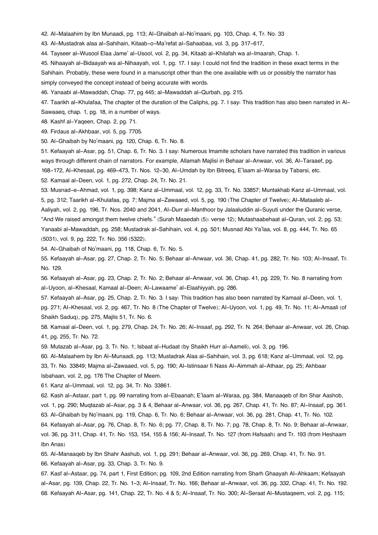[42.](#page--1-0) Al-Malaahim by Ibn Munaadi, pg. 113; Al-Ghaibah al-No'maani, pg. 103, Chap. 4, Tr. No. 33

[43.](#page--1-0) Al-Mustadrak alaa al-Sahihain, Kitaab-o-Ma'refat al-Sahaabaa, vol. 3, pg. 317-617,

[44.](#page--1-0) Tayseer al-Wusool Elaa Jame' al-Usool, vol. 2, pg. 34, Kitaab al-Khilafah wa al-Imaarah, Chap. 1.

[45.](#page--1-0) Nihaayah al-Bidaayah wa al-Nihaayah, vol. 1, pg. 17. I say: I could not find the tradition in these exact terms in the Sahihain. Probably, these were found in a manuscript other than the one available with us or possibly the narrator has simply conveyed the concept instead of being accurate with words.

[46.](#page--1-0) Yanaabi al-Mawaddah, Chap. 77, pg 445; al-Mawaddah al-Qurbah, pg. 215.

[47.](#page--1-0) Taarikh al-Khulafaa, The chapter of the duration of the Caliphs, pg. 7. I say: This tradition has also been narrated in Al-Sawaaeq, chap. 1, pg. 18, in a number of ways.

[48.](#page--1-0) Kashf al-Yaqeen, Chap. 2, pg. 71.

[49.](#page--1-0) Firdaus al-Akhbaar, vol. 5, pg. 7705.

[50.](#page--1-0) Al-Ghaibah by No'maani, pg. 120, Chap. 6, Tr. No. 8.

[51.](#page--1-0) Kefaayah al-Asar, pg. 51, Chap. 6, Tr. No. 3. I say: Numerous Imamite scholars have narrated this tradition in various ways through different chain of narrators. For example, Allamah Majlisi in Behaar al-Anwaar, vol. 36, Al-Taraaef, pg. 168-172, Al-Khesaal, pg. 469-473, Tr. Nos. 12-30, Al-Umdah by Ibn Bitreeq, E'laam al-Waraa by Tabarsi, etc.

[52.](#page--1-0) Kamaal al-Deen, vol. 1, pg. 272, Chap. 24, Tr. No. 21.

[53.](#page--1-0) Musnad-e-Ahmad, vol. 1, pg. 398; Kanz al-Ummaal, vol. 12, pg. 33, Tr. No. 33857; Muntakhab Kanz al-Ummaal, vol. 5, pg. 312; Taarikh al-Khulafaa, pg. 7; Majma al-Zawaaed, vol. 5, pg. 190 (The Chapter of Twelve); Al-Mataaleb al-Aaliyah, vol. 2, pg. 196, Tr. Nos. 2040 and 2041, Al-Durr al-Manthoor by Jalaaluddin al-Suyuti under the Quranic verse, "And We raised amongst them twelve chiefs." (Surah Maaedah (5): verse 12); Mutashaabehaat al-Quran, vol. 2, pg. 53; Yanaabi al-Mawaddah, pg. 258; Mustadrak al-Sahihain, vol. 4, pg. 501; Musnad Abi Ya'laa, vol. 8, pg. 444, Tr. No. 65 (5031), vol. 9, pg. 222, Tr. No. 356 (5322).

[54.](#page--1-0) Al-Ghaibah of No'maani, pg. 118, Chap. 6, Tr. No. 5.

[55.](#page--1-0) Kefaayah al-Asar, pg. 27, Chap. 2, Tr. No. 5; Behaar al-Anwaar, vol. 36, Chap. 41, pg. 282, Tr. No. 103; Al-Insaaf, Tr. No. 129.

[56.](#page--1-0) Kefaayah al-Asar, pg. 23, Chap. 2, Tr. No. 2; Behaar al-Anwaar, vol. 36, Chap. 41, pg. 229, Tr. No. 8 narrating from al-Uyoon, al-Khesaal, Kamaal al-Deen; Al-Lawaame' al-Elaahiyyah, pg. 286.

[57.](#page--1-0) Kefaayah al-Asar, pg. 25, Chap. 2, Tr. No. 3. I say: This tradition has also been narrated by Kamaal al-Deen, vol. 1, pg. 271; Al-Khesaal, vol. 2, pg. 467, Tr. No. 8 (The Chapter of Twelve); Al-Uyoon, vol. 1, pg. 49, Tr. No. 11; Al-Amaali (of Shaikh Saduq), pg. 275, Majlis 51, Tr. No. 6.

[58.](#page--1-0) Kamaal al-Deen, vol. 1, pg. 279, Chap. 24, Tr. No. 26; Al-Insaaf, pg. 292, Tr. N. 264; Behaar al-Anwaar, vol. 26, Chap. 41, pg. 255, Tr. No. 72.

[59.](#page--1-0) Mutazab al-Asar, pg. 3, Tr. No. 1; Isbaat al-Hudaat (by Shaikh Hurr al-Aameli), vol. 3, pg. 196.

[60.](#page--1-0) Al-Malaahem by Ibn Al-Munaadi, pg. 113; Mustadrak Alaa al-Sahihain, vol. 3, pg. 618; Kanz al-Ummaal, vol. 12, pg. 33, Tr. No. 33849; Majma al-Zawaaed, vol. 5, pg. 190; Al-Istinsaar fi Nass Al-Aimmah al-Athaar, pg. 25; Akhbaar Isbahaan, vol. 2, pg. 176 The Chapter of Meem.

[61.](#page--1-0) Kanz al-Ummaal, vol. 12, pg. 34, Tr. No. 33861.

[62.](#page--1-0) Kash al-Astaar, part 1, pg. 99 narrating from al-Ebaanah; E'laam al-Waraa, pg. 384, Manaaqeb of Ibn Shar Aashob,

vol. 1, pg. 290; Muqtazab al-Asar, pg. 3 & 4, Behaar al-Anwaar, vol. 36, pg. 267, Chap. 41, Tr. No. 87; Al-Insaaf, pg. 361. [63.](#page--1-0) Al-Ghaibah by No'maani, pg. 119, Chap. 6, Tr. No. 6; Behaar al-Anwaar, vol. 36, pg. 281, Chap. 41, Tr. No. 102.

[64.](#page--1-0) Kefaayah al-Asar, pg. 76, Chap. 8, Tr. No. 6; pg. 77, Chap. 8, Tr. No. 7; pg. 78, Chap. 8, Tr. No. 9; Behaar al-Anwaar, vol. 36, pg. 311, Chap. 41, Tr. No. 153, 154, 155 & 156; Al-Insaaf, Tr. No. 127 (from Hafsaah) and Tr. 193 (from Heshaam Ibn Anas)

[65.](#page--1-0) Al-Manaaqeb by Ibn Shahr Aashub, vol. 1, pg. 291; Behaar al-Anwaar, vol. 36, pg. 269, Chap. 41, Tr. No. 91.

[66.](#page--1-0) Kefaayah al-Asar, pg. 33, Chap. 3, Tr. No. 9.

[67.](#page--1-0) Kasf al-Astaar, pg. 74, part 1, First Edition; pg. 109, 2nd Edition narrating from Sharh Ghaayah Al-Ahkaam; Kefaayah al-Asar, pg. 139, Chap. 22, Tr. No. 1-3; Al-Insaaf, Tr. No. 166; Behaar al-Anwaar, vol. 36, pg. 332, Chap. 41, Tr. No. 192. [68.](#page--1-0) Kefaayah Al-Asar, pg. 141, Chap. 22, Tr. No. 4 & 5; Al-Insaaf, Tr. No. 300; Al-Seraat Al-Mustaqeem, vol. 2, pg. 115;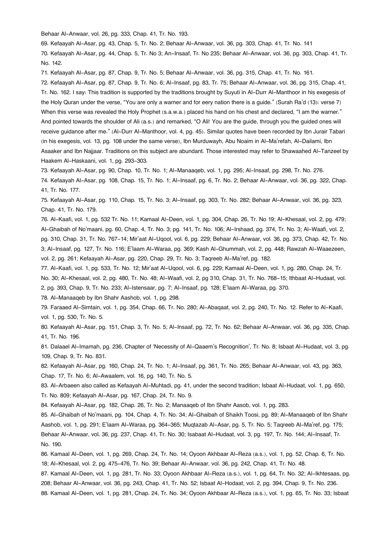Behaar Al-Anwaar, vol. 26, pg. 333, Chap. 41, Tr. No. 193.

[69.](#page--1-0) Kefaayah Al-Asar, pg. 43, Chap. 5, Tr. No. 2; Behaar Al-Anwaar, vol. 36, pg. 303, Chap. 41, Tr. No. 141

[70.](#page--1-0) Kefaayah Al-Asar, pg. 44, Chap. 5, Tr. No 3; An-Insaaf, Tr. No 235; Behaar Al-Anwaar, vol. 36, pg. 303, Chap. 41, Tr. No. 142.

[71.](#page--1-0) Kefaayah Al-Asar, pg. 87, Chap. 9, Tr. No. 5; Behaar Al-Anwaar, vol. 36, pg. 315, Chap. 41, Tr. No. 161.

[72.](#page--1-0) Kefaayah Al-Asar, pg. 87, Chap. 9, Tr. No. 6; Al-Insaaf, pg. 83, Tr. 75; Behaar Al-Anwaar, vol. 36, pg. 315, Chap. 41, Tr. No. 162. I say: This tradition is supported by the traditions brought by Suyuti in Al-Durr Al-Manthoor in his exegesis of the Holy Quran under the verse, "You are only a warner and for eery nation there is a guide." (Surah Ra'd (13): verse 7) When this verse was revealed the Holy Prophet (s.a.w.a.) placed his hand on his chest and declared, "I am the warner." And pointed towards the shoulder of Ali (a.s.) and remarked, "O Ali! You are the guide, through you the guided ones will receive guidance after me." (Al-Durr Al-Manthoor, vol. 4, pg. 45). Similar quotes have been recorded by Ibn Jurair Tabari (in his exegesis, vol. 13, pg. 108 under the same verse), Ibn Murduwayh, Abu Noaim in Al-Ma'refah, Al-Dailami, Ibn Asaaker and Ibn Najjaar. Traditions on this subject are abundant. Those interested may refer to Shawaahed Al-Tanzeel by Haakem Al-Haskaani, vol. 1, pg. 293-303.

[73.](#page--1-0) Kefaayah Al-Asar, pg. 90, Chap. 10, Tr. No. 1; Al-Manaaqeb, vol. 1, pg. 295; Al-Insaaf, pg. 298, Tr. No. 276. [74.](#page--1-0) Kefaayah Al-Asar, pg. 108, Chap. 15, Tr. No. 1; Al-Insaaf, pg. 6, Tr. No. 2; Behaar Al-Anwaar, vol. 36, pg. 322, Chap. 41, Tr. No. 177.

[75.](#page--1-0) Kefaayah Al-Asar, pg. 110, Chap. 15, Tr. No. 3; Al-Insaaf, pg. 303, Tr. No. 282; Behaar Al-Anwaar, vol. 36, pg. 323, Chap. 41, Tr. No. 179.

[76.](#page--1-0) Al-Kaafi, vol. 1, pg. 532 Tr. No. 11; Kamaal Al-Deen, vol. 1, pg. 304, Chap. 26, Tr. No 19; Al-Khesaal, vol. 2, pg. 479; Al-Ghaibah of No'maani, pg. 60, Chap. 4, Tr. No. 3; pg. 141, Tr. No. 106; Al-Irshaad, pg. 374, Tr. No. 3; Al-Waafi, vol. 2, pg. 310, Chap. 31, Tr. No. 767-14; Mir'aat Al-Uqool, vol. 6, pg. 229; Behaar Al-Anwaar, vol. 36, pg. 373, Chap. 42, Tr. No. 3; Al-Insaaf, pg. 127, Tr. No. 116; E'laam Al-Waraa, pg. 369; Kash Al-Ghummah, vol. 2, pg. 448; Rawzah Al-Waaezeen, vol. 2, pg. 261; Kefaayah Al-Asar, pg. 220, Chap. 29, Tr. No. 3; Taqreeb Al-Ma'ref, pg. 182.

[77.](#page--1-0) Al-Kaafi, vol. 1, pg. 533, Tr. No. 12; Mir'aat Al-Uqool, vol. 6, pg. 229; Kamaal Al-Deen, vol. 1, pg. 280, Chap. 24, Tr. No. 30; Al-Khesaal, vol. 2, pg. 480, Tr. No. 48; Al-Waafi, vol. 2, pg 310, Chap. 31, Tr. No. 768-15; Ithbaat Al-Hudaat, vol. 2, pg. 393, Chap. 9, Tr. No. 233; Al-Istensaar, pg. 7; Al-Insaaf, pg. 128; E'laam Al-Waraa, pg. 370.

[78.](#page--1-0) Al-Manaaqeb by Ibn Shahr Aashob, vol. 1, pg. 298.

[79.](#page--1-0) Faraaed Al-Simtain, vol. 1, pg. 354, Chap. 66, Tr. No. 280; Al-Abaqaat, vol. 2, pg. 240, Tr. No. 12. Refer to Al-Kaafi, vol. 1, pg. 530, Tr. No. 5.

[80.](#page--1-0) Kefaayah Al-Asar, pg. 151, Chap. 3, Tr. No. 5; Al-Insaaf, pg. 72, Tr. No. 62; Behaar Al-Anwaar, vol. 36, pg. 335, Chap. 41, Tr. No. 196.

[81.](#page--1-0) Dalaael Al-Imamah, pg. 236, Chapter of 'Necessity of Al-Qaaem's Recognition', Tr. No. 8; Isbaat Al-Hudaat, vol. 3, pg. 109, Chap. 9, Tr. No. 831.

[82.](#page--1-0) Kefaayah Al-Asar, pg. 160, Chap. 24, Tr. No. 1; Al-Insaaf, pg. 361, Tr. No. 265; Behaar Al-Anwaar, vol. 43, pg. 363, Chap. 17, Tr. No. 6; Al-Awaalem, vol. 16, pg. 140, Tr. No. 5.

[83.](#page--1-0) Al-Arbaeen also called as Kefaayah Al-Muhtadi, pg. 41, under the second tradition; Isbaat Al-Hudaat, vol. 1, pg. 650, Tr. No. 809; Kefaayah Al-Asar, pg. 167, Chap. 24, Tr. No. 9.

[84.](#page--1-0) Kefaayah Al-Asar, pg. 182, Chap. 26, Tr. No. 2; Manaaqeb of Ibn Shahr Aasob, vol. 1, pg. 283.

[85.](#page--1-0) Al-Ghaibah of No'maani, pg. 104, Chap. 4, Tr. No. 34; Al-Ghaibah of Shaikh Toosi, pg. 89; Al-Manaaqeb of Ibn Shahr Aashob, vol. 1, pg. 291; E'laam Al-Waraa, pg. 364-365; Muqtazab Al-Asar, pg. 5, Tr. No. 5; Taqreeb Al-Ma'ref, pg. 175; Behaar Al-Anwaar, vol. 36, pg. 237, Chap. 41, Tr. No. 30; Isabaat Al-Hudaat, vol. 3, pg. 197, Tr. No. 144; Al-Insaaf, Tr. No. 190.

[86.](#page--1-0) Kamaal Al-Deen, vol. 1, pg. 269, Chap. 24, Tr. No. 14; Oyoon Akhbaar Al-Reza (a.s.), vol. 1, pg. 52, Chap. 6, Tr. No. 18; Al-Khesaal, vol. 2, pg. 475-476, Tr. No. 39; Behaar Al-Anwaar, vol. 36, pg. 242, Chap. 41, Tr. No. 48.

[87.](#page--1-0) Kamaal Al-Deen, vol. 1, pg. 281, Tr. No. 33; Oyoon Akhbaar Al-Reza (a.s.), vol. 1, pg. 64, Tr. No. 32; Al-Ikhtesaas, pg. 208; Behaar Al-Anwaar, vol. 36, pg. 243, Chap. 41, Tr. No. 52; Isbaat Al-Hodaat, vol. 2, pg. 394, Chap. 9, Tr. No. 236. [88.](#page--1-0) Kamaal Al-Deen, vol. 1, pg. 281, Chap. 24, Tr. No. 34; Oyoon Akhbaar Al-Reza (a.s.), vol. 1, pg. 65, Tr. No. 33; Isbaat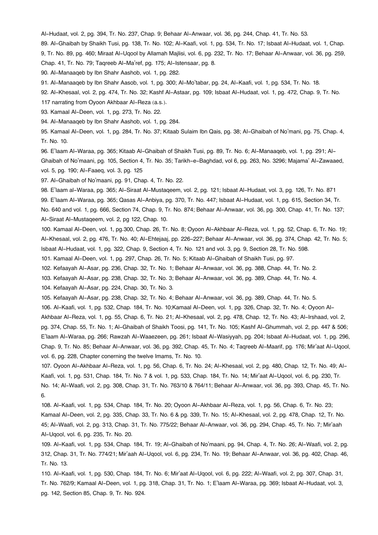Al-Hudaat, vol. 2, pg. 394, Tr. No. 237, Chap. 9; Behaar Al-Anwaar, vol. 36, pg. 244, Chap. 41, Tr. No. 53.

[89.](#page--1-0) Al-Ghaibah by Shaikh Tusi, pg. 138, Tr. No. 102; Al-Kaafi, vol. 1, pg. 534, Tr. No. 17; Isbaat Al-Hudaat, vol. 1, Chap. 9, Tr. No. 89, pg. 460; Miraat Al-Uqool by Allamah Majlisi, vol. 6, pg. 232, Tr. No. 17; Behaar Al-Anwaar, vol. 36, pg. 259, Chap. 41, Tr. No. 79; Taqreeb Al-Ma'ref, pg. 175; Al-Istensaar, pg. 8.

[90.](#page--1-0) Al-Manaaqeb by Ibn Shahr Aashob, vol. 1, pg. 282.

[91.](#page--1-0) Al-Manaaqeb by Ibn Shahr Aasob, vol. 1, pg. 300; Al-Mo'tabar, pg. 24, Al-Kaafi, vol. 1, pg. 534, Tr. No. 18.

[92.](#page--1-0) Al-Khesaal, vol. 2, pg. 474, Tr. No. 32; Kashf Al-Astaar, pg. 109; Isbaat Al-Hudaat, vol. 1, pg. 472, Chap. 9, Tr. No.

117 narrating from Oyoon Akhbaar Al-Reza (a.s.).

[93.](#page--1-0) Kamaal Al-Deen, vol. 1, pg. 273, Tr. No. 22.

[94.](#page--1-0) Al-Manaaqeb by Ibn Shahr Aashob, vol. 1, pg. 284.

[95.](#page--1-0) Kamaal Al-Deen, vol. 1, pg. 284, Tr. No. 37; Kitaab Sulaim Ibn Qais, pg. 38; Al-Ghaibah of No'mani, pg. 75, Chap. 4, Tr. No. 10.

[96.](#page--1-0) E'laam Al-Waraa, pg. 365; Kitaab Al-Ghaibah of Shaikh Tusi, pg. 89, Tr. No. 6; Al-Manaaqeb, vol. 1, pg. 291; Al-Ghaibah of No'maani, pg. 105, Section 4, Tr. No. 35; Tarikh-e-Baghdad, vol 6, pg. 263, No. 3296; Majama' Al-Zawaaed, vol. 5, pg. 190; Al-Faaeq, vol. 3, pg. 125

[97.](#page--1-0) Al-Ghaibah of No'maani, pg. 91, Chap. 4, Tr. No. 22.

[98.](#page--1-0) E'laam al-Waraa, pg. 365; Al-Siraat Al-Mustaqeem, vol. 2, pg. 121; Isbaat Al-Hudaat, vol. 3, pg. 126, Tr. No. 871

[99.](#page--1-0) E'laam Al-Waraa, pg. 365; Qasas Al-Anbiya, pg. 370, Tr. No. 447; Isbaat Al-Hudaat, vol. 1, pg. 615, Section 34, Tr.

No. 640 and vol. 1, pg. 666, Section 74, Chap. 9, Tr. No. 874; Behaar Al-Anwaar, vol. 36, pg. 300, Chap. 41, Tr. No. 137; Al-Siraat Al-Mustaqeem, vol. 2, pg 122, Chap. 10.

[100.](#page--1-0) Kamaal Al-Deen, vol. 1, pg.300, Chap. 26, Tr. No. 8; Oyoon Al-Akhbaar Al-Reza, vol. 1, pg. 52, Chap. 6, Tr. No. 19; Al-Khesaal, vol. 2, pg. 476, Tr. No. 40; Al-Ehtejaaj, pp. 226-227; Behaar Al-Anwaar, vol. 36, pg. 374, Chap. 42, Tr. No. 5; Isbaat Al-Hudaat, vol. 1, pg. 322, Chap. 9, Section 4, Tr. No. 121 and vol. 3, pg. 9, Section 28, Tr. No. 598.

[101.](#page--1-0) Kamaal Al-Deen, vol. 1, pg. 297, Chap. 26, Tr. No. 5; Kitaab Al-Ghaibah of Shaikh Tusi, pg. 97.

[102.](#page--1-0) Kefaayah Al-Asar, pg. 236, Chap. 32, Tr. No. 1; Behaar Al-Anwaar, vol. 36, pg. 388, Chap. 44, Tr. No. 2.

[103.](#page--1-0) Kefaayah Al-Asar, pg. 238, Chap. 32, Tr. No. 3; Behaar Al-Anwaar, vol. 36, pg. 389, Chap. 44, Tr. No. 4.

[104.](#page--1-0) Kefaayah Al-Asar, pg. 224, Chap. 30, Tr. No. 3.

[105.](#page--1-0) Kefaayah Al-Asar, pg. 238, Chap. 32, Tr. No. 4; Behaar Al-Anwaar, vol. 36, pg. 389, Chap. 44, Tr. No. 5.

[106.](#page--1-0) Al-Kaafi, vol. 1, pg. 532, Chap. 184, Tr. No. 10;Kamaal Al-Deen, vol. 1, pg. 326, Chap. 32, Tr. No. 4; Oyoon Al-

Akhbaar Al-Reza, vol. 1, pg. 55, Chap. 6, Tr. No. 21; Al-Khesaal, vol. 2, pg. 478, Chap. 12, Tr. No. 43; Al-Irshaad, vol. 2, pg. 374, Chap. 55, Tr. No. 1; Al-Ghaibah of Shaikh Toosi, pg. 141, Tr. No. 105; Kashf Al-Ghummah, vol. 2, pp. 447 & 506; E'laam Al-Waraa, pg. 266; Rawzah Al-Waaezeen, pg. 261; Isbaat Al-Wasiyyah, pg. 204; Isbaat Al-Hudaat, vol. 1, pg. 296, Chap. 9, Tr. No. 85; Behaar Al-Anwaar, vol. 36, pg. 392, Chap. 45, Tr. No. 4; Taqreeb Al-Maarif, pg. 176; Mir'aat Al-Uqool, vol. 6, pg. 228, Chapter conerning the twelve Imams, Tr. No. 10.

[107.](#page--1-0) Oyoon Al-Akhbaar Al-Reza, vol. 1, pg. 56, Chap. 6, Tr. No. 24; Al-Khesaal, vol. 2, pg. 480, Chap. 12, Tr. No. 49; Al-Kaafi, vol. 1, pg. 531, Chap. 184, Tr. No. 7 & vol. 1, pg. 533, Chap. 184, Tr. No. 14; Mir'aat Al-Uqool, vol. 6, pg. 230, Tr. No. 14; Al-Waafi, vol. 2, pg. 308, Chap. 31, Tr. No. 763/10 & 764/11; Behaar Al-Anwaar, vol. 36, pg. 393, Chap. 45, Tr. No. 6.

[108.](#page--1-0) Al-Kaafi, vol. 1, pg. 534, Chap. 184, Tr. No. 20; Oyoon Al-Akhbaar Al-Reza, vol. 1, pg. 56, Chap. 6, Tr. No. 23; Kamaal Al-Deen, vol. 2, pg. 335, Chap. 33, Tr. No. 6 & pg. 339, Tr. No. 15; Al-Khesaal, vol. 2, pg. 478, Chap. 12, Tr. No. 45; Al-Waafi, vol. 2, pg. 313, Chap. 31, Tr. No. 775/22; Behaar Al-Anwaar, vol. 36, pg. 294, Chap. 45, Tr. No. 7; Mir'aah Al-Uqool, vol. 6, pg. 235, Tr. No. 20.

[109.](#page--1-0) Al-Kaafi, vol. 1, pg. 534, Chap. 184, Tr. 19; Al-Ghaibah of No'maani, pg. 94, Chap. 4, Tr. No. 26; Al-Waafi, vol. 2, pg. 312, Chap. 31, Tr. No. 774/21; Mir'aah Al-Uqool, vol. 6, pg. 234, Tr. No. 19; Behaar Al-Anwaar, vol. 36, pg. 402, Chap. 46, Tr. No. 13.

[110.](#page--1-0) Al-Kaafi, vol. 1, pg. 530, Chap. 184, Tr. No. 6; Mir'aat Al-Uqool, vol. 6, pg. 222; Al-Waafi, vol. 2, pg. 307, Chap. 31, Tr. No. 762/9; Kamaal Al-Deen, vol. 1, pg. 318, Chap. 31, Tr. No. 1; E'laam Al-Waraa, pg. 369; Isbaat Al-Hudaat, vol. 3, pg. 142, Section 85, Chap. 9, Tr. No. 924.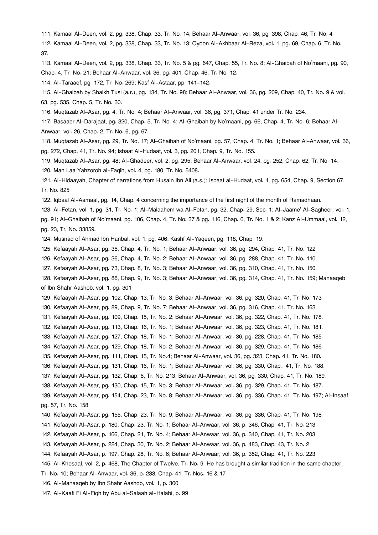[111.](#page--1-0) Kamaal Al-Deen, vol. 2, pg. 338, Chap. 33, Tr. No. 14; Behaar Al-Anwaar, vol. 36, pg. 398, Chap. 46, Tr. No. 4. [112.](#page--1-0) Kamaal Al-Deen, vol. 2, pg. 338, Chap. 33, Tr. No. 13; Oyoon Al-Akhbaar Al-Reza, vol. 1, pg. 69, Chap. 6, Tr. No. 37.

[113.](#page--1-0) Kamaal Al-Deen, vol. 2, pg. 338, Chap. 33, Tr. No. 5 & pg. 647, Chap. 55, Tr. No. 8; Al-Ghaibah of No'maani, pg. 90, Chap. 4, Tr. No. 21; Behaar Al-Anwaar, vol. 36, pg. 401, Chap. 46, Tr. No. 12.

[114.](#page--1-0) Al-Taraaef, pg. 172, Tr. No. 269; Kasf Al-Astaar, pp. 141-142.

[115.](#page--1-0) Al-Ghaibah by Shaikh Tusi (a.r.), pg. 134, Tr. No. 98; Behaar Al-Anwaar, vol. 36, pg. 209, Chap. 40, Tr. No. 9 & vol. 63, pg. 535, Chap. 5, Tr. No. 30.

[116.](#page--1-0) Muqtazab Al-Asar, pg. 4, Tr. No. 4; Behaar Al-Anwaar, vol. 36, pg. 371, Chap. 41 under Tr. No. 234.

[117.](#page--1-0) Basaaer Al-Darajaat, pg. 320, Chap. 5, Tr. No. 4; Al-Ghaibah by No'maani, pg. 66, Chap. 4, Tr. No. 6; Behaar Al-Anwaar, vol. 26, Chap. 2, Tr. No. 6, pg. 67.

[118.](#page--1-0) Muqtazab Al-Asar, pg. 29, Tr. No. 17; Al-Ghaibah of No'maani, pg. 57, Chap. 4, Tr. No. 1; Behaar Al-Anwaar, vol. 36, pg. 272, Chap. 41, Tr. No. 94; Isbaat Al-Hudaat, vol. 3, pg. 201, Chap. 9, Tr. No. 155.

[119.](#page--1-0) Muqtazab Al-Asar, pg. 48; Al-Ghadeer, vol. 2, pg. 295; Behaar Al-Anwaar, vol. 24, pg. 252, Chap. 62, Tr. No. 14. [120.](#page--1-0) Man Laa Yahzoroh al-Faqih, vol. 4, pg. 180, Tr. No. 5408.

[121.](#page--1-0) Al-Hidaayah, Chapter of narrations from Husain Ibn Ali (a.s.); Isbaat al-Hudaat, vol. 1, pg. 654, Chap. 9, Section 67, Tr. No. 825

[122.](#page--1-0) Iqbaal Al-Aamaal, pg. 14, Chap. 4 concerning the importance of the first night of the month of Ramadhaan.

[123.](#page--1-0) Al-Fetan, vol. 1, pg. 31, Tr. No. 1; Al-Malaahem wa Al-Fetan, pg. 32, Chap. 29, Sec. 1; Al-Jaame' Al-Sagheer, vol. 1, pg. 91; Al-Ghaibah of No'maani, pg. 106, Chap. 4, Tr. No. 37 & pg. 116, Chap. 6, Tr. No. 1 & 2; Kanz Al-Ummaal, vol. 12, pg. 23, Tr. No. 33859.

[124.](#page--1-0) Musnad of Ahmad Ibn Hanbal, vol. 1, pg. 406; Kashf Al-Yaqeen, pg. 118, Chap. 19.

[125.](#page--1-0) Kefaayah Al-Asar, pg. 35, Chap. 4, Tr. No. 1; Behaar Al-Anwaar, vol. 36, pg. 294, Chap. 41, Tr. No. 122

[126.](#page--1-0) Kefaayah Al-Asar, pg. 36, Chap. 4, Tr. No. 2; Behaar Al-Anwaar, vol. 36, pg. 288, Chap. 41, Tr. No. 110.

[127.](#page--1-0) Kefaayah Al-Asar, pg. 73, Chap. 8, Tr. No. 3; Behaar Al-Anwaar, vol. 36, pg. 310, Chap. 41, Tr. No. 150.

[128.](#page--1-0) Kefaayah Al-Asar, pg. 86, Chap. 9, Tr. No. 3; Behaar Al-Anwaar, vol. 36, pg. 314, Chap. 41, Tr. No. 159; Manaaqeb of Ibn Shahr Aashob, vol. 1, pg. 301.

[129.](#page--1-0) Kefaayah Al-Asar, pg. 102, Chap. 13, Tr. No. 3; Behaar Al-Anwaar, vol. 36, pg. 320, Chap. 41, Tr. No. 173.

[130.](#page--1-0) Kefaayah Al-Asar, pg. 89, Chap. 9, Tr. No. 7; Behaar Al-Anwaar, vol. 36, pg. 316, Chap. 41, Tr. No. 163.

[131.](#page--1-0) Kefaayah Al-Asar, pg. 109, Chap. 15, Tr. No. 2; Behaar Al-Anwaar, vol. 36, pg. 322, Chap. 41, Tr. No. 178.

[132.](#page--1-0) Kefaayah Al-Asar, pg. 113, Chap. 16, Tr. No. 1; Behaar Al-Anwaar, vol. 36, pg. 323, Chap. 41, Tr. No. 181.

[133.](#page--1-0) Kefaayah Al-Asar, pg. 127, Chap. 18, Tr. No. 1; Behaar Al-Anwaar, vol. 36, pg. 228, Chap. 41, Tr. No. 185.

[134.](#page--1-0) Kefaayah Al-Asar, pg. 129, Chap. 18, Tr. No. 2; Behaar Al-Anwaar, vol. 36, pg. 329, Chap. 41, Tr. No. 186.

[135.](#page--1-0) Kefaayah Al-Asar, pg. 111, Chap. 15, Tr. No.4; Behaar Al-Anwaar, vol. 36, pg. 323, Chap. 41, Tr. No. 180.

[136.](#page--1-0) Kefaayah Al-Asar, pg. 131, Chap. 16, Tr. No. 1; Behaar Al-Anwaar, vol. 36, pg. 330, Chap.. 41, Tr. No. 188.

[137.](#page--1-0) Kefaayah Al-Asar, pg. 132, Chap. 6, Tr. No. 213; Behaar Al-Anwaar, vol. 36, pg. 330, Chap. 41, Tr. No. 189.

[138.](#page--1-0) Kefaayah Al-Asar, pg. 130, Chap. 15, Tr. No. 3; Behaar Al-Anwaar, vol. 36, pg. 329, Chap. 41, Tr. No. 187.

[139.](#page--1-0) Kefaayah Al-Asar, pg. 154, Chap. 23, Tr. No. 8; Behaar Al-Anwaar, vol. 36, pg. 336, Chap. 41, Tr. No. 197; Al-Insaaf, pg. 57, Tr. No. 158

[140.](#page--1-0) Kefaayah Al-Asar, pg. 155, Chap. 23, Tr. No. 9; Behaar Al-Anwaar, vol. 36, pg. 336, Chap. 41, Tr. No. 198.

[141.](#page--1-0) Kefaayah Al-Asar, p. 180, Chap. 23, Tr. No. 1; Behaar Al-Anwaar, vol. 36, p. 346, Chap. 41, Tr. No. 213

[142.](#page--1-0) Kefaayah Al-Asar, p. 166, Chap. 21, Tr. No. 4; Behaar Al-Anwaar, vol. 36, p. 340, Chap. 41, Tr. No. 203

[143.](#page--1-0) Kefaayah Al-Asar, p. 224, Chap. 30, Tr. No. 2; Behaar Al-Anwaar, vol. 36, p. 483, Chap. 43, Tr. No. 2

[144.](#page--1-0) Kefaayah Al-Asar, p. 197, Chap. 28, Tr. No. 6; Behaar Al-Anwaar, vol. 36, p. 352, Chap. 41, Tr. No. 223

[145.](#page--1-0) Al-Khesaal, vol. 2, p. 468, The Chapter of Twelve, Tr. No. 9. He has brought a similar tradition in the same chapter,

Tr. No. 10; Behaar Al-Anwaar, vol. 36, p. 233, Chap. 41, Tr. Nos. 16 & 17

[146.](#page--1-0) Al-Manaaqeb by Ibn Shahr Aashob, vol. 1, p. 300

[147.](#page--1-0) Al-Kaafi Fi Al-Fiqh by Abu al-Salaah al-Halabi, p. 99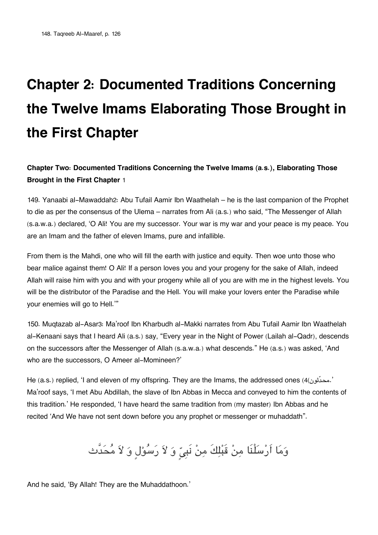# **Chapter 2: Documented Traditions Concerning the Twelve Imams Elaborating Those Brought in the First Chapter**

# **Chapter Two: Documented Traditions Concerning the Twelve Imams (a.s.), Elaborating Those Brought in the First Chapter** [1](#page--1-0)

149. Yanaabi al-Mawaddah[2](#page--1-0): Abu Tufail Aamir Ibn Waathelah – he is the last companion of the Prophet to die as per the consensus of the Ulema – narrates from Ali (a.s.) who said, "The Messenger of Allah (s.a.w.a.) declared, 'O Ali! You are my successor. Your war is my war and your peace is my peace. You are an Imam and the father of eleven Imams, pure and infallible.

From them is the Mahdi, one who will fill the earth with justice and equity. Then woe unto those who bear malice against them! O Ali! If a person loves you and your progeny for the sake of Allah, indeed Allah will raise him with you and with your progeny while all of you are with me in the highest levels. You will be the distributor of the Paradise and the Hell. You will make your lovers enter the Paradise while your enemies will go to Hell.'"

150. Muqtazab al-Asar[3](#page--1-0): Ma'roof Ibn Kharbudh al-Makki narrates from Abu Tufail Aamir Ibn Waathelah al-Kenaani says that I heard Ali (a.s.) say, "Every year in the Night of Power (Lailah al-Qadr), descends on the successors after the Messenger of Allah (s.a.w.a.) what descends." He (a.s.) was asked, 'And who are the successors, O Ameer al-Momineen?'

He (a.s.) replied, 'I and eleven of my offspring. They are the Imams, the addressed ones ([4](#page--1-0)( $\alpha$ ) $\alpha$ .' Ma'roof says, 'I met Abu Abdillah, the slave of Ibn Abbas in Mecca and conveyed to him the contents of this tradition.' He responded, 'I have heard the same tradition from (my master) Ibn Abbas and he recited 'And We have not sent down before you any prophet or messenger or muhaddath".

وَمَا أَرْسَلْنَا مِنْ قَبْلِكَ مِنْ نَبِيِّ وَ لاَ رَسُوْلٍ وَ لاَ مُحَدَّث

And he said, 'By Allah! They are the Muhaddathoon.'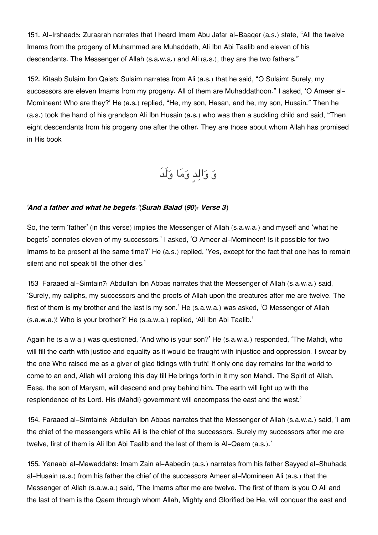151. Al-Irshaad[5](#page--1-0): Zuraarah narrates that I heard Imam Abu Jafar al-Baaqer (a.s.) state, "All the twelve Imams from the progeny of Muhammad are Muhaddath, Ali Ibn Abi Taalib and eleven of his descendants. The Messenger of Allah (s.a.w.a.) and Ali (a.s.), they are the two fathers."

152. Kitaab Sulaim Ibn Qais[6](#page--1-0): Sulaim narrates from Ali (a.s.) that he said, "O Sulaim! Surely, my successors are eleven Imams from my progeny. All of them are Muhaddathoon." I asked, 'O Ameer al-Momineen! Who are they?' He (a.s.) replied, "He, my son, Hasan, and he, my son, Husain." Then he (a.s.) took the hand of his grandson Ali Ibn Husain (a.s.) who was then a suckling child and said, "Then eight descendants from his progeny one after the other. They are those about whom Allah has promised in His book

و والدٍ وما ولَدَ

#### *'And a father and what he begets.'(Surah Balad (90): Verse 3)*

So, the term 'father' (in this verse) implies the Messenger of Allah (s.a.w.a.) and myself and 'what he begets' connotes eleven of my successors.' I asked, 'O Ameer al-Momineen! Is it possible for two Imams to be present at the same time?' He (a.s.) replied, 'Yes, except for the fact that one has to remain silent and not speak till the other dies.'

153. Faraaed al-Simtain[7](#page--1-0): Abdullah Ibn Abbas narrates that the Messenger of Allah (s.a.w.a.) said, 'Surely, my caliphs, my successors and the proofs of Allah upon the creatures after me are twelve. The first of them is my brother and the last is my son.' He (s.a.w.a.) was asked, 'O Messenger of Allah (s.a.w.a.)! Who is your brother?' He (s.a.w.a.) replied, 'Ali Ibn Abi Taalib.'

Again he (s.a.w.a.) was questioned, 'And who is your son?' He (s.a.w.a.) responded, 'The Mahdi, who will fill the earth with justice and equality as it would be fraught with injustice and oppression. I swear by the one Who raised me as a giver of glad tidings with truth! If only one day remains for the world to come to an end, Allah will prolong this day till He brings forth in it my son Mahdi. The Spirit of Allah, Eesa, the son of Maryam, will descend and pray behind him. The earth will light up with the resplendence of its Lord. His (Mahdi) government will encompass the east and the west.'

154. Faraaed al-Simtain[8](#page--1-0): Abdullah Ibn Abbas narrates that the Messenger of Allah (s.a.w.a.) said, 'I am the chief of the messengers while Ali is the chief of the successors. Surely my successors after me are twelve, first of them is Ali Ibn Abi Taalib and the last of them is Al-Qaem (a.s.).'

155. Yanaabi al-Mawaddah[9](#page--1-0): Imam Zain al-Aabedin (a.s.) narrates from his father Sayyed al-Shuhada al-Husain (a.s.) from his father the chief of the successors Ameer al-Momineen Ali (a.s.) that the Messenger of Allah (s.a.w.a.) said, 'The Imams after me are twelve. The first of them is you O Ali and the last of them is the Qaem through whom Allah, Mighty and Glorified be He, will conquer the east and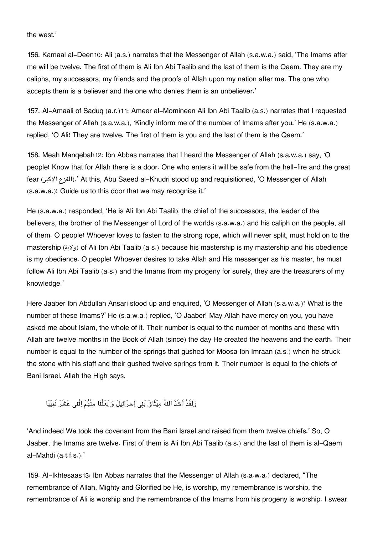the west.'

156. Kamaal al-Deen[10](#page--1-0): Ali (a.s.) narrates that the Messenger of Allah (s.a.w.a.) said, 'The Imams after me will be twelve. The first of them is Ali Ibn Abi Taalib and the last of them is the Qaem. They are my caliphs, my successors, my friends and the proofs of Allah upon my nation after me. The one who accepts them is a believer and the one who denies them is an unbeliever.'

157. Al-Amaali of Saduq (a.r.)[11](#page--1-0): Ameer al-Momineen Ali Ibn Abi Taalib (a.s.) narrates that I requested the Messenger of Allah (s.a.w.a.), 'Kindly inform me of the number of Imams after you.' He (s.a.w.a.) replied, 'O Ali! They are twelve. The first of them is you and the last of them is the Qaem.'

158. Meah Manqebah[12](#page--1-0): Ibn Abbas narrates that I heard the Messenger of Allah (s.a.w.a.) say, 'O people! Know that for Allah there is a door. One who enters it will be safe from the hell-fire and the great fear (الفزع / الاكبر).' At this, Abu Saeed al-Khudri stood up and requisitioned, 'O Messenger of Allah (s.a.w.a.)! Guide us to this door that we may recognise it.'

He (s.a.w.a.) responded, 'He is Ali Ibn Abi Taalib, the chief of the successors, the leader of the believers, the brother of the Messenger of Lord of the worlds (s.a.w.a.) and his caliph on the people, all of them. O people! Whoever loves to fasten to the strong rope, which will never split, must hold on to the mastership (ولاية (of Ali Ibn Abi Taalib (a.s.) because his mastership is my mastership and his obedience is my obedience. O people! Whoever desires to take Allah and His messenger as his master, he must follow Ali Ibn Abi Taalib (a.s.) and the Imams from my progeny for surely, they are the treasurers of my knowledge.'

Here Jaaber Ibn Abdullah Ansari stood up and enquired, 'O Messenger of Allah (s.a.w.a.)! What is the number of these Imams?' He (s.a.w.a.) replied, 'O Jaaber! May Allah have mercy on you, you have asked me about Islam, the whole of it. Their number is equal to the number of months and these with Allah are twelve months in the Book of Allah (since) the day He created the heavens and the earth. Their number is equal to the number of the springs that gushed for Moosa Ibn Imraan (a.s.) when he struck the stone with his staff and their gushed twelve springs from it. Their number is equal to the chiefs of Bani Israel. Allah the High says,

وَلَقَدْ اَخَذَ اللهُ مِيْثَاقَ بَنى اِسرَائِيلَ وَ بَعَثْنَا مِنْهُمْ اِثْنى عَشَرَ نَقِيْبًا

'And indeed We took the covenant from the Bani Israel and raised from them twelve chiefs.' So, O Jaaber, the Imams are twelve. First of them is Ali Ibn Abi Taalib (a.s.) and the last of them is al-Qaem al-Mahdi (a.t.f.s.).'

159. Al-Ikhtesaas[13](#page--1-0): Ibn Abbas narrates that the Messenger of Allah (s.a.w.a.) declared, "The remembrance of Allah, Mighty and Glorified be He, is worship, my remembrance is worship, the remembrance of Ali is worship and the remembrance of the Imams from his progeny is worship. I swear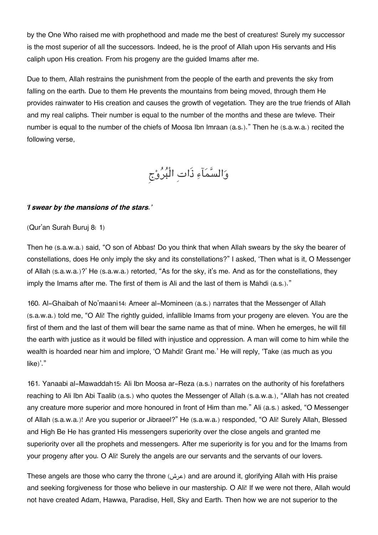by the One Who raised me with prophethood and made me the best of creatures! Surely my successor is the most superior of all the successors. Indeed, he is the proof of Allah upon His servants and His caliph upon His creation. From his progeny are the guided Imams after me.

Due to them, Allah restrains the punishment from the people of the earth and prevents the sky from falling on the earth. Due to them He prevents the mountains from being moved, through them He provides rainwater to His creation and causes the growth of vegetation. They are the true friends of Allah and my real caliphs. Their number is equal to the number of the months and these are twleve. Their number is equal to the number of the chiefs of Moosa Ibn Imraan (a.s.)." Then he (s.a.w.a.) recited the following verse,

والسمآء ذَاتِ الْبروج

#### *'I swear by the mansions of the stars.'*

#### (Qur'an Surah Buruj 8: 1)

Then he (s.a.w.a.) said, "O son of Abbas! Do you think that when Allah swears by the sky the bearer of constellations, does He only imply the sky and its constellations?" I asked, 'Then what is it, O Messenger of Allah (s.a.w.a.)?' He (s.a.w.a.) retorted, "As for the sky, it's me. And as for the constellations, they imply the Imams after me. The first of them is Ali and the last of them is Mahdi (a.s.)."

160. Al-Ghaibah of No'maani[14](#page--1-0): Ameer al-Momineen (a.s.) narrates that the Messenger of Allah (s.a.w.a.) told me, "O Ali! The rightly guided, infallible Imams from your progeny are eleven. You are the first of them and the last of them will bear the same name as that of mine. When he emerges, he will fill the earth with justice as it would be filled with injustice and oppression. A man will come to him while the wealth is hoarded near him and implore, 'O Mahdi! Grant me.' He will reply, 'Take (as much as you like)'."

161. Yanaabi al-Mawaddah[15](#page--1-0): Ali Ibn Moosa ar-Reza (a.s.) narrates on the authority of his forefathers reaching to Ali Ibn Abi Taalib (a.s.) who quotes the Messenger of Allah (s.a.w.a.), "Allah has not created any creature more superior and more honoured in front of Him than me." Ali (a.s.) asked, "O Messenger of Allah (s.a.w.a.)! Are you superior or Jibraeel?" He (s.a.w.a.) responded, "O Ali! Surely Allah, Blessed and High Be He has granted His messengers superiority over the close angels and granted me superiority over all the prophets and messengers. After me superiority is for you and for the Imams from your progeny after you. O Ali! Surely the angels are our servants and the servants of our lovers.

These angels are those who carry the throne (عرش) and are around it, glorifying Allah with His praise and seeking forgiveness for those who believe in our mastership. O Ali! If we were not there, Allah would not have created Adam, Hawwa, Paradise, Hell, Sky and Earth. Then how we are not superior to the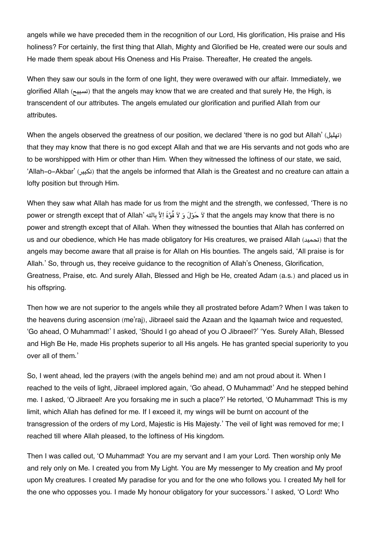angels while we have preceded them in the recognition of our Lord, His glorification, His praise and His holiness? For certainly, the first thing that Allah, Mighty and Glorified be He, created were our souls and He made them speak about His Oneness and His Praise. Thereafter, He created the angels.

When they saw our souls in the form of one light, they were overawed with our affair. Immediately, we glorified Allah (تسبيح (that the angels may know that we are created and that surely He, the High, is transcendent of our attributes. The angels emulated our glorification and purified Allah from our attributes.

When the angels observed the greatness of our position, we declared 'there is no god but Allah' (تهليل( that they may know that there is no god except Allah and that we are His servants and not gods who are to be worshipped with Him or other than Him. When they witnessed the loftiness of our state, we said, 'Allah-o-Akbar' (بيرت (that the angels be informed that Allah is the Greatest and no creature can attain a lofty position but through Him.

When they saw what Allah has made for us from the might and the strength, we confessed, 'There is no power or strength except that of Allah' لاَ حَوْلَ وَ لاَ قُوَّةَ الاَّ بِالله 'power or strength except that of Allah power and strength except that of Allah. When they witnessed the bounties that Allah has conferred on us and our obedience, which He has made obligatory for His creatures, we praised Allah (تحميد) that the angels may become aware that all praise is for Allah on His bounties. The angels said, 'All praise is for Allah.' So, through us, they receive guidance to the recognition of Allah's Oneness, Glorification, Greatness, Praise, etc. And surely Allah, Blessed and High be He, created Adam (a.s.) and placed us in his offspring.

Then how we are not superior to the angels while they all prostrated before Adam? When I was taken to the heavens during ascension (me'raj), Jibraeel said the Azaan and the Iqaamah twice and requested, 'Go ahead, O Muhammad!' I asked, 'Should I go ahead of you O Jibraeel?' 'Yes. Surely Allah, Blessed and High Be He, made His prophets superior to all His angels. He has granted special superiority to you over all of them.'

So, I went ahead, led the prayers (with the angels behind me) and am not proud about it. When I reached to the veils of light, Jibraeel implored again, 'Go ahead, O Muhammad!' And he stepped behind me. I asked, 'O Jibraeel! Are you forsaking me in such a place?' He retorted, 'O Muhammad! This is my limit, which Allah has defined for me. If I exceed it, my wings will be burnt on account of the transgression of the orders of my Lord, Majestic is His Majesty.' The veil of light was removed for me; I reached till where Allah pleased, to the loftiness of His kingdom.

Then I was called out, 'O Muhammad! You are my servant and I am your Lord. Then worship only Me and rely only on Me. I created you from My Light. You are My messenger to My creation and My proof upon My creatures. I created My paradise for you and for the one who follows you. I created My hell for the one who opposses you. I made My honour obligatory for your successors.' I asked, 'O Lord! Who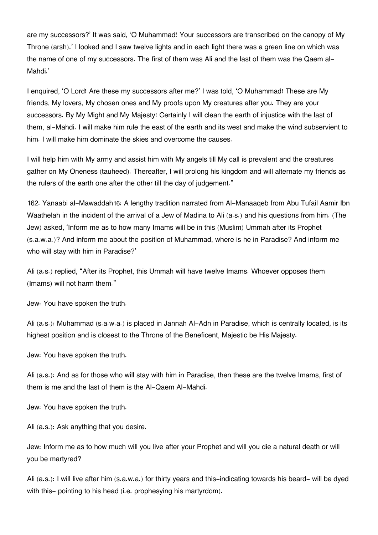are my successors?' It was said, 'O Muhammad! Your successors are transcribed on the canopy of My Throne (arsh).' I looked and I saw twelve lights and in each light there was a green line on which was the name of one of my successors. The first of them was Ali and the last of them was the Qaem al-Mahdi.'

I enquired, 'O Lord! Are these my successors after me?' I was told, 'O Muhammad! These are My friends, My lovers, My chosen ones and My proofs upon My creatures after you. They are your successors. By My Might and My Majesty! Certainly I will clean the earth of injustice with the last of them, al-Mahdi. I will make him rule the east of the earth and its west and make the wind subservient to him. I will make him dominate the skies and overcome the causes.

I will help him with My army and assist him with My angels till My call is prevalent and the creatures gather on My Oneness (tauheed). Thereafter, I will prolong his kingdom and will alternate my friends as the rulers of the earth one after the other till the day of judgement."

162. Yanaabi al-Mawaddah[16](#page--1-0): A lengthy tradition narrated from Al-Manaaqeb from Abu Tufail Aamir Ibn Waathelah in the incident of the arrival of a Jew of Madina to Ali (a.s.) and his questions from him. (The Jew) asked, 'Inform me as to how many Imams will be in this (Muslim) Ummah after its Prophet (s.a.w.a.)? And inform me about the position of Muhammad, where is he in Paradise? And inform me who will stay with him in Paradise?'

Ali (a.s.) replied, "After its Prophet, this Ummah will have twelve Imams. Whoever opposes them (Imams) will not harm them."

Jew: You have spoken the truth.

Ali (a.s.): Muhammad (s.a.w.a.) is placed in Jannah Al-Adn in Paradise, which is centrally located, is its highest position and is closest to the Throne of the Beneficent, Majestic be His Majesty.

Jew: You have spoken the truth.

Ali (a.s.): And as for those who will stay with him in Paradise, then these are the twelve Imams, first of them is me and the last of them is the Al-Qaem Al-Mahdi.

Jew: You have spoken the truth.

Ali (a.s.): Ask anything that you desire.

Jew: Inform me as to how much will you live after your Prophet and will you die a natural death or will you be martyred?

Ali (a.s.): I will live after him (s.a.w.a.) for thirty years and this-indicating towards his beard- will be dyed with this- pointing to his head (i.e. prophesying his martyrdom).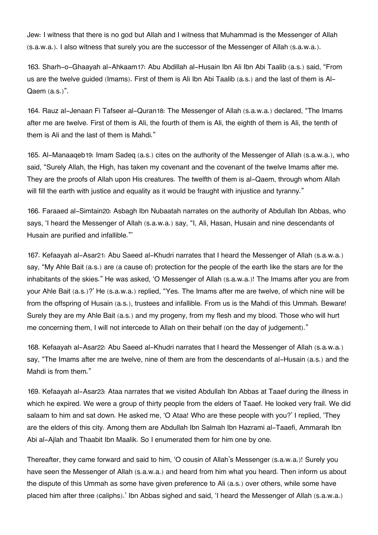Jew: I witness that there is no god but Allah and I witness that Muhammad is the Messenger of Allah (s.a.w.a.). I also witness that surely you are the successor of the Messenger of Allah (s.a.w.a.).

163. Sharh-o-Ghaayah al-Ahkaam[17](#page--1-0): Abu Abdillah al-Husain Ibn Ali Ibn Abi Taalib (a.s.) said, "From us are the twelve guided (Imams). First of them is Ali Ibn Abi Taalib (a.s.) and the last of them is Al-Qaem (a.s.)".

164. Rauz al-Jenaan Fi Tafseer al-Quran[18](#page--1-0): The Messenger of Allah (s.a.w.a.) declared, "The Imams after me are twelve. First of them is Ali, the fourth of them is Ali, the eighth of them is Ali, the tenth of them is Ali and the last of them is Mahdi."

165. Al-Manaaqeb[19](#page--1-0): Imam Sadeq (a.s.) cites on the authority of the Messenger of Allah (s.a.w.a.), who said, "Surely Allah, the High, has taken my covenant and the covenant of the twelve Imams after me. They are the proofs of Allah upon His creatures. The twelfth of them is al-Qaem, through whom Allah will fill the earth with justice and equality as it would be fraught with injustice and tyranny."

166. Faraaed al-Simtain[20](#page--1-0): Asbagh Ibn Nubaatah narrates on the authority of Abdullah Ibn Abbas, who says, 'I heard the Messenger of Allah (s.a.w.a.) say, "I, Ali, Hasan, Husain and nine descendants of Husain are purified and infallible."'

167. Kefaayah al-Asar[21](#page--1-0): Abu Saeed al-Khudri narrates that I heard the Messenger of Allah (s.a.w.a.) say, "My Ahle Bait (a.s.) are (a cause of) protection for the people of the earth like the stars are for the inhabitants of the skies." He was asked, 'O Messenger of Allah (s.a.w.a.)! The Imams after you are from your Ahle Bait (a.s.)?' He (s.a.w.a.) replied, "Yes. The Imams after me are twelve, of which nine will be from the offspring of Husain (a.s.), trustees and infallible. From us is the Mahdi of this Ummah. Beware! Surely they are my Ahle Bait (a.s.) and my progeny, from my flesh and my blood. Those who will hurt me concerning them, I will not intercede to Allah on their behalf (on the day of judgement)."

168. Kefaayah al-Asar[22](#page--1-0): Abu Saeed al-Khudri narrates that I heard the Messenger of Allah (s.a.w.a.) say, "The Imams after me are twelve, nine of them are from the descendants of al-Husain (a.s.) and the Mahdi is from them."

169. Kefaayah al-Asar[23](#page--1-0): Ataa narrates that we visited Abdullah Ibn Abbas at Taaef during the illness in which he expired. We were a group of thirty people from the elders of Taaef. He looked very frail. We did salaam to him and sat down. He asked me, 'O Ataa! Who are these people with you?' I replied, 'They are the elders of this city. Among them are Abdullah Ibn Salmah Ibn Hazrami al-Taaefi, Ammarah Ibn Abi al-Ajlah and Thaabit Ibn Maalik. So I enumerated them for him one by one.

Thereafter, they came forward and said to him, 'O cousin of Allah's Messenger (s.a.w.a.)! Surely you have seen the Messenger of Allah (s.a.w.a.) and heard from him what you heard. Then inform us about the dispute of this Ummah as some have given preference to Ali (a.s.) over others, while some have placed him after three (caliphs).' Ibn Abbas sighed and said, 'I heard the Messenger of Allah (s.a.w.a.)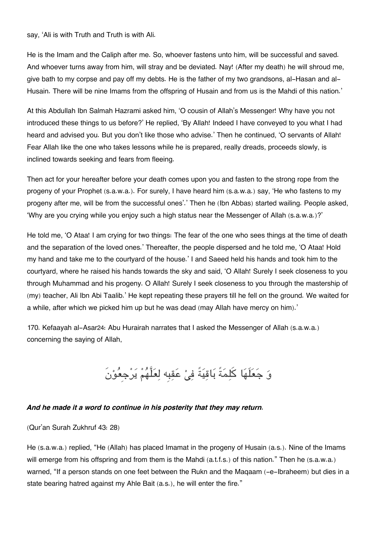say, 'Ali is with Truth and Truth is with Ali.

He is the Imam and the Caliph after me. So, whoever fastens unto him, will be successful and saved. And whoever turns away from him, will stray and be deviated. Nay! (After my death) he will shroud me, give bath to my corpse and pay off my debts. He is the father of my two grandsons, al-Hasan and al-Husain. There will be nine Imams from the offspring of Husain and from us is the Mahdi of this nation.'

At this Abdullah Ibn Salmah Hazrami asked him, 'O cousin of Allah's Messenger! Why have you not introduced these things to us before?' He replied, 'By Allah! Indeed I have conveyed to you what I had heard and advised you. But you don't like those who advise.' Then he continued, 'O servants of Allah! Fear Allah like the one who takes lessons while he is prepared, really dreads, proceeds slowly, is inclined towards seeking and fears from fleeing.

Then act for your hereafter before your death comes upon you and fasten to the strong rope from the progeny of your Prophet (s.a.w.a.). For surely, I have heard him (s.a.w.a.) say, 'He who fastens to my progeny after me, will be from the successful ones'.' Then he (Ibn Abbas) started wailing. People asked, 'Why are you crying while you enjoy such a high status near the Messenger of Allah (s.a.w.a.)?'

He told me, 'O Ataa! I am crying for two things: The fear of the one who sees things at the time of death and the separation of the loved ones.' Thereafter, the people dispersed and he told me, 'O Ataa! Hold my hand and take me to the courtyard of the house.' I and Saeed held his hands and took him to the courtyard, where he raised his hands towards the sky and said, 'O Allah! Surely I seek closeness to you through Muhammad and his progeny. O Allah! Surely I seek closeness to you through the mastership of (my) teacher, Ali Ibn Abi Taalib.' He kept repeating these prayers till he fell on the ground. We waited for a while, after which we picked him up but he was dead (may Allah have mercy on him).'

170. Kefaayah al-Asar[24](#page--1-0): Abu Hurairah narrates that I asked the Messenger of Allah (s.a.w.a.) concerning the saying of Allah,

وَ جَعَلَهَا كَلِمَةً بَاقِيَةً فِيْ عَقِبِه لِعَلَّهُمْ يَرْجِعُوْنَ

#### *And he made it a word to continue in his posterity that they may return.*

(Qur'an Surah Zukhruf 43: 28)

He (s.a.w.a.) replied, "He (Allah) has placed Imamat in the progeny of Husain (a.s.). Nine of the Imams will emerge from his offspring and from them is the Mahdi (a.t.f.s.) of this nation." Then he (s.a.w.a.) warned, "If a person stands on one feet between the Rukn and the Magaam (-e-Ibraheem) but dies in a state bearing hatred against my Ahle Bait (a.s.), he will enter the fire."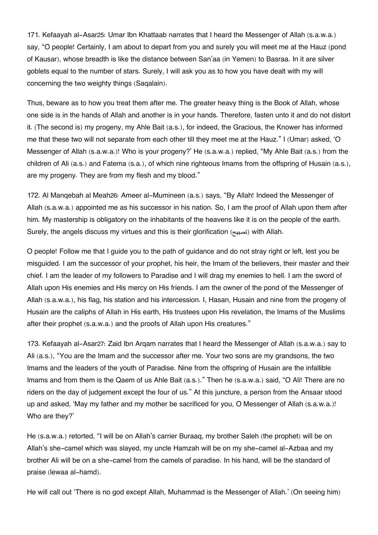171. Kefaayah al-Asar[25](#page--1-0): Umar Ibn Khattaab narrates that I heard the Messenger of Allah (s.a.w.a.) say, "O people! Certainly, I am about to depart from you and surely you will meet me at the Hauz (pond of Kausar), whose breadth is like the distance between San'aa (in Yemen) to Basraa. In it are silver goblets equal to the number of stars. Surely, I will ask you as to how you have dealt with my will concerning the two weighty things (Saqalain).

Thus, beware as to how you treat them after me. The greater heavy thing is the Book of Allah, whose one side is in the hands of Allah and another is in your hands. Therefore, fasten unto it and do not distort it. (The second is) my progeny, my Ahle Bait (a.s.), for indeed, the Gracious, the Knower has informed me that these two will not separate from each other till they meet me at the Hauz." I (Umar) asked, 'O Messenger of Allah (s.a.w.a.)! Who is your progeny?' He (s.a.w.a.) replied, "My Ahle Bait (a.s.) from the children of Ali (a.s.) and Fatema (s.a.), of which nine righteous Imams from the offspring of Husain (a.s.), are my progeny. They are from my flesh and my blood."

172. Al Manqebah al Meah[26](#page--1-0): Ameer al-Mumineen (a.s.) says, "By Allah! Indeed the Messenger of Allah (s.a.w.a.) appointed me as his successor in his nation. So, I am the proof of Allah upon them after him. My mastership is obligatory on the inhabitants of the heavens like it is on the people of the earth. Surely, the angels discuss my virtues and this is their glorification (تسبيح (with Allah.

O people! Follow me that I guide you to the path of guidance and do not stray right or left, lest you be misguided. I am the successor of your prophet, his heir, the Imam of the believers, their master and their chief. I am the leader of my followers to Paradise and I will drag my enemies to hell. I am the sword of Allah upon His enemies and His mercy on His friends. I am the owner of the pond of the Messenger of Allah (s.a.w.a.), his flag, his station and his intercession. I, Hasan, Husain and nine from the progeny of Husain are the caliphs of Allah in His earth, His trustees upon His revelation, the Imams of the Muslims after their prophet (s.a.w.a.) and the proofs of Allah upon His creatures."

173. Kefaayah al-Asar[27](#page--1-0): Zaid Ibn Arqam narrates that I heard the Messenger of Allah (s.a.w.a.) say to Ali (a.s.), "You are the Imam and the successor after me. Your two sons are my grandsons, the two Imams and the leaders of the youth of Paradise. Nine from the offspring of Husain are the infallible Imams and from them is the Qaem of us Ahle Bait (a.s.)." Then he (s.a.w.a.) said, "O Ali! There are no riders on the day of judgement except the four of us." At this juncture, a person from the Ansaar stood up and asked, 'May my father and my mother be sacrificed for you, O Messenger of Allah (s.a.w.a.)! Who are they?'

He (s.a.w.a.) retorted, "I will be on Allah's carrier Buraaq, my brother Saleh (the prophet) will be on Allah's she-camel which was slayed, my uncle Hamzah will be on my she-camel al-Azbaa and my brother Ali will be on a she-camel from the camels of paradise. In his hand, will be the standard of praise (lewaa al-hamd).

He will call out 'There is no god except Allah, Muhammad is the Messenger of Allah.' (On seeing him)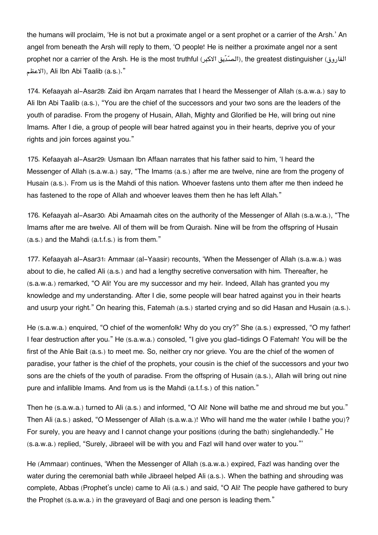the humans will proclaim, 'He is not but a proximate angel or a sent prophet or a carrier of the Arsh.' An angel from beneath the Arsh will reply to them, 'O people! He is neither a proximate angel nor a sent prophet nor a carrier of the Arsh. He is the most truthful (المسّدّيق الاكبر), the greatest distinguisher (الفاروق) الاعظم(, Ali Ibn Abi Taalib (a.s.)."

174. Kefaayah al-Asar[28](#page--1-0): Zaid ibn Arqam narrates that I heard the Messenger of Allah (s.a.w.a.) say to Ali Ibn Abi Taalib (a.s.), "You are the chief of the successors and your two sons are the leaders of the youth of paradise. From the progeny of Husain, Allah, Mighty and Glorified be He, will bring out nine Imams. After I die, a group of people will bear hatred against you in their hearts, deprive you of your rights and join forces against you."

175. Kefaayah al-Asar[29](#page--1-0): Usmaan Ibn Affaan narrates that his father said to him, 'I heard the Messenger of Allah (s.a.w.a.) say, "The Imams (a.s.) after me are twelve, nine are from the progeny of Husain (a.s.). From us is the Mahdi of this nation. Whoever fastens unto them after me then indeed he has fastened to the rope of Allah and whoever leaves them then he has left Allah."

176. Kefaayah al-Asar[30](#page--1-0): Abi Amaamah cites on the authority of the Messenger of Allah (s.a.w.a.), "The Imams after me are twelve. All of them will be from Quraish. Nine will be from the offspring of Husain (a.s.) and the Mahdi (a.t.f.s.) is from them."

177. Kefaayah al-Asar[31](#page--1-0): Ammaar (al-Yaasir) recounts, 'When the Messenger of Allah (s.a.w.a.) was about to die, he called Ali (a.s.) and had a lengthy secretive conversation with him. Thereafter, he (s.a.w.a.) remarked, "O Ali! You are my successor and my heir. Indeed, Allah has granted you my knowledge and my understanding. After I die, some people will bear hatred against you in their hearts and usurp your right." On hearing this, Fatemah (a.s.) started crying and so did Hasan and Husain (a.s.).

He (s.a.w.a.) enquired, "O chief of the womenfolk! Why do you cry?" She (a.s.) expressed, "O my father! I fear destruction after you." He (s.a.w.a.) consoled, "I give you glad-tidings O Fatemah! You will be the first of the Ahle Bait (a.s.) to meet me. So, neither cry nor grieve. You are the chief of the women of paradise, your father is the chief of the prophets, your cousin is the chief of the successors and your two sons are the chiefs of the youth of paradise. From the offspring of Husain (a.s.), Allah will bring out nine pure and infallible Imams. And from us is the Mahdi (a.t.f.s.) of this nation."

Then he (s.a.w.a.) turned to Ali (a.s.) and informed, "O Ali! None will bathe me and shroud me but you." Then Ali (a.s.) asked, "O Messenger of Allah (s.a.w.a.)! Who will hand me the water (while I bathe you)? For surely, you are heavy and I cannot change your positions (during the bath) singlehandedly." He (s.a.w.a.) replied, "Surely, Jibraeel will be with you and Fazl will hand over water to you."'

He (Ammaar) continues, 'When the Messenger of Allah (s.a.w.a.) expired, Fazl was handing over the water during the ceremonial bath while Jibraeel helped Ali (a.s.). When the bathing and shrouding was complete, Abbas (Prophet's uncle) came to Ali (a.s.) and said, "O Ali! The people have gathered to bury the Prophet (s.a.w.a.) in the graveyard of Baqi and one person is leading them."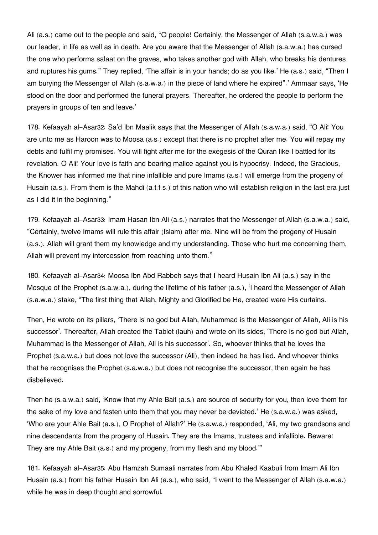Ali (a.s.) came out to the people and said, "O people! Certainly, the Messenger of Allah (s.a.w.a.) was our leader, in life as well as in death. Are you aware that the Messenger of Allah (s.a.w.a.) has cursed the one who performs salaat on the graves, who takes another god with Allah, who breaks his dentures and ruptures his gums." They replied, 'The affair is in your hands; do as you like.' He (a.s.) said, "Then I am burying the Messenger of Allah (s.a.w.a.) in the piece of land where he expired".' Ammaar says, 'He stood on the door and performed the funeral prayers. Thereafter, he ordered the people to perform the prayers in groups of ten and leave.'

178. Kefaayah al-Asar[32](#page--1-0): Sa'd Ibn Maalik says that the Messenger of Allah (s.a.w.a.) said, "O Ali! You are unto me as Haroon was to Moosa (a.s.) except that there is no prophet after me. You will repay my debts and fulfil my promises. You will fight after me for the exegesis of the Quran like I battled for its revelation. O Ali! Your love is faith and bearing malice against you is hypocrisy. Indeed, the Gracious, the Knower has informed me that nine infallible and pure Imams (a.s.) will emerge from the progeny of Husain (a.s.). From them is the Mahdi (a.t.f.s.) of this nation who will establish religion in the last era just as I did it in the beginning."

179. Kefaayah al-Asar[33](#page--1-0): Imam Hasan Ibn Ali (a.s.) narrates that the Messenger of Allah (s.a.w.a.) said, "Certainly, twelve Imams will rule this affair (Islam) after me. Nine will be from the progeny of Husain (a.s.). Allah will grant them my knowledge and my understanding. Those who hurt me concerning them, Allah will prevent my intercession from reaching unto them."

180. Kefaayah al-Asar[34](#page--1-0): Moosa Ibn Abd Rabbeh says that I heard Husain Ibn Ali (a.s.) say in the Mosque of the Prophet (s.a.w.a.), during the lifetime of his father (a.s.), 'I heard the Messenger of Allah (s.a.w.a.) stake, "The first thing that Allah, Mighty and Glorified be He, created were His curtains.

Then, He wrote on its pillars, 'There is no god but Allah, Muhammad is the Messenger of Allah, Ali is his successor'. Thereafter, Allah created the Tablet (lauh) and wrote on its sides, 'There is no god but Allah, Muhammad is the Messenger of Allah, Ali is his successor'. So, whoever thinks that he loves the Prophet (s.a.w.a.) but does not love the successor (Ali), then indeed he has lied. And whoever thinks that he recognises the Prophet (s.a.w.a.) but does not recognise the successor, then again he has disbelieved.

Then he (s.a.w.a.) said, 'Know that my Ahle Bait (a.s.) are source of security for you, then love them for the sake of my love and fasten unto them that you may never be deviated.' He (s.a.w.a.) was asked, 'Who are your Ahle Bait (a.s.), O Prophet of Allah?' He (s.a.w.a.) responded, 'Ali, my two grandsons and nine descendants from the progeny of Husain. They are the Imams, trustees and infallible. Beware! They are my Ahle Bait (a.s.) and my progeny, from my flesh and my blood."'

181. Kefaayah al-Asar[35](#page--1-0): Abu Hamzah Sumaali narrates from Abu Khaled Kaabuli from Imam Ali Ibn Husain (a.s.) from his father Husain Ibn Ali (a.s.), who said, "I went to the Messenger of Allah (s.a.w.a.) while he was in deep thought and sorrowful.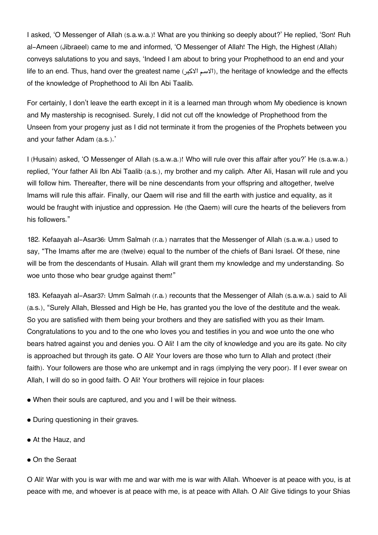I asked, 'O Messenger of Allah (s.a.w.a.)! What are you thinking so deeply about?' He replied, 'Son! Ruh al-Ameen (Jibraeel) came to me and informed, 'O Messenger of Allah! The High, the Highest (Allah) conveys salutations to you and says, 'Indeed I am about to bring your Prophethood to an end and your life to an end. Thus, hand over the greatest name (الاسم الاكبر), the heritage of knowledge and the effects of the knowledge of Prophethood to Ali Ibn Abi Taalib.

For certainly, I don't leave the earth except in it is a learned man through whom My obedience is known and My mastership is recognised. Surely, I did not cut off the knowledge of Prophethood from the Unseen from your progeny just as I did not terminate it from the progenies of the Prophets between you and your father Adam (a.s.).'

I (Husain) asked, 'O Messenger of Allah (s.a.w.a.)! Who will rule over this affair after you?' He (s.a.w.a.) replied, 'Your father Ali Ibn Abi Taalib (a.s.), my brother and my caliph. After Ali, Hasan will rule and you will follow him. Thereafter, there will be nine descendants from your offspring and altogether, twelve Imams will rule this affair. Finally, our Qaem will rise and fill the earth with justice and equality, as it would be fraught with injustice and oppression. He (the Qaem) will cure the hearts of the believers from his followers."

182. Kefaayah al-Asar[36](#page--1-0): Umm Salmah (r.a.) narrates that the Messenger of Allah (s.a.w.a.) used to say, "The Imams after me are (twelve) equal to the number of the chiefs of Bani Israel. Of these, nine will be from the descendants of Husain. Allah will grant them my knowledge and my understanding. So woe unto those who bear grudge against them!"

183. Kefaayah al-Asar[37](#page--1-0): Umm Salmah (r.a.) recounts that the Messenger of Allah (s.a.w.a.) said to Ali (a.s.), "Surely Allah, Blessed and High be He, has granted you the love of the destitute and the weak. So you are satisfied with them being your brothers and they are satisfied with you as their Imam. Congratulations to you and to the one who loves you and testifies in you and woe unto the one who bears hatred against you and denies you. O Ali! I am the city of knowledge and you are its gate. No city is approached but through its gate. O Ali! Your lovers are those who turn to Allah and protect (their faith). Your followers are those who are unkempt and in rags (implying the very poor). If I ever swear on Allah, I will do so in good faith. O Ali! Your brothers will rejoice in four places:

• When their souls are captured, and you and I will be their witness.

- During questioning in their graves.
- At the Hauz, and
- On the Seraat

O Ali! War with you is war with me and war with me is war with Allah. Whoever is at peace with you, is at peace with me, and whoever is at peace with me, is at peace with Allah. O Ali! Give tidings to your Shias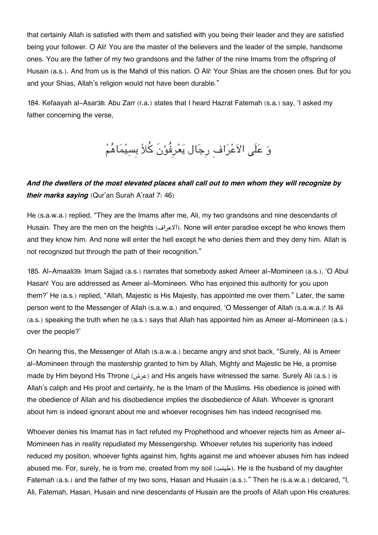that certainly Allah is satisfied with them and satisfied with you being their leader and they are satisfied being your follower. O Ali! You are the master of the believers and the leader of the simple, handsome ones. You are the father of my two grandsons and the father of the nine Imams from the offspring of Husain (a.s.). And from us is the Mahdi of this nation. O Ali! Your Shias are the chosen ones. But for you and your Shias, Allah's religion would not have been durable."

184. Kefaayah al-Asar[38](#page--1-0): Abu Zarr (r.a.) states that I heard Hazrat Fatemah (s.a.) say, 'I asked my father concerning the verse,

وَ عَلَى الاَعْرَافِ رِجَال يَعْرِفُوْنَ كُلاً بِسِيْمَاهُمْ

# *And the dwellers of the most elevated places shall call out to men whom they will recognize by their marks saying* (Qur'an Surah A'raaf 7: 46)

He (s.a.w.a.) replied, "They are the Imams after me, Ali, my two grandsons and nine descendants of Husain. They are the men on the heights (الاعراف(. None will enter paradise except he who knows them and they know him. And none will enter the hell except he who denies them and they deny him. Allah is not recognized but through the path of their recognition."

185. Al-Amaali[39](#page--1-0): Imam Sajjad (a.s.) narrates that somebody asked Ameer al-Momineen (a.s.), 'O Abul Hasan! You are addressed as Ameer al-Momineen. Who has enjoined this authority for you upon them?' He (a.s.) replied, "Allah, Majestic is His Majesty, has appointed me over them." Later, the same person went to the Messenger of Allah (s.a.w.a.) and enquired, 'O Messenger of Allah (s.a.w.a.)! Is Ali (a.s.) speaking the truth when he (a.s.) says that Allah has appointed him as Ameer al-Momineen (a.s.) over the people?'

On hearing this, the Messenger of Allah (s.a.w.a.) became angry and shot back, "Surely, Ali is Ameer al-Momineen through the mastership granted to him by Allah, Mighty and Majestic be He, a promise made by Him beyond His Throne (عرش (and His angels have witnessed the same. Surely Ali (a.s.) is Allah's caliph and His proof and certainly, he is the Imam of the Muslims. His obedience is joined with the obedience of Allah and his disobedience implies the disobedience of Allah. Whoever is ignorant about him is indeed ignorant about me and whoever recognises him has indeed recognised me.

Whoever denies his Imamat has in fact refuted my Prophethood and whoever rejects him as Ameer al-Momineen has in reality repudiated my Messengership. Whoever refutes his superiority has indeed reduced my position, whoever fights against him, fights against me and whoever abuses him has indeed abused me. For, surely, he is from me, created from my soil (طينت). He is the husband of my daughter Fatemah (a.s.) and the father of my two sons, Hasan and Husain (a.s.)." Then he (s.a.w.a.) delcared, "I, Ali, Fatemah, Hasan, Husain and nine descendants of Husain are the proofs of Allah upon His creatures.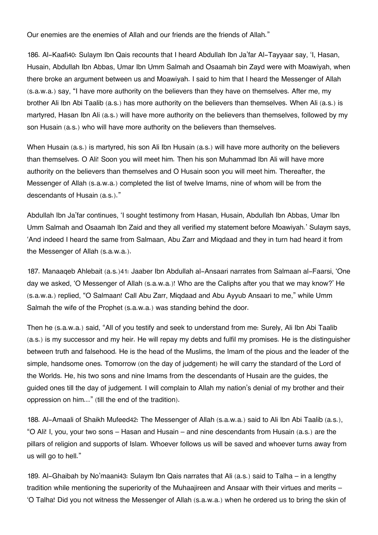Our enemies are the enemies of Allah and our friends are the friends of Allah."

186. Al-Kaafi[40](#page--1-0): Sulaym Ibn Qais recounts that I heard Abdullah Ibn Ja'far Al-Tayyaar say, 'I, Hasan, Husain, Abdullah Ibn Abbas, Umar Ibn Umm Salmah and Osaamah bin Zayd were with Moawiyah, when there broke an argument between us and Moawiyah. I said to him that I heard the Messenger of Allah (s.a.w.a.) say, "I have more authority on the believers than they have on themselves. After me, my brother Ali Ibn Abi Taalib (a.s.) has more authority on the believers than themselves. When Ali (a.s.) is martyred, Hasan Ibn Ali (a.s.) will have more authority on the believers than themselves, followed by my son Husain (a.s.) who will have more authority on the believers than themselves.

When Husain (a.s.) is martyred, his son Ali Ibn Husain (a.s.) will have more authority on the believers than themselves. O Ali! Soon you will meet him. Then his son Muhammad Ibn Ali will have more authority on the believers than themselves and O Husain soon you will meet him. Thereafter, the Messenger of Allah (s.a.w.a.) completed the list of twelve Imams, nine of whom will be from the descendants of Husain (a.s.)."

Abdullah Ibn Ja'far continues, 'I sought testimony from Hasan, Husain, Abdullah Ibn Abbas, Umar Ibn Umm Salmah and Osaamah Ibn Zaid and they all verified my statement before Moawiyah.' Sulaym says, 'And indeed I heard the same from Salmaan, Abu Zarr and Miqdaad and they in turn had heard it from the Messenger of Allah (s.a.w.a.).

187. Manaaqeb Ahlebait (a.s.)[41](#page--1-0): Jaaber Ibn Abdullah al-Ansaari narrates from Salmaan al-Faarsi, 'One day we asked, 'O Messenger of Allah (s.a.w.a.)! Who are the Caliphs after you that we may know?' He (s.a.w.a.) replied, "O Salmaan! Call Abu Zarr, Miqdaad and Abu Ayyub Ansaari to me," while Umm Salmah the wife of the Prophet (s.a.w.a.) was standing behind the door.

Then he (s.a.w.a.) said, "All of you testify and seek to understand from me: Surely, Ali Ibn Abi Taalib (a.s.) is my successor and my heir. He will repay my debts and fulfil my promises. He is the distinguisher between truth and falsehood. He is the head of the Muslims, the Imam of the pious and the leader of the simple, handsome ones. Tomorrow (on the day of judgement) he will carry the standard of the Lord of the Worlds. He, his two sons and nine Imams from the descendants of Husain are the guides, the guided ones till the day of judgement. I will complain to Allah my nation's denial of my brother and their oppression on him…" (till the end of the tradition).

188. Al-Amaali of Shaikh Mufeed[42](#page--1-0): The Messenger of Allah (s.a.w.a.) said to Ali Ibn Abi Taalib (a.s.), "O Ali! I, you, your two sons – Hasan and Husain – and nine descendants from Husain (a.s.) are the pillars of religion and supports of Islam. Whoever follows us will be saved and whoever turns away from us will go to hell."

189. Al-Ghaibah by No'maani[43](#page--1-0): Sulaym Ibn Qais narrates that Ali (a.s.) said to Talha – in a lengthy tradition while mentioning the superiority of the Muhaajireen and Ansaar with their virtues and merits – 'O Talha! Did you not witness the Messenger of Allah (s.a.w.a.) when he ordered us to bring the skin of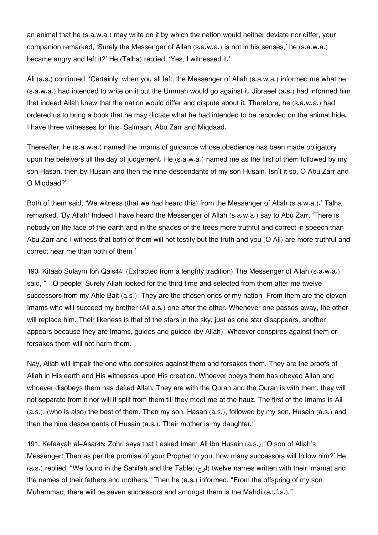an animal that he (s.a.w.a.) may write on it by which the nation would neither deviate nor differ, your companion remarked, 'Surely the Messenger of Allah (s.a.w.a.) is not in his senses,' he (s.a.w.a.) became angry and left it?' He (Talha) replied, 'Yes, I witnessed it.'

Ali (a.s.) continued, 'Certainly, when you all left, the Messenger of Allah (s.a.w.a.) informed me what he (s.a.w.a.) had intended to write on it but the Ummah would go against it. Jibraeel (a.s.) had informed him that indeed Allah knew that the nation would differ and dispute about it. Therefore, he (s.a.w.a.) had ordered us to bring a book that he may dictate what he had intended to be recorded on the animal hide. I have three witnesses for this: Salmaan, Abu Zarr and Miqdaad.

Thereafter, he (s.a.w.a.) named the Imams of guidance whose obedience has been made obligatory upon the beleivers till the day of judgement. He (s.a.w.a.) named me as the first of them followed by my son Hasan, then by Husain and then the nine descendants of my son Husain. Isn't it so, O Abu Zarr and O Miqdaad?'

Both of them said, 'We witness (that we had heard this) from the Messenger of Allah (s.a.w.a.).' Talha remarked, 'By Allah! Indeed I have heard the Messenger of Allah (s.a.w.a.) say to Abu Zarr, 'There is nobody on the face of the earth and in the shades of the trees more truthful and correct in speech than Abu Zarr and I witness that both of them will not testify but the truth and you (O Ali) are more truthful and correct near me than both of them.'

190. Kitaab Sulaym Ibn Qais[44](#page--1-0): (Extracted from a lenghty tradition) The Messenger of Allah (s.a.w.a.) said, "…O people! Surely Allah looked for the third time and selected from them after me twelve successors from my Ahle Bait (a.s.). They are the chosen ones of my nation. From them are the eleven Imams who will succeed my brother (Ali a.s.) one after the other. Whenever one passes away, the other will replace him. Their likeness is that of the stars in the sky, just as one star disappears, another appears because they are Imams, guides and guided (by Allah). Whoever conspires against them or forsakes them will not harm them.

Nay, Allah will impair the one who conspires against them and forsakes them. They are the proofs of Allah in His earth and His witnesses upon His creation. Whoever obeys them has obeyed Allah and whoever disobeys them has defied Allah. They are with the Quran and the Quran is with them, they will not separate from it nor will it split from them till they meet me at the hauz. The first of the Imams is Ali (a.s.), (who is also) the best of them. Then my son, Hasan (a.s.), followed by my son, Husain (a.s.) and then the nine descendants of Husain (a.s.). Their mother is my daughter."

191. Kefaayah al-Asar[45](#page--1-0): Zohri says that I asked Imam Ali Ibn Husain (a.s.), 'O son of Allah's Messenger! Then as per the promise of your Prophet to you, how many successors will follow him?' He (a.s.) replied, "We found in the Sahifah and the Tablet (لوح) twelve names written with their Imamat and the names of their fathers and mothers." Then he (a.s.) informed, "From the offspring of my son Muhammad, there will be seven successors and amongst them is the Mahdi (a.t.f.s.)."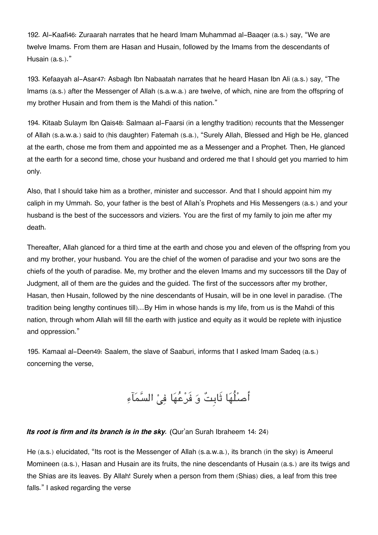192. Al-Kaafi[46](#page--1-0): Zuraarah narrates that he heard Imam Muhammad al-Baaqer (a.s.) say, "We are twelve Imams. From them are Hasan and Husain, followed by the Imams from the descendants of Husain (a.s.)."

193. Kefaayah al-Asar[47](#page--1-0): Asbagh Ibn Nabaatah narrates that he heard Hasan Ibn Ali (a.s.) say, "The Imams (a.s.) after the Messenger of Allah (s.a.w.a.) are twelve, of which, nine are from the offspring of my brother Husain and from them is the Mahdi of this nation."

194. Kitaab Sulaym Ibn Qais[48](#page--1-0): Salmaan al-Faarsi (in a lengthy tradition) recounts that the Messenger of Allah (s.a.w.a.) said to (his daughter) Fatemah (s.a.), "Surely Allah, Blessed and High be He, glanced at the earth, chose me from them and appointed me as a Messenger and a Prophet. Then, He glanced at the earth for a second time, chose your husband and ordered me that I should get you married to him only.

Also, that I should take him as a brother, minister and successor. And that I should appoint him my caliph in my Ummah. So, your father is the best of Allah's Prophets and His Messengers (a.s.) and your husband is the best of the successors and viziers. You are the first of my family to join me after my death.

Thereafter, Allah glanced for a third time at the earth and chose you and eleven of the offspring from you and my brother, your husband. You are the chief of the women of paradise and your two sons are the chiefs of the youth of paradise. Me, my brother and the eleven Imams and my successors till the Day of Judgment, all of them are the guides and the guided. The first of the successors after my brother, Hasan, then Husain, followed by the nine descendants of Husain, will be in one level in paradise. (The tradition being lengthy continues till)…By Him in whose hands is my life, from us is the Mahdi of this nation, through whom Allah will fill the earth with justice and equity as it would be replete with injustice and oppression."

195. Kamaal al-Deen[49](#page--1-0): Saalem, the slave of Saaburi, informs that I asked Imam Sadeq (a.s.) concerning the verse,

أصلُهَا ثَابِتٌ وَ فَرْعُهَا فِيْ السَّمَآءِ

#### *Its root is firm and its branch is in the sky. (*Qur'an Surah Ibraheem 14: 24)

He (a.s.) elucidated, "Its root is the Messenger of Allah (s.a.w.a.), its branch (in the sky) is Ameerul Momineen (a.s.), Hasan and Husain are its fruits, the nine descendants of Husain (a.s.) are its twigs and the Shias are its leaves. By Allah! Surely when a person from them (Shias) dies, a leaf from this tree falls." I asked regarding the verse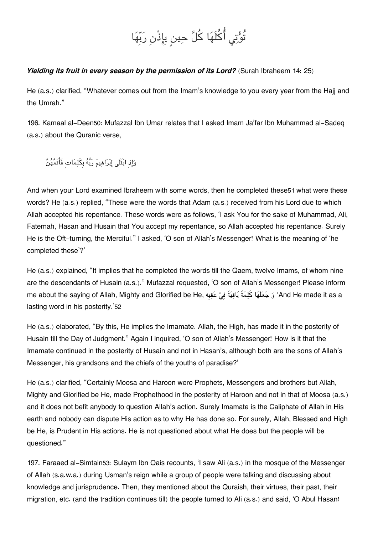# تُوْتِي أُكُلَهَا كُلَّ حِينِ بِإِذْنِ رَبِّهَا

### *Yielding its fruit in every season by the permission of its Lord?* (Surah Ibraheem 14: 25)

He (a.s.) clarified, "Whatever comes out from the Imam's knowledge to you every year from the Hajj and the Umrah."

196. Kamaal al-Deen[50](#page--1-0): Mufazzal Ibn Umar relates that I asked Imam Ja'far Ibn Muhammad al-Sadeq (a.s.) about the Quranic verse,

وَإِذِ ابْتَلَى إِبْرَاهِيمَ رَبُّهُ بِكَلِمَاتٍ فَأَتَمَّهُنَّ

And when your Lord examined Ibraheem with some words, then he completed these[51](#page--1-0) what were these words? He (a.s.) replied, "These were the words that Adam (a.s.) received from his Lord due to which Allah accepted his repentance. These words were as follows, 'I ask You for the sake of Muhammad, Ali, Fatemah, Hasan and Husain that You accept my repentance, so Allah accepted his repentance. Surely He is the Oft-turning, the Merciful." I asked, 'O son of Allah's Messenger! What is the meaning of 'he completed these'?'

He (a.s.) explained, "It implies that he completed the words till the Qaem, twelve Imams, of whom nine are the descendants of Husain (a.s.)." Mufazzal requested, 'O son of Allah's Messenger! Please inform me about the saying of Allah, Mighty and Glorified be He, وَجَعَلَهَا كَلِمَةً بَاقِيَةً فِيْ عَقِبه عَلهَا هَ lasting word in his posterity.'[52](#page--1-0)

He (a.s.) elaborated, "By this, He implies the Imamate. Allah, the High, has made it in the posterity of Husain till the Day of Judgment." Again I inquired, 'O son of Allah's Messenger! How is it that the Imamate continued in the posterity of Husain and not in Hasan's, although both are the sons of Allah's Messenger, his grandsons and the chiefs of the youths of paradise?'

He (a.s.) clarified, "Certainly Moosa and Haroon were Prophets, Messengers and brothers but Allah, Mighty and Glorified be He, made Prophethood in the posterity of Haroon and not in that of Moosa (a.s.) and it does not befit anybody to question Allah's action. Surely Imamate is the Caliphate of Allah in His earth and nobody can dispute His action as to why He has done so. For surely, Allah, Blessed and High be He, is Prudent in His actions. He is not questioned about what He does but the people will be questioned."

197. Faraaed al-Simtain[53](#page--1-0): Sulaym Ibn Qais recounts, 'I saw Ali (a.s.) in the mosque of the Messenger of Allah (s.a.w.a.) during Usman's reign while a group of people were talking and discussing about knowledge and jurisprudence. Then, they mentioned about the Quraish, their virtues, their past, their migration, etc. (and the tradition continues till) the people turned to Ali (a.s.) and said, 'O Abul Hasan!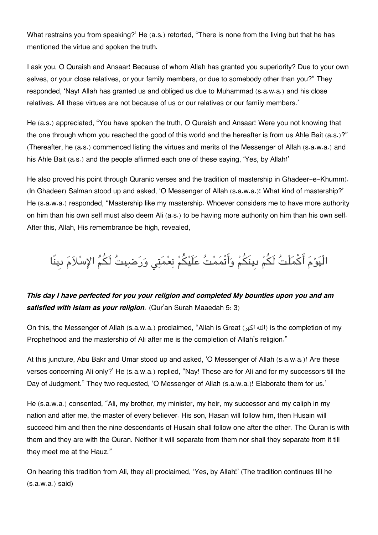What restrains you from speaking?' He (a.s.) retorted, "There is none from the living but that he has mentioned the virtue and spoken the truth.

I ask you, O Quraish and Ansaar! Because of whom Allah has granted you superiority? Due to your own selves, or your close relatives, or your family members, or due to somebody other than you?" They responded, 'Nay! Allah has granted us and obliged us due to Muhammad (s.a.w.a.) and his close relatives. All these virtues are not because of us or our relatives or our family members.'

He (a.s.) appreciated, "You have spoken the truth, O Quraish and Ansaar! Were you not knowing that the one through whom you reached the good of this world and the hereafter is from us Ahle Bait (a.s.)?" (Thereafter, he (a.s.) commenced listing the virtues and merits of the Messenger of Allah (s.a.w.a.) and his Ahle Bait (a.s.) and the people affirmed each one of these saying, 'Yes, by Allah!'

He also proved his point through Quranic verses and the tradition of mastership in Ghadeer-e-Khumm). (In Ghadeer) Salman stood up and asked, 'O Messenger of Allah (s.a.w.a.)! What kind of mastership?' He (s.a.w.a.) responded, "Mastership like my mastership. Whoever considers me to have more authority on him than his own self must also deem Ali (a.s.) to be having more authority on him than his own self. After this, Allah, His remembrance be high, revealed,

الْيَوْمَ أَكْمَلْتُ لَكُمْ دِينَكُمْ وَأَتْمَمْتُ عَلَيْكُمْ نِعْمَتِي وَرَضبِيتُ لَكُمُ الإِسْلاَمَ دِينًا

# *This day I have perfected for you your religion and completed My bounties upon you and am satisfied with Islam as your religion.* (Qur'an Surah Maaedah 5: 3)

On this, the Messenger of Allah (s.a.w.a.) proclaimed, "Allah is Great (اكبر هال (is the completion of my Prophethood and the mastership of Ali after me is the completion of Allah's religion."

At this juncture, Abu Bakr and Umar stood up and asked, 'O Messenger of Allah (s.a.w.a.)! Are these verses concerning Ali only?' He (s.a.w.a.) replied, "Nay! These are for Ali and for my successors till the Day of Judgment." They two requested, 'O Messenger of Allah (s.a.w.a.)! Elaborate them for us.'

He (s.a.w.a.) consented, "Ali, my brother, my minister, my heir, my successor and my caliph in my nation and after me, the master of every believer. His son, Hasan will follow him, then Husain will succeed him and then the nine descendants of Husain shall follow one after the other. The Quran is with them and they are with the Quran. Neither it will separate from them nor shall they separate from it till they meet me at the Hauz."

On hearing this tradition from Ali, they all proclaimed, 'Yes, by Allah!' (The tradition continues till he  $(s.a.w.a.)$  said)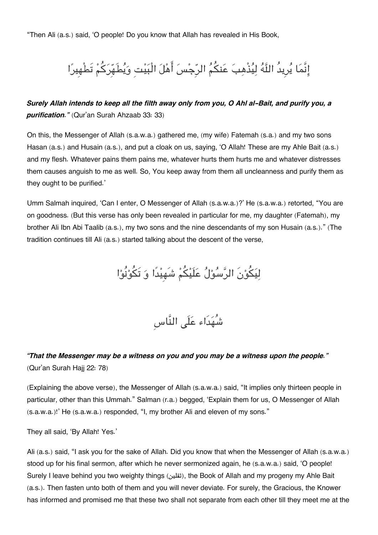"Then Ali (a.s.) said, 'O people! Do you know that Allah has revealed in His Book,

# إِنَّمَا يُرِيدُ اللَّهُ لِيُذْهِبَ عَنكُمُ الرِّجْسَ أَهْلَ الْبَيْتِ وَيُطَهِّرَكُمْ تَطْهِيرًا

## *Surely Allah intends to keep all the filth away only from you, O Ahl al-Bait, and purify you, a purification."* (Qur'an Surah Ahzaab 33: 33)

On this, the Messenger of Allah (s.a.w.a.) gathered me, (my wife) Fatemah (s.a.) and my two sons Hasan (a.s.) and Husain (a.s.), and put a cloak on us, saying, 'O Allah! These are my Ahle Bait (a.s.) and my flesh. Whatever pains them pains me, whatever hurts them hurts me and whatever distresses them causes anguish to me as well. So, You keep away from them all uncleanness and purify them as they ought to be purified.'

Umm Salmah inquired, 'Can I enter, O Messenger of Allah (s.a.w.a.)?' He (s.a.w.a.) retorted, "You are on goodness. (But this verse has only been revealed in particular for me, my daughter (Fatemah), my brother Ali Ibn Abi Taalib (a.s.), my two sons and the nine descendants of my son Husain (a.s.)." (The tradition continues till Ali (a.s.) started talking about the descent of the verse,

لِيَكُوْنَ الرَّسُوْلُ عَلَيْكُمْ شَهِيْدًا وَ تَكُوْنُوْا

شُهدَاء علَ النَّاسِ

## *"That the Messenger may be a witness on you and you may be a witness upon the people."* (Qur'an Surah Hajj 22: 78)

(Explaining the above verse), the Messenger of Allah (s.a.w.a.) said, "It implies only thirteen people in particular, other than this Ummah." Salman (r.a.) begged, 'Explain them for us, O Messenger of Allah (s.a.w.a.)!' He (s.a.w.a.) responded, "I, my brother Ali and eleven of my sons."

They all said, 'By Allah! Yes.'

Ali (a.s.) said, "I ask you for the sake of Allah. Did you know that when the Messenger of Allah (s.a.w.a.) stood up for his final sermon, after which he never sermonized again, he (s.a.w.a.) said, 'O people! Surely I leave behind you two weighty things (tially ), the Book of Allah and my progeny my Ahle Bait (a.s.). Then fasten unto both of them and you will never deviate. For surely, the Gracious, the Knower has informed and promised me that these two shall not separate from each other till they meet me at the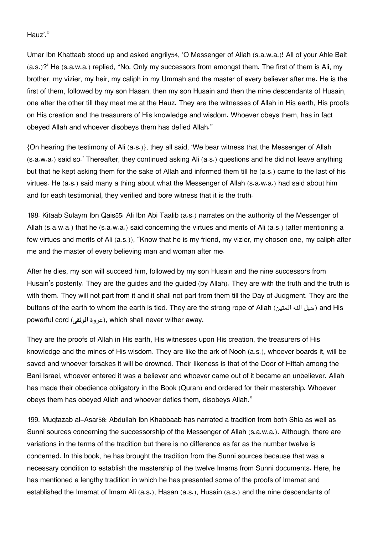Hauz'."

Umar Ibn Khattaab stood up and asked angrily[54](#page--1-0), 'O Messenger of Allah (s.a.w.a.)! All of your Ahle Bait (a.s.)?' He (s.a.w.a.) replied, "No. Only my successors from amongst them. The first of them is Ali, my brother, my vizier, my heir, my caliph in my Ummah and the master of every believer after me. He is the first of them, followed by my son Hasan, then my son Husain and then the nine descendants of Husain, one after the other till they meet me at the Hauz. They are the witnesses of Allah in His earth, His proofs on His creation and the treasurers of His knowledge and wisdom. Whoever obeys them, has in fact obeyed Allah and whoever disobeys them has defied Allah."

{On hearing the testimony of Ali (a.s.)}, they all said, 'We bear witness that the Messenger of Allah (s.a.w.a.) said so.' Thereafter, they continued asking Ali (a.s.) questions and he did not leave anything but that he kept asking them for the sake of Allah and informed them till he (a.s.) came to the last of his virtues. He (a.s.) said many a thing about what the Messenger of Allah (s.a.w.a.) had said about him and for each testimonial, they verified and bore witness that it is the truth.

198. Kitaab Sulaym Ibn Qais[55](#page--1-0): Ali Ibn Abi Taalib (a.s.) narrates on the authority of the Messenger of Allah (s.a.w.a.) that he (s.a.w.a.) said concerning the virtues and merits of Ali (a.s.) (after mentioning a few virtues and merits of Ali (a.s.)), "Know that he is my friend, my vizier, my chosen one, my caliph after me and the master of every believing man and woman after me.

After he dies, my son will succeed him, followed by my son Husain and the nine successors from Husain's posterity. They are the guides and the guided (by Allah). They are with the truth and the truth is with them. They will not part from it and it shall not part from them till the Day of Judgment. They are the buttons of the earth to whom the earth is tied. They are the strong rope of Allah (حبل الله المتين) and His powerful cord (عروة الوثقى), which shall never wither away.

They are the proofs of Allah in His earth, His witnesses upon His creation, the treasurers of His knowledge and the mines of His wisdom. They are like the ark of Nooh (a.s.), whoever boards it, will be saved and whoever forsakes it will be drowned. Their likeness is that of the Door of Hittah among the Bani Israel, whoever entered it was a believer and whoever came out of it became an unbeliever. Allah has made their obedience obligatory in the Book (Quran) and ordered for their mastership. Whoever obeys them has obeyed Allah and whoever defies them, disobeys Allah."

199. Muqtazab al-Asar[56](#page--1-0): Abdullah Ibn Khabbaab has narrated a tradition from both Shia as well as Sunni sources concerning the successorship of the Messenger of Allah (s.a.w.a.). Although, there are variations in the terms of the tradition but there is no difference as far as the number twelve is concerned. In this book, he has brought the tradition from the Sunni sources because that was a necessary condition to establish the mastership of the twelve Imams from Sunni documents. Here, he has mentioned a lengthy tradition in which he has presented some of the proofs of Imamat and established the Imamat of Imam Ali (a.s.), Hasan (a.s.), Husain (a.s.) and the nine descendants of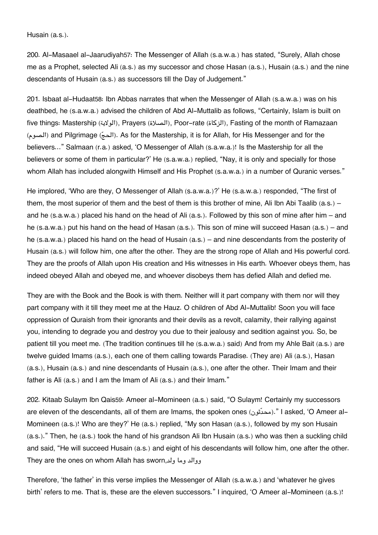Husain (a.s.).

200. Al-Masaael al-Jaarudiyah[57](#page--1-0): The Messenger of Allah (s.a.w.a.) has stated, "Surely, Allah chose me as a Prophet, selected Ali (a.s.) as my successor and chose Hasan (a.s.), Husain (a.s.) and the nine descendants of Husain (a.s.) as successors till the Day of Judgement."

201. Isbaat al-Hudaat[58](#page--1-0): Ibn Abbas narrates that when the Messenger of Allah (s.a.w.a.) was on his deathbed, he (s.a.w.a.) advised the children of Abd Al-Muttalib as follows, "Certainly, Islam is built on five things: Mastership (الولاية), Prayers (الصلاة), Poor-rate (الزكاة), Fasting of the month of Ramazaan (الحج) and Pilgrimage ( $\leftarrow$ الحج). As for the Mastership, it is for Allah, for His Messenger and for the believers…" Salmaan (r.a.) asked, 'O Messenger of Allah (s.a.w.a.)! Is the Mastership for all the believers or some of them in particular?' He (s.a.w.a.) replied, "Nay, it is only and specially for those whom Allah has included alongwith Himself and His Prophet (s.a.w.a.) in a number of Quranic verses."

He implored, 'Who are they, O Messenger of Allah (s.a.w.a.)?' He (s.a.w.a.) responded, "The first of them, the most superior of them and the best of them is this brother of mine, Ali Ibn Abi Taalib (a.s.) – and he (s.a.w.a.) placed his hand on the head of Ali (a.s.). Followed by this son of mine after him – and he (s.a.w.a.) put his hand on the head of Hasan (a.s.). This son of mine will succeed Hasan (a.s.) – and he (s.a.w.a.) placed his hand on the head of Husain (a.s.) – and nine descendants from the posterity of Husain (a.s.) will follow him, one after the other. They are the strong rope of Allah and His powerful cord. They are the proofs of Allah upon His creation and His witnesses in His earth. Whoever obeys them, has indeed obeyed Allah and obeyed me, and whoever disobeys them has defied Allah and defied me.

They are with the Book and the Book is with them. Neither will it part company with them nor will they part company with it till they meet me at the Hauz. O children of Abd Al-Muttalib! Soon you will face oppression of Quraish from their ignorants and their devils as a revolt, calamity, their rallying against you, intending to degrade you and destroy you due to their jealousy and sedition against you. So, be patient till you meet me. (The tradition continues till he (s.a.w.a.) said) And from my Ahle Bait (a.s.) are twelve guided Imams (a.s.), each one of them calling towards Paradise. (They are) Ali (a.s.), Hasan (a.s.), Husain (a.s.) and nine descendants of Husain (a.s.), one after the other. Their Imam and their father is Ali (a.s.) and I am the Imam of Ali (a.s.) and their Imam."

202. Kitaab Sulaym Ibn Qais[59](#page--1-0): Ameer al-Momineen (a.s.) said, "O Sulaym! Certainly my successors are eleven of the descendants, all of them are Imams, the spoken ones (محدّثون)." I asked, 'O Ameer al-Momineen (a.s.)! Who are they?' He (a.s.) replied, "My son Hasan (a.s.), followed by my son Husain (a.s.)." Then, he (a.s.) took the hand of his grandson Ali Ibn Husain (a.s.) who was then a suckling child and said, "He will succeed Husain (a.s.) and eight of his descendants will follow him, one after the other. They are the ones on whom Allah has sworn,ولد وما ووالد

Therefore, 'the father' in this verse implies the Messenger of Allah (s.a.w.a.) and 'whatever he gives birth' refers to me. That is, these are the eleven successors." I inquired, 'O Ameer al-Momineen (a.s.)!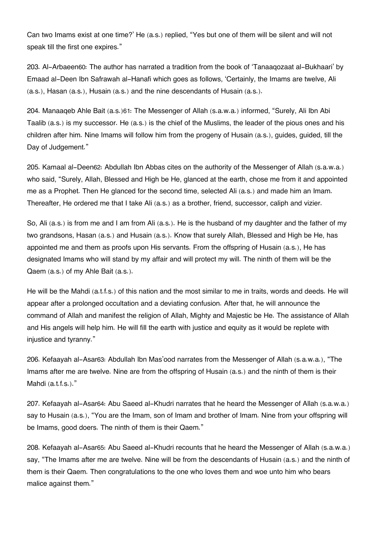Can two Imams exist at one time?' He (a.s.) replied, "Yes but one of them will be silent and will not speak till the first one expires."

203. Al-Arbaeen[60](#page--1-0): The author has narrated a tradition from the book of 'Tanaaqozaat al-Bukhaari' by Emaad al-Deen Ibn Safrawah al-Hanafi which goes as follows, 'Certainly, the Imams are twelve, Ali (a.s.), Hasan (a.s.), Husain (a.s.) and the nine descendants of Husain (a.s.).

204. Manaaqeb Ahle Bait (a.s.)[61](#page--1-0): The Messenger of Allah (s.a.w.a.) informed, "Surely, Ali Ibn Abi Taalib (a.s.) is my successor. He (a.s.) is the chief of the Muslims, the leader of the pious ones and his children after him. Nine Imams will follow him from the progeny of Husain (a.s.), guides, guided, till the Day of Judgement."

205. Kamaal al-Deen[62](#page--1-0): Abdullah Ibn Abbas cites on the authority of the Messenger of Allah (s.a.w.a.) who said, "Surely, Allah, Blessed and High be He, glanced at the earth, chose me from it and appointed me as a Prophet. Then He glanced for the second time, selected Ali (a.s.) and made him an Imam. Thereafter, He ordered me that I take Ali (a.s.) as a brother, friend, successor, caliph and vizier.

So, Ali (a.s.) is from me and I am from Ali (a.s.). He is the husband of my daughter and the father of my two grandsons, Hasan (a.s.) and Husain (a.s.). Know that surely Allah, Blessed and High be He, has appointed me and them as proofs upon His servants. From the offspring of Husain (a.s.), He has designated Imams who will stand by my affair and will protect my will. The ninth of them will be the Qaem (a.s.) of my Ahle Bait (a.s.).

He will be the Mahdi (a.t.f.s.) of this nation and the most similar to me in traits, words and deeds. He will appear after a prolonged occultation and a deviating confusion. After that, he will announce the command of Allah and manifest the religion of Allah, Mighty and Majestic be He. The assistance of Allah and His angels will help him. He will fill the earth with justice and equity as it would be replete with injustice and tyranny."

206. Kefaayah al-Asar[63](#page--1-0): Abdullah Ibn Mas'ood narrates from the Messenger of Allah (s.a.w.a.), "The Imams after me are twelve. Nine are from the offspring of Husain (a.s.) and the ninth of them is their Mahdi (a.t.f.s.)."

207. Kefaayah al-Asar[64](#page--1-0): Abu Saeed al-Khudri narrates that he heard the Messenger of Allah (s.a.w.a.) say to Husain (a.s.), "You are the Imam, son of Imam and brother of Imam. Nine from your offspring will be Imams, good doers. The ninth of them is their Qaem."

208. Kefaayah al-Asar[65](#page--1-0): Abu Saeed al-Khudri recounts that he heard the Messenger of Allah (s.a.w.a.) say, "The Imams after me are twelve. Nine will be from the descendants of Husain (a.s.) and the ninth of them is their Qaem. Then congratulations to the one who loves them and woe unto him who bears malice against them."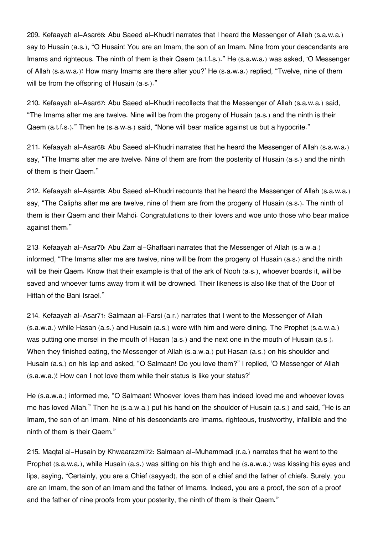209. Kefaayah al-Asar[66](#page--1-0): Abu Saeed al-Khudri narrates that I heard the Messenger of Allah (s.a.w.a.) say to Husain (a.s.), "O Husain! You are an Imam, the son of an Imam. Nine from your descendants are Imams and righteous. The ninth of them is their Qaem (a.t.f.s.)." He (s.a.w.a.) was asked, 'O Messenger of Allah (s.a.w.a.)! How many Imams are there after you?' He (s.a.w.a.) replied, "Twelve, nine of them will be from the offspring of Husain (a.s.)."

210. Kefaayah al-Asar[67](#page--1-0): Abu Saeed al-Khudri recollects that the Messenger of Allah (s.a.w.a.) said, "The Imams after me are twelve. Nine will be from the progeny of Husain (a.s.) and the ninth is their Qaem (a.t.f.s.)." Then he (s.a.w.a.) said, "None will bear malice against us but a hypocrite."

211. Kefaayah al-Asar[68](#page--1-0): Abu Saeed al-Khudri narrates that he heard the Messenger of Allah (s.a.w.a.) say, "The Imams after me are twelve. Nine of them are from the posterity of Husain (a.s.) and the ninth of them is their Qaem."

212. Kefaayah al-Asar[69](#page--1-0): Abu Saeed al-Khudri recounts that he heard the Messenger of Allah (s.a.w.a.) say, "The Caliphs after me are twelve, nine of them are from the progeny of Husain (a.s.). The ninth of them is their Qaem and their Mahdi. Congratulations to their lovers and woe unto those who bear malice against them."

213. Kefaayah al-Asar[70](#page--1-0): Abu Zarr al-Ghaffaari narrates that the Messenger of Allah (s.a.w.a.) informed, "The Imams after me are twelve, nine will be from the progeny of Husain (a.s.) and the ninth will be their Qaem. Know that their example is that of the ark of Nooh (a.s.), whoever boards it, will be saved and whoever turns away from it will be drowned. Their likeness is also like that of the Door of Hittah of the Bani Israel."

214. Kefaayah al-Asar[71](#page--1-0): Salmaan al-Farsi (a.r.) narrates that I went to the Messenger of Allah (s.a.w.a.) while Hasan (a.s.) and Husain (a.s.) were with him and were dining. The Prophet (s.a.w.a.) was putting one morsel in the mouth of Hasan (a.s.) and the next one in the mouth of Husain (a.s.). When they finished eating, the Messenger of Allah (s.a.w.a.) put Hasan (a.s.) on his shoulder and Husain (a.s.) on his lap and asked, "O Salmaan! Do you love them?" I replied, 'O Messenger of Allah (s.a.w.a.)! How can I not love them while their status is like your status?'

He (s.a.w.a.) informed me, "O Salmaan! Whoever loves them has indeed loved me and whoever loves me has loved Allah." Then he (s.a.w.a.) put his hand on the shoulder of Husain (a.s.) and said, "He is an Imam, the son of an Imam. Nine of his descendants are Imams, righteous, trustworthy, infallible and the ninth of them is their Qaem."

215. Maqtal al-Husain by Khwaarazmi[72](#page--1-0): Salmaan al-Muhammadi (r.a.) narrates that he went to the Prophet (s.a.w.a.), while Husain (a.s.) was sitting on his thigh and he (s.a.w.a.) was kissing his eyes and lips, saying, "Certainly, you are a Chief (sayyad), the son of a chief and the father of chiefs. Surely, you are an Imam, the son of an Imam and the father of Imams. Indeed, you are a proof, the son of a proof and the father of nine proofs from your posterity, the ninth of them is their Qaem."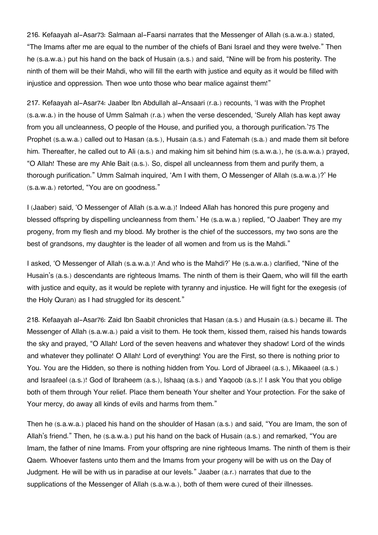216. Kefaayah al-Asar[73](#page--1-0): Salmaan al-Faarsi narrates that the Messenger of Allah (s.a.w.a.) stated, "The Imams after me are equal to the number of the chiefs of Bani Israel and they were twelve." Then he (s.a.w.a.) put his hand on the back of Husain (a.s.) and said, "Nine will be from his posterity. The ninth of them will be their Mahdi, who will fill the earth with justice and equity as it would be filled with injustice and oppression. Then woe unto those who bear malice against them!"

217. Kefaayah al-Asar[74](#page--1-0): Jaaber Ibn Abdullah al-Ansaari (r.a.) recounts, 'I was with the Prophet (s.a.w.a.) in the house of Umm Salmah (r.a.) when the verse descended, 'Surely Allah has kept away from you all uncleanness, O people of the House, and purified you, a thorough purification.'[75](#page--1-0) The Prophet (s.a.w.a.) called out to Hasan (a.s.), Husain (a.s.) and Fatemah (s.a.) and made them sit before him. Thereafter, he called out to Ali (a.s.) and making him sit behind him (s.a.w.a.), he (s.a.w.a.) prayed, "O Allah! These are my Ahle Bait (a.s.). So, dispel all uncleanness from them and purify them, a thorough purification." Umm Salmah inquired, 'Am I with them, O Messenger of Allah (s.a.w.a.)?' He (s.a.w.a.) retorted, "You are on goodness."

I (Jaaber) said, 'O Messenger of Allah (s.a.w.a.)! Indeed Allah has honored this pure progeny and blessed offspring by dispelling uncleanness from them.' He (s.a.w.a.) replied, "O Jaaber! They are my progeny, from my flesh and my blood. My brother is the chief of the successors, my two sons are the best of grandsons, my daughter is the leader of all women and from us is the Mahdi."

I asked, 'O Messenger of Allah (s.a.w.a.)! And who is the Mahdi?' He (s.a.w.a.) clarified, "Nine of the Husain's (a.s.) descendants are righteous Imams. The ninth of them is their Qaem, who will fill the earth with justice and equity, as it would be replete with tyranny and injustice. He will fight for the exegesis (of the Holy Quran) as I had struggled for its descent."

218. Kefaayah al-Asar[76](#page--1-0): Zaid Ibn Saabit chronicles that Hasan (a.s.) and Husain (a.s.) became ill. The Messenger of Allah (s.a.w.a.) paid a visit to them. He took them, kissed them, raised his hands towards the sky and prayed, "O Allah! Lord of the seven heavens and whatever they shadow! Lord of the winds and whatever they pollinate! O Allah! Lord of everything! You are the First, so there is nothing prior to You. You are the Hidden, so there is nothing hidden from You. Lord of Jibraeel (a.s.), Mikaaeel (a.s.) and Israafeel (a.s.)! God of Ibraheem (a.s.), Ishaaq (a.s.) and Yaqoob (a.s.)! I ask You that you oblige both of them through Your relief. Place them beneath Your shelter and Your protection. For the sake of Your mercy, do away all kinds of evils and harms from them."

Then he (s.a.w.a.) placed his hand on the shoulder of Hasan (a.s.) and said, "You are Imam, the son of Allah's friend." Then, he (s.a.w.a.) put his hand on the back of Husain (a.s.) and remarked, "You are Imam, the father of nine Imams. From your offspring are nine righteous Imams. The ninth of them is their Qaem. Whoever fastens unto them and the Imams from your progeny will be with us on the Day of Judgment. He will be with us in paradise at our levels." Jaaber (a.r.) narrates that due to the supplications of the Messenger of Allah (s.a.w.a.), both of them were cured of their illnesses.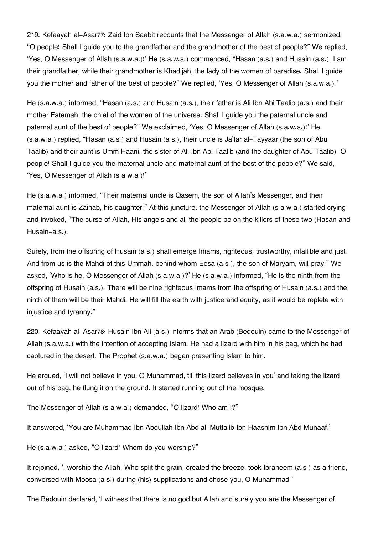219. Kefaayah al-Asar[77](#page--1-0): Zaid Ibn Saabit recounts that the Messenger of Allah (s.a.w.a.) sermonized, "O people! Shall I guide you to the grandfather and the grandmother of the best of people?" We replied, 'Yes, O Messenger of Allah (s.a.w.a.)!' He (s.a.w.a.) commenced, "Hasan (a.s.) and Husain (a.s.), I am their grandfather, while their grandmother is Khadijah, the lady of the women of paradise. Shall I guide you the mother and father of the best of people?" We replied, 'Yes, O Messenger of Allah (s.a.w.a.).'

He (s.a.w.a.) informed, "Hasan (a.s.) and Husain (a.s.), their father is Ali Ibn Abi Taalib (a.s.) and their mother Fatemah, the chief of the women of the universe. Shall I guide you the paternal uncle and paternal aunt of the best of people?" We exclaimed, 'Yes, O Messenger of Allah (s.a.w.a.)!' He (s.a.w.a.) replied, "Hasan (a.s.) and Husain (a.s.), their uncle is Ja'far al-Tayyaar (the son of Abu Taalib) and their aunt is Umm Haani, the sister of Ali Ibn Abi Taalib (and the daughter of Abu Taalib). O people! Shall I guide you the maternal uncle and maternal aunt of the best of the people?" We said, 'Yes, O Messenger of Allah (s.a.w.a.)!'

He (s.a.w.a.) informed, "Their maternal uncle is Qasem, the son of Allah's Messenger, and their maternal aunt is Zainab, his daughter." At this juncture, the Messenger of Allah (s.a.w.a.) started crying and invoked, "The curse of Allah, His angels and all the people be on the killers of these two (Hasan and Husain-a.s.).

Surely, from the offspring of Husain (a.s.) shall emerge Imams, righteous, trustworthy, infallible and just. And from us is the Mahdi of this Ummah, behind whom Eesa (a.s.), the son of Maryam, will pray." We asked, 'Who is he, O Messenger of Allah (s.a.w.a.)?' He (s.a.w.a.) informed, "He is the ninth from the offspring of Husain (a.s.). There will be nine righteous Imams from the offspring of Husain (a.s.) and the ninth of them will be their Mahdi. He will fill the earth with justice and equity, as it would be replete with injustice and tyranny."

220. Kefaayah al-Asar[78](#page--1-0): Husain Ibn Ali (a.s.) informs that an Arab (Bedouin) came to the Messenger of Allah (s.a.w.a.) with the intention of accepting Islam. He had a lizard with him in his bag, which he had captured in the desert. The Prophet (s.a.w.a.) began presenting Islam to him.

He argued, 'I will not believe in you, O Muhammad, till this lizard believes in you' and taking the lizard out of his bag, he flung it on the ground. It started running out of the mosque.

The Messenger of Allah (s.a.w.a.) demanded, "O lizard! Who am I?"

It answered, 'You are Muhammad Ibn Abdullah Ibn Abd al-Muttalib Ibn Haashim Ibn Abd Munaaf.'

He (s.a.w.a.) asked, "O lizard! Whom do you worship?"

It rejoined, 'I worship the Allah, Who split the grain, created the breeze, took Ibraheem (a.s.) as a friend, conversed with Moosa (a.s.) during (his) supplications and chose you, O Muhammad.'

The Bedouin declared, 'I witness that there is no god but Allah and surely you are the Messenger of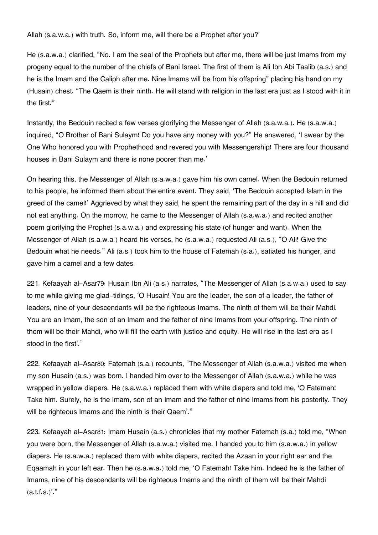Allah (s.a.w.a.) with truth. So, inform me, will there be a Prophet after you?'

He (s.a.w.a.) clarified, "No. I am the seal of the Prophets but after me, there will be just Imams from my progeny equal to the number of the chiefs of Bani Israel. The first of them is Ali Ibn Abi Taalib (a.s.) and he is the Imam and the Caliph after me. Nine Imams will be from his offspring" placing his hand on my (Husain) chest. "The Qaem is their ninth. He will stand with religion in the last era just as I stood with it in the first."

Instantly, the Bedouin recited a few verses glorifying the Messenger of Allah (s.a.w.a.). He (s.a.w.a.) inquired, "O Brother of Bani Sulaym! Do you have any money with you?" He answered, 'I swear by the One Who honored you with Prophethood and revered you with Messengership! There are four thousand houses in Bani Sulaym and there is none poorer than me.'

On hearing this, the Messenger of Allah (s.a.w.a.) gave him his own camel. When the Bedouin returned to his people, he informed them about the entire event. They said, 'The Bedouin accepted Islam in the greed of the camel!' Aggrieved by what they said, he spent the remaining part of the day in a hill and did not eat anything. On the morrow, he came to the Messenger of Allah (s.a.w.a.) and recited another poem glorifying the Prophet (s.a.w.a.) and expressing his state (of hunger and want). When the Messenger of Allah (s.a.w.a.) heard his verses, he (s.a.w.a.) requested Ali (a.s.), "O Ali! Give the Bedouin what he needs." Ali (a.s.) took him to the house of Fatemah (s.a.), satiated his hunger, and gave him a camel and a few dates.

221. Kefaayah al-Asar[79](#page--1-0): Husain Ibn Ali (a.s.) narrates, "The Messenger of Allah (s.a.w.a.) used to say to me while giving me glad-tidings, 'O Husain! You are the leader, the son of a leader, the father of leaders, nine of your descendants will be the righteous Imams. The ninth of them will be their Mahdi. You are an Imam, the son of an Imam and the father of nine Imams from your offspring. The ninth of them will be their Mahdi, who will fill the earth with justice and equity. He will rise in the last era as I stood in the first'."

222. Kefaayah al-Asar[80](#page--1-0): Fatemah (s.a.) recounts, "The Messenger of Allah (s.a.w.a.) visited me when my son Husain (a.s.) was born. I handed him over to the Messenger of Allah (s.a.w.a.) while he was wrapped in yellow diapers. He (s.a.w.a.) replaced them with white diapers and told me, 'O Fatemah! Take him. Surely, he is the Imam, son of an Imam and the father of nine Imams from his posterity. They will be righteous Imams and the ninth is their Qaem<sup>'."</sup>

223. Kefaayah al-Asar[81](#page--1-0): Imam Husain (a.s.) chronicles that my mother Fatemah (s.a.) told me, "When you were born, the Messenger of Allah (s.a.w.a.) visited me. I handed you to him (s.a.w.a.) in yellow diapers. He (s.a.w.a.) replaced them with white diapers, recited the Azaan in your right ear and the Eqaamah in your left ear. Then he (s.a.w.a.) told me, 'O Fatemah! Take him. Indeed he is the father of Imams, nine of his descendants will be righteous Imams and the ninth of them will be their Mahdi  $(a.t.f.s.)$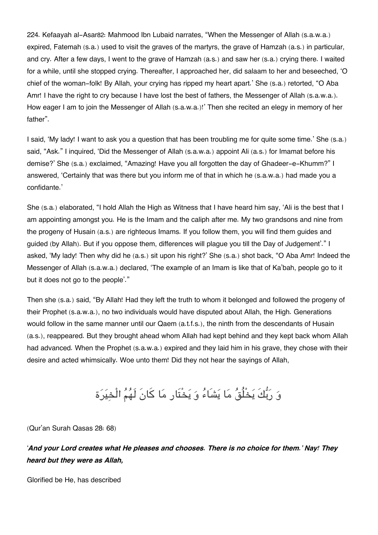224. Kefaayah al-Asar[82](#page--1-0): Mahmood Ibn Lubaid narrates, "When the Messenger of Allah (s.a.w.a.) expired, Fatemah (s.a.) used to visit the graves of the martyrs, the grave of Hamzah (a.s.) in particular, and cry. After a few days, I went to the grave of Hamzah (a.s.) and saw her (s.a.) crying there. I waited for a while, until she stopped crying. Thereafter, I approached her, did salaam to her and beseeched, 'O chief of the woman-folk! By Allah, your crying has ripped my heart apart.' She (s.a.) retorted, "O Aba Amr! I have the right to cry because I have lost the best of fathers, the Messenger of Allah (s.a.w.a.). How eager I am to join the Messenger of Allah (s.a.w.a.)!' Then she recited an elegy in memory of her father".

I said, 'My lady! I want to ask you a question that has been troubling me for quite some time.' She (s.a.) said, "Ask." I inquired, 'Did the Messenger of Allah (s.a.w.a.) appoint Ali (a.s.) for Imamat before his demise?' She (s.a.) exclaimed, "Amazing! Have you all forgotten the day of Ghadeer-e-Khumm?" I answered, 'Certainly that was there but you inform me of that in which he (s.a.w.a.) had made you a confidante.'

She (s.a.) elaborated, "I hold Allah the High as Witness that I have heard him say, 'Ali is the best that I am appointing amongst you. He is the Imam and the caliph after me. My two grandsons and nine from the progeny of Husain (a.s.) are righteous Imams. If you follow them, you will find them guides and guided (by Allah). But if you oppose them, differences will plague you till the Day of Judgement'." I asked, 'My lady! Then why did he (a.s.) sit upon his right?' She (s.a.) shot back, "O Aba Amr! Indeed the Messenger of Allah (s.a.w.a.) declared, 'The example of an Imam is like that of Ka'bah, people go to it but it does not go to the people'."

Then she (s.a.) said, "By Allah! Had they left the truth to whom it belonged and followed the progeny of their Prophet (s.a.w.a.), no two individuals would have disputed about Allah, the High. Generations would follow in the same manner until our Qaem (a.t.f.s.), the ninth from the descendants of Husain (a.s.), reappeared. But they brought ahead whom Allah had kept behind and they kept back whom Allah had advanced. When the Prophet (s.a.w.a.) expired and they laid him in his grave, they chose with their desire and acted whimsically. Woe unto them! Did they not hear the sayings of Allah,

# و ربكَ يخْلُق ما يشَاء و يخْتَار ما كانَ لَهم الْخيرة

(Qur'an Surah Qasas 28: 68)

'*And your Lord creates what He pleases and chooses. There is no choice for them.' Nay! They heard but they were as Allah,*

Glorified be He, has described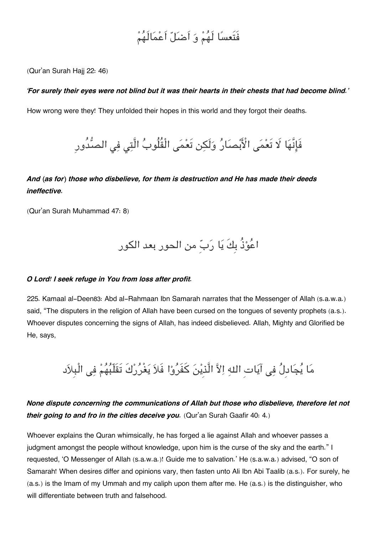# فَتَعسا لَهم و اَضل اَعمالَهم

(Qur'an Surah Hajj 22: 46)

#### *'For surely their eyes were not blind but it was their hearts in their chests that had become blind.'*

How wrong were they! They unfolded their hopes in this world and they forgot their deaths.

فَإِنَّهَا لَا تَعْمَى الْأَبْصَارُ وَلَكِن تَعْمَى الْقُلُوبُ الَّتِي فِي الصُّدُورِ

## *And (as for) those who disbelieve, for them is destruction and He has made their deeds ineffective.*

(Qur'an Surah Muhammad 47: 8)

اعوذُ بِكَ يا ربِ من الحور بعد الور

#### *O Lord! I seek refuge in You from loss after profit.*

225. Kamaal al-Deen[83](#page--1-0): Abd al-Rahmaan Ibn Samarah narrates that the Messenger of Allah (s.a.w.a.) said, "The disputers in the religion of Allah have been cursed on the tongues of seventy prophets (a.s.). Whoever disputes concerning the signs of Allah, has indeed disbelieved. Allah, Mighty and Glorified be He, says,

مَا يُجَادِلُ فِي آيَاتِ اللهِ اِلاَّ الَّذِيْنَ كَفَرُوْا فَلاَ يَغْرُرْكَ تَقَلَّبُهُمْ فِي الْبِلاَدِ

## *None dispute concerning the communications of Allah but those who disbelieve, therefore let not their going to and fro in the cities deceive you.* (Qur'an Surah Gaafir 40: 4.)

Whoever explains the Quran whimsically, he has forged a lie against Allah and whoever passes a judgment amongst the people without knowledge, upon him is the curse of the sky and the earth." I requested, 'O Messenger of Allah (s.a.w.a.)! Guide me to salvation.' He (s.a.w.a.) advised, "O son of Samarah! When desires differ and opinions vary, then fasten unto Ali Ibn Abi Taalib (a.s.). For surely, he (a.s.) is the Imam of my Ummah and my caliph upon them after me. He (a.s.) is the distinguisher, who will differentiate between truth and falsehood.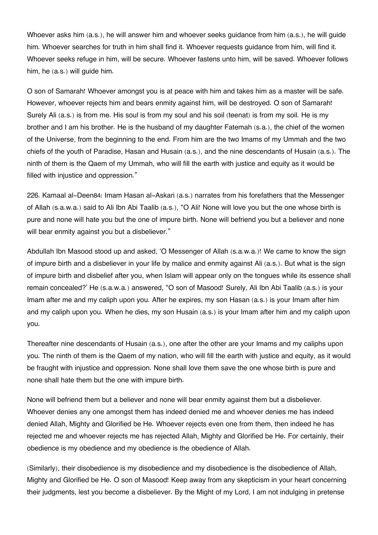Whoever asks him (a.s.), he will answer him and whoever seeks guidance from him (a.s.), he will guide him. Whoever searches for truth in him shall find it. Whoever requests guidance from him, will find it. Whoever seeks refuge in him, will be secure. Whoever fastens unto him, will be saved. Whoever follows him, he (a.s.) will guide him.

O son of Samarah! Whoever amongst you is at peace with him and takes him as a master will be safe. However, whoever rejects him and bears enmity against him, will be destroyed. O son of Samarah! Surely Ali (a.s.) is from me. His soul is from my soul and his soil (teenat) is from my soil. He is my brother and I am his brother. He is the husband of my daughter Fatemah (s.a.), the chief of the women of the Universe, from the beginning to the end. From him are the two Imams of my Ummah and the two chiefs of the youth of Paradise, Hasan and Husain (a.s.), and the nine descendants of Husain (a.s.). The ninth of them is the Qaem of my Ummah, who will fill the earth with justice and equity as it would be filled with injustice and oppression."

226. Kamaal al-Deen[84](#page--1-0): Imam Hasan al-Askari (a.s.) narrates from his forefathers that the Messenger of Allah (s.a.w.a.) said to Ali Ibn Abi Taalib (a.s.), "O Ali! None will love you but the one whose birth is pure and none will hate you but the one of impure birth. None will befriend you but a believer and none will bear enmity against you but a disbeliever."

Abdullah Ibn Masood stood up and asked, 'O Messenger of Allah (s.a.w.a.)! We came to know the sign of impure birth and a disbeliever in your life by malice and enmity against Ali (a.s.). But what is the sign of impure birth and disbelief after you, when Islam will appear only on the tongues while its essence shall remain concealed?' He (s.a.w.a.) answered, "O son of Masood! Surely, Ali Ibn Abi Taalib (a.s.) is your Imam after me and my caliph upon you. After he expires, my son Hasan (a.s.) is your Imam after him and my caliph upon you. When he dies, my son Husain (a.s.) is your Imam after him and my caliph upon you.

Thereafter nine descendants of Husain (a.s.), one after the other are your Imams and my caliphs upon you. The ninth of them is the Qaem of my nation, who will fill the earth with justice and equity, as it would be fraught with injustice and oppression. None shall love them save the one whose birth is pure and none shall hate them but the one with impure birth.

None will befriend them but a believer and none will bear enmity against them but a disbeliever. Whoever denies any one amongst them has indeed denied me and whoever denies me has indeed denied Allah, Mighty and Glorified be He. Whoever rejects even one from them, then indeed he has rejected me and whoever rejects me has rejected Allah, Mighty and Glorified be He. For certainly, their obedience is my obedience and my obedience is the obedience of Allah.

(Similarly), their disobedience is my disobedience and my disobedience is the disobedience of Allah, Mighty and Glorified be He. O son of Masood! Keep away from any skepticism in your heart concerning their judgments, lest you become a disbeliever. By the Might of my Lord, I am not indulging in pretense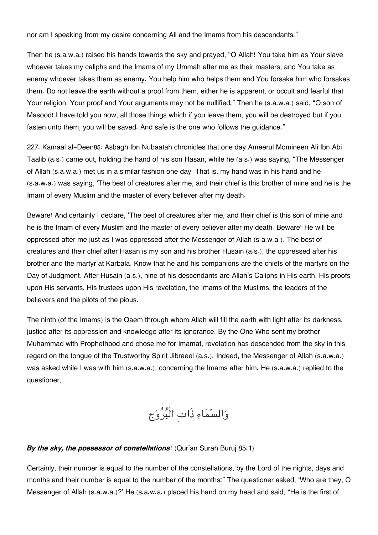nor am I speaking from my desire concerning Ali and the Imams from his descendants."

Then he (s.a.w.a.) raised his hands towards the sky and prayed, "O Allah! You take him as Your slave whoever takes my caliphs and the Imams of my Ummah after me as their masters, and You take as enemy whoever takes them as enemy. You help him who helps them and You forsake him who forsakes them. Do not leave the earth without a proof from them, either he is apparent, or occult and fearful that Your religion, Your proof and Your arguments may not be nullified." Then he (s.a.w.a.) said, "O son of Masood! I have told you now, all those things which if you leave them, you will be destroyed but if you fasten unto them, you will be saved. And safe is the one who follows the guidance."

227. Kamaal al-Deen[85](#page--1-0): Asbagh Ibn Nubaatah chronicles that one day Ameerul Momineen Ali Ibn Abi Taalib (a.s.) came out, holding the hand of his son Hasan, while he (a.s.) was saying, "The Messenger of Allah (s.a.w.a.) met us in a similar fashion one day. That is, my hand was in his hand and he (s.a.w.a.) was saying, 'The best of creatures after me, and their chief is this brother of mine and he is the Imam of every Muslim and the master of every believer after my death.

Beware! And certainly I declare, 'The best of creatures after me, and their chief is this son of mine and he is the Imam of every Muslim and the master of every believer after my death. Beware! He will be oppressed after me just as I was oppressed after the Messenger of Allah (s.a.w.a.). The best of creatures and their chief after Hasan is my son and his brother Husain (a.s.), the oppressed after his brother and the martyr at Karbala. Know that he and his companions are the chiefs of the martyrs on the Day of Judgment. After Husain (a.s.), nine of his descendants are Allah's Caliphs in His earth, His proofs upon His servants, His trustees upon His revelation, the Imams of the Muslims, the leaders of the believers and the pilots of the pious.

The ninth (of the Imams) is the Qaem through whom Allah will fill the earth with light after its darkness, justice after its oppression and knowledge after its ignorance. By the One Who sent my brother Muhammad with Prophethood and chose me for Imamat, revelation has descended from the sky in this regard on the tongue of the Trustworthy Spirit Jibraeel (a.s.). Indeed, the Messenger of Allah (s.a.w.a.) was asked while I was with him (s.a.w.a.), concerning the Imams after him. He (s.a.w.a.) replied to the questioner,

والسماء ذَاتِ الْبروج

### *By the sky, the possessor of constellations*! (Qur'an Surah Buruj 85:1)

Certainly, their number is equal to the number of the constellations, by the Lord of the nights, days and months and their number is equal to the number of the months!" The questioner asked, 'Who are they, O Messenger of Allah (s.a.w.a.)?' He (s.a.w.a.) placed his hand on my head and said, "He is the first of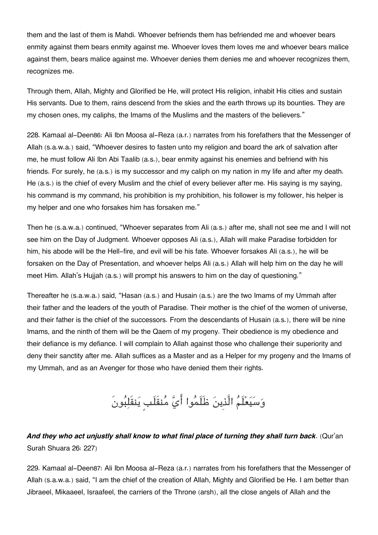them and the last of them is Mahdi. Whoever befriends them has befriended me and whoever bears enmity against them bears enmity against me. Whoever loves them loves me and whoever bears malice against them, bears malice against me. Whoever denies them denies me and whoever recognizes them, recognizes me.

Through them, Allah, Mighty and Glorified be He, will protect His religion, inhabit His cities and sustain His servants. Due to them, rains descend from the skies and the earth throws up its bounties. They are my chosen ones, my caliphs, the Imams of the Muslims and the masters of the believers."

228. Kamaal al-Deen[86](#page--1-0): Ali Ibn Moosa al-Reza (a.r.) narrates from his forefathers that the Messenger of Allah (s.a.w.a.) said, "Whoever desires to fasten unto my religion and board the ark of salvation after me, he must follow Ali Ibn Abi Taalib (a.s.), bear enmity against his enemies and befriend with his friends. For surely, he (a.s.) is my successor and my caliph on my nation in my life and after my death. He (a.s.) is the chief of every Muslim and the chief of every believer after me. His saying is my saying, his command is my command, his prohibition is my prohibition, his follower is my follower, his helper is my helper and one who forsakes him has forsaken me."

Then he (s.a.w.a.) continued, "Whoever separates from Ali (a.s.) after me, shall not see me and I will not see him on the Day of Judgment. Whoever opposes Ali (a.s.), Allah will make Paradise forbidden for him, his abode will be the Hell-fire, and evil will be his fate. Whoever forsakes Ali (a.s.), he will be forsaken on the Day of Presentation, and whoever helps Ali (a.s.) Allah will help him on the day he will meet Him. Allah's Hujjah (a.s.) will prompt his answers to him on the day of questioning."

Thereafter he (s.a.w.a.) said, "Hasan (a.s.) and Husain (a.s.) are the two Imams of my Ummah after their father and the leaders of the youth of Paradise. Their mother is the chief of the women of universe, and their father is the chief of the successors. From the descendants of Husain (a.s.), there will be nine Imams, and the ninth of them will be the Qaem of my progeny. Their obedience is my obedience and their defiance is my defiance. I will complain to Allah against those who challenge their superiority and deny their sanctity after me. Allah suffices as a Master and as a Helper for my progeny and the Imams of my Ummah, and as an Avenger for those who have denied them their rights.

وَسَيَعْلَمُ الَّذِينَ ظَلَمُوا أَيَّ مُنقَلَبٍ يَنقَلِبُونَ

# *And they who act unjustly shall know to what final place of turning they shall turn back*. (Qur'an Surah Shuara 26: 227)

229. Kamaal al-Deen[87](#page--1-0): Ali Ibn Moosa al-Reza (a.r.) narrates from his forefathers that the Messenger of Allah (s.a.w.a.) said, "I am the chief of the creation of Allah, Mighty and Glorified be He. I am better than Jibraeel, Mikaaeel, Israafeel, the carriers of the Throne (arsh), all the close angels of Allah and the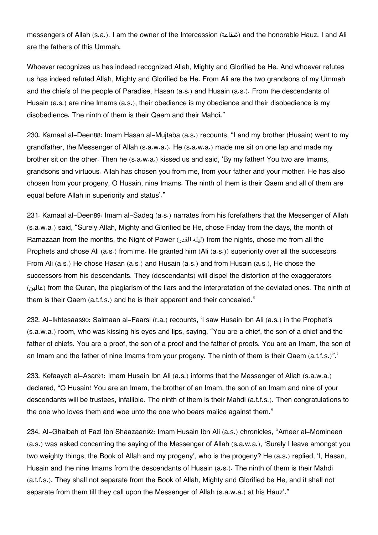messengers of Allah (s.a.). I am the owner of the Intercession (شفاعة (and the honorable Hauz. I and Ali are the fathers of this Ummah.

Whoever recognizes us has indeed recognized Allah, Mighty and Glorified be He. And whoever refutes us has indeed refuted Allah, Mighty and Glorified be He. From Ali are the two grandsons of my Ummah and the chiefs of the people of Paradise, Hasan (a.s.) and Husain (a.s.). From the descendants of Husain (a.s.) are nine Imams (a.s.), their obedience is my obedience and their disobedience is my disobedience. The ninth of them is their Qaem and their Mahdi."

230. Kamaal al-Deen[88](#page--1-0): Imam Hasan al-Mujtaba (a.s.) recounts, "I and my brother (Husain) went to my grandfather, the Messenger of Allah (s.a.w.a.). He (s.a.w.a.) made me sit on one lap and made my brother sit on the other. Then he (s.a.w.a.) kissed us and said, 'By my father! You two are Imams, grandsons and virtuous. Allah has chosen you from me, from your father and your mother. He has also chosen from your progeny, O Husain, nine Imams. The ninth of them is their Qaem and all of them are equal before Allah in superiority and status'."

231. Kamaal al-Deen[89](#page--1-0): Imam al-Sadeq (a.s.) narrates from his forefathers that the Messenger of Allah (s.a.w.a.) said, "Surely Allah, Mighty and Glorified be He, chose Friday from the days, the month of Ramazaan from the months, the Night of Power (الملة القدر) from the nights, chose me from all the Prophets and chose Ali (a.s.) from me. He granted him (Ali (a.s.)) superiority over all the successors. From Ali (a.s.) He chose Hasan (a.s.) and Husain (a.s.) and from Husain (a.s.), He chose the successors from his descendants. They (descendants) will dispel the distortion of the exaggerators (غالين (from the Quran, the plagiarism of the liars and the interpretation of the deviated ones. The ninth of them is their Qaem (a.t.f.s.) and he is their apparent and their concealed."

232. Al-Ikhtesaas[90](#page--1-0): Salmaan al-Faarsi (r.a.) recounts, 'I saw Husain Ibn Ali (a.s.) in the Prophet's (s.a.w.a.) room, who was kissing his eyes and lips, saying, "You are a chief, the son of a chief and the father of chiefs. You are a proof, the son of a proof and the father of proofs. You are an Imam, the son of an Imam and the father of nine Imams from your progeny. The ninth of them is their Qaem (a.t.f.s.)".'

233. Kefaayah al-Asar[91](#page--1-0): Imam Husain Ibn Ali (a.s.) informs that the Messenger of Allah (s.a.w.a.) declared, "O Husain! You are an Imam, the brother of an Imam, the son of an Imam and nine of your descendants will be trustees, infallible. The ninth of them is their Mahdi (a.t.f.s.). Then congratulations to the one who loves them and woe unto the one who bears malice against them."

234. Al-Ghaibah of Fazl Ibn Shaazaan[92](#page--1-0): Imam Husain Ibn Ali (a.s.) chronicles, "Ameer al-Momineen (a.s.) was asked concerning the saying of the Messenger of Allah (s.a.w.a.), 'Surely I leave amongst you two weighty things, the Book of Allah and my progeny', who is the progeny? He (a.s.) replied, 'I, Hasan, Husain and the nine Imams from the descendants of Husain (a.s.). The ninth of them is their Mahdi (a.t.f.s.). They shall not separate from the Book of Allah, Mighty and Glorified be He, and it shall not separate from them till they call upon the Messenger of Allah (s.a.w.a.) at his Hauz'."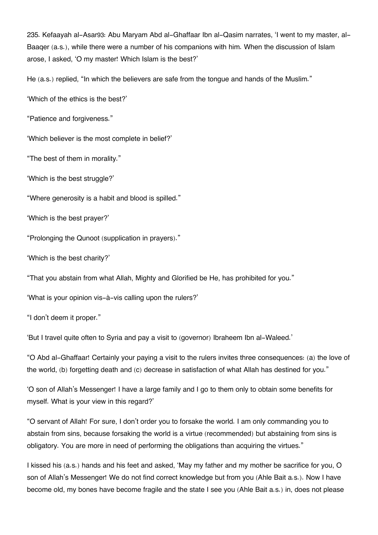235. Kefaayah al-Asar[93](#page--1-0): Abu Maryam Abd al-Ghaffaar Ibn al-Qasim narrates, 'I went to my master, al-Baaqer (a.s.), while there were a number of his companions with him. When the discussion of Islam arose, I asked, 'O my master! Which Islam is the best?'

He (a.s.) replied, "In which the believers are safe from the tongue and hands of the Muslim."

'Which of the ethics is the best?'

"Patience and forgiveness."

'Which believer is the most complete in belief?'

"The best of them in morality."

'Which is the best struggle?'

"Where generosity is a habit and blood is spilled."

'Which is the best prayer?'

"Prolonging the Qunoot (supplication in prayers)."

'Which is the best charity?'

"That you abstain from what Allah, Mighty and Glorified be He, has prohibited for you."

'What is your opinion vis-à-vis calling upon the rulers?'

"I don't deem it proper."

'But I travel quite often to Syria and pay a visit to (governor) Ibraheem Ibn al-Waleed.'

"O Abd al-Ghaffaar! Certainly your paying a visit to the rulers invites three consequences: (a) the love of the world, (b) forgetting death and (c) decrease in satisfaction of what Allah has destined for you."

'O son of Allah's Messenger! I have a large family and I go to them only to obtain some benefits for myself. What is your view in this regard?'

"O servant of Allah! For sure, I don't order you to forsake the world. I am only commanding you to abstain from sins, because forsaking the world is a virtue (recommended) but abstaining from sins is obligatory. You are more in need of performing the obligations than acquiring the virtues."

I kissed his (a.s.) hands and his feet and asked, 'May my father and my mother be sacrifice for you, O son of Allah's Messenger! We do not find correct knowledge but from you (Ahle Bait a.s.). Now I have become old, my bones have become fragile and the state I see you (Ahle Bait a.s.) in, does not please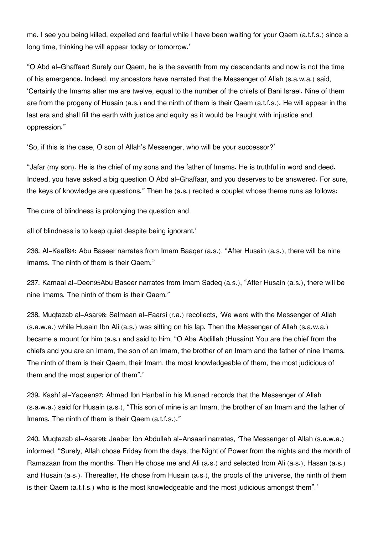me. I see you being killed, expelled and fearful while I have been waiting for your Qaem (a.t.f.s.) since a long time, thinking he will appear today or tomorrow.'

"O Abd al-Ghaffaar! Surely our Qaem, he is the seventh from my descendants and now is not the time of his emergence. Indeed, my ancestors have narrated that the Messenger of Allah (s.a.w.a.) said, 'Certainly the Imams after me are twelve, equal to the number of the chiefs of Bani Israel. Nine of them are from the progeny of Husain (a.s.) and the ninth of them is their Qaem (a.t.f.s.). He will appear in the last era and shall fill the earth with justice and equity as it would be fraught with injustice and oppression."

'So, if this is the case, O son of Allah's Messenger, who will be your successor?'

"Jafar (my son). He is the chief of my sons and the father of Imams. He is truthful in word and deed. Indeed, you have asked a big question O Abd al-Ghaffaar, and you deserves to be answered. For sure, the keys of knowledge are questions." Then he (a.s.) recited a couplet whose theme runs as follows:

The cure of blindness is prolonging the question and

all of blindness is to keep quiet despite being ignorant.'

236. Al-Kaafi[94](#page--1-0): Abu Baseer narrates from Imam Baaqer (a.s.), "After Husain (a.s.), there will be nine Imams. The ninth of them is their Qaem."

237. Kamaal al-Deen[95](#page--1-0)Abu Baseer narrates from Imam Sadeq (a.s.), "After Husain (a.s.), there will be nine Imams. The ninth of them is their Qaem."

238. Muqtazab al-Asar[96](#page--1-0): Salmaan al-Faarsi (r.a.) recollects, 'We were with the Messenger of Allah (s.a.w.a.) while Husain Ibn Ali (a.s.) was sitting on his lap. Then the Messenger of Allah (s.a.w.a.) became a mount for him (a.s.) and said to him, "O Aba Abdillah (Husain)! You are the chief from the chiefs and you are an Imam, the son of an Imam, the brother of an Imam and the father of nine Imams. The ninth of them is their Qaem, their Imam, the most knowledgeable of them, the most judicious of them and the most superior of them".'

239. Kashf al-Yaqeen[97](#page--1-0): Ahmad Ibn Hanbal in his Musnad records that the Messenger of Allah (s.a.w.a.) said for Husain (a.s.), "This son of mine is an Imam, the brother of an Imam and the father of Imams. The ninth of them is their Qaem (a.t.f.s.)."

240. Muqtazab al-Asar[98](#page--1-0): Jaaber Ibn Abdullah al-Ansaari narrates, 'The Messenger of Allah (s.a.w.a.) informed, "Surely, Allah chose Friday from the days, the Night of Power from the nights and the month of Ramazaan from the months. Then He chose me and Ali (a.s.) and selected from Ali (a.s.), Hasan (a.s.) and Husain (a.s.). Thereafter, He chose from Husain (a.s.), the proofs of the universe, the ninth of them is their Qaem (a.t.f.s.) who is the most knowledgeable and the most judicious amongst them".'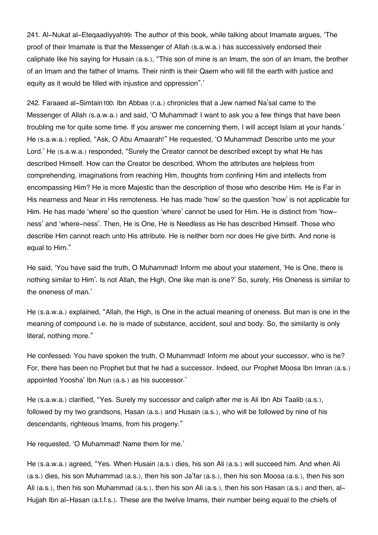241. Al-Nukat al-Eteqaadiyyah[99](#page--1-0): The author of this book, while talking about Imamate argues, 'The proof of their Imamate is that the Messenger of Allah (s.a.w.a.) has successively endorsed their caliphate like his saying for Husain (a.s.), "This son of mine is an Imam, the son of an Imam, the brother of an Imam and the father of Imams. Their ninth is their Qaem who will fill the earth with justice and equity as it would be filled with injustice and oppression".'

242. Faraaed al-Simtain[100](#page--1-0): Ibn Abbas (r.a.) chronicles that a Jew named Na'sal came to the Messenger of Allah (s.a.w.a.) and said, 'O Muhammad! I want to ask you a few things that have been troubling me for quite some time. If you answer me concerning them, I will accept Islam at your hands.' He (s.a.w.a.) replied, "Ask, O Abu Amaarah!" He requested, 'O Muhammad! Describe unto me your Lord.' He (s.a.w.a.) responded, "Surely the Creator cannot be described except by what He has described Himself. How can the Creator be described, Whom the attributes are helpless from comprehending, imaginations from reaching Him, thoughts from confining Him and intellects from encompassing Him? He is more Majestic than the description of those who describe Him. He is Far in His nearness and Near in His remoteness. He has made 'how' so the question 'how' is not applicable for Him. He has made 'where' so the question 'where' cannot be used for Him. He is distinct from 'howness' and 'where-ness'. Then, He is One, He is Needless as He has described Himself. Those who describe Him cannot reach unto His attribute. He is neither born nor does He give birth. And none is equal to Him."

He said, 'You have said the truth, O Muhammad! Inform me about your statement, 'He is One, there is nothing similar to Him'. Is not Allah, the High, One like man is one?' So, surely, His Oneness is similar to the oneness of man.'

He (s.a.w.a.) explained, "Allah, the High, is One in the actual meaning of oneness. But man is one in the meaning of compound i.e. he is made of substance, accident, soul and body. So, the similarity is only literal, nothing more."

He confessed: You have spoken the truth, O Muhammad! Inform me about your successor, who is he? For, there has been no Prophet but that he had a successor. Indeed, our Prophet Moosa Ibn Imran (a.s.) appointed Yoosha' Ibn Nun (a.s.) as his successor.'

He (s.a.w.a.) clarified, "Yes. Surely my successor and caliph after me is Ali Ibn Abi Taalib (a.s.), followed by my two grandsons, Hasan (a.s.) and Husain (a.s.), who will be followed by nine of his descendants, righteous Imams, from his progeny."

He requested, 'O Muhammad! Name them for me.'

He (s.a.w.a.) agreed, "Yes. When Husain (a.s.) dies, his son Ali (a.s.) will succeed him. And when Ali (a.s.) dies, his son Muhammad (a.s.), then his son Ja'far (a.s.), then his son Moosa (a.s.), then his son Ali (a.s.), then his son Muhammad (a.s.), then his son Ali (a.s.), then his son Hasan (a.s.) and then, al-Hujjah Ibn al-Hasan (a.t.f.s.). These are the twelve Imams, their number being equal to the chiefs of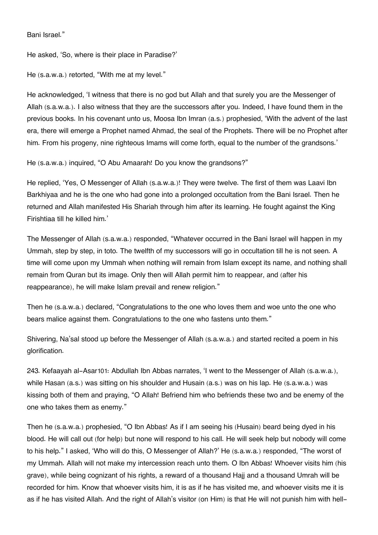Bani Israel."

He asked, 'So, where is their place in Paradise?'

He (s.a.w.a.) retorted, "With me at my level."

He acknowledged, 'I witness that there is no god but Allah and that surely you are the Messenger of Allah (s.a.w.a.). I also witness that they are the successors after you. Indeed, I have found them in the previous books. In his covenant unto us, Moosa Ibn Imran (a.s.) prophesied, 'With the advent of the last era, there will emerge a Prophet named Ahmad, the seal of the Prophets. There will be no Prophet after him. From his progeny, nine righteous Imams will come forth, equal to the number of the grandsons.'

He (s.a.w.a.) inquired, "O Abu Amaarah! Do you know the grandsons?"

He replied, 'Yes, O Messenger of Allah (s.a.w.a.)! They were twelve. The first of them was Laavi Ibn Barkhiyaa and he is the one who had gone into a prolonged occultation from the Bani Israel. Then he returned and Allah manifested His Shariah through him after its learning. He fought against the King Firishtiaa till he killed him.'

The Messenger of Allah (s.a.w.a.) responded, "Whatever occurred in the Bani Israel will happen in my Ummah, step by step, in toto. The twelfth of my successors will go in occultation till he is not seen. A time will come upon my Ummah when nothing will remain from Islam except its name, and nothing shall remain from Quran but its image. Only then will Allah permit him to reappear, and (after his reappearance), he will make Islam prevail and renew religion."

Then he (s.a.w.a.) declared, "Congratulations to the one who loves them and woe unto the one who bears malice against them. Congratulations to the one who fastens unto them."

Shivering, Na'sal stood up before the Messenger of Allah (s.a.w.a.) and started recited a poem in his glorification.

243. Kefaayah al-Asar[101](#page--1-0): Abdullah Ibn Abbas narrates, 'I went to the Messenger of Allah (s.a.w.a.), while Hasan (a.s.) was sitting on his shoulder and Husain (a.s.) was on his lap. He (s.a.w.a.) was kissing both of them and praying, "O Allah! Befriend him who befriends these two and be enemy of the one who takes them as enemy."

Then he (s.a.w.a.) prophesied, "O Ibn Abbas! As if I am seeing his (Husain) beard being dyed in his blood. He will call out (for help) but none will respond to his call. He will seek help but nobody will come to his help." I asked, 'Who will do this, O Messenger of Allah?' He (s.a.w.a.) responded, "The worst of my Ummah. Allah will not make my intercession reach unto them. O Ibn Abbas! Whoever visits him (his grave), while being cognizant of his rights, a reward of a thousand Hajj and a thousand Umrah will be recorded for him. Know that whoever visits him, it is as if he has visited me, and whoever visits me it is as if he has visited Allah. And the right of Allah's visitor (on Him) is that He will not punish him with hell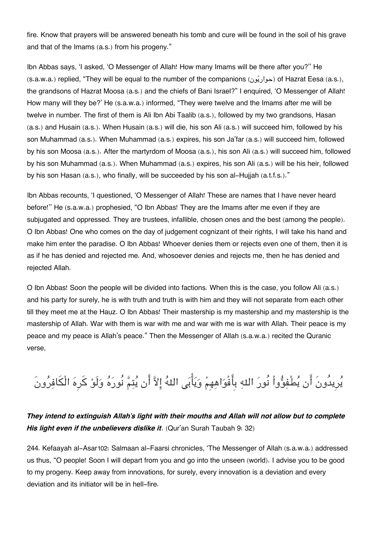fire. Know that prayers will be answered beneath his tomb and cure will be found in the soil of his grave and that of the Imams (a.s.) from his progeny."

Ibn Abbas says, 'I asked, 'O Messenger of Allah! How many Imams will be there after you?'' He (s.a.w.a.) replied, "They will be equal to the number of the companions (حواريّون) of Hazrat Eesa (a.s.), the grandsons of Hazrat Moosa (a.s.) and the chiefs of Bani Israel?" I enquired, 'O Messenger of Allah! How many will they be?' He (s.a.w.a.) informed, "They were twelve and the Imams after me will be twelve in number. The first of them is Ali Ibn Abi Taalib (a.s.), followed by my two grandsons, Hasan (a.s.) and Husain (a.s.). When Husain (a.s.) will die, his son Ali (a.s.) will succeed him, followed by his son Muhammad (a.s.). When Muhammad (a.s.) expires, his son Ja'far (a.s.) will succeed him, followed by his son Moosa (a.s.). After the martyrdom of Moosa (a.s.), his son Ali (a.s.) will succeed him, followed by his son Muhammad (a.s.). When Muhammad (a.s.) expires, his son Ali (a.s.) will be his heir, followed by his son Hasan (a.s.), who finally, will be succeeded by his son al-Hujjah (a.t.f.s.)."

Ibn Abbas recounts, 'I questioned, 'O Messenger of Allah! These are names that I have never heard before!'' He (s.a.w.a.) prophesied, "O Ibn Abbas! They are the Imams after me even if they are subjugated and oppressed. They are trustees, infallible, chosen ones and the best (among the people). O Ibn Abbas! One who comes on the day of judgement cognizant of their rights, I will take his hand and make him enter the paradise. O Ibn Abbas! Whoever denies them or rejects even one of them, then it is as if he has denied and rejected me. And, whosoever denies and rejects me, then he has denied and rejected Allah.

O Ibn Abbas! Soon the people will be divided into factions. When this is the case, you follow Ali (a.s.) and his party for surely, he is with truth and truth is with him and they will not separate from each other till they meet me at the Hauz. O Ibn Abbas! Their mastership is my mastership and my mastership is the mastership of Allah. War with them is war with me and war with me is war with Allah. Their peace is my peace and my peace is Allah's peace." Then the Messenger of Allah (s.a.w.a.) recited the Quranic verse,

يُرِيدُونَ أَن يُطْفِؤُواْ نُورَ اللهِ بِأَفْوَاهِهِمْ وَيَأْبَى اللهُ إِلاَّ أَن يُتِمَّ نُورَهُ وَلَوْ كَرِهَ الْكَافِرُونَ

## *They intend to extinguish Allah's light with their mouths and Allah will not allow but to complete His light even if the unbelievers dislike it*. (Qur'an Surah Taubah 9: 32)

244. Kefaayah al-Asar[102](#page--1-0): Salmaan al-Faarsi chronicles, 'The Messenger of Allah (s.a.w.a.) addressed us thus, "O people! Soon I will depart from you and go into the unseen (world). I advise you to be good to my progeny. Keep away from innovations, for surely, every innovation is a deviation and every deviation and its initiator will be in hell-fire.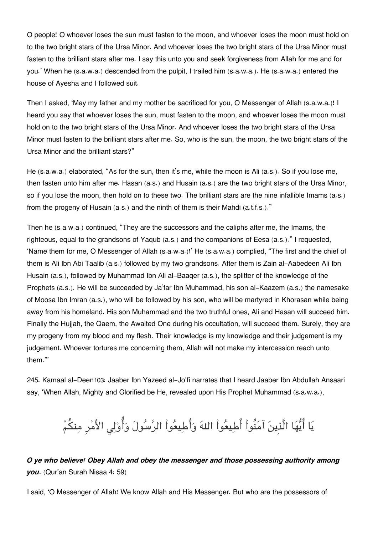O people! O whoever loses the sun must fasten to the moon, and whoever loses the moon must hold on to the two bright stars of the Ursa Minor. And whoever loses the two bright stars of the Ursa Minor must fasten to the brilliant stars after me. I say this unto you and seek forgiveness from Allah for me and for you.' When he (s.a.w.a.) descended from the pulpit, I trailed him (s.a.w.a.). He (s.a.w.a.) entered the house of Ayesha and I followed suit.

Then I asked, 'May my father and my mother be sacrificed for you, O Messenger of Allah (s.a.w.a.)! I heard you say that whoever loses the sun, must fasten to the moon, and whoever loses the moon must hold on to the two bright stars of the Ursa Minor. And whoever loses the two bright stars of the Ursa Minor must fasten to the brilliant stars after me. So, who is the sun, the moon, the two bright stars of the Ursa Minor and the brilliant stars?"

He (s.a.w.a.) elaborated, "As for the sun, then it's me, while the moon is Ali (a.s.). So if you lose me, then fasten unto him after me. Hasan (a.s.) and Husain (a.s.) are the two bright stars of the Ursa Minor, so if you lose the moon, then hold on to these two. The brilliant stars are the nine infallible Imams (a.s.) from the progeny of Husain (a.s.) and the ninth of them is their Mahdi (a.t.f.s.)."

Then he (s.a.w.a.) continued, "They are the successors and the caliphs after me, the Imams, the righteous, equal to the grandsons of Yaqub (a.s.) and the companions of Eesa (a.s.)." I requested, 'Name them for me, O Messenger of Allah (s.a.w.a.)!' He (s.a.w.a.) complied, "The first and the chief of them is Ali Ibn Abi Taalib (a.s.) followed by my two grandsons. After them is Zain al-Aabedeen Ali Ibn Husain (a.s.), followed by Muhammad Ibn Ali al-Baaqer (a.s.), the splitter of the knowledge of the Prophets (a.s.). He will be succeeded by Ja'far Ibn Muhammad, his son al-Kaazem (a.s.) the namesake of Moosa Ibn Imran (a.s.), who will be followed by his son, who will be martyred in Khorasan while being away from his homeland. His son Muhammad and the two truthful ones, Ali and Hasan will succeed him. Finally the Hujjah, the Qaem, the Awaited One during his occultation, will succeed them. Surely, they are my progeny from my blood and my flesh. Their knowledge is my knowledge and their judgement is my judgement. Whoever tortures me concerning them, Allah will not make my intercession reach unto them."'

245. Kamaal al-Deen[103](#page--1-0): Jaaber Ibn Yazeed al-Jo'fi narrates that I heard Jaaber Ibn Abdullah Ansaari say, 'When Allah, Mighty and Glorified be He, revealed upon His Prophet Muhammad (s.a.w.a.),

# يَا أَيُّهَا الَّذِينَ آمَنُواْ أَطِيعُواْ اللهَ وَأَطِيعُواْ الرَّسُولَ وَأُوْلِي الأَمْرِ مِنكُمْ

*O ye who believe! Obey Allah and obey the messenger and those possessing authority among you*. (Qur'an Surah Nisaa 4: 59)

I said, 'O Messenger of Allah! We know Allah and His Messenger. But who are the possessors of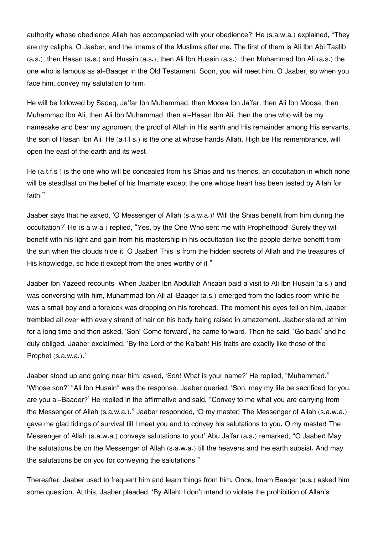authority whose obedience Allah has accompanied with your obedience?' He (s.a.w.a.) explained, "They are my caliphs, O Jaaber, and the Imams of the Muslims after me. The first of them is Ali Ibn Abi Taalib (a.s.), then Hasan (a.s.) and Husain (a.s.), then Ali Ibn Husain (a.s.), then Muhammad Ibn Ali (a.s.) the one who is famous as al-Baaqer in the Old Testament. Soon, you will meet him, O Jaaber, so when you face him, convey my salutation to him.

He will be followed by Sadeq, Ja'far Ibn Muhammad, then Moosa Ibn Ja'far, then Ali Ibn Moosa, then Muhammad Ibn Ali, then Ali Ibn Muhammad, then al-Hasan Ibn Ali, then the one who will be my namesake and bear my agnomen, the proof of Allah in His earth and His remainder among His servants, the son of Hasan Ibn Ali. He (a.t.f.s.) is the one at whose hands Allah, High be His remembrance, will open the east of the earth and its west.

He (a.t.f.s.) is the one who will be concealed from his Shias and his friends, an occultation in which none will be steadfast on the belief of his Imamate except the one whose heart has been tested by Allah for faith."

Jaaber says that he asked, 'O Messenger of Allah (s.a.w.a.)! Will the Shias benefit from him during the occultation?' He (s.a.w.a.) replied, "Yes, by the One Who sent me with Prophethood! Surely they will benefit with his light and gain from his mastership in his occultation like the people derive benefit from the sun when the clouds hide it. O Jaaber! This is from the hidden secrets of Allah and the treasures of His knowledge, so hide it except from the ones worthy of it."

Jaaber Ibn Yazeed recounts: When Jaaber Ibn Abdullah Ansaari paid a visit to Ali Ibn Husain (a.s.) and was conversing with him, Muhammad Ibn Ali al-Baaqer (a.s.) emerged from the ladies room while he was a small boy and a forelock was dropping on his forehead. The moment his eyes fell on him, Jaaber trembled all over with every strand of hair on his body being raised in amazement. Jaaber stared at him for a long time and then asked, 'Son! Come forward', he came forward. Then he said, 'Go back' and he duly obliged. Jaaber exclaimed, 'By the Lord of the Ka'bah! His traits are exactly like those of the Prophet (s.a.w.a.).'

Jaaber stood up and going near him, asked, 'Son! What is your name?' He replied, "Muhammad." 'Whose son?' "Ali Ibn Husain" was the response. Jaaber queried, 'Son, may my life be sacrificed for you, are you al-Baaqer?' He replied in the affirmative and said, "Convey to me what you are carrying from the Messenger of Allah (s.a.w.a.)." Jaaber responded, 'O my master! The Messenger of Allah (s.a.w.a.) gave me glad tidings of survival till I meet you and to convey his salutations to you. O my master! The Messenger of Allah (s.a.w.a.) conveys salutations to you!' Abu Ja'far (a.s.) remarked, "O Jaaber! May the salutations be on the Messenger of Allah (s.a.w.a.) till the heavens and the earth subsist. And may the salutations be on you for conveying the salutations."

Thereafter, Jaaber used to frequent him and learn things from him. Once, Imam Baaqer (a.s.) asked him some question. At this, Jaaber pleaded, 'By Allah! I don't intend to violate the prohibition of Allah's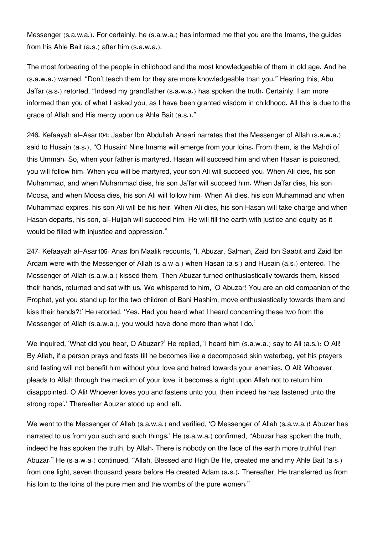Messenger (s.a.w.a.). For certainly, he (s.a.w.a.) has informed me that you are the Imams, the guides from his Ahle Bait (a.s.) after him (s.a.w.a.).

The most forbearing of the people in childhood and the most knowledgeable of them in old age. And he (s.a.w.a.) warned, "Don't teach them for they are more knowledgeable than you." Hearing this, Abu Ja'far (a.s.) retorted, "Indeed my grandfather (s.a.w.a.) has spoken the truth. Certainly, I am more informed than you of what I asked you, as I have been granted wisdom in childhood. All this is due to the grace of Allah and His mercy upon us Ahle Bait (a.s.)."

246. Kefaayah al-Asar[104](#page--1-0): Jaaber Ibn Abdullah Ansari narrates that the Messenger of Allah (s.a.w.a.) said to Husain (a.s.), "O Husain! Nine Imams will emerge from your loins. From them, is the Mahdi of this Ummah. So, when your father is martyred, Hasan will succeed him and when Hasan is poisoned, you will follow him. When you will be martyred, your son Ali will succeed you. When Ali dies, his son Muhammad, and when Muhammad dies, his son Ja'far will succeed him. When Ja'far dies, his son Moosa, and when Moosa dies, his son Ali will follow him. When Ali dies, his son Muhammad and when Muhammad expires, his son Ali will be his heir. When Ali dies, his son Hasan will take charge and when Hasan departs, his son, al-Hujjah will succeed him. He will fill the earth with justice and equity as it would be filled with injustice and oppression."

247. Kefaayah al-Asar[105](#page--1-0): Anas Ibn Maalik recounts, 'I, Abuzar, Salman, Zaid Ibn Saabit and Zaid Ibn Arqam were with the Messenger of Allah (s.a.w.a.) when Hasan (a.s.) and Husain (a.s.) entered. The Messenger of Allah (s.a.w.a.) kissed them. Then Abuzar turned enthusiastically towards them, kissed their hands, returned and sat with us. We whispered to him, 'O Abuzar! You are an old companion of the Prophet, yet you stand up for the two children of Bani Hashim, move enthusiastically towards them and kiss their hands?!' He retorted, 'Yes. Had you heard what I heard concerning these two from the Messenger of Allah (s.a.w.a.), you would have done more than what I do.'

We inquired, 'What did you hear, O Abuzar?' He replied, 'I heard him (s.a.w.a.) say to Ali (a.s.): O Ali! By Allah, if a person prays and fasts till he becomes like a decomposed skin waterbag, yet his prayers and fasting will not benefit him without your love and hatred towards your enemies. O Ali! Whoever pleads to Allah through the medium of your love, it becomes a right upon Allah not to return him disappointed. O Ali! Whoever loves you and fastens unto you, then indeed he has fastened unto the strong rope'.' Thereafter Abuzar stood up and left.

We went to the Messenger of Allah (s.a.w.a.) and verified, 'O Messenger of Allah (s.a.w.a.)! Abuzar has narrated to us from you such and such things.' He (s.a.w.a.) confirmed, "Abuzar has spoken the truth, indeed he has spoken the truth, by Allah. There is nobody on the face of the earth more truthful than Abuzar." He (s.a.w.a.) continued, "Allah, Blessed and High Be He, created me and my Ahle Bait (a.s.) from one light, seven thousand years before He created Adam (a.s.). Thereafter, He transferred us from his loin to the loins of the pure men and the wombs of the pure women."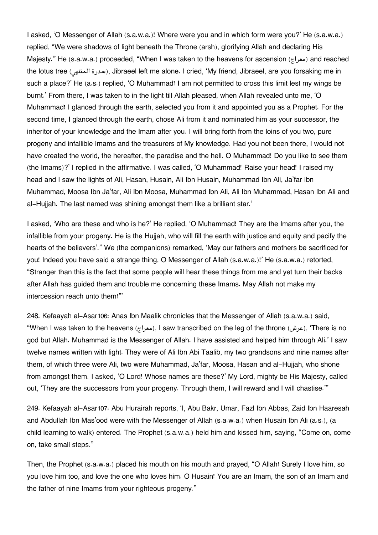I asked, 'O Messenger of Allah (s.a.w.a.)! Where were you and in which form were you?' He (s.a.w.a.) replied, "We were shadows of light beneath the Throne (arsh), glorifying Allah and declaring His Majesty." He (s.a.w.a.) proceeded, "When I was taken to the heavens for ascension (معراج) and reached the lotus tree (سدرة المتنهى), Jibraeel left me alone. I cried, 'My friend, Jibraeel, are you forsaking me in such a place?' He (a.s.) replied, 'O Muhammad! I am not permitted to cross this limit lest my wings be burnt.' From there, I was taken to in the light till Allah pleased, when Allah revealed unto me, 'O Muhammad! I glanced through the earth, selected you from it and appointed you as a Prophet. For the second time, I glanced through the earth, chose Ali from it and nominated him as your successor, the inheritor of your knowledge and the Imam after you. I will bring forth from the loins of you two, pure progeny and infallible Imams and the treasurers of My knowledge. Had you not been there, I would not have created the world, the hereafter, the paradise and the hell. O Muhammad! Do you like to see them (the Imams)?' I replied in the affirmative. I was called, 'O Muhammad! Raise your head! I raised my head and I saw the lights of Ali, Hasan, Husain, Ali Ibn Husain, Muhammad Ibn Ali, Ja'far Ibn Muhammad, Moosa Ibn Ja'far, Ali Ibn Moosa, Muhammad Ibn Ali, Ali Ibn Muhammad, Hasan Ibn Ali and al-Hujjah. The last named was shining amongst them like a brilliant star.'

I asked, 'Who are these and who is he?' He replied, 'O Muhammad! They are the Imams after you, the infallible from your progeny. He is the Hujjah, who will fill the earth with justice and equity and pacify the hearts of the believers'." We (the companions) remarked, 'May our fathers and mothers be sacrificed for you! Indeed you have said a strange thing, O Messenger of Allah (s.a.w.a.)!' He (s.a.w.a.) retorted, "Stranger than this is the fact that some people will hear these things from me and yet turn their backs after Allah has guided them and trouble me concerning these Imams. May Allah not make my intercession reach unto them!"'

248. Kefaayah al-Asar[106](#page--1-0): Anas Ibn Maalik chronicles that the Messenger of Allah (s.a.w.a.) said, "When I was taken to the heavens (معراج(, I saw transcribed on the leg of the throne (عرش(,' There is no god but Allah. Muhammad is the Messenger of Allah. I have assisted and helped him through Ali.' I saw twelve names written with light. They were of Ali Ibn Abi Taalib, my two grandsons and nine names after them, of which three were Ali, two were Muhammad, Ja'far, Moosa, Hasan and al-Hujjah, who shone from amongst them. I asked, 'O Lord! Whose names are these?' My Lord, mighty be His Majesty, called out, 'They are the successors from your progeny. Through them, I will reward and I will chastise.'"

249. Kefaayah al-Asar[107](#page--1-0): Abu Hurairah reports, 'I, Abu Bakr, Umar, Fazl Ibn Abbas, Zaid Ibn Haaresah and Abdullah Ibn Mas'ood were with the Messenger of Allah (s.a.w.a.) when Husain Ibn Ali (a.s.), (a child learning to walk) entered. The Prophet (s.a.w.a.) held him and kissed him, saying, "Come on, come on, take small steps."

Then, the Prophet (s.a.w.a.) placed his mouth on his mouth and prayed, "O Allah! Surely I love him, so you love him too, and love the one who loves him. O Husain! You are an Imam, the son of an Imam and the father of nine Imams from your righteous progeny."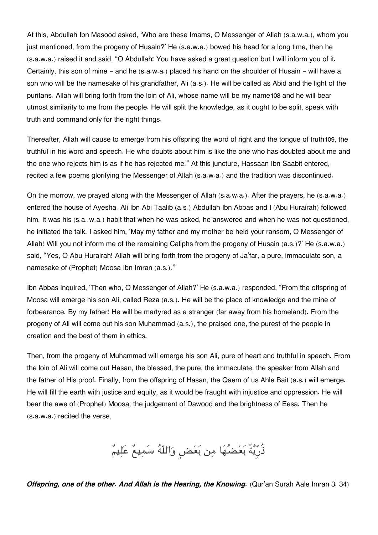At this, Abdullah Ibn Masood asked, 'Who are these Imams, O Messenger of Allah (s.a.w.a.), whom you just mentioned, from the progeny of Husain?' He (s.a.w.a.) bowed his head for a long time, then he (s.a.w.a.) raised it and said, "O Abdullah! You have asked a great question but I will inform you of it. Certainly, this son of mine - and he (s.a.w.a.) placed his hand on the shoulder of Husain - will have a son who will be the namesake of his grandfather, Ali (a.s.). He will be called as Abid and the light of the puritans. Allah will bring forth from the loin of Ali, whose name will be my name[108](#page--1-0) and he will bear utmost similarity to me from the people. He will split the knowledge, as it ought to be split, speak with truth and command only for the right things.

Thereafter, Allah will cause to emerge from his offspring the word of right and the tongue of truth[109](#page--1-0), the truthful in his word and speech. He who doubts about him is like the one who has doubted about me and the one who rejects him is as if he has rejected me." At this juncture, Hassaan Ibn Saabit entered, recited a few poems glorifying the Messenger of Allah (s.a.w.a.) and the tradition was discontinued.

On the morrow, we prayed along with the Messenger of Allah (s.a.w.a.). After the prayers, he (s.a.w.a.) entered the house of Ayesha. Ali Ibn Abi Taalib (a.s.) Abdullah Ibn Abbas and I (Abu Hurairah) followed him. It was his (s.a..w.a.) habit that when he was asked, he answered and when he was not questioned, he initiated the talk. I asked him, 'May my father and my mother be held your ransom, O Messenger of Allah! Will you not inform me of the remaining Caliphs from the progeny of Husain (a.s.)?' He (s.a.w.a.) said, "Yes, O Abu Hurairah! Allah will bring forth from the progeny of Ja'far, a pure, immaculate son, a namesake of (Prophet) Moosa Ibn Imran (a.s.)."

Ibn Abbas inquired, 'Then who, O Messenger of Allah?' He (s.a.w.a.) responded, "From the offspring of Moosa will emerge his son Ali, called Reza (a.s.). He will be the place of knowledge and the mine of forbearance. By my father! He will be martyred as a stranger (far away from his homeland). From the progeny of Ali will come out his son Muhammad (a.s.), the praised one, the purest of the people in creation and the best of them in ethics.

Then, from the progeny of Muhammad will emerge his son Ali, pure of heart and truthful in speech. From the loin of Ali will come out Hasan, the blessed, the pure, the immaculate, the speaker from Allah and the father of His proof. Finally, from the offspring of Hasan, the Qaem of us Ahle Bait (a.s.) will emerge. He will fill the earth with justice and equity, as it would be fraught with injustice and oppression. He will bear the awe of (Prophet) Moosa, the judgement of Dawood and the brightness of Eesa. Then he (s.a.w.a.) recited the verse,

ذُرِّيَّةً بَعْضُهَا مِن بَعْضٍ وَاللَّهُ سَمِيعٌ عَلِيمٌ

*Offspring, one of the other. And Allah is the Hearing, the Knowing.* (Qur'an Surah Aale Imran 3: 34)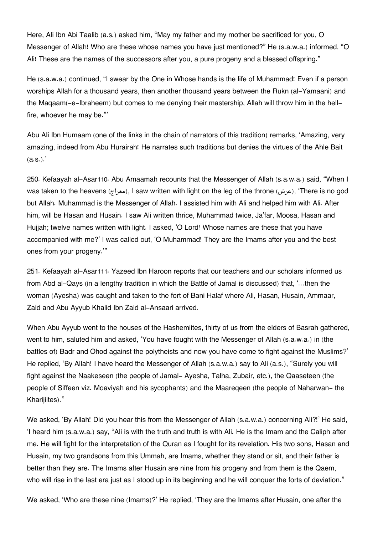Here, Ali Ibn Abi Taalib (a.s.) asked him, "May my father and my mother be sacrificed for you, O Messenger of Allah! Who are these whose names you have just mentioned?" He (s.a.w.a.) informed, "O Ali! These are the names of the successors after you, a pure progeny and a blessed offspring."

He (s.a.w.a.) continued, "I swear by the One in Whose hands is the life of Muhammad! Even if a person worships Allah for a thousand years, then another thousand years between the Rukn (al-Yamaani) and the Maqaam(-e-Ibraheem) but comes to me denying their mastership, Allah will throw him in the hellfire, whoever he may be."'

Abu Ali Ibn Humaam (one of the links in the chain of narrators of this tradition) remarks, 'Amazing, very amazing, indeed from Abu Hurairah! He narrates such traditions but denies the virtues of the Ahle Bait  $(a.s.).'$ 

250. Kefaayah al-Asar[110](#page--1-0): Abu Amaamah recounts that the Messenger of Allah (s.a.w.a.) said, "When I was taken to the heavens (معراج), I saw written with light on the leg of the throne (عرش), 'There is no god but Allah. Muhammad is the Messenger of Allah. I assisted him with Ali and helped him with Ali. After him, will be Hasan and Husain. I saw Ali written thrice, Muhammad twice, Ja'far, Moosa, Hasan and Hujjah; twelve names written with light. I asked, 'O Lord! Whose names are these that you have accompanied with me?' I was called out, 'O Muhammad! They are the Imams after you and the best ones from your progeny.'"

251. Kefaayah al-Asar[111](#page--1-0): Yazeed Ibn Haroon reports that our teachers and our scholars informed us from Abd al-Qays (in a lengthy tradition in which the Battle of Jamal is discussed) that, '…then the woman (Ayesha) was caught and taken to the fort of Bani Halaf where Ali, Hasan, Husain, Ammaar, Zaid and Abu Ayyub Khalid Ibn Zaid al-Ansaari arrived.

When Abu Ayyub went to the houses of the Hashemiites, thirty of us from the elders of Basrah gathered, went to him, saluted him and asked, 'You have fought with the Messenger of Allah (s.a.w.a.) in (the battles of) Badr and Ohod against the polytheists and now you have come to fight against the Muslims?' He replied, 'By Allah! I have heard the Messenger of Allah (s.a.w.a.) say to Ali (a.s.), "Surely you will fight against the Naakeseen (the people of Jamal- Ayesha, Talha, Zubair, etc.), the Qaaseteen (the people of Siffeen viz. Moaviyah and his sycophants) and the Maareqeen (the people of Naharwan- the Khariiiites)."

We asked, 'By Allah! Did you hear this from the Messenger of Allah (s.a.w.a.) concerning Ali?!' He said, 'I heard him (s.a.w.a.) say, "Ali is with the truth and truth is with Ali. He is the Imam and the Caliph after me. He will fight for the interpretation of the Quran as I fought for its revelation. His two sons, Hasan and Husain, my two grandsons from this Ummah, are Imams, whether they stand or sit, and their father is better than they are. The Imams after Husain are nine from his progeny and from them is the Qaem, who will rise in the last era just as I stood up in its beginning and he will conquer the forts of deviation."

We asked, 'Who are these nine (Imams)?' He replied, 'They are the Imams after Husain, one after the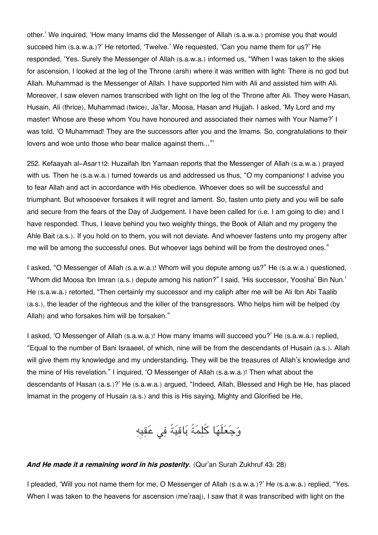other.' We inquired, 'How many Imams did the Messenger of Allah (s.a.w.a.) promise you that would succeed him (s.a.w.a.)?' He retorted, 'Twelve.' We requested, 'Can you name them for us?' He responded, 'Yes. Surely the Messenger of Allah (s.a.w.a.) informed us, "When I was taken to the skies for ascension, I looked at the leg of the Throne (arsh) where it was written with light: There is no god but Allah. Muhammad is the Messenger of Allah. I have supported him with Ali and assisted him with Ali. Moreover, I saw eleven names transcribed with light on the leg of the Throne after Ali. They were Hasan, Husain, Ali (thrice), Muhammad (twice), Ja'far, Moosa, Hasan and Hujjah. I asked, 'My Lord and my master! Whose are these whom You have honoured and associated their names with Your Name?' I was told, 'O Muhammad! They are the successors after you and the Imams. So, congratulations to their lovers and woe unto those who bear malice against them…"'

252. Kefaayah al-Asar[112](#page--1-0): Huzaifah Ibn Yamaan reports that the Messenger of Allah (s.a.w.a.) prayed with us. Then he (s.a.w.a.) turned towards us and addressed us thus, "O my companions! I advise you to fear Allah and act in accordance with His obedience. Whoever does so will be successful and triumphant. But whosoever forsakes it will regret and lament. So, fasten unto piety and you will be safe and secure from the fears of the Day of Judgement. I have been called for (i.e. I am going to die) and I have responded. Thus, I leave behind you two weighty things, the Book of Allah and my progeny the Ahle Bait (a.s.). If you hold on to them, you will not deviate. And whoever fastens unto my progeny after me will be among the successful ones. But whoever lags behind will be from the destroyed ones."

I asked, "O Messenger of Allah (s.a.w.a.)! Whom will you depute among us?" He (s.a.w.a.) questioned, "Whom did Moosa Ibn Imran (a.s.) depute among his nation?" I said, 'His successor, Yoosha' Bin Nun.' He (s.a.w.a.) retorted, "Then certainly my successor and my caliph after me will be Ali Ibn Abi Taalib (a.s.), the leader of the righteous and the killer of the transgressors. Who helps him will be helped (by Allah) and who forsakes him will be forsaken."

I asked, 'O Messenger of Allah (s.a.w.a.)! How many Imams will succeed you?' He (s.a.w.a.) replied, "Equal to the number of Bani Israaeel, of which, nine will be from the descendants of Husain (a.s.). Allah will give them my knowledge and my understanding. They will be the treasures of Allah's knowledge and the mine of His revelation." I inquired, 'O Messenger of Allah (s.a.w.a.)! Then what about the descendants of Hasan (a.s.)?' He (s.a.w.a.) argued, "Indeed, Allah, Blessed and High be He, has placed Imamat in the progeny of Husain (a.s.) and this is His saying, Mighty and Glorified be He,

وَجَعَلَهَا كَلِمَةً بَاقِيَةً فِي عَقِبِهِ

#### *And He made it a remaining word in his posterity.* (Qur'an Surah Zukhruf 43: 28)

I pleaded, 'Will you not name them for me, O Messenger of Allah (s.a.w.a.)?' He (s.a.w.a.) replied, "Yes. When I was taken to the heavens for ascension (me'raaj), I saw that it was transcribed with light on the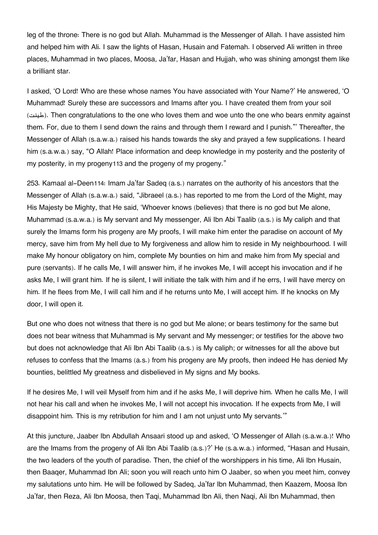leg of the throne: There is no god but Allah. Muhammad is the Messenger of Allah. I have assisted him and helped him with Ali. I saw the lights of Hasan, Husain and Fatemah. I observed Ali written in three places, Muhammad in two places, Moosa, Ja'far, Hasan and Hujjah, who was shining amongst them like a brilliant star.

I asked, 'O Lord! Who are these whose names You have associated with Your Name?' He answered, 'O Muhammad! Surely these are successors and Imams after you. I have created them from your soil (طينت(. Then congratulations to the one who loves them and woe unto the one who bears enmity against them. For, due to them I send down the rains and through them I reward and I punish."' Thereafter, the Messenger of Allah (s.a.w.a.) raised his hands towards the sky and prayed a few supplications. I heard him (s.a.w.a.) say, "O Allah! Place information and deep knowledge in my posterity and the posterity of my posterity, in my progeny[113](#page--1-0) and the progeny of my progeny."

253. Kamaal al-Deen[114](#page--1-0): Imam Ja'far Sadeq (a.s.) narrates on the authority of his ancestors that the Messenger of Allah (s.a.w.a.) said, "Jibraeel (a.s.) has reported to me from the Lord of the Might, may His Majesty be Mighty, that He said, 'Whoever knows (believes) that there is no god but Me alone, Muhammad (s.a.w.a.) is My servant and My messenger, Ali Ibn Abi Taalib (a.s.) is My caliph and that surely the Imams form his progeny are My proofs, I will make him enter the paradise on account of My mercy, save him from My hell due to My forgiveness and allow him to reside in My neighbourhood. I will make My honour obligatory on him, complete My bounties on him and make him from My special and pure (servants). If he calls Me, I will answer him, if he invokes Me, I will accept his invocation and if he asks Me, I will grant him. If he is silent, I will initiate the talk with him and if he errs, I will have mercy on him. If he flees from Me, I will call him and if he returns unto Me, I will accept him. If he knocks on My door, I will open it.

But one who does not witness that there is no god but Me alone; or bears testimony for the same but does not bear witness that Muhammad is My servant and My messenger; or testifies for the above two but does not acknowledge that Ali Ibn Abi Taalib (a.s.) is My caliph; or witnesses for all the above but refuses to confess that the Imams (a.s.) from his progeny are My proofs, then indeed He has denied My bounties, belittled My greatness and disbelieved in My signs and My books.

If he desires Me, I will veil Myself from him and if he asks Me, I will deprive him. When he calls Me, I will not hear his call and when he invokes Me, I will not accept his invocation. If he expects from Me, I will disappoint him. This is my retribution for him and I am not unjust unto My servants.'"

At this juncture, Jaaber Ibn Abdullah Ansaari stood up and asked, 'O Messenger of Allah (s.a.w.a.)! Who are the Imams from the progeny of Ali Ibn Abi Taalib (a.s.)?' He (s.a.w.a.) informed, "Hasan and Husain, the two leaders of the youth of paradise. Then, the chief of the worshippers in his time, Ali Ibn Husain, then Baaqer, Muhammad Ibn Ali; soon you will reach unto him O Jaaber, so when you meet him, convey my salutations unto him. He will be followed by Sadeq, Ja'far Ibn Muhammad, then Kaazem, Moosa Ibn Ja'far, then Reza, Ali Ibn Moosa, then Taqi, Muhammad Ibn Ali, then Naqi, Ali Ibn Muhammad, then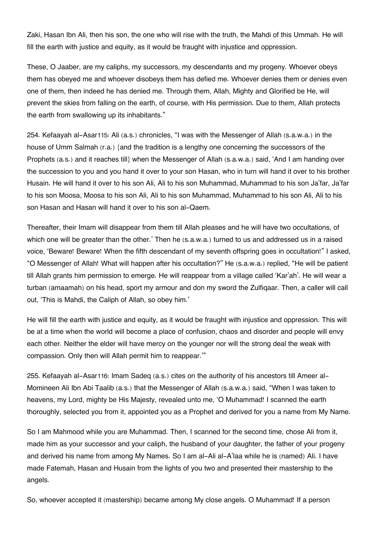Zaki, Hasan Ibn Ali, then his son, the one who will rise with the truth, the Mahdi of this Ummah. He will fill the earth with justice and equity, as it would be fraught with injustice and oppression.

These, O Jaaber, are my caliphs, my successors, my descendants and my progeny. Whoever obeys them has obeyed me and whoever disobeys them has defied me. Whoever denies them or denies even one of them, then indeed he has denied me. Through them, Allah, Mighty and Glorified be He, will prevent the skies from falling on the earth, of course, with His permission. Due to them, Allah protects the earth from swallowing up its inhabitants."

254. Kefaayah al-Asar[115](#page--1-0): Ali (a.s.) chronicles, "I was with the Messenger of Allah (s.a.w.a.) in the house of Umm Salmah (r.a.) {and the tradition is a lengthy one concerning the successors of the Prophets (a.s.) and it reaches till} when the Messenger of Allah (s.a.w.a.) said, 'And I am handing over the succession to you and you hand it over to your son Hasan, who in turn will hand it over to his brother Husain. He will hand it over to his son Ali, Ali to his son Muhammad, Muhammad to his son Ja'far, Ja'far to his son Moosa, Moosa to his son Ali, Ali to his son Muhammad, Muhammad to his son Ali, Ali to his son Hasan and Hasan will hand it over to his son al-Qaem.

Thereafter, their Imam will disappear from them till Allah pleases and he will have two occultations, of which one will be greater than the other.' Then he (s.a.w.a.) turned to us and addressed us in a raised voice, 'Beware! Beware! When the fifth descendant of my seventh offspring goes in occultation!" I asked, "O Messenger of Allah! What will happen after his occultation?" He (s.a.w.a.) replied, "He will be patient till Allah grants him permission to emerge. He will reappear from a village called 'Kar'ah'. He will wear a turban (amaamah) on his head, sport my armour and don my sword the Zulfiqaar. Then, a caller will call out, 'This is Mahdi, the Caliph of Allah, so obey him.'

He will fill the earth with justice and equity, as it would be fraught with injustice and oppression. This will be at a time when the world will become a place of confusion, chaos and disorder and people will envy each other. Neither the elder will have mercy on the younger nor will the strong deal the weak with compassion. Only then will Allah permit him to reappear.'"

255. Kefaayah al-Asar[116](#page--1-0): Imam Sadeq (a.s.) cites on the authority of his ancestors till Ameer al-Momineen Ali Ibn Abi Taalib (a.s.) that the Messenger of Allah (s.a.w.a.) said, "When I was taken to heavens, my Lord, mighty be His Majesty, revealed unto me, 'O Muhammad! I scanned the earth thoroughly, selected you from it, appointed you as a Prophet and derived for you a name from My Name.

So I am Mahmood while you are Muhammad. Then, I scanned for the second time, chose Ali from it, made him as your successor and your caliph, the husband of your daughter, the father of your progeny and derived his name from among My Names. So I am al-Ali al-A'laa while he is (named) Ali. I have made Fatemah, Hasan and Husain from the lights of you two and presented their mastership to the angels.

So, whoever accepted it (mastership) became among My close angels. O Muhammad! If a person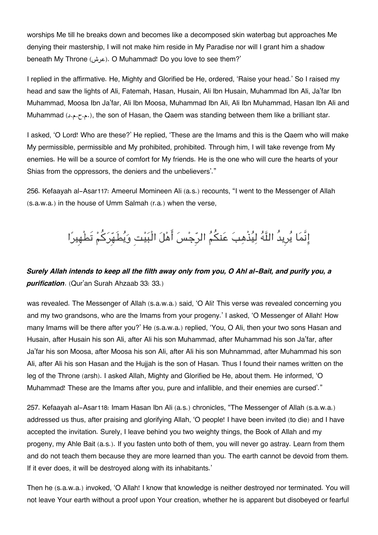worships Me till he breaks down and becomes like a decomposed skin waterbag but approaches Me denying their mastership, I will not make him reside in My Paradise nor will I grant him a shadow beneath My Throne (عرش(. O Muhammad! Do you love to see them?'

I replied in the affirmative. He, Mighty and Glorified be He, ordered, 'Raise your head.' So I raised my head and saw the lights of Ali, Fatemah, Hasan, Husain, Ali Ibn Husain, Muhammad Ibn Ali, Ja'far Ibn Muhammad, Moosa Ibn Ja'far, Ali Ibn Moosa, Muhammad Ibn Ali, Ali Ibn Muhammad, Hasan Ibn Ali and Muhammad (د.م.ح.م.د), the son of Hasan, the Qaem was standing between them like a brilliant star.

I asked, 'O Lord! Who are these?' He replied, 'These are the Imams and this is the Qaem who will make My permissible, permissible and My prohibited, prohibited. Through him, I will take revenge from My enemies. He will be a source of comfort for My friends. He is the one who will cure the hearts of your Shias from the oppressors, the deniers and the unbelievers'."

256. Kefaayah al-Asar[117](#page--1-0): Ameerul Momineen Ali (a.s.) recounts, "I went to the Messenger of Allah (s.a.w.a.) in the house of Umm Salmah (r.a.) when the verse,

## إِنَّمَا يُرِيدُ اللَّهُ لِيُذْهِبَ عَنكُمُ الرِّجْسَ أَهْلَ الْبَيْتِ وَيُطَهِّرَكُمْ تَطْهِيرًا

### *Surely Allah intends to keep all the filth away only from you, O Ahl al-Bait, and purify you, a purification*. (Qur'an Surah Ahzaab 33: 33.)

was revealed. The Messenger of Allah (s.a.w.a.) said, 'O Ali! This verse was revealed concerning you and my two grandsons, who are the Imams from your progeny.' I asked, 'O Messenger of Allah! How many Imams will be there after you?' He (s.a.w.a.) replied, 'You, O Ali, then your two sons Hasan and Husain, after Husain his son Ali, after Ali his son Muhammad, after Muhammad his son Ja'far, after Ja'far his son Moosa, after Moosa his son Ali, after Ali his son Muhnammad, after Muhammad his son Ali, after Ali his son Hasan and the Hujjah is the son of Hasan. Thus I found their names written on the leg of the Throne (arsh). I asked Allah, Mighty and Glorified be He, about them. He informed, 'O Muhammad! These are the Imams after you, pure and infallible, and their enemies are cursed'."

257. Kefaayah al-Asar[118](#page--1-0): Imam Hasan Ibn Ali (a.s.) chronicles, "The Messenger of Allah (s.a.w.a.) addressed us thus, after praising and glorifying Allah, 'O people! I have been invited (to die) and I have accepted the invitation. Surely, I leave behind you two weighty things, the Book of Allah and my progeny, my Ahle Bait (a.s.). If you fasten unto both of them, you will never go astray. Learn from them and do not teach them because they are more learned than you. The earth cannot be devoid from them. If it ever does, it will be destroyed along with its inhabitants.'

Then he (s.a.w.a.) invoked, 'O Allah! I know that knowledge is neither destroyed nor terminated. You will not leave Your earth without a proof upon Your creation, whether he is apparent but disobeyed or fearful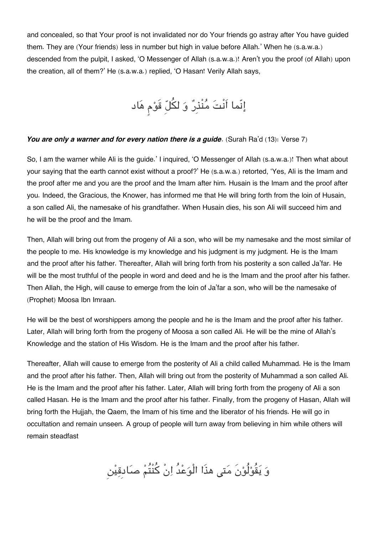and concealed, so that Your proof is not invalidated nor do Your friends go astray after You have guided them. They are (Your friends) less in number but high in value before Allah.' When he (s.a.w.a.) descended from the pulpit, I asked, 'O Messenger of Allah (s.a.w.a.)! Aren't you the proof (of Allah) upon the creation, all of them?' He (s.a.w.a.) replied, 'O Hasan! Verily Allah says,

إِنّما اَنْتَ مُنْذِرٌ وَ لكُلّ قَوْم هَاد

#### You are only a warner and for every nation there is a guide. (Surah Ra'd (13): Verse 7)

So, I am the warner while Ali is the guide.' I inquired, 'O Messenger of Allah (s.a.w.a.)! Then what about your saying that the earth cannot exist without a proof?' He (s.a.w.a.) retorted, 'Yes, Ali is the Imam and the proof after me and you are the proof and the Imam after him. Husain is the Imam and the proof after you. Indeed, the Gracious, the Knower, has informed me that He will bring forth from the loin of Husain, a son called Ali, the namesake of his grandfather. When Husain dies, his son Ali will succeed him and he will be the proof and the Imam.

Then, Allah will bring out from the progeny of Ali a son, who will be my namesake and the most similar of the people to me. His knowledge is my knowledge and his judgment is my judgment. He is the Imam and the proof after his father. Thereafter, Allah will bring forth from his posterity a son called Ja'far. He will be the most truthful of the people in word and deed and he is the Imam and the proof after his father. Then Allah, the High, will cause to emerge from the loin of Ja'far a son, who will be the namesake of (Prophet) Moosa Ibn Imraan.

He will be the best of worshippers among the people and he is the Imam and the proof after his father. Later, Allah will bring forth from the progeny of Moosa a son called Ali. He will be the mine of Allah's Knowledge and the station of His Wisdom. He is the Imam and the proof after his father.

Thereafter, Allah will cause to emerge from the posterity of Ali a child called Muhammad. He is the Imam and the proof after his father. Then, Allah will bring out from the posterity of Muhammad a son called Ali. He is the Imam and the proof after his father. Later, Allah will bring forth from the progeny of Ali a son called Hasan. He is the Imam and the proof after his father. Finally, from the progeny of Hasan, Allah will bring forth the Hujjah, the Qaem, the Imam of his time and the liberator of his friends. He will go in occultation and remain unseen. A group of people will turn away from believing in him while others will remain steadfast

وَ يَقُوْلُوْنَ مَتى هذَا الْوَعْدُ اِنْ كُنْتُمْ صَادقِيْن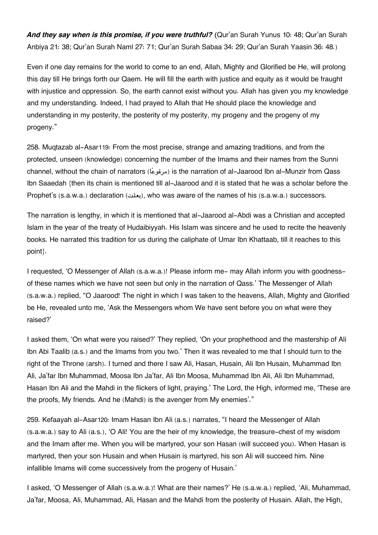*And they say when is this promise, if you were truthful? (*Qur'an Surah Yunus 10: 48; Qur'an Surah Anbiya 21: 38; Qur'an Surah Naml 27: 71; Qur'an Surah Sabaa 34: 29; Qur'an Surah Yaasin 36: 48.)

Even if one day remains for the world to come to an end, Allah, Mighty and Glorified be He, will prolong this day till He brings forth our Qaem. He will fill the earth with justice and equity as it would be fraught with injustice and oppression. So, the earth cannot exist without you. Allah has given you my knowledge and my understanding. Indeed, I had prayed to Allah that He should place the knowledge and understanding in my posterity, the posterity of my posterity, my progeny and the progeny of my progeny."

258. Muqtazab al-Asar[119](#page--1-0): From the most precise, strange and amazing traditions, and from the protected, unseen (knowledge) concerning the number of the Imams and their names from the Sunni channel, without the chain of narrators (مرفوعًا) is the narration of al-Jaarood Ibn al-Munzir from Qass Ibn Saaedah {then its chain is mentioned till al-Jaarood and it is stated that he was a scholar before the Prophet's (s.a.w.a.) declaration (بعثت), who was aware of the names of his (s.a.w.a.) successors.

The narration is lengthy, in which it is mentioned that al-Jaarood al-Abdi was a Christian and accepted Islam in the year of the treaty of Hudaibiyyah. His Islam was sincere and he used to recite the heavenly books. He narrated this tradition for us during the caliphate of Umar Ibn Khattaab, till it reaches to this point}.

I requested, 'O Messenger of Allah (s.a.w.a.)! Please inform me- may Allah inform you with goodnessof these names which we have not seen but only in the narration of Qass.' The Messenger of Allah (s.a.w.a.) replied, "O Jaarood! The night in which I was taken to the heavens, Allah, Mighty and Glorified be He, revealed unto me, 'Ask the Messengers whom We have sent before you on what were they raised?'

I asked them, 'On what were you raised?' They replied, 'On your prophethood and the mastership of Ali Ibn Abi Taalib (a.s.) and the Imams from you two.' Then it was revealed to me that I should turn to the right of the Throne (arsh). I turned and there I saw Ali, Hasan, Husain, Ali Ibn Husain, Muhammad Ibn Ali, Ja'far Ibn Muhammad, Moosa Ibn Ja'far, Ali Ibn Moosa, Muhammad Ibn Ali, Ali Ibn Muhammad, Hasan Ibn Ali and the Mahdi in the flickers of light, praying.' The Lord, the High, informed me, 'These are the proofs, My friends. And he (Mahdi) is the avenger from My enemies'."

259. Kefaayah al-Asar[120](#page--1-0): Imam Hasan Ibn Ali (a.s.) narrates, "I heard the Messenger of Allah (s.a.w.a.) say to Ali (a.s.), 'O Ali! You are the heir of my knowledge, the treasure-chest of my wisdom and the Imam after me. When you will be martyred, your son Hasan (will succeed you). When Hasan is martyred, then your son Husain and when Husain is martyred, his son Ali will succeed him. Nine infallible Imams will come successively from the progeny of Husain.'

I asked, 'O Messenger of Allah (s.a.w.a.)! What are their names?' He (s.a.w.a.) replied, 'Ali, Muhammad, Ja'far, Moosa, Ali, Muhammad, Ali, Hasan and the Mahdi from the posterity of Husain. Allah, the High,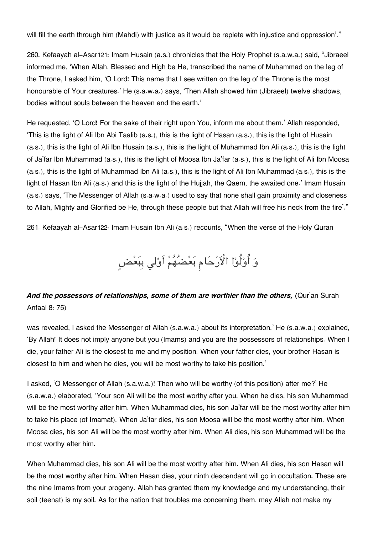will fill the earth through him (Mahdi) with justice as it would be replete with injustice and oppression'."

260. Kefaayah al-Asar[121](#page--1-0): Imam Husain (a.s.) chronicles that the Holy Prophet (s.a.w.a.) said, "Jibraeel informed me, 'When Allah, Blessed and High be He, transcribed the name of Muhammad on the leg of the Throne, I asked him, 'O Lord! This name that I see written on the leg of the Throne is the most honourable of Your creatures.' He (s.a.w.a.) says, 'Then Allah showed him (Jibraeel) twelve shadows, bodies without souls between the heaven and the earth.'

He requested, 'O Lord! For the sake of their right upon You, inform me about them.' Allah responded, 'This is the light of Ali Ibn Abi Taalib (a.s.), this is the light of Hasan (a.s.), this is the light of Husain (a.s.), this is the light of Ali Ibn Husain (a.s.), this is the light of Muhammad Ibn Ali (a.s.), this is the light of Ja'far Ibn Muhammad (a.s.), this is the light of Moosa Ibn Ja'far (a.s.), this is the light of Ali Ibn Moosa (a.s.), this is the light of Muhammad Ibn Ali (a.s.), this is the light of Ali Ibn Muhammad (a.s.), this is the light of Hasan Ibn Ali (a.s.) and this is the light of the Hujjah, the Qaem, the awaited one.' Imam Husain (a.s.) says, 'The Messenger of Allah (s.a.w.a.) used to say that none shall gain proximity and closeness to Allah, Mighty and Glorified be He, through these people but that Allah will free his neck from the fire'."

261. Kefaayah al-Asar[122](#page--1-0): Imam Husain Ibn Ali (a.s.) recounts, "When the verse of the Holy Quran

وَ أُوْلُوْا الْأَرْحَام بَعْضُهُمْ اَوْلِي بِبَعْضٍ

## *And the possessors of relationships, some of them are worthier than the others, (*Qur'an Surah Anfaal 8: 75)

was revealed, I asked the Messenger of Allah (s.a.w.a.) about its interpretation.' He (s.a.w.a.) explained, 'By Allah! It does not imply anyone but you (Imams) and you are the possessors of relationships. When I die, your father Ali is the closest to me and my position. When your father dies, your brother Hasan is closest to him and when he dies, you will be most worthy to take his position.'

I asked, 'O Messenger of Allah (s.a.w.a.)! Then who will be worthy (of this position) after me?' He (s.a.w.a.) elaborated, 'Your son Ali will be the most worthy after you. When he dies, his son Muhammad will be the most worthy after him. When Muhammad dies, his son Ja'far will be the most worthy after him to take his place (of Imamat). When Ja'far dies, his son Moosa will be the most worthy after him. When Moosa dies, his son Ali will be the most worthy after him. When Ali dies, his son Muhammad will be the most worthy after him.

When Muhammad dies, his son Ali will be the most worthy after him. When Ali dies, his son Hasan will be the most worthy after him. When Hasan dies, your ninth descendant will go in occultation. These are the nine Imams from your progeny. Allah has granted them my knowledge and my understanding, their soil (teenat) is my soil. As for the nation that troubles me concerning them, may Allah not make my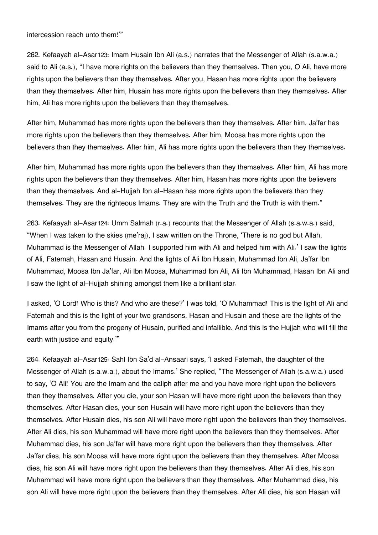intercession reach unto them!'"

262. Kefaayah al-Asar[123](#page--1-0): Imam Husain Ibn Ali (a.s.) narrates that the Messenger of Allah (s.a.w.a.) said to Ali (a.s.), "I have more rights on the believers than they themselves. Then you, O Ali, have more rights upon the believers than they themselves. After you, Hasan has more rights upon the believers than they themselves. After him, Husain has more rights upon the believers than they themselves. After him, Ali has more rights upon the believers than they themselves.

After him, Muhammad has more rights upon the believers than they themselves. After him, Ja'far has more rights upon the believers than they themselves. After him, Moosa has more rights upon the believers than they themselves. After him, Ali has more rights upon the believers than they themselves.

After him, Muhammad has more rights upon the believers than they themselves. After him, Ali has more rights upon the believers than they themselves. After him, Hasan has more rights upon the believers than they themselves. And al-Hujjah Ibn al-Hasan has more rights upon the believers than they themselves. They are the righteous Imams. They are with the Truth and the Truth is with them."

263. Kefaayah al-Asar[124](#page--1-0): Umm Salmah (r.a.) recounts that the Messenger of Allah (s.a.w.a.) said, "When I was taken to the skies (me'raj), I saw written on the Throne, 'There is no god but Allah, Muhammad is the Messenger of Allah. I supported him with Ali and helped him with Ali.' I saw the lights of Ali, Fatemah, Hasan and Husain. And the lights of Ali Ibn Husain, Muhammad Ibn Ali, Ja'far Ibn Muhammad, Moosa Ibn Ja'far, Ali Ibn Moosa, Muhammad Ibn Ali, Ali Ibn Muhammad, Hasan Ibn Ali and I saw the light of al-Hujjah shining amongst them like a brilliant star.

I asked, 'O Lord! Who is this? And who are these?' I was told, 'O Muhammad! This is the light of Ali and Fatemah and this is the light of your two grandsons, Hasan and Husain and these are the lights of the Imams after you from the progeny of Husain, purified and infallible. And this is the Hujjah who will fill the earth with justice and equity.'"

264. Kefaayah al-Asar[125](#page--1-0): Sahl Ibn Sa'd al-Ansaari says, 'I asked Fatemah, the daughter of the Messenger of Allah (s.a.w.a.), about the Imams.' She replied, "The Messenger of Allah (s.a.w.a.) used to say, 'O Ali! You are the Imam and the caliph after me and you have more right upon the believers than they themselves. After you die, your son Hasan will have more right upon the believers than they themselves. After Hasan dies, your son Husain will have more right upon the believers than they themselves. After Husain dies, his son Ali will have more right upon the believers than they themselves. After Ali dies, his son Muhammad will have more right upon the believers than they themselves. After Muhammad dies, his son Ja'far will have more right upon the believers than they themselves. After Ja'far dies, his son Moosa will have more right upon the believers than they themselves. After Moosa dies, his son Ali will have more right upon the believers than they themselves. After Ali dies, his son Muhammad will have more right upon the believers than they themselves. After Muhammad dies, his son Ali will have more right upon the believers than they themselves. After Ali dies, his son Hasan will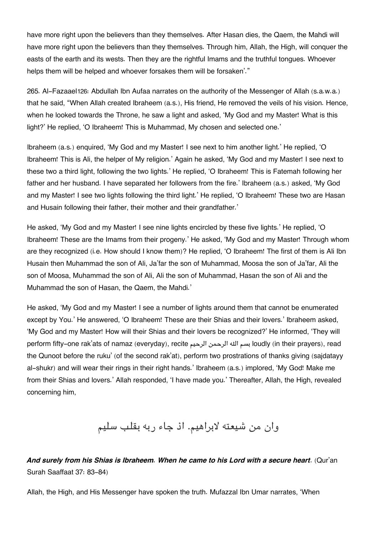have more right upon the believers than they themselves. After Hasan dies, the Qaem, the Mahdi will have more right upon the believers than they themselves. Through him, Allah, the High, will conquer the easts of the earth and its wests. Then they are the rightful Imams and the truthful tongues. Whoever helps them will be helped and whoever forsakes them will be forsaken'."

265. Al-Fazaael[126](#page--1-0): Abdullah Ibn Aufaa narrates on the authority of the Messenger of Allah (s.a.w.a.) that he said, "When Allah created Ibraheem (a.s.), His friend, He removed the veils of his vision. Hence, when he looked towards the Throne, he saw a light and asked, 'My God and my Master! What is this light?' He replied, 'O Ibraheem! This is Muhammad, My chosen and selected one.'

Ibraheem (a.s.) enquired, 'My God and my Master! I see next to him another light.' He replied, 'O Ibraheem! This is Ali, the helper of My religion.' Again he asked, 'My God and my Master! I see next to these two a third light, following the two lights.' He replied, 'O Ibraheem! This is Fatemah following her father and her husband. I have separated her followers from the fire.' Ibraheem (a.s.) asked, 'My God and my Master! I see two lights following the third light.' He replied, 'O Ibraheem! These two are Hasan and Husain following their father, their mother and their grandfather.'

He asked, 'My God and my Master! I see nine lights encircled by these five lights.' He replied, 'O Ibraheem! These are the Imams from their progeny.' He asked, 'My God and my Master! Through whom are they recognized (i.e. How should I know them)? He replied, 'O Ibraheem! The first of them is Ali Ibn Husain then Muhammad the son of Ali, Ja'far the son of Muhammad, Moosa the son of Ja'far, Ali the son of Moosa, Muhammad the son of Ali, Ali the son of Muhammad, Hasan the son of Ali and the Muhammad the son of Hasan, the Qaem, the Mahdi.'

He asked, 'My God and my Master! I see a number of lights around them that cannot be enumerated except by You.' He answered, 'O Ibraheem! These are their Shias and their lovers.' Ibraheem asked, 'My God and my Master! How will their Shias and their lovers be recognized?' He informed, 'They will perform fifty-one rak'ats of namaz (everyday), recite الرحيم الرحمن هال بسم loudly (in their prayers), read the Qunoot before the ruku' (of the second rak'at), perform two prostrations of thanks giving (sajdatayy al-shukr) and will wear their rings in their right hands.' Ibraheem (a.s.) implored, 'My God! Make me from their Shias and lovers.' Allah responded, 'I have made you.' Thereafter, Allah, the High, revealed concerning him,

وان من شيعته لابراهيم. اذ جاء ربه بقلب سليم

### *And surely from his Shias is Ibraheem. When he came to his Lord with a secure heart*. (Qur'an Surah Saaffaat 37: 83-84)

Allah, the High, and His Messenger have spoken the truth. Mufazzal Ibn Umar narrates, 'When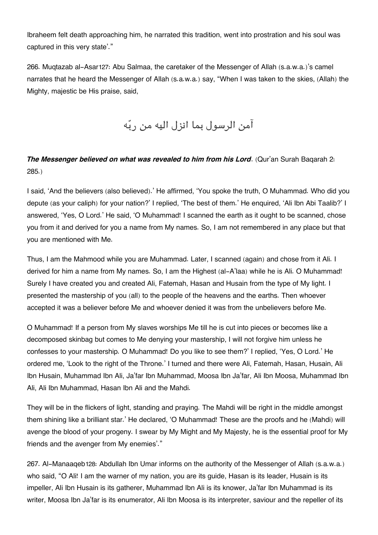Ibraheem felt death approaching him, he narrated this tradition, went into prostration and his soul was captured in this very state'."

266. Muqtazab al-Asar[127](#page--1-0): Abu Salmaa, the caretaker of the Messenger of Allah (s.a.w.a.)'s camel narrates that he heard the Messenger of Allah (s.a.w.a.) say, "When I was taken to the skies, (Allah) the Mighty, majestic be His praise, said,

آمن الرسول بما انزل اليه من ربه

## *The Messenger believed on what was revealed to him from his Lord*. (Qur'an Surah Baqarah 2: 285.)

I said, 'And the believers (also believed).' He affirmed, 'You spoke the truth, O Muhammad. Who did you depute (as your caliph) for your nation?' I replied, 'The best of them.' He enquired, 'Ali Ibn Abi Taalib?' I answered, 'Yes, O Lord.' He said, 'O Muhammad! I scanned the earth as it ought to be scanned, chose you from it and derived for you a name from My names. So, I am not remembered in any place but that you are mentioned with Me.

Thus, I am the Mahmood while you are Muhammad. Later, I scanned (again) and chose from it Ali. I derived for him a name from My names. So, I am the Highest (al-A'laa) while he is Ali. O Muhammad! Surely I have created you and created Ali, Fatemah, Hasan and Husain from the type of My light. I presented the mastership of you (all) to the people of the heavens and the earths. Then whoever accepted it was a believer before Me and whoever denied it was from the unbelievers before Me.

O Muhammad! If a person from My slaves worships Me till he is cut into pieces or becomes like a decomposed skinbag but comes to Me denying your mastership, I will not forgive him unless he confesses to your mastership. O Muhammad! Do you like to see them?' I replied, 'Yes, O Lord.' He ordered me, 'Look to the right of the Throne.' I turned and there were Ali, Fatemah, Hasan, Husain, Ali Ibn Husain, Muhammad Ibn Ali, Ja'far Ibn Muhammad, Moosa Ibn Ja'far, Ali Ibn Moosa, Muhammad Ibn Ali, Ali Ibn Muhammad, Hasan Ibn Ali and the Mahdi.

They will be in the flickers of light, standing and praying. The Mahdi will be right in the middle amongst them shining like a brilliant star.' He declared, 'O Muhammad! These are the proofs and he (Mahdi) will avenge the blood of your progeny. I swear by My Might and My Majesty, he is the essential proof for My friends and the avenger from My enemies'."

267. Al-Manaaqeb[128](#page--1-0): Abdullah Ibn Umar informs on the authority of the Messenger of Allah (s.a.w.a.) who said, "O Ali! I am the warner of my nation, you are its guide, Hasan is its leader, Husain is its impeller, Ali Ibn Husain is its gatherer, Muhammad Ibn Ali is its knower, Ja'far Ibn Muhammad is its writer, Moosa Ibn Ja'far is its enumerator, Ali Ibn Moosa is its interpreter, saviour and the repeller of its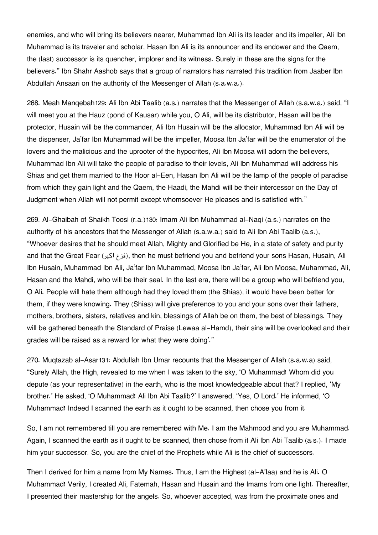enemies, and who will bring its believers nearer, Muhammad Ibn Ali is its leader and its impeller, Ali Ibn Muhammad is its traveler and scholar, Hasan Ibn Ali is its announcer and its endower and the Qaem, the (last) successor is its quencher, implorer and its witness. Surely in these are the signs for the believers." Ibn Shahr Aashob says that a group of narrators has narrated this tradition from Jaaber Ibn Abdullah Ansaari on the authority of the Messenger of Allah (s.a.w.a.).

268. Meah Manqebah[129](#page--1-0): Ali Ibn Abi Taalib (a.s.) narrates that the Messenger of Allah (s.a.w.a.) said, "I will meet you at the Hauz (pond of Kausar) while you, O Ali, will be its distributor, Hasan will be the protector, Husain will be the commander, Ali Ibn Husain will be the allocator, Muhammad Ibn Ali will be the dispenser, Ja'far Ibn Muhammad will be the impeller, Moosa Ibn Ja'far will be the enumerator of the lovers and the malicious and the uprooter of the hypocrites, Ali Ibn Moosa will adorn the believers, Muhammad Ibn Ali will take the people of paradise to their levels, Ali Ibn Muhammad will address his Shias and get them married to the Hoor al-Een, Hasan Ibn Ali will be the lamp of the people of paradise from which they gain light and the Qaem, the Haadi, the Mahdi will be their intercessor on the Day of Judgment when Allah will not permit except whomsoever He pleases and is satisfied with."

269. Al-Ghaibah of Shaikh Toosi (r.a.)[130](#page--1-0): Imam Ali Ibn Muhammad al-Naqi (a.s.) narrates on the authority of his ancestors that the Messenger of Allah (s.a.w.a.) said to Ali Ibn Abi Taalib (a.s.), "Whoever desires that he should meet Allah, Mighty and Glorified be He, in a state of safety and purity and that the Great Fear (المزع اكبر), then he must befriend you and befriend your sons Hasan, Husain, Ali Ibn Husain, Muhammad Ibn Ali, Ja'far Ibn Muhammad, Moosa Ibn Ja'far, Ali Ibn Moosa, Muhammad, Ali, Hasan and the Mahdi, who will be their seal. In the last era, there will be a group who will befriend you, O Ali. People will hate them although had they loved them (the Shias), it would have been better for them, if they were knowing. They (Shias) will give preference to you and your sons over their fathers, mothers, brothers, sisters, relatives and kin, blessings of Allah be on them, the best of blessings. They will be gathered beneath the Standard of Praise (Lewaa al-Hamd), their sins will be overlooked and their grades will be raised as a reward for what they were doing'."

270. Muqtazab al-Asar[131](#page--1-0): Abdullah Ibn Umar recounts that the Messenger of Allah (s.a.w.a) said, "Surely Allah, the High, revealed to me when I was taken to the sky, 'O Muhammad! Whom did you depute (as your representative) in the earth, who is the most knowledgeable about that? I replied, 'My brother.' He asked, 'O Muhammad! Ali Ibn Abi Taalib?' I answered, 'Yes, O Lord.' He informed, 'O Muhammad! Indeed I scanned the earth as it ought to be scanned, then chose you from it.

So, I am not remembered till you are remembered with Me. I am the Mahmood and you are Muhammad. Again, I scanned the earth as it ought to be scanned, then chose from it Ali Ibn Abi Taalib (a.s.). I made him your successor. So, you are the chief of the Prophets while Ali is the chief of successors.

Then I derived for him a name from My Names. Thus, I am the Highest (al-A'laa) and he is Ali. O Muhammad! Verily, I created Ali, Fatemah, Hasan and Husain and the Imams from one light. Thereafter, I presented their mastership for the angels. So, whoever accepted, was from the proximate ones and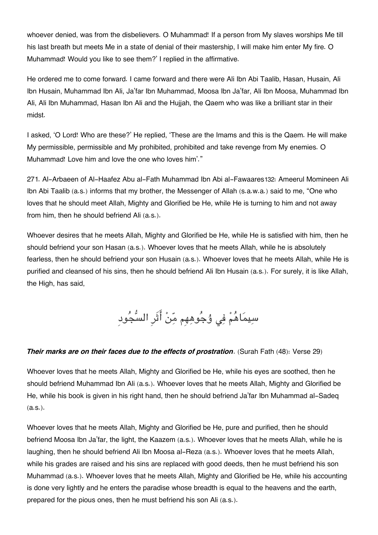whoever denied, was from the disbelievers. O Muhammad! If a person from My slaves worships Me till his last breath but meets Me in a state of denial of their mastership, I will make him enter My fire. O Muhammad! Would you like to see them?' I replied in the affirmative.

He ordered me to come forward. I came forward and there were Ali Ibn Abi Taalib, Hasan, Husain, Ali Ibn Husain, Muhammad Ibn Ali, Ja'far Ibn Muhammad, Moosa Ibn Ja'far, Ali Ibn Moosa, Muhammad Ibn Ali, Ali Ibn Muhammad, Hasan Ibn Ali and the Hujjah, the Qaem who was like a brilliant star in their midst.

I asked, 'O Lord! Who are these?' He replied, 'These are the Imams and this is the Qaem. He will make My permissible, permissible and My prohibited, prohibited and take revenge from My enemies. O Muhammad! Love him and love the one who loves him'."

271. Al-Arbaeen of Al-Haafez Abu al-Fath Muhammad Ibn Abi al-Fawaares[132](#page--1-0): Ameerul Momineen Ali Ibn Abi Taalib (a.s.) informs that my brother, the Messenger of Allah (s.a.w.a.) said to me, "One who loves that he should meet Allah, Mighty and Glorified be He, while He is turning to him and not away from him, then he should befriend Ali (a.s.).

Whoever desires that he meets Allah, Mighty and Glorified be He, while He is satisfied with him, then he should befriend your son Hasan (a.s.). Whoever loves that he meets Allah, while he is absolutely fearless, then he should befriend your son Husain (a.s.). Whoever loves that he meets Allah, while He is purified and cleansed of his sins, then he should befriend Ali Ibn Husain (a.s.). For surely, it is like Allah, the High, has said,

سِيمَاهُمْ فِی وُجُوهِهِم مِّنْ أَثَرِ السُّجُودِ

#### *Their marks are on their faces due to the effects of prostration*. (Surah Fath (48): Verse 29)

Whoever loves that he meets Allah, Mighty and Glorified be He, while his eyes are soothed, then he should befriend Muhammad Ibn Ali (a.s.). Whoever loves that he meets Allah, Mighty and Glorified be He, while his book is given in his right hand, then he should befriend Ja'far Ibn Muhammad al-Sadeq (a.s.).

Whoever loves that he meets Allah, Mighty and Glorified be He, pure and purified, then he should befriend Moosa Ibn Ja'far, the light, the Kaazem (a.s.). Whoever loves that he meets Allah, while he is laughing, then he should befriend Ali Ibn Moosa al-Reza (a.s.). Whoever loves that he meets Allah, while his grades are raised and his sins are replaced with good deeds, then he must befriend his son Muhammad (a.s.). Whoever loves that he meets Allah, Mighty and Glorified be He, while his accounting is done very lightly and he enters the paradise whose breadth is equal to the heavens and the earth, prepared for the pious ones, then he must befriend his son Ali (a.s.).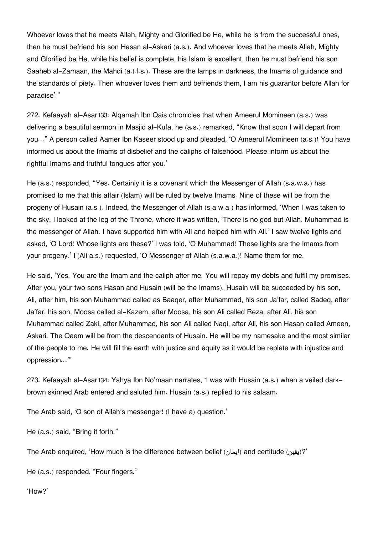Whoever loves that he meets Allah, Mighty and Glorified be He, while he is from the successful ones, then he must befriend his son Hasan al-Askari (a.s.). And whoever loves that he meets Allah, Mighty and Glorified be He, while his belief is complete, his Islam is excellent, then he must befriend his son Saaheb al-Zamaan, the Mahdi (a.t.f.s.). These are the lamps in darkness, the Imams of guidance and the standards of piety. Then whoever loves them and befriends them, I am his guarantor before Allah for paradise'."

272. Kefaayah al-Asar[133](#page--1-0): Alqamah Ibn Qais chronicles that when Ameerul Momineen (a.s.) was delivering a beautiful sermon in Masjid al-Kufa, he (a.s.) remarked, "Know that soon I will depart from you…" A person called Aamer Ibn Kaseer stood up and pleaded, 'O Ameerul Momineen (a.s.)! You have informed us about the Imams of disbelief and the caliphs of falsehood. Please inform us about the rightful Imams and truthful tongues after you.'

He (a.s.) responded, "Yes. Certainly it is a covenant which the Messenger of Allah (s.a.w.a.) has promised to me that this affair (Islam) will be ruled by twelve Imams. Nine of these will be from the progeny of Husain (a.s.). Indeed, the Messenger of Allah (s.a.w.a.) has informed, 'When I was taken to the sky, I looked at the leg of the Throne, where it was written, 'There is no god but Allah. Muhammad is the messenger of Allah. I have supported him with Ali and helped him with Ali.' I saw twelve lights and asked, 'O Lord! Whose lights are these?' I was told, 'O Muhammad! These lights are the Imams from your progeny.' I (Ali a.s.) requested, 'O Messenger of Allah (s.a.w.a.)! Name them for me.

He said, 'Yes. You are the Imam and the caliph after me. You will repay my debts and fulfil my promises. After you, your two sons Hasan and Husain (will be the Imams). Husain will be succeeded by his son, Ali, after him, his son Muhammad called as Baaqer, after Muhammad, his son Ja'far, called Sadeq, after Ja'far, his son, Moosa called al-Kazem, after Moosa, his son Ali called Reza, after Ali, his son Muhammad called Zaki, after Muhammad, his son Ali called Naqi, after Ali, his son Hasan called Ameen, Askari. The Qaem will be from the descendants of Husain. He will be my namesake and the most similar of the people to me. He will fill the earth with justice and equity as it would be replete with injustice and oppression…'"

273. Kefaayah al-Asar[134](#page--1-0): Yahya Ibn No'maan narrates, 'I was with Husain (a.s.) when a veiled darkbrown skinned Arab entered and saluted him. Husain (a.s.) replied to his salaam.

The Arab said, 'O son of Allah's messenger! (I have a) question.'

He (a.s.) said, "Bring it forth."

The Arab enquired, 'How much is the difference between belief (إيقين) and certitude (ايمان)?

He (a.s.) responded, "Four fingers."

'How?'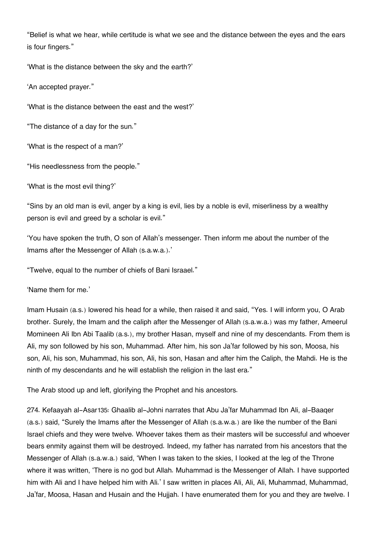"Belief is what we hear, while certitude is what we see and the distance between the eyes and the ears is four fingers."

'What is the distance between the sky and the earth?'

'An accepted prayer."

'What is the distance between the east and the west?'

"The distance of a day for the sun."

'What is the respect of a man?'

"His needlessness from the people."

'What is the most evil thing?'

"Sins by an old man is evil, anger by a king is evil, lies by a noble is evil, miserliness by a wealthy person is evil and greed by a scholar is evil."

'You have spoken the truth, O son of Allah's messenger. Then inform me about the number of the Imams after the Messenger of Allah (s.a.w.a.).'

"Twelve, equal to the number of chiefs of Bani Israael."

'Name them for me.'

Imam Husain (a.s.) lowered his head for a while, then raised it and said, "Yes. I will inform you, O Arab brother. Surely, the Imam and the caliph after the Messenger of Allah (s.a.w.a.) was my father, Ameerul Momineen Ali Ibn Abi Taalib (a.s.), my brother Hasan, myself and nine of my descendants. From them is Ali, my son followed by his son, Muhammad. After him, his son Ja'far followed by his son, Moosa, his son, Ali, his son, Muhammad, his son, Ali, his son, Hasan and after him the Caliph, the Mahdi. He is the ninth of my descendants and he will establish the religion in the last era."

The Arab stood up and left, glorifying the Prophet and his ancestors.

274. Kefaayah al-Asar[135](#page--1-0): Ghaalib al-Johni narrates that Abu Ja'far Muhammad Ibn Ali, al-Baaqer (a.s.) said, "Surely the Imams after the Messenger of Allah (s.a.w.a.) are like the number of the Bani Israel chiefs and they were twelve. Whoever takes them as their masters will be successful and whoever bears enmity against them will be destroyed. Indeed, my father has narrated from his ancestors that the Messenger of Allah (s.a.w.a.) said, 'When I was taken to the skies, I looked at the leg of the Throne where it was written, 'There is no god but Allah. Muhammad is the Messenger of Allah. I have supported him with Ali and I have helped him with Ali.' I saw written in places Ali, Ali, Ali, Muhammad, Muhammad, Ja'far, Moosa, Hasan and Husain and the Hujjah. I have enumerated them for you and they are twelve. I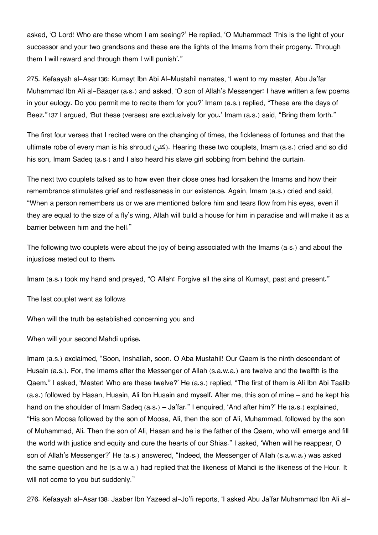asked, 'O Lord! Who are these whom I am seeing?' He replied, 'O Muhammad! This is the light of your successor and your two grandsons and these are the lights of the Imams from their progeny. Through them I will reward and through them I will punish'."

275. Kefaayah al-Asar[136](#page--1-0): Kumayt Ibn Abi Al-Mustahil narrates, 'I went to my master, Abu Ja'far Muhammad Ibn Ali al-Baaqer (a.s.) and asked, 'O son of Allah's Messenger! I have written a few poems in your eulogy. Do you permit me to recite them for you?' Imam (a.s.) replied, "These are the days of Beez."[137](#page--1-0) I argued, 'But these (verses) are exclusively for you.' Imam (a.s.) said, "Bring them forth."

The first four verses that I recited were on the changing of times, the fickleness of fortunes and that the ultimate robe of every man is his shroud (كفن). Hearing these two couplets, Imam (a.s.) cried and so did his son, Imam Sadeq (a.s.) and I also heard his slave girl sobbing from behind the curtain.

The next two couplets talked as to how even their close ones had forsaken the Imams and how their remembrance stimulates grief and restlessness in our existence. Again, Imam (a.s.) cried and said, "When a person remembers us or we are mentioned before him and tears flow from his eyes, even if they are equal to the size of a fly's wing, Allah will build a house for him in paradise and will make it as a barrier between him and the hell."

The following two couplets were about the joy of being associated with the Imams (a.s.) and about the injustices meted out to them.

Imam (a.s.) took my hand and prayed, "O Allah! Forgive all the sins of Kumayt, past and present."

The last couplet went as follows

When will the truth be established concerning you and

When will your second Mahdi uprise.

Imam (a.s.) exclaimed, "Soon, Inshallah, soon. O Aba Mustahil! Our Qaem is the ninth descendant of Husain (a.s.). For, the Imams after the Messenger of Allah (s.a.w.a.) are twelve and the twelfth is the Qaem." I asked, 'Master! Who are these twelve?' He (a.s.) replied, "The first of them is Ali Ibn Abi Taalib (a.s.) followed by Hasan, Husain, Ali Ibn Husain and myself. After me, this son of mine – and he kept his hand on the shoulder of Imam Sadeq (a.s.) – Ja'far." I enquired, 'And after him?' He (a.s.) explained, "His son Moosa followed by the son of Moosa, Ali, then the son of Ali, Muhammad, followed by the son of Muhammad, Ali. Then the son of Ali, Hasan and he is the father of the Qaem, who will emerge and fill the world with justice and equity and cure the hearts of our Shias." I asked, 'When will he reappear, O son of Allah's Messenger?' He (a.s.) answered, "Indeed, the Messenger of Allah (s.a.w.a.) was asked the same question and he (s.a.w.a.) had replied that the likeness of Mahdi is the likeness of the Hour. It will not come to you but suddenly."

276. Kefaayah al-Asar[138](#page--1-0): Jaaber Ibn Yazeed al-Jo'fi reports, 'I asked Abu Ja'far Muhammad Ibn Ali al-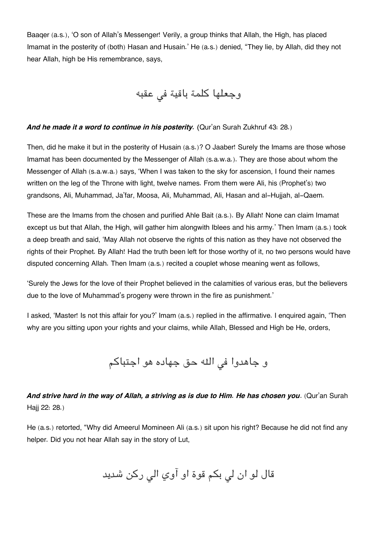Baaqer (a.s.), 'O son of Allah's Messenger! Verily, a group thinks that Allah, the High, has placed Imamat in the posterity of (both) Hasan and Husain.' He (a.s.) denied, "They lie, by Allah, did they not hear Allah, high be His remembrance, says,

وجعلها كلمة باقية في عقبه

#### *And he made it a word to continue in his posterity. (*Qur'an Surah Zukhruf 43: 28.)

Then, did he make it but in the posterity of Husain (a.s.)? O Jaaber! Surely the Imams are those whose Imamat has been documented by the Messenger of Allah (s.a.w.a.). They are those about whom the Messenger of Allah (s.a.w.a.) says, 'When I was taken to the sky for ascension, I found their names written on the leg of the Throne with light, twelve names. From them were Ali, his (Prophet's) two grandsons, Ali, Muhammad, Ja'far, Moosa, Ali, Muhammad, Ali, Hasan and al-Hujjah, al-Qaem.

These are the Imams from the chosen and purified Ahle Bait (a.s.). By Allah! None can claim Imamat except us but that Allah, the High, will gather him alongwith Iblees and his army.' Then Imam (a.s.) took a deep breath and said, 'May Allah not observe the rights of this nation as they have not observed the rights of their Prophet. By Allah! Had the truth been left for those worthy of it, no two persons would have disputed concerning Allah. Then Imam (a.s.) recited a couplet whose meaning went as follows,

'Surely the Jews for the love of their Prophet believed in the calamities of various eras, but the believers due to the love of Muhammad's progeny were thrown in the fire as punishment.'

I asked, 'Master! Is not this affair for you?' Imam (a.s.) replied in the affirmative. I enquired again, 'Then why are you sitting upon your rights and your claims, while Allah, Blessed and High be He, orders,

و جاهدوا في الله حق جهاده هو اجتباكم

## *And strive hard in the way of Allah, a striving as is due to Him. He has chosen you*. (Qur'an Surah Haij 22: 28.)

He (a.s.) retorted, "Why did Ameerul Momineen Ali (a.s.) sit upon his right? Because he did not find any helper. Did you not hear Allah say in the story of Lut,

قال لو ان لی بکم قوة او آوي الی رکن شديد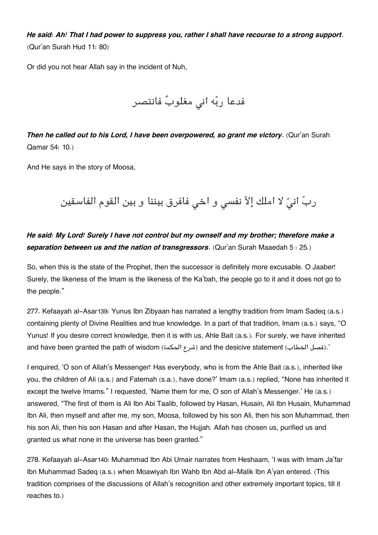*He said: Ah! That I had power to suppress you, rather I shall have recourse to a strong support*. (Qur'an Surah Hud 11: 80)

Or did you not hear Allah say in the incident of Nuh,

فدعا ربّه انی مغلوبٌ فانتصر

*Then he called out to his Lord, I have been overpowered, so grant me victory*. (Qur'an Surah Qamar 54: 10.)

And He says in the story of Moosa,

ربّ انيّ لا املك إلاّ نفسى و اخى فافرق بيننا و بين القوم الفاسقين

*He said: My Lord! Surely I have not control but my ownself and my brother; therefore make a separation between us and the nation of transgressors*. (Qur'an Surah Maaedah 5 : 25.)

So, when this is the state of the Prophet, then the successor is definitely more excusable. O Jaaber! Surely, the likeness of the Imam is the likeness of the Ka'bah, the people go to it and it does not go to the people."

277. Kefaayah al-Asar[139](#page--1-0): Yunus Ibn Zibyaan has narrated a lengthy tradition from Imam Sadeq (a.s.) containing plenty of Divine Realities and true knowledge. In a part of that tradition, Imam (a.s.) says, "O Yunus! If you desire correct knowledge, then it is with us, Ahle Bait (a.s.). For surely, we have inherited and have been granted the path of wisdom (شرع الحكمة) and the desicive statement (. فصل الخطاب).

I enquired, 'O son of Allah's Messenger! Has everybody, who is from the Ahle Bait (a.s.), inherited like you, the children of Ali (a.s.) and Fatemah (s.a.), have done?' Imam (a.s.) replied, "None has inherited it except the twelve Imams." I requested, 'Name them for me, O son of Allah's Messenger.' He (a.s.) answered, "The first of them is Ali Ibn Abi Taalib, followed by Hasan, Husain, Ali Ibn Husain, Muhammad Ibn Ali, then myself and after me, my son, Moosa, followed by his son Ali, then his son Muhammad, then his son Ali, then his son Hasan and after Hasan, the Hujjah. Allah has chosen us, purified us and granted us what none in the universe has been granted."

278. Kefaayah al-Asar[140](#page--1-0): Muhammad Ibn Abi Umair narrates from Heshaam, 'I was with Imam Ja'far Ibn Muhammad Sadeq (a.s.) when Moawiyah Ibn Wahb Ibn Abd al-Malik Ibn A'yan entered. (This tradition comprises of the discussions of Allah's recognition and other extremely important topics, till it reaches to.)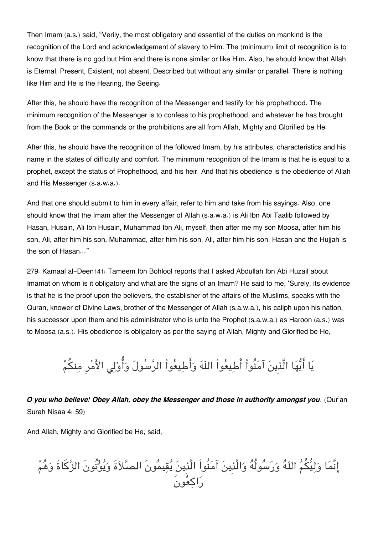Then Imam (a.s.) said, "Verily, the most obligatory and essential of the duties on mankind is the recognition of the Lord and acknowledgement of slavery to Him. The (minimum) limit of recognition is to know that there is no god but Him and there is none similar or like Him. Also, he should know that Allah is Eternal, Present, Existent, not absent, Described but without any similar or parallel. There is nothing like Him and He is the Hearing, the Seeing.

After this, he should have the recognition of the Messenger and testify for his prophethood. The minimum recognition of the Messenger is to confess to his prophethood, and whatever he has brought from the Book or the commands or the prohibitions are all from Allah, Mighty and Glorified be He.

After this, he should have the recognition of the followed Imam, by his attributes, characteristics and his name in the states of difficulty and comfort. The minimum recognition of the Imam is that he is equal to a prophet, except the status of Prophethood, and his heir. And that his obedience is the obedience of Allah and His Messenger (s.a.w.a.).

And that one should submit to him in every affair, refer to him and take from his sayings. Also, one should know that the Imam after the Messenger of Allah (s.a.w.a.) is Ali Ibn Abi Taalib followed by Hasan, Husain, Ali Ibn Husain, Muhammad Ibn Ali, myself, then after me my son Moosa, after him his son, Ali, after him his son, Muhammad, after him his son, Ali, after him his son, Hasan and the Hujjah is the son of Hasan…"

279. Kamaal al-Deen[141](#page--1-0): Tameem Ibn Bohlool reports that I asked Abdullah Ibn Abi Huzail about Imamat on whom is it obligatory and what are the signs of an Imam? He said to me, 'Surely, its evidence is that he is the proof upon the believers, the establisher of the affairs of the Muslims, speaks with the Quran, knower of Divine Laws, brother of the Messenger of Allah (s.a.w.a.), his caliph upon his nation, his successor upon them and his administrator who is unto the Prophet (s.a.w.a.) as Haroon (a.s.) was to Moosa (a.s.). His obedience is obligatory as per the saying of Allah, Mighty and Glorified be He,

يَا أَيُّهَا الَّذِينَ آمَنُواْ أَطِيعُواْ اللّهَ وَأَطِيعُواْ الرَّسُولَ وَأُوْلِي الأَمْرِ مِنكُمْ

*O you who believe! Obey Allah, obey the Messenger and those in authority amongst you*. (Qur'an Surah Nisaa 4: 59)

And Allah, Mighty and Glorified be He, said,

انَّما وليم اله ورسولُه والَّذِين آمنُواْ الَّذِين يقيمونَ الصلاةَ ويوتُونَ الزكاةَ وهم راكعونَ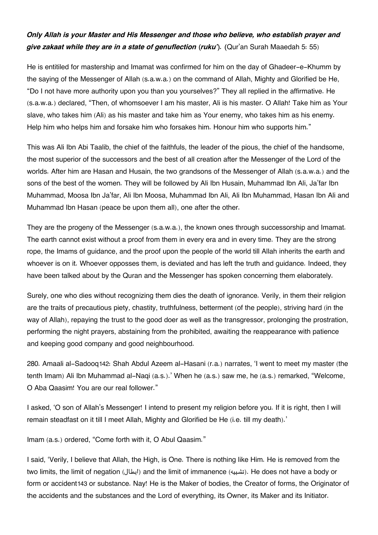### *Only Allah is your Master and His Messenger and those who believe, who establish prayer and give zakaat while they are in a state of genuflection (ruku'). (*Qur'an Surah Maaedah 5: 55)

He is entitiled for mastership and Imamat was confirmed for him on the day of Ghadeer-e-Khumm by the saying of the Messenger of Allah (s.a.w.a.) on the command of Allah, Mighty and Glorified be He, "Do I not have more authority upon you than you yourselves?" They all replied in the affirmative. He (s.a.w.a.) declared, "Then, of whomsoever I am his master, Ali is his master. O Allah! Take him as Your slave, who takes him (Ali) as his master and take him as Your enemy, who takes him as his enemy. Help him who helps him and forsake him who forsakes him. Honour him who supports him."

This was Ali Ibn Abi Taalib, the chief of the faithfuls, the leader of the pious, the chief of the handsome, the most superior of the successors and the best of all creation after the Messenger of the Lord of the worlds. After him are Hasan and Husain, the two grandsons of the Messenger of Allah (s.a.w.a.) and the sons of the best of the women. They will be followed by Ali Ibn Husain, Muhammad Ibn Ali, Ja'far Ibn Muhammad, Moosa Ibn Ja'far, Ali Ibn Moosa, Muhammad Ibn Ali, Ali Ibn Muhammad, Hasan Ibn Ali and Muhammad Ibn Hasan (peace be upon them all), one after the other.

They are the progeny of the Messenger (s.a.w.a.), the known ones through successorship and Imamat. The earth cannot exist without a proof from them in every era and in every time. They are the strong rope, the Imams of guidance, and the proof upon the people of the world till Allah inherits the earth and whoever is on it. Whoever opposses them, is deviated and has left the truth and guidance. Indeed, they have been talked about by the Quran and the Messenger has spoken concerning them elaborately.

Surely, one who dies without recognizing them dies the death of ignorance. Verily, in them their religion are the traits of precautious piety, chastity, truthfulness, betterment (of the people), striving hard (in the way of Allah), repaying the trust to the good doer as well as the transgressor, prolonging the prostration, performing the night prayers, abstaining from the prohibited, awaiting the reappearance with patience and keeping good company and good neighbourhood.

280. Amaali al-Sadooq[142](#page--1-0): Shah Abdul Azeem al-Hasani (r.a.) narrates, 'I went to meet my master (the tenth Imam) Ali Ibn Muhammad al-Naqi (a.s.).' When he (a.s.) saw me, he (a.s.) remarked, "Welcome, O Aba Qaasim! You are our real follower."

I asked, 'O son of Allah's Messenger! I intend to present my religion before you. If it is right, then I will remain steadfast on it till I meet Allah, Mighty and Glorified be He (i.e. till my death).'

Imam (a.s.) ordered, "Come forth with it, O Abul Qaasim."

I said, 'Verily, I believe that Allah, the High, is One. There is nothing like Him. He is removed from the two limits, the limit of negation (ابطال) and the limit of immanence (تشبيه). He does not have a body or form or accident[143](#page--1-0) or substance. Nay! He is the Maker of bodies, the Creator of forms, the Originator of the accidents and the substances and the Lord of everything, its Owner, its Maker and its Initiator.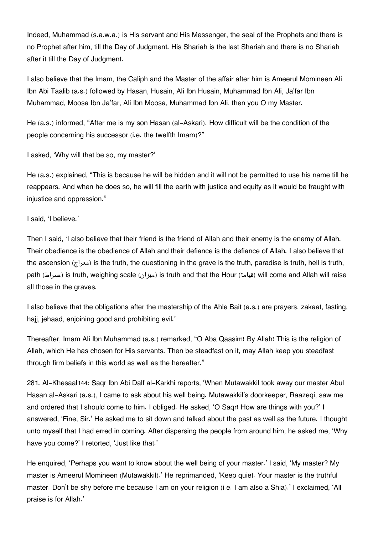Indeed, Muhammad (s.a.w.a.) is His servant and His Messenger, the seal of the Prophets and there is no Prophet after him, till the Day of Judgment. His Shariah is the last Shariah and there is no Shariah after it till the Day of Judgment.

I also believe that the Imam, the Caliph and the Master of the affair after him is Ameerul Momineen Ali Ibn Abi Taalib (a.s.) followed by Hasan, Husain, Ali Ibn Husain, Muhammad Ibn Ali, Ja'far Ibn Muhammad, Moosa Ibn Ja'far, Ali Ibn Moosa, Muhammad Ibn Ali, then you O my Master.

He (a.s.) informed, "After me is my son Hasan (al-Askari). How difficult will be the condition of the people concerning his successor (i.e. the twelfth Imam)?"

I asked, 'Why will that be so, my master?'

He (a.s.) explained, "This is because he will be hidden and it will not be permitted to use his name till he reappears. And when he does so, he will fill the earth with justice and equity as it would be fraught with injustice and oppression."

#### I said, 'I believe.'

Then I said, 'I also believe that their friend is the friend of Allah and their enemy is the enemy of Allah. Their obedience is the obedience of Allah and their defiance is the defiance of Allah. I also believe that the ascension (معراج) is the truth, the questioning in the grave is the truth, paradise is truth, hell is truth, path (صراط (is truth, weighing scale (ميزان (is truth and that the Hour (قيامة (will come and Allah will raise all those in the graves.

I also believe that the obligations after the mastership of the Ahle Bait (a.s.) are prayers, zakaat, fasting, hajj, jehaad, enjoining good and prohibiting evil.'

Thereafter, Imam Ali Ibn Muhammad (a.s.) remarked, "O Aba Qaasim! By Allah! This is the religion of Allah, which He has chosen for His servants. Then be steadfast on it, may Allah keep you steadfast through firm beliefs in this world as well as the hereafter."

281. Al-Khesaal[144](#page--1-0): Saqr Ibn Abi Dalf al-Karkhi reports, 'When Mutawakkil took away our master Abul Hasan al-Askari (a.s.), I came to ask about his well being. Mutawakkil's doorkeeper, Raazeqi, saw me and ordered that I should come to him. I obliged. He asked, 'O Saqr! How are things with you?' I answered, 'Fine, Sir.' He asked me to sit down and talked about the past as well as the future. I thought unto myself that I had erred in coming. After dispersing the people from around him, he asked me, 'Why have you come?' I retorted, 'Just like that.'

He enquired, 'Perhaps you want to know about the well being of your master.' I said, 'My master? My master is Ameerul Momineen (Mutawakkil).' He reprimanded, 'Keep quiet. Your master is the truthful master. Don't be shy before me because I am on your religion (i.e. I am also a Shia).' I exclaimed, 'All praise is for Allah.'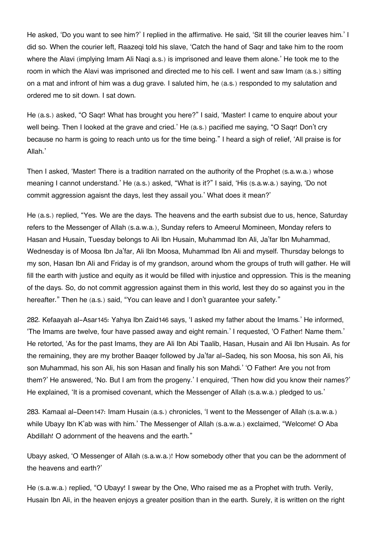He asked, 'Do you want to see him?' I replied in the affirmative. He said, 'Sit till the courier leaves him.' I did so. When the courier left, Raazeqi told his slave, 'Catch the hand of Saqr and take him to the room where the Alavi (implying Imam Ali Naqi a.s.) is imprisoned and leave them alone.' He took me to the room in which the Alavi was imprisoned and directed me to his cell. I went and saw Imam (a.s.) sitting on a mat and infront of him was a dug grave. I saluted him, he (a.s.) responded to my salutation and ordered me to sit down. I sat down.

He (a.s.) asked, "O Saqr! What has brought you here?" I said, 'Master! I came to enquire about your well being. Then I looked at the grave and cried.' He (a.s.) pacified me saying, "O Saqr! Don't cry because no harm is going to reach unto us for the time being." I heard a sigh of relief, 'All praise is for Allah.'

Then I asked, 'Master! There is a tradition narrated on the authority of the Prophet (s.a.w.a.) whose meaning I cannot understand.' He (a.s.) asked, "What is it?" I said, 'His (s.a.w.a.) saying, 'Do not commit aggression agaisnt the days, lest they assail you.' What does it mean?'

He (a.s.) replied, "Yes. We are the days. The heavens and the earth subsist due to us, hence, Saturday refers to the Messenger of Allah (s.a.w.a.), Sunday refers to Ameerul Momineen, Monday refers to Hasan and Husain, Tuesday belongs to Ali Ibn Husain, Muhammad Ibn Ali, Ja'far Ibn Muhammad, Wednesday is of Moosa Ibn Ja'far, Ali Ibn Moosa, Muhammad Ibn Ali and myself. Thursday belongs to my son, Hasan Ibn Ali and Friday is of my grandson, around whom the groups of truth will gather. He will fill the earth with justice and equity as it would be filled with injustice and oppression. This is the meaning of the days. So, do not commit aggression against them in this world, lest they do so against you in the hereafter." Then he (a.s.) said, "You can leave and I don't quarantee your safety."

282. Kefaayah al-Asar[145](#page--1-0): Yahya Ibn Zaid[146](#page--1-0) says, 'I asked my father about the Imams.' He informed, 'The Imams are twelve, four have passed away and eight remain.' I requested, 'O Father! Name them.' He retorted, 'As for the past Imams, they are Ali Ibn Abi Taalib, Hasan, Husain and Ali Ibn Husain. As for the remaining, they are my brother Baaqer followed by Ja'far al-Sadeq, his son Moosa, his son Ali, his son Muhammad, his son Ali, his son Hasan and finally his son Mahdi.' 'O Father! Are you not from them?' He answered, 'No. But I am from the progeny.' I enquired, 'Then how did you know their names?' He explained, 'It is a promised covenant, which the Messenger of Allah (s.a.w.a.) pledged to us.'

283. Kamaal al-Deen[147](#page--1-0): Imam Husain (a.s.) chronicles, 'I went to the Messenger of Allah (s.a.w.a.) while Ubayy Ibn K'ab was with him.' The Messenger of Allah (s.a.w.a.) exclaimed, "Welcome! O Aba Abdillah! O adornment of the heavens and the earth."

Ubayy asked, 'O Messenger of Allah (s.a.w.a.)! How somebody other that you can be the adornment of the heavens and earth?'

He (s.a.w.a.) replied, "O Ubayy! I swear by the One, Who raised me as a Prophet with truth. Verily, Husain Ibn Ali, in the heaven enjoys a greater position than in the earth. Surely, it is written on the right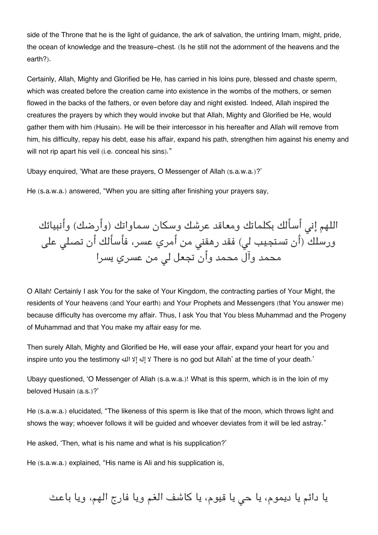side of the Throne that he is the light of guidance, the ark of salvation, the untiring Imam, might, pride, the ocean of knowledge and the treasure-chest. (Is he still not the adornment of the heavens and the earth?).

Certainly, Allah, Mighty and Glorified be He, has carried in his loins pure, blessed and chaste sperm, which was created before the creation came into existence in the wombs of the mothers, or semen flowed in the backs of the fathers, or even before day and night existed. Indeed, Allah inspired the creatures the prayers by which they would invoke but that Allah, Mighty and Glorified be He, would gather them with him (Husain). He will be their intercessor in his hereafter and Allah will remove from him, his difficulty, repay his debt, ease his affair, expand his path, strengthen him against his enemy and will not rip apart his veil (i.e. conceal his sins)."

Ubayy enquired, 'What are these prayers, O Messenger of Allah (s.a.w.a.)?'

He (s.a.w.a.) answered, "When you are sitting after finishing your prayers say,

اللهم إنى أسألك بكلماتك ومعاقد عرشك وسكان سماواتك (وأرضك) وأنبيائك ورسلك (أن تستجيب لي) فقد رهقني من أمري عسر، فأسألك أن تصلى على محمد وآل محمد وأن تجعل ل من عسري يسرا

O Allah! Certainly I ask You for the sake of Your Kingdom, the contracting parties of Your Might, the residents of Your heavens (and Your earth) and Your Prophets and Messengers (that You answer me) because difficulty has overcome my affair. Thus, I ask You that You bless Muhammad and the Progeny of Muhammad and that You make my affair easy for me.

Then surely Allah, Mighty and Glorified be He, will ease your affair, expand your heart for you and inspire unto you the testimony هال إلا إله لا There is no god but Allah' at the time of your death.'

Ubayy questioned, 'O Messenger of Allah (s.a.w.a.)! What is this sperm, which is in the loin of my beloved Husain (a.s.)?'

He (s.a.w.a.) elucidated, "The likeness of this sperm is like that of the moon, which throws light and shows the way; whoever follows it will be quided and whoever deviates from it will be led astray."

He asked, 'Then, what is his name and what is his supplication?'

He (s.a.w.a.) explained, "His name is Ali and his supplication is,

يا دائم يا ديموم، يا حى يا قيوم، يا كاشف الغم ويا فارج الهم، ويا باعث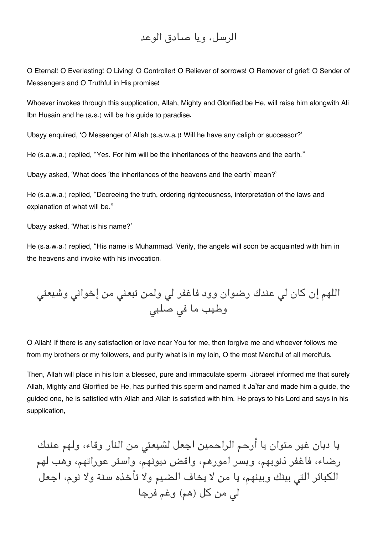## الرسل، ويا صادق الوعد

O Eternal! O Everlasting! O Living! O Controller! O Reliever of sorrows! O Remover of grief! O Sender of Messengers and O Truthful in His promise!

Whoever invokes through this supplication, Allah, Mighty and Glorified be He, will raise him alongwith Ali Ibn Husain and he (a.s.) will be his guide to paradise.

Ubayy enquired, 'O Messenger of Allah (s.a.w.a.)! Will he have any caliph or successor?'

He (s.a.w.a.) replied, "Yes. For him will be the inheritances of the heavens and the earth."

Ubayy asked, 'What does 'the inheritances of the heavens and the earth' mean?'

He (s.a.w.a.) replied, "Decreeing the truth, ordering righteousness, interpretation of the laws and explanation of what will be."

Ubayy asked, 'What is his name?'

He (s.a.w.a.) replied, "His name is Muhammad. Verily, the angels will soon be acquainted with him in the heavens and invoke with his invocation.

اللهم إن كان ل عندك رضوان وود فاغفر ل ولمن تبعن من إخوان وشيعت وطيب ما ف صلب

O Allah! If there is any satisfaction or love near You for me, then forgive me and whoever follows me from my brothers or my followers, and purify what is in my loin, O the most Merciful of all mercifuls.

Then, Allah will place in his loin a blessed, pure and immaculate sperm. Jibraeel informed me that surely Allah, Mighty and Glorified be He, has purified this sperm and named it Ja'far and made him a guide, the guided one, he is satisfied with Allah and Allah is satisfied with him. He prays to his Lord and says in his supplication,

يا ديان غير متوان يا أرحم الراحمين اجعل لشيعت من النار وقاء، ولهم عندك رضاء، فاغفر ذنوبهم، ويسر امورهم، واقض ديونهم، واستر عوراتهم، وهب لهم الكبائر التى بينك وبينهم، يا من لا يخاف الضيم ولا تأخذه سنة ولا نوم، اجعل ل من كل (هم) وغم فرجا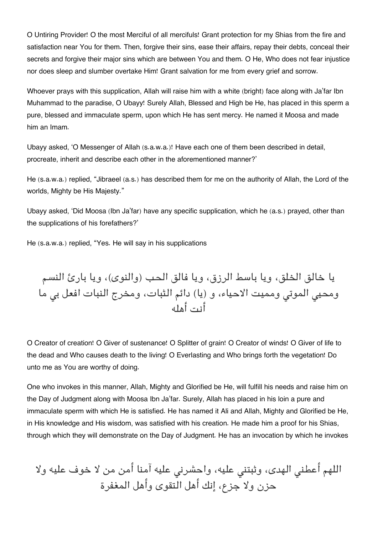O Untiring Provider! O the most Merciful of all mercifuls! Grant protection for my Shias from the fire and satisfaction near You for them. Then, forgive their sins, ease their affairs, repay their debts, conceal their secrets and forgive their major sins which are between You and them. O He, Who does not fear injustice nor does sleep and slumber overtake Him! Grant salvation for me from every grief and sorrow.

Whoever prays with this supplication, Allah will raise him with a white (bright) face along with Ja'far Ibn Muhammad to the paradise, O Ubayy! Surely Allah, Blessed and High be He, has placed in this sperm a pure, blessed and immaculate sperm, upon which He has sent mercy. He named it Moosa and made him an Imam.

Ubayy asked, 'O Messenger of Allah (s.a.w.a.)! Have each one of them been described in detail, procreate, inherit and describe each other in the aforementioned manner?'

He (s.a.w.a.) replied, "Jibraeel (a.s.) has described them for me on the authority of Allah, the Lord of the worlds, Mighty be His Majesty."

Ubayy asked, 'Did Moosa (Ibn Ja'far) have any specific supplication, which he (a.s.) prayed, other than the supplications of his forefathers?'

He (s.a.w.a.) replied, "Yes. He will say in his supplications

يا خالق الخلق، ويا باسط الرزق، ويا فالق الحب (والنوى)، ويا بارئ النسم ومحيى الموتى ومميت الاحياء، و (يا) دائم الثبات، ومخرج النبات افعل بي ما أنت أهله

O Creator of creation! O Giver of sustenance! O Splitter of grain! O Creator of winds! O Giver of life to the dead and Who causes death to the living! O Everlasting and Who brings forth the vegetation! Do unto me as You are worthy of doing.

One who invokes in this manner, Allah, Mighty and Glorified be He, will fulfill his needs and raise him on the Day of Judgment along with Moosa Ibn Ja'far. Surely, Allah has placed in his loin a pure and immaculate sperm with which He is satisfied. He has named it Ali and Allah, Mighty and Glorified be He, in His knowledge and His wisdom, was satisfied with his creation. He made him a proof for his Shias, through which they will demonstrate on the Day of Judgment. He has an invocation by which he invokes

اللهم أعطنى الهدى، وثبتنى عليه، واحشرنى عليه آمنا أمن من لا خوف عليه ولا حزن ولا جزع، إنك أهل التقوى وأهل المغفرة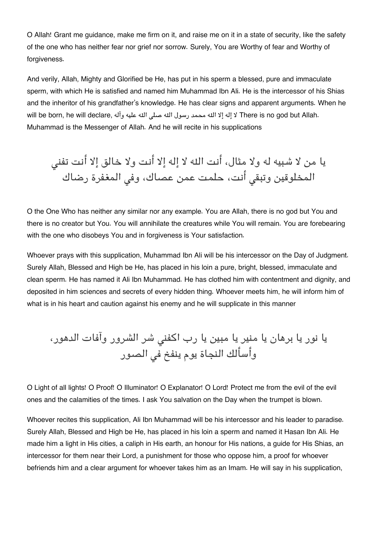O Allah! Grant me guidance, make me firm on it, and raise me on it in a state of security, like the safety of the one who has neither fear nor grief nor sorrow. Surely, You are Worthy of fear and Worthy of forgiveness.

And verily, Allah, Mighty and Glorified be He, has put in his sperm a blessed, pure and immaculate sperm, with which He is satisfied and named him Muhammad Ibn Ali. He is the intercessor of his Shias and the inheritor of his grandfather's knowledge. He has clear signs and apparent arguments. When he will be born, he will declare, وآله عليه وآله عليه هال الله عنه هال الله محمد رسول الله صلى الله عليه وآله Muhammad is the Messenger of Allah. And he will recite in his supplications

يا من لا شبيه له ولا مثال، أنت اله لا إله إلا أنت ولا خالق إلا أنت تفن المخلوقين وتبق أنت، حلمت عمن عصاك، وف المغفرة رضاك

O the One Who has neither any similar nor any example. You are Allah, there is no god but You and there is no creator but You. You will annihilate the creatures while You will remain. You are forebearing with the one who disobeys You and in forgiveness is Your satisfaction.

Whoever prays with this supplication, Muhammad Ibn Ali will be his intercessor on the Day of Judgment. Surely Allah, Blessed and High be He, has placed in his loin a pure, bright, blessed, immaculate and clean sperm. He has named it Ali Ibn Muhammad. He has clothed him with contentment and dignity, and deposited in him sciences and secrets of every hidden thing. Whoever meets him, he will inform him of what is in his heart and caution against his enemy and he will supplicate in this manner

يا نور يا برهان يا منير يا مبين يا رب اكفن شر الشرور وآفات الدهور، وأسألك النجاة يوم ينفخ ف الصور

O Light of all lights! O Proof! O Illuminator! O Explanator! O Lord! Protect me from the evil of the evil ones and the calamities of the times. I ask You salvation on the Day when the trumpet is blown.

Whoever recites this supplication, Ali Ibn Muhammad will be his intercessor and his leader to paradise. Surely Allah, Blessed and High be He, has placed in his loin a sperm and named it Hasan Ibn Ali. He made him a light in His cities, a caliph in His earth, an honour for His nations, a guide for His Shias, an intercessor for them near their Lord, a punishment for those who oppose him, a proof for whoever befriends him and a clear argument for whoever takes him as an Imam. He will say in his supplication,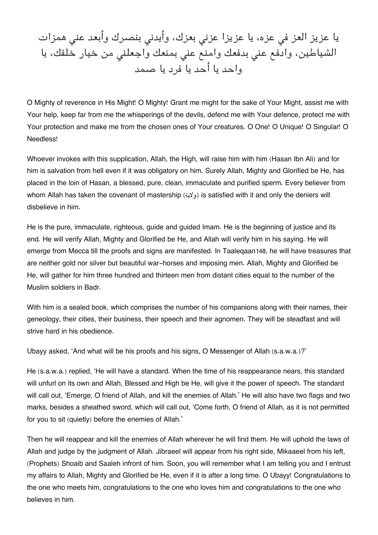يا عزيز العز في عزه، يا عزيزا عزني بعزك، وأيدني بنصرك وأبعد عني همزات الشياطين، وادفع عنى بدفعك وامنع عنى بمنعك واجعلني من خيار خلقك، يا واحد يا أحد يا فرد يا صمد

O Mighty of reverence in His Might! O Mighty! Grant me might for the sake of Your Might, assist me with Your help, keep far from me the whisperings of the devils, defend me with Your defence, protect me with Your protection and make me from the chosen ones of Your creatures. O One! O Unique! O Singular! O Needless!

Whoever invokes with this supplication, Allah, the High, will raise him with him (Hasan Ibn Ali) and for him is salvation from hell even if it was obligatory on him. Surely Allah, Mighty and Glorified be He, has placed in the loin of Hasan, a blessed, pure, clean, immaculate and purified sperm. Every believer from whom Allah has taken the covenant of mastership (ولاية) is satisfied with it and only the deniers will disbelieve in him.

He is the pure, immaculate, righteous, guide and guided Imam. He is the beginning of justice and its end. He will verify Allah, Mighty and Glorified be He, and Allah will verify him in his saying. He will emerge from Mecca till the proofs and signs are manifested. In Taaleqaan[148](#page--1-0), he will have treasures that are neither gold nor silver but beautiful war-horses and imposing men. Allah, Mighty and Glorified be He, will gather for him three hundred and thirteen men from distant cities equal to the number of the Muslim soldiers in Badr.

With him is a sealed book, which comprises the number of his companions along with their names, their geneology, their cities, their business, their speech and their agnomen. They will be steadfast and will strive hard in his obedience.

Ubayy asked, 'And what will be his proofs and his signs, O Messenger of Allah (s.a.w.a.)?'

He (s.a.w.a.) replied, 'He will have a standard. When the time of his reappearance nears, this standard will unfurl on its own and Allah, Blessed and High be He, will give it the power of speech. The standard will call out, 'Emerge, O friend of Allah, and kill the enemies of Allah.' He will also have two flags and two marks, besides a sheathed sword, which will call out, 'Come forth, O friend of Allah, as it is not permitted for you to sit (quietly) before the enemies of Allah.'

Then he will reappear and kill the enemies of Allah wherever he will find them. He will uphold the laws of Allah and judge by the judgment of Allah. Jibraeel will appear from his right side, Mikaaeel from his left, (Prophets) Shoaib and Saaleh infront of him. Soon, you will remember what I am telling you and I entrust my affairs to Allah, Mighty and Glorified be He, even if it is after a long time. O Ubayy! Congratulations to the one who meets him, congratulations to the one who loves him and congratulations to the one who believes in him.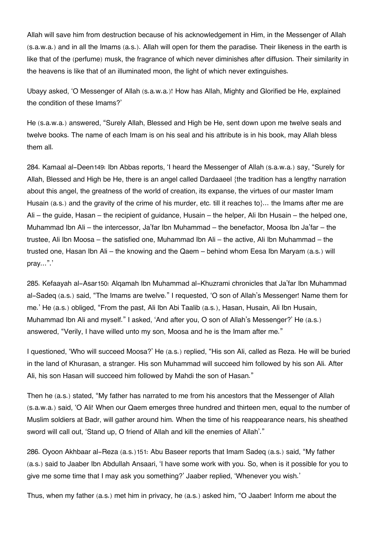Allah will save him from destruction because of his acknowledgement in Him, in the Messenger of Allah (s.a.w.a.) and in all the Imams (a.s.). Allah will open for them the paradise. Their likeness in the earth is like that of the (perfume) musk, the fragrance of which never diminishes after diffusion. Their similarity in the heavens is like that of an illuminated moon, the light of which never extinguishes.

Ubayy asked, 'O Messenger of Allah (s.a.w.a.)! How has Allah, Mighty and Glorified be He, explained the condition of these Imams?'

He (s.a.w.a.) answered, "Surely Allah, Blessed and High be He, sent down upon me twelve seals and twelve books. The name of each Imam is on his seal and his attribute is in his book, may Allah bless them all.

284. Kamaal al-Deen[149](#page--1-0): Ibn Abbas reports, 'I heard the Messenger of Allah (s.a.w.a.) say, "Surely for Allah, Blessed and High be He, there is an angel called Dardaaeel {the tradition has a lengthy narration about this angel, the greatness of the world of creation, its expanse, the virtues of our master Imam Husain (a.s.) and the gravity of the crime of his murder, etc. till it reaches to  $\ldots$  the Imams after me are Ali – the guide, Hasan – the recipient of guidance, Husain – the helper, Ali Ibn Husain – the helped one, Muhammad Ibn Ali – the intercessor, Ja'far Ibn Muhammad – the benefactor, Moosa Ibn Ja'far – the trustee, Ali Ibn Moosa – the satisfied one, Muhammad Ibn Ali – the active, Ali Ibn Muhammad – the trusted one, Hasan Ibn Ali – the knowing and the Qaem – behind whom Eesa Ibn Maryam (a.s.) will pray…".'

285. Kefaayah al-Asar[150](#page--1-0): Alqamah Ibn Muhammad al-Khuzrami chronicles that Ja'far Ibn Muhammad al-Sadeq (a.s.) said, "The Imams are twelve." I requested, 'O son of Allah's Messenger! Name them for me.' He (a.s.) obliged, "From the past, Ali Ibn Abi Taalib (a.s.), Hasan, Husain, Ali Ibn Husain, Muhammad Ibn Ali and myself." I asked, 'And after you, O son of Allah's Messenger?' He (a.s.) answered, "Verily, I have willed unto my son, Moosa and he is the Imam after me."

I questioned, 'Who will succeed Moosa?' He (a.s.) replied, "His son Ali, called as Reza. He will be buried in the land of Khurasan, a stranger. His son Muhammad will succeed him followed by his son Ali. After Ali, his son Hasan will succeed him followed by Mahdi the son of Hasan."

Then he (a.s.) stated, "My father has narrated to me from his ancestors that the Messenger of Allah (s.a.w.a.) said, 'O Ali! When our Qaem emerges three hundred and thirteen men, equal to the number of Muslim soldiers at Badr, will gather around him. When the time of his reappearance nears, his sheathed sword will call out, 'Stand up, O friend of Allah and kill the enemies of Allah'."

286. Oyoon Akhbaar al-Reza (a.s.)[151](#page--1-0): Abu Baseer reports that Imam Sadeq (a.s.) said, "My father (a.s.) said to Jaaber Ibn Abdullah Ansaari, 'I have some work with you. So, when is it possible for you to give me some time that I may ask you something?' Jaaber replied, 'Whenever you wish.'

Thus, when my father (a.s.) met him in privacy, he (a.s.) asked him, "O Jaaber! Inform me about the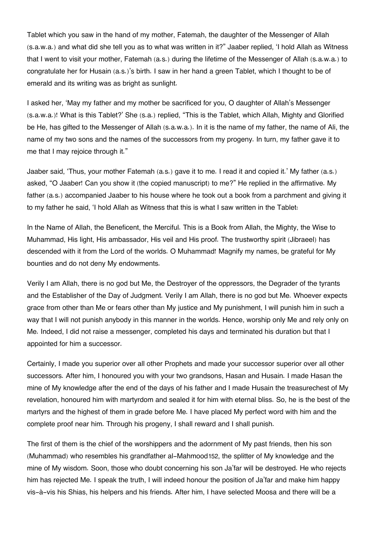Tablet which you saw in the hand of my mother, Fatemah, the daughter of the Messenger of Allah (s.a.w.a.) and what did she tell you as to what was written in it?" Jaaber replied, 'I hold Allah as Witness that I went to visit your mother, Fatemah (a.s.) during the lifetime of the Messenger of Allah (s.a.w.a.) to congratulate her for Husain (a.s.)'s birth. I saw in her hand a green Tablet, which I thought to be of emerald and its writing was as bright as sunlight.

I asked her, 'May my father and my mother be sacrificed for you, O daughter of Allah's Messenger (s.a.w.a.)! What is this Tablet?' She (s.a.) replied, "This is the Tablet, which Allah, Mighty and Glorified be He, has gifted to the Messenger of Allah (s.a.w.a.). In it is the name of my father, the name of Ali, the name of my two sons and the names of the successors from my progeny. In turn, my father gave it to me that I may rejoice through it."

Jaaber said, 'Thus, your mother Fatemah (a.s.) gave it to me. I read it and copied it.' My father (a.s.) asked, "O Jaaber! Can you show it (the copied manuscript) to me?" He replied in the affirmative. My father (a.s.) accompanied Jaaber to his house where he took out a book from a parchment and giving it to my father he said, 'I hold Allah as Witness that this is what I saw written in the Tablet:

In the Name of Allah, the Beneficent, the Merciful. This is a Book from Allah, the Mighty, the Wise to Muhammad, His light, His ambassador, His veil and His proof. The trustworthy spirit (Jibraeel) has descended with it from the Lord of the worlds. O Muhammad! Magnify my names, be grateful for My bounties and do not deny My endowments.

Verily I am Allah, there is no god but Me, the Destroyer of the oppressors, the Degrader of the tyrants and the Establisher of the Day of Judgment. Verily I am Allah, there is no god but Me. Whoever expects grace from other than Me or fears other than My justice and My punishment, I will punish him in such a way that I will not punish anybody in this manner in the worlds. Hence, worship only Me and rely only on Me. Indeed, I did not raise a messenger, completed his days and terminated his duration but that I appointed for him a successor.

Certainly, I made you superior over all other Prophets and made your successor superior over all other successors. After him, I honoured you with your two grandsons, Hasan and Husain. I made Hasan the mine of My knowledge after the end of the days of his father and I made Husain the treasurechest of My revelation, honoured him with martyrdom and sealed it for him with eternal bliss. So, he is the best of the martyrs and the highest of them in grade before Me. I have placed My perfect word with him and the complete proof near him. Through his progeny, I shall reward and I shall punish.

The first of them is the chief of the worshippers and the adornment of My past friends, then his son (Muhammad) who resembles his grandfather al-Mahmood[152](#page--1-0), the splitter of My knowledge and the mine of My wisdom. Soon, those who doubt concerning his son Ja'far will be destroyed. He who rejects him has rejected Me. I speak the truth, I will indeed honour the position of Ja'far and make him happy vis-à-vis his Shias, his helpers and his friends. After him, I have selected Moosa and there will be a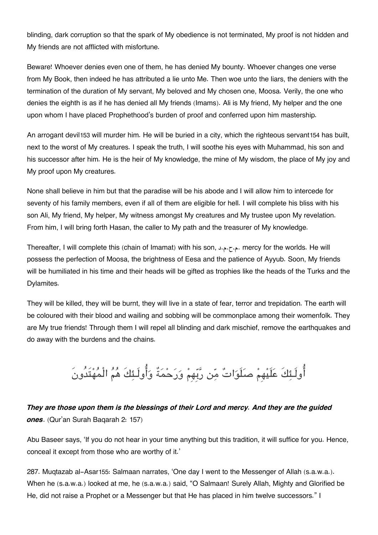blinding, dark corruption so that the spark of My obedience is not terminated, My proof is not hidden and My friends are not afflicted with misfortune.

Beware! Whoever denies even one of them, he has denied My bounty. Whoever changes one verse from My Book, then indeed he has attributed a lie unto Me. Then woe unto the liars, the deniers with the termination of the duration of My servant, My beloved and My chosen one, Moosa. Verily, the one who denies the eighth is as if he has denied all My friends (Imams). Ali is My friend, My helper and the one upon whom I have placed Prophethood's burden of proof and conferred upon him mastership.

An arrogant devil[153](#page--1-0) will murder him. He will be buried in a city, which the righteous servant[154](#page--1-0) has built, next to the worst of My creatures. I speak the truth, I will soothe his eyes with Muhammad, his son and his successor after him. He is the heir of My knowledge, the mine of My wisdom, the place of My joy and My proof upon My creatures.

None shall believe in him but that the paradise will be his abode and I will allow him to intercede for seventy of his family members, even if all of them are eligible for hell. I will complete his bliss with his son Ali, My friend, My helper, My witness amongst My creatures and My trustee upon My revelation. From him, I will bring forth Hasan, the caller to My path and the treasurer of My knowledge.

Thereafter, I will complete this (chain of Imamat) with his son, د.م. mercy for the worlds. He will possess the perfection of Moosa, the brightness of Eesa and the patience of Ayyub. Soon, My friends will be humiliated in his time and their heads will be gifted as trophies like the heads of the Turks and the Dylamites.

They will be killed, they will be burnt, they will live in a state of fear, terror and trepidation. The earth will be coloured with their blood and wailing and sobbing will be commonplace among their womenfolk. They are My true friends! Through them I will repel all blinding and dark mischief, remove the earthquakes and do away with the burdens and the chains.

اولَـئكَ علَيهِم صلَوات من ربِهِم ورحمةٌ واولَـئكَ هم الْمهتَدُونَ

### *They are those upon them is the blessings of their Lord and mercy. And they are the guided ones*. (Qur'an Surah Baqarah 2: 157)

Abu Baseer says, 'If you do not hear in your time anything but this tradition, it will suffice for you. Hence, conceal it except from those who are worthy of it.'

287. Muqtazab al-Asar[155](#page--1-0): Salmaan narrates, 'One day I went to the Messenger of Allah (s.a.w.a.). When he (s.a.w.a.) looked at me, he (s.a.w.a.) said, "O Salmaan! Surely Allah, Mighty and Glorified be He, did not raise a Prophet or a Messenger but that He has placed in him twelve successors." I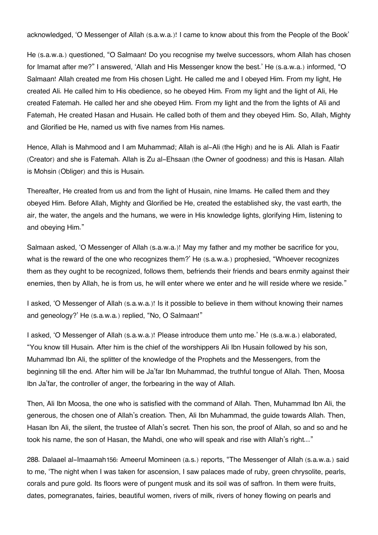acknowledged, 'O Messenger of Allah (s.a.w.a.)! I came to know about this from the People of the Book'

He (s.a.w.a.) questioned, "O Salmaan! Do you recognise my twelve successors, whom Allah has chosen for Imamat after me?" I answered, 'Allah and His Messenger know the best.' He (s.a.w.a.) informed, "O Salmaan! Allah created me from His chosen Light. He called me and I obeyed Him. From my light, He created Ali. He called him to His obedience, so he obeyed Him. From my light and the light of Ali, He created Fatemah. He called her and she obeyed Him. From my light and the from the lights of Ali and Fatemah, He created Hasan and Husain. He called both of them and they obeyed Him. So, Allah, Mighty and Glorified be He, named us with five names from His names.

Hence, Allah is Mahmood and I am Muhammad; Allah is al-Ali (the High) and he is Ali. Allah is Faatir (Creator) and she is Fatemah. Allah is Zu al-Ehsaan (the Owner of goodness) and this is Hasan. Allah is Mohsin (Obliger) and this is Husain.

Thereafter, He created from us and from the light of Husain, nine Imams. He called them and they obeyed Him. Before Allah, Mighty and Glorified be He, created the established sky, the vast earth, the air, the water, the angels and the humans, we were in His knowledge lights, glorifying Him, listening to and obeying Him."

Salmaan asked, 'O Messenger of Allah (s.a.w.a.)! May my father and my mother be sacrifice for you, what is the reward of the one who recognizes them?' He (s.a.w.a.) prophesied, "Whoever recognizes them as they ought to be recognized, follows them, befriends their friends and bears enmity against their enemies, then by Allah, he is from us, he will enter where we enter and he will reside where we reside."

I asked, 'O Messenger of Allah (s.a.w.a.)! Is it possible to believe in them without knowing their names and geneology?' He (s.a.w.a.) replied, "No, O Salmaan!"

I asked, 'O Messenger of Allah (s.a.w.a.)! Please introduce them unto me.' He (s.a.w.a.) elaborated, "You know till Husain. After him is the chief of the worshippers Ali Ibn Husain followed by his son, Muhammad Ibn Ali, the splitter of the knowledge of the Prophets and the Messengers, from the beginning till the end. After him will be Ja'far Ibn Muhammad, the truthful tongue of Allah. Then, Moosa Ibn Ja'far, the controller of anger, the forbearing in the way of Allah.

Then, Ali Ibn Moosa, the one who is satisfied with the command of Allah. Then, Muhammad Ibn Ali, the generous, the chosen one of Allah's creation. Then, Ali Ibn Muhammad, the guide towards Allah. Then, Hasan Ibn Ali, the silent, the trustee of Allah's secret. Then his son, the proof of Allah, so and so and he took his name, the son of Hasan, the Mahdi, one who will speak and rise with Allah's right…"

288. Dalaael al-Imaamah[156](#page--1-0): Ameerul Momineen (a.s.) reports, "The Messenger of Allah (s.a.w.a.) said to me, 'The night when I was taken for ascension, I saw palaces made of ruby, green chrysolite, pearls, corals and pure gold. Its floors were of pungent musk and its soil was of saffron. In them were fruits, dates, pomegranates, fairies, beautiful women, rivers of milk, rivers of honey flowing on pearls and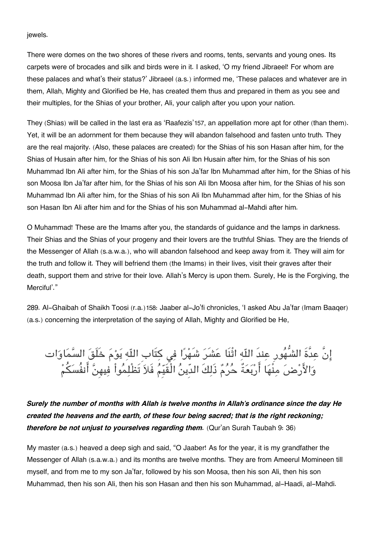jewels.

There were domes on the two shores of these rivers and rooms, tents, servants and young ones. Its carpets were of brocades and silk and birds were in it. I asked, 'O my friend Jibraeel! For whom are these palaces and what's their status?' Jibraeel (a.s.) informed me, 'These palaces and whatever are in them, Allah, Mighty and Glorified be He, has created them thus and prepared in them as you see and their multiples, for the Shias of your brother, Ali, your caliph after you upon your nation.

They (Shias) will be called in the last era as 'Raafezis'[157](#page--1-0), an appellation more apt for other (than them). Yet, it will be an adornment for them because they will abandon falsehood and fasten unto truth. They are the real majority. (Also, these palaces are created) for the Shias of his son Hasan after him, for the Shias of Husain after him, for the Shias of his son Ali Ibn Husain after him, for the Shias of his son Muhammad Ibn Ali after him, for the Shias of his son Ja'far Ibn Muhammad after him, for the Shias of his son Moosa Ibn Ja'far after him, for the Shias of his son Ali Ibn Moosa after him, for the Shias of his son Muhammad Ibn Ali after him, for the Shias of his son Ali Ibn Muhammad after him, for the Shias of his son Hasan Ibn Ali after him and for the Shias of his son Muhammad al-Mahdi after him.

O Muhammad! These are the Imams after you, the standards of guidance and the lamps in darkness. Their Shias and the Shias of your progeny and their lovers are the truthful Shias. They are the friends of the Messenger of Allah (s.a.w.a.), who will abandon falsehood and keep away from it. They will aim for the truth and follow it. They will befriend them (the Imams) in their lives, visit their graves after their death, support them and strive for their love. Allah's Mercy is upon them. Surely, He is the Forgiving, the Merciful'."

289. Al-Ghaibah of Shaikh Toosi (r.a.)[158](#page--1-0): Jaaber al-Jo'fi chronicles, 'I asked Abu Ja'far (Imam Baaqer) (a.s.) concerning the interpretation of the saying of Allah, Mighty and Glorified be He,

إِنَّ عِدَّةَ الشَّهُورِ عِندَ اللّهِ اثْنَا عَشَرَ شَهْرًا فِي كِتَابِ اللّهِ يَوْمَ خَلَقَ السَّمَاوَات وَالأَرْضَ مِنْهَا أَرْبَعَةً حُرُمٌ ذَلِكَ الدِّينُ الْقَيِّمُ فَلاَ تَظْلِمُواْ فِيهِنَّ أَنفُسَكُمْ

*Surely the number of months with Allah is twelve months in Allah's ordinance since the day He created the heavens and the earth, of these four being sacred; that is the right reckoning; therefore be not unjust to yourselves regarding them.* (Qur'an Surah Taubah 9: 36)

My master (a.s.) heaved a deep sigh and said, "O Jaaber! As for the year, it is my grandfather the Messenger of Allah (s.a.w.a.) and its months are twelve months. They are from Ameerul Momineen till myself, and from me to my son Ja'far, followed by his son Moosa, then his son Ali, then his son Muhammad, then his son Ali, then his son Hasan and then his son Muhammad, al-Haadi, al-Mahdi.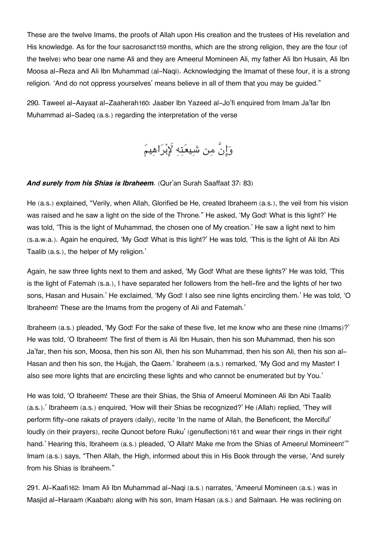These are the twelve Imams, the proofs of Allah upon His creation and the trustees of His revelation and His knowledge. As for the four sacrosanct[159](#page--1-0) months, which are the strong religion, they are the four (of the twelve) who bear one name Ali and they are Ameerul Momineen Ali, my father Ali Ibn Husain, Ali Ibn Moosa al-Reza and Ali Ibn Muhammad (al-Naqi). Acknowledging the Imamat of these four, it is a strong religion. 'And do not oppress yourselves' means believe in all of them that you may be guided."

290. Taweel al-Aayaat al-Zaaherah[160](#page--1-0): Jaaber Ibn Yazeed al-Jo'fi enquired from Imam Ja'far Ibn Muhammad al-Sadeq (a.s.) regarding the interpretation of the verse

وانَّ من شيعته براهيم

#### And surely from his Shias is Ibraheem. (Qur'an Surah Saaffaat 37: 83)

He (a.s.) explained, "Verily, when Allah, Glorified be He, created Ibraheem (a.s.), the veil from his vision was raised and he saw a light on the side of the Throne." He asked, 'My God! What is this light?' He was told, 'This is the light of Muhammad, the chosen one of My creation.' He saw a light next to him (s.a.w.a.). Again he enquired, 'My God! What is this light?' He was told, 'This is the light of Ali Ibn Abi Taalib (a.s.), the helper of My religion.'

Again, he saw three lights next to them and asked, 'My God! What are these lights?' He was told, 'This is the light of Fatemah (s.a.), I have separated her followers from the hell-fire and the lights of her two sons, Hasan and Husain.' He exclaimed, 'My God! I also see nine lights encircling them.' He was told, 'O Ibraheem! These are the Imams from the progeny of Ali and Fatemah.'

Ibraheem (a.s.) pleaded, 'My God! For the sake of these five, let me know who are these nine (Imams)?' He was told, 'O Ibraheem! The first of them is Ali Ibn Husain, then his son Muhammad, then his son Ja'far, then his son, Moosa, then his son Ali, then his son Muhammad, then his son Ali, then his son al-Hasan and then his son, the Hujjah, the Qaem.' Ibraheem (a.s.) remarked, 'My God and my Master! I also see more lights that are encircling these lights and who cannot be enumerated but by You.'

He was told, 'O Ibraheem! These are their Shias, the Shia of Ameerul Momineen Ali Ibn Abi Taalib (a.s.).' Ibraheem (a.s.) enquired, 'How will their Shias be recognized?' He (Allah) replied, 'They will perform fifty-one rakats of prayers (daily), recite 'In the name of Allah, the Beneficent, the Merciful' loudly (in their prayers), recite Qunoot before Ruku' (genuflection)[161](#page--1-0) and wear their rings in their right hand.' Hearing this, Ibraheem (a.s.) pleaded, 'O Allah! Make me from the Shias of Ameerul Momineen!'" Imam (a.s.) says, "Then Allah, the High, informed about this in His Book through the verse, 'And surely from his Shias is Ibraheem."

291. Al-Kaafi[162](#page--1-0): Imam Ali Ibn Muhammad al-Naqi (a.s.) narrates, 'Ameerul Momineen (a.s.) was in Masjid al-Haraam (Kaabah) along with his son, Imam Hasan (a.s.) and Salmaan. He was reclining on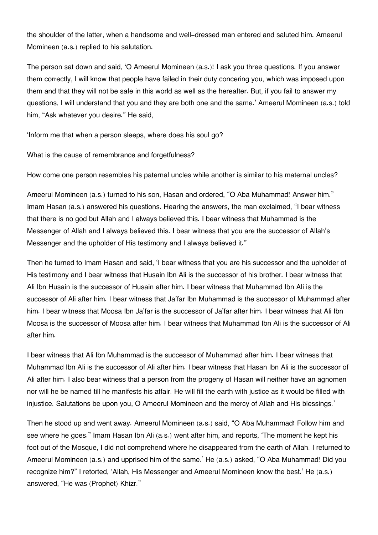the shoulder of the latter, when a handsome and well-dressed man entered and saluted him. Ameerul Momineen (a.s.) replied to his salutation.

The person sat down and said, 'O Ameerul Momineen (a.s.)! I ask you three questions. If you answer them correctly, I will know that people have failed in their duty concering you, which was imposed upon them and that they will not be safe in this world as well as the hereafter. But, if you fail to answer my questions, I will understand that you and they are both one and the same.' Ameerul Momineen (a.s.) told him, "Ask whatever you desire." He said,

'Inform me that when a person sleeps, where does his soul go?

What is the cause of remembrance and forgetfulness?

How come one person resembles his paternal uncles while another is similar to his maternal uncles?

Ameerul Momineen (a.s.) turned to his son, Hasan and ordered, "O Aba Muhammad! Answer him." Imam Hasan (a.s.) answered his questions. Hearing the answers, the man exclaimed, "I bear witness that there is no god but Allah and I always believed this. I bear witness that Muhammad is the Messenger of Allah and I always believed this. I bear witness that you are the successor of Allah's Messenger and the upholder of His testimony and I always believed it."

Then he turned to Imam Hasan and said, 'I bear witness that you are his successor and the upholder of His testimony and I bear witness that Husain Ibn Ali is the successor of his brother. I bear witness that Ali Ibn Husain is the successor of Husain after him. I bear witness that Muhammad Ibn Ali is the successor of Ali after him. I bear witness that Ja'far Ibn Muhammad is the successor of Muhammad after him. I bear witness that Moosa Ibn Ja'far is the successor of Ja'far after him. I bear witness that Ali Ibn Moosa is the successor of Moosa after him. I bear witness that Muhammad Ibn Ali is the successor of Ali after him.

I bear witness that Ali Ibn Muhammad is the successor of Muhammad after him. I bear witness that Muhammad Ibn Ali is the successor of Ali after him. I bear witness that Hasan Ibn Ali is the successor of Ali after him. I also bear witness that a person from the progeny of Hasan will neither have an agnomen nor will he be named till he manifests his affair. He will fill the earth with justice as it would be filled with injustice. Salutations be upon you, O Ameerul Momineen and the mercy of Allah and His blessings.'

Then he stood up and went away. Ameerul Momineen (a.s.) said, "O Aba Muhammad! Follow him and see where he goes." Imam Hasan Ibn Ali (a.s.) went after him, and reports, 'The moment he kept his foot out of the Mosque, I did not comprehend where he disappeared from the earth of Allah. I returned to Ameerul Momineen (a.s.) and upprised him of the same.' He (a.s.) asked, "O Aba Muhammad! Did you recognize him?" I retorted, 'Allah, His Messenger and Ameerul Momineen know the best.' He (a.s.) answered, "He was (Prophet) Khizr."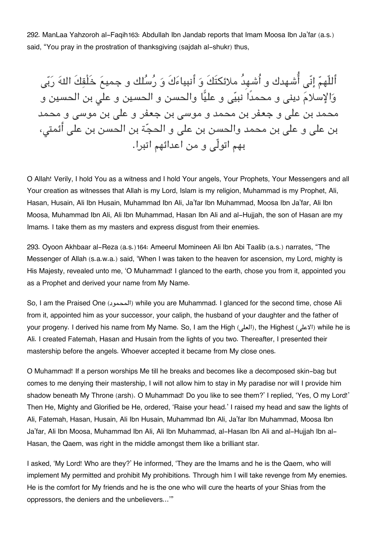292. ManLaa Yahzoroh al-Faqih[163](#page--1-0): Abdullah Ibn Jandab reports that Imam Moosa Ibn Ja'far (a.s.) said, "You pray in the prostration of thanksgiving (sajdah al-shukr) thus,

أَللّهمّ إنّي أُشهدك و أُشهِدُ ملائكتَكَ وَ أَنبياءَكَ وَ رُسُلك و جميعَ خَلْقِكَ اللهَ رَبّي وَالإسلامَ ديني و محمدًا نبيّي و عليًّا والحسن و الحسين و علي بن الحسين و محمد بن علی و جعفر بن محمد و موسی بن جعفر و علی بن موسی و محمد بن على و على بن محمد والحسن بن على و الحجّة بن الحسن بن على أئمتي، بهم اتولّ و من اعدائهم اتبرا.

O Allah! Verily, I hold You as a witness and I hold Your angels, Your Prophets, Your Messengers and all Your creation as witnesses that Allah is my Lord, Islam is my religion, Muhammad is my Prophet, Ali, Hasan, Husain, Ali Ibn Husain, Muhammad Ibn Ali, Ja'far Ibn Muhammad, Moosa Ibn Ja'far, Ali Ibn Moosa, Muhammad Ibn Ali, Ali Ibn Muhammad, Hasan Ibn Ali and al-Hujjah, the son of Hasan are my Imams. I take them as my masters and express disgust from their enemies.

293. Oyoon Akhbaar al-Reza (a.s.)[164](#page--1-0): Ameerul Momineen Ali Ibn Abi Taalib (a.s.) narrates, "The Messenger of Allah (s.a.w.a.) said, 'When I was taken to the heaven for ascension, my Lord, mighty is His Majesty, revealed unto me, 'O Muhammad! I glanced to the earth, chose you from it, appointed you as a Prophet and derived your name from My Name.

So, I am the Praised One (المحمود (while you are Muhammad. I glanced for the second time, chose Ali from it, appointed him as your successor, your caliph, the husband of your daughter and the father of your progeny. I derived his name from My Name. So, I am the High (العل), the Highest (الاعلى) while he is Ali. I created Fatemah, Hasan and Husain from the lights of you two. Thereafter, I presented their mastership before the angels. Whoever accepted it became from My close ones.

O Muhammad! If a person worships Me till he breaks and becomes like a decomposed skin-bag but comes to me denying their mastership, I will not allow him to stay in My paradise nor will I provide him shadow beneath My Throne (arsh). O Muhammad! Do you like to see them?' I replied, 'Yes, O my Lord!' Then He, Mighty and Glorified be He, ordered, 'Raise your head.' I raised my head and saw the lights of Ali, Fatemah, Hasan, Husain, Ali Ibn Husain, Muhammad Ibn Ali, Ja'far Ibn Muhammad, Moosa Ibn Ja'far, Ali Ibn Moosa, Muhammad Ibn Ali, Ali Ibn Muhammad, al-Hasan Ibn Ali and al-Hujjah Ibn al-Hasan, the Qaem, was right in the middle amongst them like a brilliant star.

I asked, 'My Lord! Who are they?' He informed, 'They are the Imams and he is the Qaem, who will implement My permitted and prohibit My prohibitions. Through him I will take revenge from My enemies. He is the comfort for My friends and he is the one who will cure the hearts of your Shias from the oppressors, the deniers and the unbelievers…'"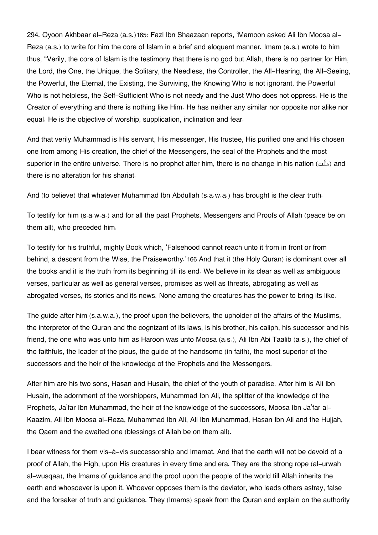294. Oyoon Akhbaar al-Reza (a.s.)[165](#page--1-0): Fazl Ibn Shaazaan reports, 'Mamoon asked Ali Ibn Moosa al-Reza (a.s.) to write for him the core of Islam in a brief and eloquent manner. Imam (a.s.) wrote to him thus, "Verily, the core of Islam is the testimony that there is no god but Allah, there is no partner for Him, the Lord, the One, the Unique, the Solitary, the Needless, the Controller, the All-Hearing, the All-Seeing, the Powerful, the Eternal, the Existing, the Surviving, the Knowing Who is not ignorant, the Powerful Who is not helpless, the Self-Sufficient Who is not needy and the Just Who does not oppress. He is the Creator of everything and there is nothing like Him. He has neither any similar nor opposite nor alike nor equal. He is the objective of worship, supplication, inclination and fear.

And that verily Muhammad is His servant, His messenger, His trustee, His purified one and His chosen one from among His creation, the chief of the Messengers, the seal of the Prophets and the most superior in the entire universe. There is no prophet after him, there is no change in his nation (ملّت) and there is no alteration for his shariat.

And (to believe) that whatever Muhammad Ibn Abdullah (s.a.w.a.) has brought is the clear truth.

To testify for him (s.a.w.a.) and for all the past Prophets, Messengers and Proofs of Allah (peace be on them all), who preceded him.

To testify for his truthful, mighty Book which, 'Falsehood cannot reach unto it from in front or from behind, a descent from the Wise, the Praiseworthy.'[166](#page--1-0) And that it (the Holy Quran) is dominant over all the books and it is the truth from its beginning till its end. We believe in its clear as well as ambiguous verses, particular as well as general verses, promises as well as threats, abrogating as well as abrogated verses, its stories and its news. None among the creatures has the power to bring its like.

The guide after him (s.a.w.a.), the proof upon the believers, the upholder of the affairs of the Muslims, the interpretor of the Quran and the cognizant of its laws, is his brother, his caliph, his successor and his friend, the one who was unto him as Haroon was unto Moosa (a.s.), Ali Ibn Abi Taalib (a.s.), the chief of the faithfuls, the leader of the pious, the guide of the handsome (in faith), the most superior of the successors and the heir of the knowledge of the Prophets and the Messengers.

After him are his two sons, Hasan and Husain, the chief of the youth of paradise. After him is Ali Ibn Husain, the adornment of the worshippers, Muhammad Ibn Ali, the splitter of the knowledge of the Prophets, Ja'far Ibn Muhammad, the heir of the knowledge of the successors, Moosa Ibn Ja'far al-Kaazim, Ali Ibn Moosa al-Reza, Muhammad Ibn Ali, Ali Ibn Muhammad, Hasan Ibn Ali and the Hujjah, the Qaem and the awaited one (blessings of Allah be on them all).

I bear witness for them vis-à-vis successorship and Imamat. And that the earth will not be devoid of a proof of Allah, the High, upon His creatures in every time and era. They are the strong rope (al-urwah al-wusqaa), the Imams of guidance and the proof upon the people of the world till Allah inherits the earth and whosoever is upon it. Whoever opposes them is the deviator, who leads others astray, false and the forsaker of truth and guidance. They (Imams) speak from the Quran and explain on the authority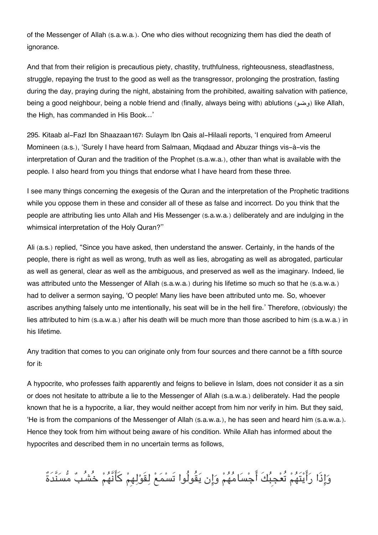of the Messenger of Allah (s.a.w.a.). One who dies without recognizing them has died the death of ignorance.

And that from their religion is precautious piety, chastity, truthfulness, righteousness, steadfastness, struggle, repaying the trust to the good as well as the transgressor, prolonging the prostration, fasting during the day, praying during the night, abstaining from the prohibited, awaiting salvation with patience, being a good neighbour, being a noble friend and (finally, always being with) ablutions (وضو) like Allah, the High, has commanded in His Book…'

295. Kitaab al-Fazl Ibn Shaazaan[167](#page--1-0): Sulaym Ibn Qais al-Hilaali reports, 'I enquired from Ameerul Momineen (a.s.), 'Surely I have heard from Salmaan, Miqdaad and Abuzar things vis-à-vis the interpretation of Quran and the tradition of the Prophet (s.a.w.a.), other than what is available with the people. I also heard from you things that endorse what I have heard from these three.

I see many things concerning the exegesis of the Quran and the interpretation of the Prophetic traditions while you oppose them in these and consider all of these as false and incorrect. Do you think that the people are attributing lies unto Allah and His Messenger (s.a.w.a.) deliberately and are indulging in the whimsical interpretation of the Holy Quran?''

Ali (a.s.) replied, "Since you have asked, then understand the answer. Certainly, in the hands of the people, there is right as well as wrong, truth as well as lies, abrogating as well as abrogated, particular as well as general, clear as well as the ambiguous, and preserved as well as the imaginary. Indeed, lie was attributed unto the Messenger of Allah (s.a.w.a.) during his lifetime so much so that he (s.a.w.a.) had to deliver a sermon saying, 'O people! Many lies have been attributed unto me. So, whoever ascribes anything falsely unto me intentionally, his seat will be in the hell fire.' Therefore, (obviously) the lies attributed to him (s.a.w.a.) after his death will be much more than those ascribed to him (s.a.w.a.) in his lifetime.

Any tradition that comes to you can originate only from four sources and there cannot be a fifth source for it:

A hypocrite, who professes faith apparently and feigns to believe in Islam, does not consider it as a sin or does not hesitate to attribute a lie to the Messenger of Allah (s.a.w.a.) deliberately. Had the people known that he is a hypocrite, a liar, they would neither accept from him nor verify in him. But they said, 'He is from the companions of the Messenger of Allah (s.a.w.a.), he has seen and heard him (s.a.w.a.). Hence they took from him without being aware of his condition. While Allah has informed about the hypocrites and described them in no uncertain terms as follows,

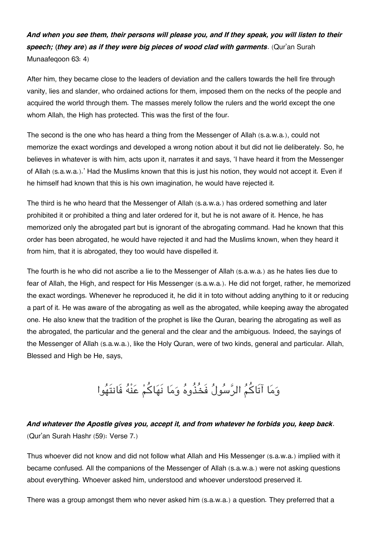*And when you see them, their persons will please you, and If they speak, you will listen to their speech; (they are) as if they were big pieces of wood clad with garments*. (Qur'an Surah Munaafeqoon 63: 4)

After him, they became close to the leaders of deviation and the callers towards the hell fire through vanity, lies and slander, who ordained actions for them, imposed them on the necks of the people and acquired the world through them. The masses merely follow the rulers and the world except the one whom Allah, the High has protected. This was the first of the four.

The second is the one who has heard a thing from the Messenger of Allah (s.a.w.a.), could not memorize the exact wordings and developed a wrong notion about it but did not lie deliberately. So, he believes in whatever is with him, acts upon it, narrates it and says, 'I have heard it from the Messenger of Allah (s.a.w.a.).' Had the Muslims known that this is just his notion, they would not accept it. Even if he himself had known that this is his own imagination, he would have rejected it.

The third is he who heard that the Messenger of Allah (s.a.w.a.) has ordered something and later prohibited it or prohibited a thing and later ordered for it, but he is not aware of it. Hence, he has memorized only the abrogated part but is ignorant of the abrogating command. Had he known that this order has been abrogated, he would have rejected it and had the Muslims known, when they heard it from him, that it is abrogated, they too would have dispelled it.

The fourth is he who did not ascribe a lie to the Messenger of Allah (s.a.w.a.) as he hates lies due to fear of Allah, the High, and respect for His Messenger (s.a.w.a.). He did not forget, rather, he memorized the exact wordings. Whenever he reproduced it, he did it in toto without adding anything to it or reducing a part of it. He was aware of the abrogating as well as the abrogated, while keeping away the abrogated one. He also knew that the tradition of the prophet is like the Quran, bearing the abrogating as well as the abrogated, the particular and the general and the clear and the ambiguous. Indeed, the sayings of the Messenger of Allah (s.a.w.a.), like the Holy Quran, were of two kinds, general and particular. Allah, Blessed and High be He, says,

## وما آتَاكم الرسول فَخُذُوه وما نَهاكم عنْه فَانتَهوا

### *And whatever the Apostle gives you, accept it, and from whatever he forbids you, keep back*. (Qur'an Surah Hashr (59): Verse 7.)

Thus whoever did not know and did not follow what Allah and His Messenger (s.a.w.a.) implied with it became confused. All the companions of the Messenger of Allah (s.a.w.a.) were not asking questions about everything. Whoever asked him, understood and whoever understood preserved it.

There was a group amongst them who never asked him (s.a.w.a.) a question. They preferred that a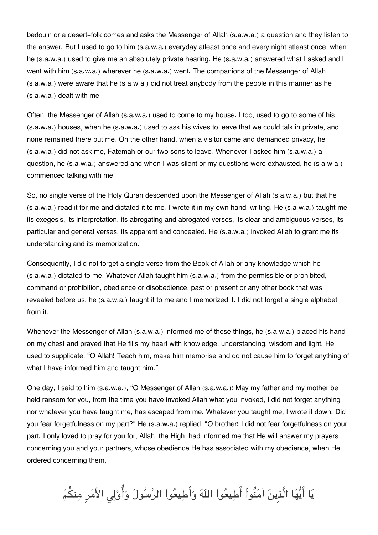bedouin or a desert-folk comes and asks the Messenger of Allah (s.a.w.a.) a question and they listen to the answer. But I used to go to him (s.a.w.a.) everyday atleast once and every night atleast once, when he (s.a.w.a.) used to give me an absolutely private hearing. He (s.a.w.a.) answered what I asked and I went with him (s.a.w.a.) wherever he (s.a.w.a.) went. The companions of the Messenger of Allah (s.a.w.a.) were aware that he (s.a.w.a.) did not treat anybody from the people in this manner as he (s.a.w.a.) dealt with me.

Often, the Messenger of Allah (s.a.w.a.) used to come to my house. I too, used to go to some of his (s.a.w.a.) houses, when he (s.a.w.a.) used to ask his wives to leave that we could talk in private, and none remained there but me. On the other hand, when a visitor came and demanded privacy, he (s.a.w.a.) did not ask me, Fatemah or our two sons to leave. Whenever I asked him (s.a.w.a.) a question, he (s.a.w.a.) answered and when I was silent or my questions were exhausted, he (s.a.w.a.) commenced talking with me.

So, no single verse of the Holy Quran descended upon the Messenger of Allah (s.a.w.a.) but that he (s.a.w.a.) read it for me and dictated it to me. I wrote it in my own hand-writing. He (s.a.w.a.) taught me its exegesis, its interpretation, its abrogating and abrogated verses, its clear and ambiguous verses, its particular and general verses, its apparent and concealed. He (s.a.w.a.) invoked Allah to grant me its understanding and its memorization.

Consequently, I did not forget a single verse from the Book of Allah or any knowledge which he (s.a.w.a.) dictated to me. Whatever Allah taught him (s.a.w.a.) from the permissible or prohibited, command or prohibition, obedience or disobedience, past or present or any other book that was revealed before us, he (s.a.w.a.) taught it to me and I memorized it. I did not forget a single alphabet from it.

Whenever the Messenger of Allah (s.a.w.a.) informed me of these things, he (s.a.w.a.) placed his hand on my chest and prayed that He fills my heart with knowledge, understanding, wisdom and light. He used to supplicate, "O Allah! Teach him, make him memorise and do not cause him to forget anything of what I have informed him and taught him."

One day, I said to him (s.a.w.a.), "O Messenger of Allah (s.a.w.a.)! May my father and my mother be held ransom for you, from the time you have invoked Allah what you invoked, I did not forget anything nor whatever you have taught me, has escaped from me. Whatever you taught me, I wrote it down. Did you fear forgetfulness on my part?" He (s.a.w.a.) replied, "O brother! I did not fear forgetfulness on your part. I only loved to pray for you for, Allah, the High, had informed me that He will answer my prayers concerning you and your partners, whose obedience He has associated with my obedience, when He ordered concerning them,

يَا أَيُّهَا الَّذِينَ آمَنُواْ أَطِيعُواْ اللّهَ وَأَطِيعُواْ الرَّسُولَ وَأُوْلِي الأَمْرِ مِنكُمْ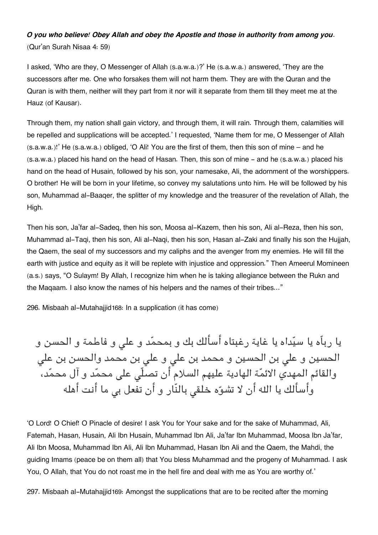### *O you who believe! Obey Allah and obey the Apostle and those in authority from among you*. (Qur'an Surah Nisaa 4: 59)

I asked, 'Who are they, O Messenger of Allah (s.a.w.a.)?' He (s.a.w.a.) answered, 'They are the successors after me. One who forsakes them will not harm them. They are with the Quran and the Quran is with them, neither will they part from it nor will it separate from them till they meet me at the Hauz (of Kausar).

Through them, my nation shall gain victory, and through them, it will rain. Through them, calamities will be repelled and supplications will be accepted.' I requested, 'Name them for me, O Messenger of Allah (s.a.w.a.)!' He (s.a.w.a.) obliged, 'O Ali! You are the first of them, then this son of mine – and he (s.a.w.a.) placed his hand on the head of Hasan. Then, this son of mine - and he (s.a.w.a.) placed his hand on the head of Husain, followed by his son, your namesake, Ali, the adornment of the worshippers. O brother! He will be born in your lifetime, so convey my salutations unto him. He will be followed by his son, Muhammad al-Baaqer, the splitter of my knowledge and the treasurer of the revelation of Allah, the High.

Then his son, Ja'far al-Sadeq, then his son, Moosa al-Kazem, then his son, Ali al-Reza, then his son, Muhammad al-Taqi, then his son, Ali al-Naqi, then his son, Hasan al-Zaki and finally his son the Hujjah, the Qaem, the seal of my successors and my caliphs and the avenger from my enemies. He will fill the earth with justice and equity as it will be replete with injustice and oppression." Then Ameerul Momineen (a.s.) says, "O Sulaym! By Allah, I recognize him when he is taking allegiance between the Rukn and the Maqaam. I also know the names of his helpers and the names of their tribes…"

296. Misbaah al-Mutahajjid[168](#page--1-0): In a supplication (it has come)

يا رباّه يا سيداه يا غاية رغبتاه أسألك بك و بمحمد و عل و فاطمة و الحسن و الحسين و علي بن الحسين و محمد بن علي و علي بن محمد والحسن بن علي والقائم المهدي الائمّة الهادية عليهم السلام أن تصلّى على محمّد و آل محمّد، وأسألك يا الله أن لا تشوّه خلقى بالنّار و أن تفعل بى ما أنت أهله

'O Lord! O Chief! O Pinacle of desire! I ask You for Your sake and for the sake of Muhammad, Ali, Fatemah, Hasan, Husain, Ali Ibn Husain, Muhammad Ibn Ali, Ja'far Ibn Muhammad, Moosa Ibn Ja'far, Ali Ibn Moosa, Muhammad Ibn Ali, Ali Ibn Muhammad, Hasan Ibn Ali and the Qaem, the Mahdi, the guiding Imams (peace be on them all) that You bless Muhammad and the progeny of Muhammad. I ask You, O Allah, that You do not roast me in the hell fire and deal with me as You are worthy of.'

297. Misbaah al-Mutahajjid[169](#page--1-0): Amongst the supplications that are to be recited after the morning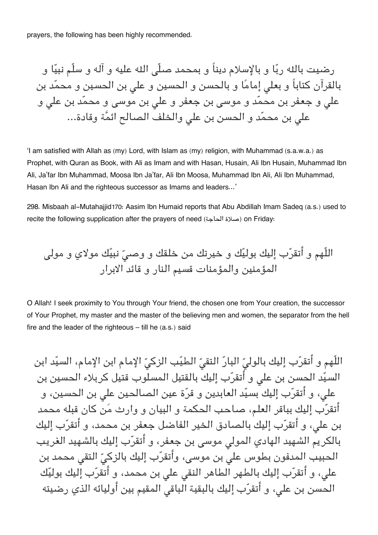prayers, the following has been highly recommended.

رضيت باله ربا و بالإسلام ديناً و بمحمد صلّ اله عليه و آله و سلّم نبيا و بالقرآن كتاباً و بعل إماما و بالحسن و الحسين و عل بن الحسين و محمد بن علی و جعفر بن محمّد و موسی بن جعفر و علی بن موسی و محمّد بن علی و على بن محمّد و الحسن بن على والخلف الصـالح ائمَّة وقادة…

'I am satisfied with Allah as (my) Lord, with Islam as (my) religion, with Muhammad (s.a.w.a.) as Prophet, with Quran as Book, with Ali as Imam and with Hasan, Husain, Ali Ibn Husain, Muhammad Ibn Ali, Ja'far Ibn Muhammad, Moosa Ibn Ja'far, Ali Ibn Moosa, Muhammad Ibn Ali, Ali Ibn Muhammad, Hasan Ibn Ali and the righteous successor as Imams and leaders…'

298. Misbaah al-Mutahajjid[170](#page--1-0): Aasim Ibn Humaid reports that Abu Abdillah Imam Sadeq (a.s.) used to recite the following supplication after the prayers of need (الحاجة صلاة (on Friday:

اللّهم و أتقرب إليك بوليك و خيرتك من خلقك و وص نبيك مولاي و مول المؤمنين والمؤمنات قسيم النار و قائد الابرار

O Allah! I seek proximity to You through Your friend, the chosen one from Your creation, the successor of Your Prophet, my master and the master of the believing men and women, the separator from the hell fire and the leader of the righteous – till he (a.s.) said

اللّهم و أتقرّب إليك بالوليّ البارّ التقيّ الطيّب الزكيّ الإمام ابن الإمام، السيّد ابن السيّد الحسن بن على و أتقرّب إليك بالقتيل المسلوب قتيل كربلاء الحسين بن عل، و أتقرب إليك بسيد العابدين و قرة عين الصالحين عل بن الحسين، و أتقرب إليك بباقر العلم، صاحب الحمة و البيان و وارث من كان قبله محمد بن عل، و أتقرب إليك بالصادق الخير الفاضل جعفر بن محمد، و أتقرب إليك بالكريم الشهيد الهادي المولى موسى بن جعفر، و أتقرّب إليك بالشهيد الغريب الحبيب المدفون بطوس علي بن موسى، وأتقرّب إليك بالزكيّ التقى محمد بن على، و أتقرّب إليك بالطهر الطاهر النقى على بن محمد، و أتقرّب إليك بوليّك الحسن بن عل، و أتقرب إليك بالبقية الباق المقيم بين أوليائه الذي رضيته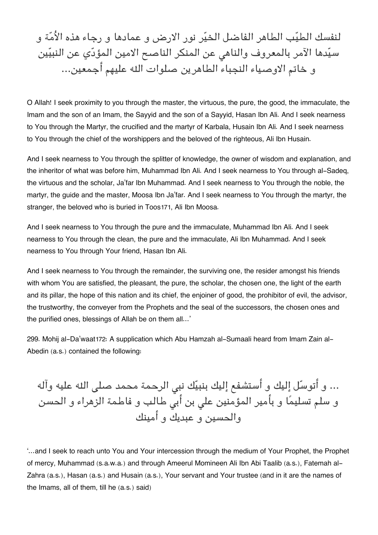لنفسك الطيب الطاهر الفاضل الخير نور الارض و عمادها و رجاء هذه الامة و سيّدها الآمر بالمعروف والناهي عن المنكر الناصح الامين المؤدّي عن النبيّين و خاتم الاوصياء النجباء الطاهرين صلوات اله عليهم أجمعين...

O Allah! I seek proximity to you through the master, the virtuous, the pure, the good, the immaculate, the Imam and the son of an Imam, the Sayyid and the son of a Sayyid, Hasan Ibn Ali. And I seek nearness to You through the Martyr, the crucified and the martyr of Karbala, Husain Ibn Ali. And I seek nearness to You through the chief of the worshippers and the beloved of the righteous, Ali Ibn Husain.

And I seek nearness to You through the splitter of knowledge, the owner of wisdom and explanation, and the inheritor of what was before him, Muhammad Ibn Ali. And I seek nearness to You through al-Sadeq, the virtuous and the scholar, Ja'far Ibn Muhammad. And I seek nearness to You through the noble, the martyr, the guide and the master, Moosa Ibn Ja'far. And I seek nearness to You through the martyr, the stranger, the beloved who is buried in Toos[171](#page--1-0), Ali Ibn Moosa.

And I seek nearness to You through the pure and the immaculate, Muhammad Ibn Ali. And I seek nearness to You through the clean, the pure and the immaculate, Ali Ibn Muhammad. And I seek nearness to You through Your friend, Hasan Ibn Ali.

And I seek nearness to You through the remainder, the surviving one, the resider amongst his friends with whom You are satisfied, the pleasant, the pure, the scholar, the chosen one, the light of the earth and its pillar, the hope of this nation and its chief, the enjoiner of good, the prohibitor of evil, the advisor, the trustworthy, the conveyer from the Prophets and the seal of the successors, the chosen ones and the purified ones, blessings of Allah be on them all…'

299. Mohij al-Da'waat[172](#page--1-0): A supplication which Abu Hamzah al-Sumaali heard from Imam Zain al-Abedin (a.s.) contained the following:

… و أتوسّل إليك و أستشفع إليك بنبيّك نبى الرحمة محمد صلى الله عليه وآله و سلم تسليمًا و بأمير المؤمنين على بن أبى طالب و فاطمة الزهراء و الحسن والحسين و عبديك و أمينك

'…and I seek to reach unto You and Your intercession through the medium of Your Prophet, the Prophet of mercy, Muhammad (s.a.w.a.) and through Ameerul Momineen Ali Ibn Abi Taalib (a.s.), Fatemah al-Zahra (a.s.), Hasan (a.s.) and Husain (a.s.), Your servant and Your trustee (and in it are the names of the Imams, all of them, till he (a.s.) said)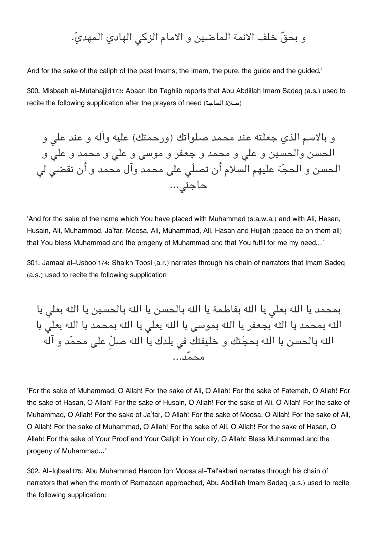### و بحقّ خلف الائمة الماضين و الامام الزكى الهادي المهديّ.

And for the sake of the caliph of the past Imams, the Imam, the pure, the guide and the guided.'

300. Misbaah al-Mutahajjid[173](#page--1-0): Abaan Ibn Taghlib reports that Abu Abdillah Imam Sadeq (a.s.) used to recite the following supplication after the prayers of need (الحاجة صلاة(

و بالاسم الذي جعلته عند محمد صلواتك (ورحمتك) عليه وآله و عند عل و الحسن والحسين و علي و محمد و جعفر و موسى و على و محمد و على و الحسن و الحجّة عليهم السلام أن تصلّى على محمد وآل محمد و أن تقضى لى حاجت...

'And for the sake of the name which You have placed with Muhammad (s.a.w.a.) and with Ali, Hasan, Husain, Ali, Muhammad, Ja'far, Moosa, Ali, Muhammad, Ali, Hasan and Hujjah (peace be on them all) that You bless Muhammad and the progeny of Muhammad and that You fulfil for me my need…'

301. Jamaal al-Usboo'[174](#page--1-0): Shaikh Toosi (a.r.) narrates through his chain of narrators that Imam Sadeq (a.s.) used to recite the following supplication

بمحمد يا الله بعلى يا الله بفاطمة يا الله بالحسن يا الله بالحسين يا الله بعلى يا اله بمحمد يا اله بجعفر يا اله بموس يا اله بعل يا اله بمحمد يا اله بعل يا الله بالحسن يا الله بحجّتك و خليفتك فى بلدك يا الله صلّ على محمّد و آله محمد...

'For the sake of Muhammad, O Allah! For the sake of Ali, O Allah! For the sake of Fatemah, O Allah! For the sake of Hasan, O Allah! For the sake of Husain, O Allah! For the sake of Ali, O Allah! For the sake of Muhammad, O Allah! For the sake of Ja'far, O Allah! For the sake of Moosa, O Allah! For the sake of Ali, O Allah! For the sake of Muhammad, O Allah! For the sake of Ali, O Allah! For the sake of Hasan, O Allah! For the sake of Your Proof and Your Caliph in Your city, O Allah! Bless Muhammad and the progeny of Muhammad…'

302. Al-Iqbaal[175](#page--1-0): Abu Muhammad Haroon Ibn Moosa al-Tal'akbari narrates through his chain of narrators that when the month of Ramazaan approached, Abu Abdillah Imam Sadeq (a.s.) used to recite the following supplication: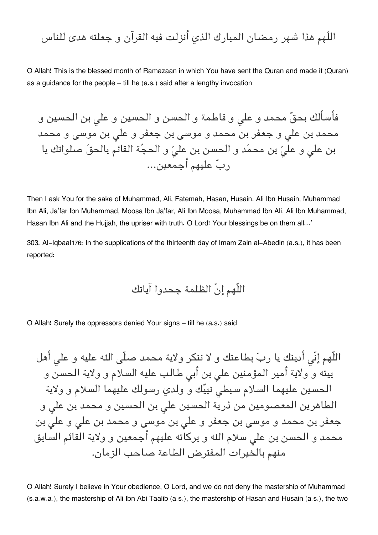اللّهم هذا شهر رمضان المبارك الذي أنزلت فيه القرآن و جعلته هدى للناس

O Allah! This is the blessed month of Ramazaan in which You have sent the Quran and made it (Quran) as a guidance for the people – till he (a.s.) said after a lengthy invocation

فأسألك بحقّ محمد و على و فاطمة و الحسن و الحسين و على بن الحسين و محمد بن علی و جعفر بن محمد و موسی بن جعفر و علی بن موسی و محمد بن على و عليّ بن محمّد و الحسن بن عليّ و الحجّة القائم بالحقّ صلواتك يا رب عليهم أجمعين...

Then I ask You for the sake of Muhammad, Ali, Fatemah, Hasan, Husain, Ali Ibn Husain, Muhammad Ibn Ali, Ja'far Ibn Muhammad, Moosa Ibn Ja'far, Ali Ibn Moosa, Muhammad Ibn Ali, Ali Ibn Muhammad, Hasan Ibn Ali and the Hujjah, the upriser with truth. O Lord! Your blessings be on them all...'

303. Al-Iqbaal[176](#page--1-0): In the supplications of the thirteenth day of Imam Zain al-Abedin (a.s.), it has been reported:

اللّهم إنّ الظلمة جحدوا آياتك

O Allah! Surely the oppressors denied Your signs – till he (a.s.) said

اللّهم إنّى أدينك يا ربّ بطاعتك و لا ننكر ولاية محمد صلّى الله عليه و على أهل بيته و ولاية أمير المؤمنين على بن أبي طالب عليه السلام و ولاية الحسن و الحسين عليهما السلام سبطى نبيّك و ولدي رسولك عليهما السلام و ولاية الطاهرين المعصومين من ذرية الحسين على بن الحسين و محمد بن على و جعفر بن محمد و موسی بن جعفر و علی بن موسی و محمد بن علی و علی بن محمد و الحسن بن على سلام الله و بركاته عليهم أجمعين و ولاية القائم السابق منهم بالخيرات المفترض الطاعة صاحب الزمان.

O Allah! Surely I believe in Your obedience, O Lord, and we do not deny the mastership of Muhammad (s.a.w.a.), the mastership of Ali Ibn Abi Taalib (a.s.), the mastership of Hasan and Husain (a.s.), the two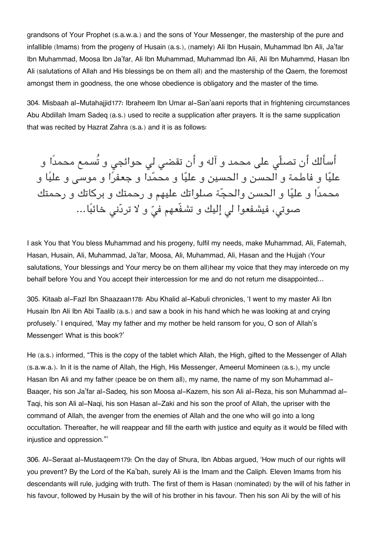grandsons of Your Prophet (s.a.w.a.) and the sons of Your Messenger, the mastership of the pure and infallible (Imams) from the progeny of Husain (a.s.), (namely) Ali Ibn Husain, Muhammad Ibn Ali, Ja'far Ibn Muhammad, Moosa Ibn Ja'far, Ali Ibn Muhammad, Muhammad Ibn Ali, Ali Ibn Muhammd, Hasan Ibn Ali (salutations of Allah and His blessings be on them all) and the mastership of the Qaem, the foremost amongst them in goodness, the one whose obedience is obligatory and the master of the time.

304. Misbaah al-Mutahajjid[177](#page--1-0): Ibraheem Ibn Umar al-San'aani reports that in frightening circumstances Abu Abdillah Imam Sadeq (a.s.) used to recite a supplication after prayers. It is the same supplication that was recited by Hazrat Zahra (s.a.) and it is as follows:

أسألك أن تصلّي على محمد و آله و أن تقضي لي حوائجي و تُسمع محمدًا و عليا و فاطمة و الحسن و الحسين و عليا و محمدا و جعفرا و موس و عليا و محمدًا و عليا و الحسن والحجة صلواتك عليهم و رحمتك و بركاتك و رحمتك صوتی، فیشفعوا لی إلیك و تشفّعهم فیّ و لا تردّنی خائبًا…

I ask You that You bless Muhammad and his progeny, fulfil my needs, make Muhammad, Ali, Fatemah, Hasan, Husain, Ali, Muhammad, Ja'far, Moosa, Ali, Muhammad, Ali, Hasan and the Hujjah (Your salutations, Your blessings and Your mercy be on them all)hear my voice that they may intercede on my behalf before You and You accept their intercession for me and do not return me disappointed…

305. Kitaab al-Fazl Ibn Shaazaan[178](#page--1-0): Abu Khalid al-Kabuli chronicles, 'I went to my master Ali Ibn Husain Ibn Ali Ibn Abi Taalib (a.s.) and saw a book in his hand which he was looking at and crying profusely.' I enquired, 'May my father and my mother be held ransom for you, O son of Allah's Messenger! What is this book?'

He (a.s.) informed, "This is the copy of the tablet which Allah, the High, gifted to the Messenger of Allah (s.a.w.a.). In it is the name of Allah, the High, His Messenger, Ameerul Momineen (a.s.), my uncle Hasan Ibn Ali and my father (peace be on them all), my name, the name of my son Muhammad al-Baaqer, his son Ja'far al-Sadeq, his son Moosa al-Kazem, his son Ali al-Reza, his son Muhammad al-Taqi, his son Ali al-Naqi, his son Hasan al-Zaki and his son the proof of Allah, the upriser with the command of Allah, the avenger from the enemies of Allah and the one who will go into a long occultation. Thereafter, he will reappear and fill the earth with justice and equity as it would be filled with injustice and oppression."'

306. Al-Seraat al-Mustaqeem[179](#page--1-0): On the day of Shura, Ibn Abbas argued, 'How much of our rights will you prevent? By the Lord of the Ka'bah, surely Ali is the Imam and the Caliph. Eleven Imams from his descendants will rule, judging with truth. The first of them is Hasan (nominated) by the will of his father in his favour, followed by Husain by the will of his brother in his favour. Then his son Ali by the will of his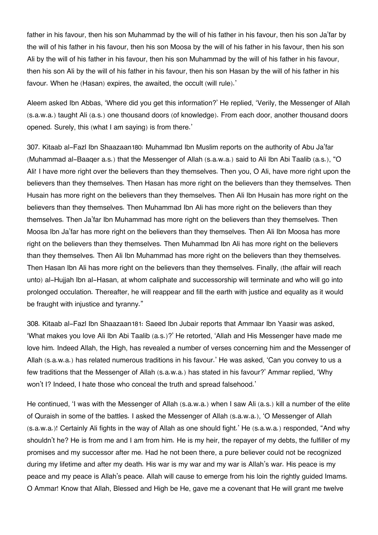father in his favour, then his son Muhammad by the will of his father in his favour, then his son Ja'far by the will of his father in his favour, then his son Moosa by the will of his father in his favour, then his son Ali by the will of his father in his favour, then his son Muhammad by the will of his father in his favour, then his son Ali by the will of his father in his favour, then his son Hasan by the will of his father in his favour. When he (Hasan) expires, the awaited, the occult (will rule).'

Aleem asked Ibn Abbas, 'Where did you get this information?' He replied, 'Verily, the Messenger of Allah (s.a.w.a.) taught Ali (a.s.) one thousand doors (of knowledge). From each door, another thousand doors opened. Surely, this (what I am saying) is from there.'

307. Kitaab al-Fazl Ibn Shaazaan[180](#page--1-0): Muhammad Ibn Muslim reports on the authority of Abu Ja'far (Muhammad al-Baaqer a.s.) that the Messenger of Allah (s.a.w.a.) said to Ali Ibn Abi Taalib (a.s.), "O Ali! I have more right over the believers than they themselves. Then you, O Ali, have more right upon the believers than they themselves. Then Hasan has more right on the believers than they themselves. Then Husain has more right on the believers than they themselves. Then Ali Ibn Husain has more right on the believers than they themselves. Then Muhammad Ibn Ali has more right on the believers than they themselves. Then Ja'far Ibn Muhammad has more right on the believers than they themselves. Then Moosa Ibn Ja'far has more right on the believers than they themselves. Then Ali Ibn Moosa has more right on the believers than they themselves. Then Muhammad Ibn Ali has more right on the believers than they themselves. Then Ali Ibn Muhammad has more right on the believers than they themselves. Then Hasan Ibn Ali has more right on the believers than they themselves. Finally, (the affair will reach unto) al-Hujjah Ibn al-Hasan, at whom caliphate and successorship will terminate and who will go into prolonged occulation. Thereafter, he will reappear and fill the earth with justice and equality as it would be fraught with injustice and tyranny."

308. Kitaab al-Fazl Ibn Shaazaan[181](#page--1-0): Saeed Ibn Jubair reports that Ammaar Ibn Yaasir was asked, 'What makes you love Ali Ibn Abi Taalib (a.s.)?' He retorted, 'Allah and His Messenger have made me love him. Indeed Allah, the High, has revealed a number of verses concerning him and the Messenger of Allah (s.a.w.a.) has related numerous traditions in his favour.' He was asked, 'Can you convey to us a few traditions that the Messenger of Allah (s.a.w.a.) has stated in his favour?' Ammar replied, 'Why won't I? Indeed, I hate those who conceal the truth and spread falsehood.'

He continued, 'I was with the Messenger of Allah (s.a.w.a.) when I saw Ali (a.s.) kill a number of the elite of Quraish in some of the battles. I asked the Messenger of Allah (s.a.w.a.), 'O Messenger of Allah (s.a.w.a.)! Certainly Ali fights in the way of Allah as one should fight.' He (s.a.w.a.) responded, "And why shouldn't he? He is from me and I am from him. He is my heir, the repayer of my debts, the fulfiller of my promises and my successor after me. Had he not been there, a pure believer could not be recognized during my lifetime and after my death. His war is my war and my war is Allah's war. His peace is my peace and my peace is Allah's peace. Allah will cause to emerge from his loin the rightly guided Imams. O Ammar! Know that Allah, Blessed and High be He, gave me a covenant that He will grant me twelve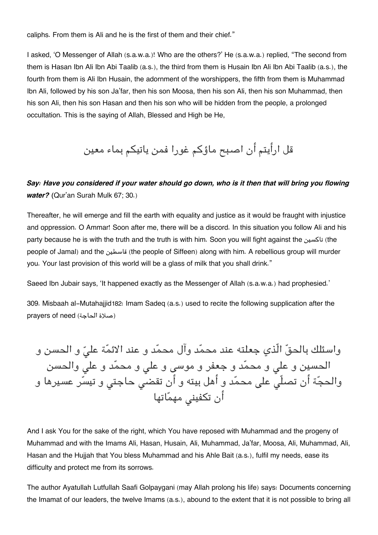caliphs. From them is Ali and he is the first of them and their chief."

I asked, 'O Messenger of Allah (s.a.w.a.)! Who are the others?' He (s.a.w.a.) replied, "The second from them is Hasan Ibn Ali Ibn Abi Taalib (a.s.), the third from them is Husain Ibn Ali Ibn Abi Taalib (a.s.), the fourth from them is Ali Ibn Husain, the adornment of the worshippers, the fifth from them is Muhammad Ibn Ali, followed by his son Ja'far, then his son Moosa, then his son Ali, then his son Muhammad, then his son Ali, then his son Hasan and then his son who will be hidden from the people, a prolonged occultation. This is the saying of Allah, Blessed and High be He,

قل ارأيتم أن اصبح ماؤكم غورا فمن ياتيم بماء معين

### *Say: Have you considered if your water should go down, who is it then that will bring you flowing water? (*Qur'an Surah Mulk 67; 30.)

Thereafter, he will emerge and fill the earth with equality and justice as it would be fraught with injustice and oppression. O Ammar! Soon after me, there will be a discord. In this situation you follow Ali and his party because he is with the truth and the truth is with him. Soon you will fight against the ناكسين) the people of Jamal) and the قاسطين) the people of Siffeen) along with him. A rebellious group will murder you. Your last provision of this world will be a glass of milk that you shall drink."

Saeed Ibn Jubair says, 'It happened exactly as the Messenger of Allah (s.a.w.a.) had prophesied.'

309. Misbaah al-Mutahajjid[182](#page--1-0): Imam Sadeq (a.s.) used to recite the following supplication after the prayers of need (الحاجة صلاة(

واسئلك بالحقّ الّذي جعلته عند محمّد وآل محمّد و عند الائمّة علىّ و الحسن و الحسين و على و محمّد و جعفر و موسى و علي و محمّد و علي والحسن والحجّة أن تصلّي على محمّد و أهل بيته و أن تقضي حاجتي و تيسّر عسيرها و أن تكفيني مهمّاتها

And I ask You for the sake of the right, which You have reposed with Muhammad and the progeny of Muhammad and with the Imams Ali, Hasan, Husain, Ali, Muhammad, Ja'far, Moosa, Ali, Muhammad, Ali, Hasan and the Hujjah that You bless Muhammad and his Ahle Bait (a.s.), fulfil my needs, ease its difficulty and protect me from its sorrows.

The author Ayatullah Lutfullah Saafi Golpaygani (may Allah prolong his life) says: Documents concerning the Imamat of our leaders, the twelve Imams (a.s.), abound to the extent that it is not possible to bring all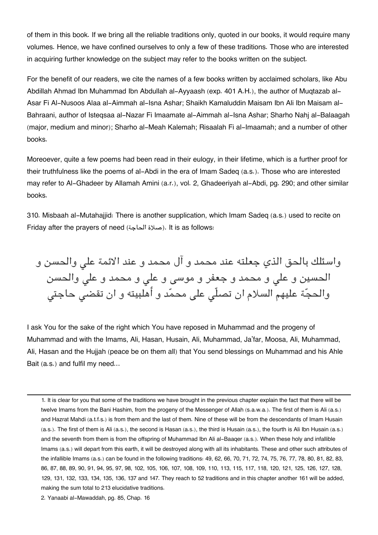of them in this book. If we bring all the reliable traditions only, quoted in our books, it would require many volumes. Hence, we have confined ourselves to only a few of these traditions. Those who are interested in acquiring further knowledge on the subject may refer to the books written on the subject.

For the benefit of our readers, we cite the names of a few books written by acclaimed scholars, like Abu Abdillah Ahmad Ibn Muhammad Ibn Abdullah al-Ayyaash (exp. 401 A.H.), the author of Muqtazab al-Asar Fi Al-Nusoos Alaa al-Aimmah al-Isna Ashar; Shaikh Kamaluddin Maisam Ibn Ali Ibn Maisam al-Bahraani, author of Isteqsaa al-Nazar Fi Imaamate al-Aimmah al-Isna Ashar; Sharho Nahj al-Balaagah (major, medium and minor); Sharho al-Meah Kalemah; Risaalah Fi al-Imaamah; and a number of other books.

Moreoever, quite a few poems had been read in their eulogy, in their lifetime, which is a further proof for their truthfulness like the poems of al-Abdi in the era of Imam Sadeq (a.s.). Those who are interested may refer to Al-Ghadeer by Allamah Amini (a.r.), vol. 2, Ghadeeriyah al-Abdi, pg. 290; and other similar books.

310. Misbaah al-Mutahajjid: There is another supplication, which Imam Sadeq (a.s.) used to recite on Friday after the prayers of need (الحاجة صلاة(. It is as follows:

واسئلك بالحق الذي جعلته عند محمد و آل محمد و عند الائمة عل والحسن و الحسين و عل و محمد و جعفر و موس و عل و محمد و عل والحسن والحجة عليهم السلام ان تصلّ عل محمد و أهلبيته و ان تقض حاجت

I ask You for the sake of the right which You have reposed in Muhammad and the progeny of Muhammad and with the Imams, Ali, Hasan, Husain, Ali, Muhammad, Ja'far, Moosa, Ali, Muhammad, Ali, Hasan and the Hujjah (peace be on them all) that You send blessings on Muhammad and his Ahle Bait (a.s.) and fulfil my need…

[1.](#page--1-0) It is clear for you that some of the traditions we have brought in the previous chapter explain the fact that there will be twelve Imams from the Bani Hashim, from the progeny of the Messenger of Allah (s.a.w.a.). The first of them is Ali (a.s.) and Hazrat Mahdi (a.t.f.s.) is from them and the last of them. Nine of these will be from the descendants of Imam Husain (a.s.). The first of them is Ali (a.s.), the second is Hasan (a.s.), the third is Husain (a.s.), the fourth is Ali Ibn Husain (a.s.) and the seventh from them is from the offspring of Muhammad Ibn Ali al-Baaqer (a.s.). When these holy and infallible Imams (a.s.) will depart from this earth, it will be destroyed along with all its inhabitants. These and other such attributes of the infallible Imams (a.s.) can be found in the following traditions: 49, 62, 66, 70, 71, 72, 74, 75, 76, 77, 78, 80, 81, 82, 83, 86, 87, 88, 89, 90, 91, 94, 95, 97, 98, 102, 105, 106, 107, 108, 109, 110, 113, 115, 117, 118, 120, 121, 125, 126, 127, 128, 129, 131, 132, 133, 134, 135, 136, 137 and 147. They reach to 52 traditions and in this chapter another 161 will be added, making the sum total to 213 elucidative traditions.

[2.](#page--1-0) Yanaabi al-Mawaddah, pg. 85, Chap. 16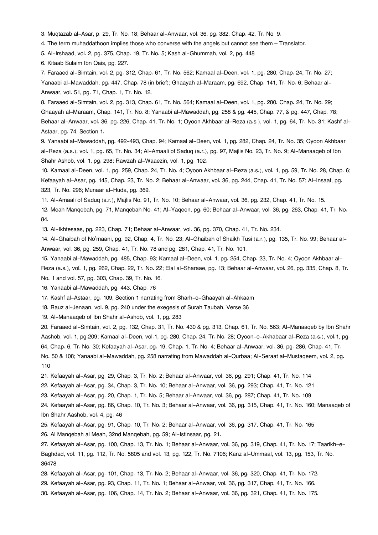- [3.](#page--1-0) Muqtazab al-Asar, p. 29, Tr. No. 18; Behaar al-Anwaar, vol. 36, pg. 382, Chap. 42, Tr. No. 9.
- [4.](#page--1-0) The term muhaddathoon implies those who converse with the angels but cannot see them Translator.
- [5.](#page--1-0) Al-Irshaad, vol. 2, pg. 375, Chap. 19, Tr. No. 5; Kash al-Ghummah, vol. 2, pg. 448
- [6.](#page--1-0) Kitaab Sulaim Ibn Qais, pg. 227.

[7.](#page--1-0) Faraaed al-Simtain, vol. 2, pg. 312, Chap. 61, Tr. No. 562; Kamaal al-Deen, vol. 1, pg. 280, Chap. 24, Tr. No. 27; Yanaabi al-Mawaddah, pg. 447, Chap. 78 (in brief); Ghaayah al-Maraam, pg. 692, Chap. 141, Tr. No. 6; Behaar al-Anwaar, vol. 51, pg. 71, Chap. 1, Tr. No. 12.

[8.](#page--1-0) Faraaed al-Simtain, vol. 2, pg. 313, Chap. 61, Tr. No. 564; Kamaal al-Deen, vol. 1, pg. 280. Chap. 24, Tr. No. 29; Ghaayah al-Maraam, Chap. 141, Tr. No. 8; Yanaabi al-Mawaddah, pg. 258 & pg. 445, Chap. 77, & pg. 447, Chap. 78; Behaar al-Anwaar, vol. 36, pg. 226, Chap. 41, Tr. No. 1; Oyoon Akhbaar al-Reza (a.s.), vol. 1, pg. 64, Tr. No. 31; Kashf al-Astaar, pg. 74, Section 1.

[9.](#page--1-0) Yanaabi al-Mawaddah, pg. 492-493, Chap. 94; Kamaal al-Deen, vol. 1, pg. 282, Chap. 24, Tr. No. 35; Oyoon Akhbaar al-Reza (a.s.), vol. 1, pg. 65, Tr. No. 34; Al-Amaali of Saduq (a.r.), pg. 97, Majlis No. 23, Tr. No. 9; Al-Manaaqeb of Ibn Shahr Ashob, vol. 1, pg. 298; Rawzah al-Waaezin, vol. 1, pg. 102.

[10.](#page--1-0) Kamaal al-Deen, vol. 1, pg. 259, Chap. 24, Tr. No. 4; Oyoon Akhbaar al-Reza (a.s.), vol. 1, pg. 59, Tr. No. 28, Chap. 6; Kefaayah al-Asar, pg. 145, Chap. 23, Tr. No. 2; Behaar al-Anwaar, vol. 36, pg. 244, Chap. 41, Tr. No. 57; Al-Insaaf, pg. 323, Tr. No. 296; Munaar al-Huda, pg. 369.

[11.](#page--1-0) Al-Amaali of Saduq (a.r.), Majlis No. 91, Tr. No. 10; Behaar al-Anwaar, vol. 36, pg. 232, Chap. 41, Tr. No. 15.

[12.](#page--1-0) Meah Manqebah, pg. 71, Manqebah No. 41; Al-Yaqeen, pg. 60; Behaar al-Anwaar, vol. 36, pg. 263, Chap. 41, Tr. No. 84.

[13.](#page--1-0) Al-Ikhtesaas, pg. 223, Chap. 71; Behaar al-Anwaar, vol. 36, pg. 370, Chap. 41, Tr. No. 234.

[14.](#page--1-0) Al-Ghaibah of No'maani, pg. 92, Chap. 4, Tr. No. 23; Al-Ghaibah of Shaikh Tusi (a.r.), pg. 135, Tr. No. 99; Behaar al-Anwaar, vol. 36, pg. 259, Chap. 41, Tr. No. 78 and pg. 281, Chap. 41, Tr. No. 101.

[15.](#page--1-0) Yanaabi al-Mawaddah, pg. 485, Chap. 93; Kamaal al-Deen, vol. 1, pg. 254, Chap. 23, Tr. No. 4; Oyoon Akhbaar al-Reza (a.s.), vol. 1, pg. 262, Chap. 22, Tr. No. 22; Elal al-Sharaae, pg. 13; Behaar al-Anwaar, vol. 26, pg. 335, Chap. 8, Tr. No. 1 and vol. 57, pg. 303, Chap. 39, Tr. No. 16.

[16.](#page--1-0) Yanaabi al-Mawaddah, pg. 443, Chap. 76

[17.](#page--1-0) Kashf al-Astaar, pg. 109, Section 1 narrating from Sharh-o-Ghaayah al-Ahkaam

[18.](#page--1-0) Rauz al-Jenaan, vol. 9, pg. 240 under the exegesis of Surah Taubah, Verse 36

[19.](#page--1-0) Al-Manaaqeb of Ibn Shahr al-Ashob, vol. 1, pg. 283

[20.](#page--1-0) Faraaed al-Simtain, vol. 2, pg. 132, Chap. 31, Tr. No. 430 & pg. 313, Chap. 61, Tr. No. 563; Al-Manaaqeb by Ibn Shahr Aashob, vol. 1, pg.209; Kamaal al-Deen, vol.1, pg. 280, Chap. 24, Tr. No. 28; Oyoon-o-Akhabaar al-Reza (a.s.), vol.1, pg. 64, Chap. 6, Tr. No. 30; Kefaayah al-Asar, pg. 19, Chap. 1, Tr. No. 4; Behaar al-Anwaar, vol. 36, pg. 286, Chap. 41, Tr. No. 50 & 108; Yanaabi al-Mawaddah, pg. 258 narrating from Mawaddah al-Qurbaa; Al-Seraat al-Mustaqeem, vol. 2, pg. 110

[21.](#page--1-0) Kefaayah al-Asar, pg. 29, Chap. 3, Tr. No. 2; Behaar al-Anwaar, vol. 36, pg. 291; Chap. 41, Tr. No. 114

[22.](#page--1-0) Kefaayah al-Asar, pg. 34, Chap. 3, Tr. No. 10; Behaar al-Anwaar, vol. 36, pg. 293; Chap. 41, Tr. No. 121

[23.](#page--1-0) Kefaayah al-Asar, pg. 20, Chap. 1, Tr. No. 5; Behaar al-Anwaar, vol. 36, pg. 287; Chap. 41, Tr. No. 109

[24.](#page--1-0) Kefaayah al-Asar, pg. 86, Chap. 10, Tr. No. 3; Behaar al-Anwaar, vol. 36, pg. 315, Chap. 41, Tr. No. 160; Manaaqeb of Ibn Shahr Aashob, vol. 4, pg. 46

[25.](#page--1-0) Kefaayah al-Asar, pg. 91, Chap. 10, Tr. No. 2; Behaar al-Anwaar, vol. 36, pg. 317, Chap. 41, Tr. No. 165

[26.](#page--1-0) Al Manqebah al Meah, 32nd Manqebah, pg. 59; Al-Istinsaar, pg. 21.

[27.](#page--1-0) Kefaayah al-Asar, pg. 100, Chap. 13, Tr. No. 1; Behaar al-Anwaar, vol. 36, pg. 319, Chap. 41, Tr. No. 17; Taarikh-e-Baghdad, vol. 11, pg. 112, Tr. No. 5805 and vol. 13, pg. 122, Tr. No. 7106; Kanz al-Ummaal, vol. 13, pg. 153, Tr. No. 36478

[28.](#page--1-0) Kefaayah al-Asar, pg. 101, Chap. 13, Tr. No. 2; Behaar al-Anwaar, vol. 36, pg. 320, Chap. 41, Tr. No. 172.

[29.](#page--1-0) Kefaayah al-Asar, pg. 93, Chap. 11, Tr. No. 1; Behaar al-Anwaar, vol. 36, pg. 317, Chap. 41, Tr. No. 166.

[30.](#page--1-0) Kefaayah al-Asar, pg. 106, Chap. 14, Tr. No. 2; Behaar al-Anwaar, vol. 36, pg. 321, Chap. 41, Tr. No. 175.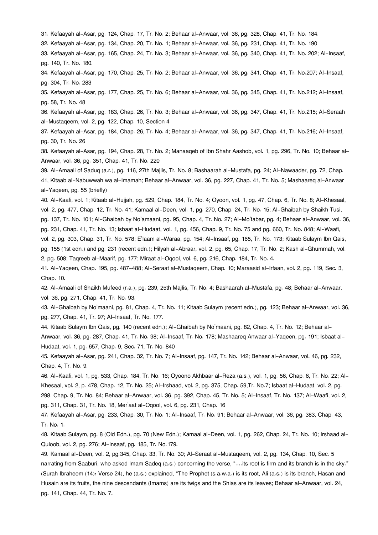[31.](#page--1-0) Kefaayah al-Asar, pg. 124, Chap. 17, Tr. No. 2; Behaar al-Anwaar, vol. 36, pg. 328, Chap. 41, Tr. No. 184.

[32.](#page--1-0) Kefaayah al-Asar, pg. 134, Chap. 20, Tr. No. 1; Behaar al-Anwaar, vol. 36, pg. 231, Chap. 41, Tr. No. 190

[33.](#page--1-0) Kefaayah al-Asar, pg. 165, Chap. 24, Tr. No. 3; Behaar al-Anwaar, vol. 36, pg. 340, Chap. 41, Tr. No. 202; Al-Insaaf, pg. 140, Tr. No. 180.

[34.](#page--1-0) Kefaayah al-Asar, pg. 170, Chap. 25, Tr. No. 2; Behaar al-Anwaar, vol. 36, pg. 341, Chap. 41, Tr. No.207; Al-Insaaf, pg. 304, Tr. No. 283

[35.](#page--1-0) Kefaayah al-Asar, pg. 177, Chap. 25, Tr. No. 6; Behaar al-Anwaar, vol. 36, pg. 345, Chap. 41, Tr. No.212; Al-Insaaf, pg. 58, Tr. No. 48

[36.](#page--1-0) Kefaayah al-Asar, pg. 183, Chap. 26, Tr. No. 3; Behaar al-Anwaar, vol. 36, pg. 347, Chap. 41, Tr. No.215; Al-Seraah al-Mustaqeem, vol. 2, pg. 122, Chap. 10, Section 4

[37.](#page--1-0) Kefaayah al-Asar, pg. 184, Chap. 26, Tr. No. 4; Behaar al-Anwaar, vol. 36, pg. 347, Chap. 41, Tr. No.216; Al-Insaaf, pg. 30, Tr. No. 26

[38.](#page--1-0) Kefaayah al-Asar, pg. 194, Chap. 28, Tr. No. 2; Manaaqeb of Ibn Shahr Aashob, vol. 1, pg. 296, Tr. No. 10; Behaar al-Anwaar, vol. 36, pg. 351, Chap. 41, Tr. No. 220

[39.](#page--1-0) Al-Amaali of Saduq (a.r.), pg. 116, 27th Majlis, Tr. No. 8; Bashaarah al-Mustafa, pg. 24; Al-Nawaader, pg. 72, Chap. 41, Kitaab al-Nabuwwah wa al-Imamah; Behaar al-Anwaar, vol. 36, pg. 227, Chap. 41, Tr. No. 5; Mashaareq al-Anwaar al-Yaqeen, pg. 55 (briefly)

[40.](#page--1-0) Al-Kaafi, vol. 1; Kitaab al-Hujjah, pg. 529, Chap. 184, Tr. No. 4; Oyoon, vol. 1, pg. 47, Chap. 6, Tr. No. 8; Al-Khesaal, vol. 2, pg. 477, Chap. 12, Tr. No. 41; Kamaal al-Deen, vol. 1, pg. 270, Chap. 24, Tr. No. 15; Al-Ghaibah by Shaikh Tusi, pg. 137, Tr. No. 101; Al-Ghaibah by No'amaani, pg. 95, Chap. 4, Tr. No. 27; Al-Mo'tabar, pg. 4; Behaar al-Anwaar, vol. 36, pg. 231, Chap. 41, Tr. No. 13; Isbaat al-Hudaat, vol. 1, pg. 456, Chap. 9, Tr. No. 75 and pg. 660, Tr. No. 848; Al-Waafi, vol. 2, pg. 303, Chap. 31, Tr. No. 578; E'laam al-Waraa, pg. 154; Al-Insaaf, pg. 165, Tr. No. 173; Kitaab Sulaym Ibn Qais, pg. 155 (1st edn.) and pg. 231 (recent edn.); Hilyah al-Abraar, vol. 2, pg. 65, Chap. 17, Tr. No. 2; Kash al-Ghummah, vol. 2, pg. 508; Taqreeb al-Maarif, pg. 177; Miraat al-Oqool, vol. 6, pg. 216, Chap. 184, Tr. No. 4.

[41.](#page--1-0) Al-Yaqeen, Chap. 195, pg. 487-488; Al-Seraat al-Mustaqeem, Chap. 10; Maraasid al-Irfaan, vol. 2, pg. 119, Sec. 3, Chap. 10.

[42.](#page--1-0) Al-Amaali of Shaikh Mufeed (r.a.), pg. 239, 25th Majlis, Tr. No. 4; Bashaarah al-Mustafa, pg. 48; Behaar al-Anwaar, vol. 36, pg. 271, Chap. 41, Tr. No. 93.

[43.](#page--1-0) Al-Ghaibah by No'maani, pg. 81, Chap. 4, Tr. No. 11; Kitaab Sulaym (recent edn.), pg. 123; Behaar al-Anwaar, vol. 36, pg. 277, Chap. 41, Tr. 97; Al-Insaaf, Tr. No. 177.

[44.](#page--1-0) Kitaab Sulaym Ibn Qais, pg. 140 (recent edn.); Al-Ghaibah by No'maani, pg. 82, Chap. 4, Tr. No. 12; Behaar al-Anwaar, vol. 36, pg. 287, Chap. 41, Tr. No. 98; Al-Insaaf, Tr. No. 178; Mashaareq Anwaar al-Yaqeen, pg. 191; Isbaat al-Hudaat, vol. 1, pg. 657, Chap. 9, Sec. 71, Tr. No. 840

[45.](#page--1-0) Kefaayah al-Asar, pg. 241, Chap. 32, Tr. No. 7; Al-Insaaf, pg. 147, Tr. No. 142; Behaar al-Anwaar, vol. 46, pg. 232, Chap. 4, Tr. No. 9.

[46.](#page--1-0) Al-Kaafi, vol. 1, pg. 533, Chap. 184, Tr. No. 16; Oyoono Akhbaar al-Reza (a.s.), vol. 1, pg. 56, Chap. 6, Tr. No. 22; Al-Khesaal, vol. 2, p. 478, Chap. 12, Tr. No. 25; Al-Irshaad, vol. 2, pg. 375, Chap. 59,Tr. No.7; Isbaat al-Hudaat, vol. 2, pg. 298, Chap. 9, Tr. No. 84; Behaar al-Anwaar, vol. 36, pg. 392, Chap. 45, Tr. No. 5; Al-Insaaf, Tr. No. 137; Al-Waafi, vol. 2, pg. 311, Chap. 31, Tr. No. 18, Mer'aat al-Oqool, vol. 6, pg. 231, Chap. 16

[47.](#page--1-0) Kefaayah al-Asar, pg. 233, Chap. 30, Tr. No. 1; Al-Insaaf, Tr. No. 91; Behaar al-Anwaar, vol. 36, pg. 383, Chap. 43, Tr. No. 1.

[48.](#page--1-0) Kitaab Sulaym, pg. 8 (Old Edn.), pg. 70 (New Edn.); Kamaal al-Deen, vol. 1, pg. 262, Chap. 24, Tr. No. 10; Irshaad al-Quloob, vol. 2, pg. 276; Al-Insaaf, pg. 185, Tr. No.179.

[49.](#page--1-0) Kamaal al-Deen, vol. 2, pg.345, Chap. 33, Tr. No. 30; Al-Seraat al-Mustaqeem, vol. 2, pg. 134, Chap. 10, Sec. 5 narrating from Saaburi, who asked Imam Sadeq (a.s.) concerning the verse, "....its root is firm and its branch is in the sky." (Surah Ibraheem (14): Verse 24), he (a.s.) explained, "The Prophet (s.a.w.a.) is its root, Ali (a.s.) is its branch, Hasan and Husain are its fruits, the nine descendants (Imams) are its twigs and the Shias are its leaves; Behaar al-Anwaar, vol. 24, pg. 141, Chap. 44, Tr. No. 7.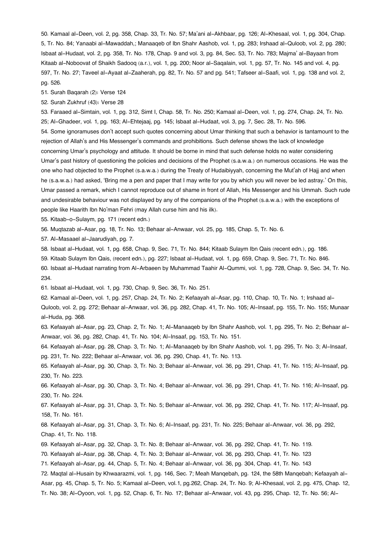[50.](#page--1-0) Kamaal al-Deen, vol. 2, pg. 358, Chap. 33, Tr. No. 57; Ma'ani al-Akhbaar, pg. 126; Al-Khesaal, vol. 1, pg. 304, Chap. 5, Tr. No. 84; Yanaabi al-Mawaddah,; Manaaqeb of Ibn Shahr Aashob, vol. 1, pg. 283; Irshaad al-Quloob, vol. 2, pg. 280; Isbaat al-Hudaat, vol. 2, pg. 358, Tr. No. 178, Chap. 9 and vol. 3, pg. 84, Sec. 53, Tr. No. 783; Majma' al-Bayaan from Kitaab al-Noboovat of Shaikh Sadooq (a.r.), vol. 1, pg. 200; Noor al-Saqalain, vol. 1, pg. 57, Tr. No. 145 and vol. 4, pg. 597, Tr. No. 27; Taveel al-Ayaat al-Zaaherah, pg. 82, Tr. No. 57 and pg. 541; Tafseer al-Saafi, vol. 1, pg. 138 and vol. 2, pg. 526.

[51.](#page--1-0) Surah Baqarah (2): Verse 124

[52.](#page--1-0) Surah Zukhruf (43): Verse 28

[53.](#page--1-0) Faraaed al-Simtain, vol. 1, pg. 312, Simt I, Chap. 58, Tr. No. 250; Kamaal al-Deen, vol. 1, pg. 274, Chap. 24, Tr. No. 25; Al-Ghadeer, vol. 1, pg. 163; Al-Ehtejaaj, pg. 145; Isbaat al-Hudaat, vol. 3, pg. 7, Sec. 28, Tr. No. 596. [54.](#page--1-0) Some ignoramuses don't accept such quotes concerning about Umar thinking that such a behavior is tantamount to the rejection of Allah's and His Messenger's commands and prohibitions. Such defense shows the lack of knowledge concerning Umar's psychology and attitude. It should be borne in mind that such defense holds no water considering Umar's past history of questioning the policies and decisions of the Prophet (s.a.w.a.) on numerous occasions. He was the one who had objected to the Prophet (s.a.w.a.) during the Treaty of Hudaibiyyah, concerning the Mut'ah of Hajj and when he (s.a.w.a.) had asked, 'Bring me a pen and paper that I may write for you by which you will never be led astray.' On this, Umar passed a remark, which I cannot reproduce out of shame in front of Allah, His Messenger and his Ummah. Such rude and undesirable behaviour was not displayed by any of the companions of the Prophet (s.a.w.a.) with the exceptions of people like Haarith Ibn No'man Fehri (may Allah curse him and his ilk).

[55.](#page--1-0) Kitaab-o-Sulaym, pg. 171 (recent edn.)

[56.](#page--1-0) Muqtazab al-Asar, pg. 18, Tr. No. 13; Behaar al-Anwaar, vol. 25, pg. 185, Chap. 5, Tr. No. 6.

[57.](#page--1-0) Al-Masaael al-Jaarudiyah, pg. 7.

[58.](#page--1-0) Isbaat al-Hudaat, vol. 1, pg. 658, Chap. 9, Sec. 71, Tr. No. 844; Kitaab Sulaym Ibn Qais (recent edn.), pg. 186.

[59.](#page--1-0) Kitaab Sulaym Ibn Qais, (recent edn.), pg. 227; Isbaat al-Hudaat, vol. 1, pg. 659, Chap. 9, Sec. 71, Tr. No. 846.

[60.](#page--1-0) Isbaat al-Hudaat narrating from Al-Arbaeen by Muhammad Taahir Al-Qummi, vol. 1, pg. 728, Chap. 9, Sec. 34, Tr. No. 234.

[61.](#page--1-0) Isbaat al-Hudaat, vol. 1, pg. 730, Chap. 9, Sec. 36, Tr. No. 251.

[62.](#page--1-0) Kamaal al-Deen, vol. 1, pg. 257, Chap. 24, Tr. No. 2; Kefaayah al-Asar, pg. 110, Chap. 10, Tr. No. 1; Irshaad al-

Quloob, vol. 2, pg. 272; Behaar al-Anwaar, vol. 36, pg. 282, Chap. 41, Tr. No. 105; Al-Insaaf, pg. 155, Tr. No. 155; Munaar al-Huda, pg. 368.

[63.](#page--1-0) Kefaayah al-Asar, pg. 23, Chap. 2, Tr. No. 1; Al-Manaaqeb by Ibn Shahr Aashob, vol. 1, pg. 295, Tr. No. 2; Behaar al-Anwaar, vol. 36, pg. 282, Chap. 41, Tr. No. 104; Al-Insaaf, pg. 153, Tr. No. 151.

[64.](#page--1-0) Kefaayah al-Asar, pg. 28, Chap. 3, Tr. No. 1; Al-Manaaqeb by Ibn Shahr Aashob, vol. 1, pg. 295, Tr. No. 3; Al-Insaaf, pg. 231, Tr. No. 222; Behaar al-Anwaar, vol. 36, pg. 290, Chap. 41, Tr. No. 113.

[65.](#page--1-0) Kefaayah al-Asar, pg. 30, Chap. 3, Tr. No. 3; Behaar al-Anwaar, vol. 36, pg. 291, Chap. 41, Tr. No. 115; Al-Insaaf, pg. 230, Tr. No. 223.

[66.](#page--1-0) Kefaayah al-Asar, pg. 30, Chap. 3, Tr. No. 4; Behaar al-Anwaar, vol. 36, pg. 291, Chap. 41, Tr. No. 116; Al-Insaaf, pg. 230, Tr. No. 224.

[67.](#page--1-0) Kefaayah al-Asar, pg. 31, Chap. 3, Tr. No. 5; Behaar al-Anwaar, vol. 36, pg. 292, Chap. 41, Tr. No. 117; Al-Insaaf, pg. 158, Tr. No. 161.

[68.](#page--1-0) Kefaayah al-Asar, pg. 31, Chap. 3, Tr. No. 6; Al-Insaaf, pg. 231, Tr. No. 225; Behaar al-Anwaar, vol. 36, pg. 292, Chap. 41, Tr. No. 118.

[69.](#page--1-0) Kefaayah al-Asar, pg. 32, Chap. 3, Tr. No. 8; Behaar al-Anwaar, vol. 36, pg. 292, Chap. 41, Tr. No. 119.

[70.](#page--1-0) Kefaayah al-Asar, pg. 38, Chap. 4, Tr. No. 3; Behaar al-Anwaar, vol. 36, pg. 293, Chap. 41, Tr. No. 123

[71.](#page--1-0) Kefaayah al-Asar, pg. 44, Chap. 5, Tr. No. 4; Behaar al-Anwaar, vol. 36, pg. 304, Chap. 41, Tr. No. 143

[72.](#page--1-0) Maqtal al-Husain by Khwaarazmi, vol. 1, pg. 146, Sec. 7; Meah Manqebah, pg. 124, the 58th Manqebah; Kefaayah al-Asar, pg. 45, Chap. 5, Tr. No. 5; Kamaal al-Deen, vol.1, pg.262, Chap. 24, Tr. No. 9; Al-Khesaal, vol. 2, pg. 475, Chap. 12, Tr. No. 38; Al-Oyoon, vol. 1, pg. 52, Chap. 6, Tr. No. 17; Behaar al-Anwaar, vol. 43, pg. 295, Chap. 12, Tr. No. 56; Al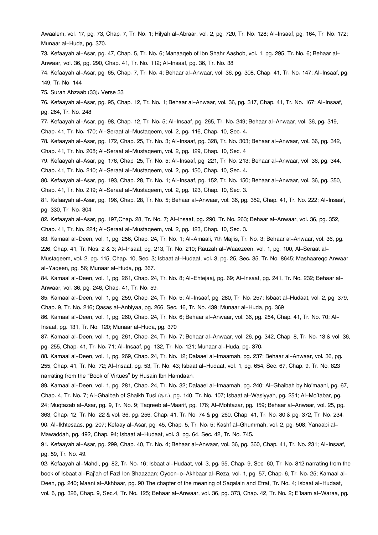Awaalem, vol. 17, pg. 73, Chap. 7, Tr. No. 1; Hilyah al-Abraar, vol. 2, pg. 720, Tr. No. 128; Al-Insaaf, pg. 164, Tr. No. 172; Munaar al-Huda, pg. 370.

[73.](#page--1-0) Kefaayah al-Asar, pg. 47, Chap. 5, Tr. No. 6; Manaaqeb of Ibn Shahr Aashob, vol. 1, pg. 295, Tr. No. 6; Behaar al-Anwaar, vol. 36, pg. 290, Chap. 41, Tr. No. 112; Al-Insaaf, pg. 36, Tr. No. 38

[74.](#page--1-0) Kefaayah al-Asar, pg. 65, Chap. 7, Tr. No. 4; Behaar al-Anwaar, vol. 36, pg. 308, Chap. 41, Tr. No. 147; Al-Insaaf, pg. 149, Tr. No. 144

[75.](#page--1-0) Surah Ahzaab (33): Verse 33

[76.](#page--1-0) Kefaayah al-Asar, pg. 95, Chap. 12, Tr. No. 1; Behaar al-Anwaar, vol. 36, pg. 317, Chap. 41, Tr. No. 167; Al-Insaaf, pg. 264, Tr. No. 248

[77.](#page--1-0) Kefaayah al-Asar, pg. 98, Chap. 12, Tr. No. 5; Al-Insaaf, pg. 265, Tr. No. 249; Behaar al-Anwaar, vol. 36, pg. 319, Chap. 41, Tr. No. 170; Al-Seraat al-Mustaqeem, vol. 2, pg. 116, Chap. 10, Sec. 4.

[78.](#page--1-0) Kefaayah al-Asar, pg. 172, Chap. 25, Tr. No. 3; Al-Insaaf, pg. 328, Tr. No. 303; Behaar al-Anwaar, vol. 36, pg. 342, Chap. 41, Tr. No. 208; Al-Seraat al-Mustaqeem, vol. 2, pg. 129, Chap. 10, Sec. 4

[79.](#page--1-0) Kefaayah al-Asar, pg. 176, Chap. 25, Tr. No. 5; Al-Insaaf, pg. 221, Tr. No. 213; Behaar al-Anwaar, vol. 36, pg. 344, Chap. 41, Tr. No. 210; Al-Seraat al-Mustaqeem, vol. 2, pg. 130, Chap. 10, Sec. 4.

[80.](#page--1-0) Kefaayah al-Asar, pg. 193, Chap. 28, Tr. No. 1; Al-Insaaf, pg. 152, Tr. No. 150; Behaar al-Anwaar, vol. 36, pg. 350, Chap. 41, Tr. No. 219; Al-Seraat al-Mustaqeem, vol. 2, pg. 123, Chap. 10, Sec. 3.

[81.](#page--1-0) Kefaayah al-Asar, pg. 196, Chap. 28, Tr. No. 5; Behaar al-Anwaar, vol. 36, pg. 352, Chap. 41, Tr. No. 222; Al-Insaaf, pg. 330, Tr. No. 304.

[82.](#page--1-0) Kefaayah al-Asar, pg. 197,Chap. 28, Tr. No. 7; Al-Insaaf, pg. 290, Tr. No. 263; Behaar al-Anwaar, vol. 36, pg. 352, Chap. 41, Tr. No. 224; Al-Seraat al-Mustaqeem, vol. 2, pg. 123, Chap. 10, Sec. 3.

[83.](#page--1-0) Kamaal al-Deen, vol. 1, pg. 256, Chap. 24, Tr. No. 1; Al-Amaali, 7th Majlis, Tr. No. 3; Behaar al-Anwaar, vol. 36, pg. 226, Chap. 41, Tr. Nos. 2 & 3; Al-Insaaf, pg. 213, Tr. No. 210; Rauzah al-Waaezeen, vol. 1, pg. 100, Al-Seraat al-

Mustaqeem, vol. 2, pg. 115, Chap. 10, Sec. 3; Isbaat al-Hudaat, vol. 3, pg. 25, Sec. 35, Tr. No. 8645; Mashaareqo Anwaar al-Yaqeen, pg. 56; Munaar al-Huda, pg. 367.

[84.](#page--1-0) Kamaal al-Deen, vol. 1, pg. 261, Chap. 24, Tr. No. 8; Al-Ehtejaaj, pg. 69; Al-Insaaf, pg. 241, Tr. No. 232; Behaar al-Anwaar, vol. 36, pg. 246, Chap. 41, Tr. No. 59.

[85.](#page--1-0) Kamaal al-Deen, vol. 1, pg. 259, Chap. 24, Tr. No. 5; Al-Insaaf, pg. 280, Tr. No. 257; Isbaat al-Hudaat, vol. 2, pg. 379, Chap. 9, Tr. No. 216; Qasas al-Anbiyaa, pg. 266, Sec. 16, Tr. No. 439; Munaar al-Huda, pg. 369

[86.](#page--1-0) Kamaal al-Deen, vol. 1, pg. 260, Chap. 24, Tr. No. 6; Behaar al-Anwaar, vol. 36, pg. 254, Chap. 41, Tr. No. 70; Al-Insaaf, pg. 131, Tr. No. 120; Munaar al-Huda, pg. 370

[87.](#page--1-0) Kamaal al-Deen, vol. 1, pg. 261, Chap. 24, Tr. No. 7; Behaar al-Anwaar, vol. 26, pg. 342, Chap. 8, Tr. No. 13 & vol. 36, pg. 255, Chap. 41, Tr. No. 71; Al-Insaaf, pg. 132, Tr. No. 121; Munaar al-Huda, pg. 370.

[88.](#page--1-0) Kamaal al-Deen, vol. 1, pg. 269, Chap. 24, Tr. No. 12; Dalaael al-Imaamah, pg. 237; Behaar al-Anwaar, vol. 36, pg. 255, Chap. 41, Tr. No. 72; Al-Insaaf, pg. 53, Tr. No. 43; Isbaat al-Hudaat, vol. 1, pg. 654, Sec. 67, Chap. 9, Tr. No. 823 narrating from the "Book of Virtues" by Husain Ibn Hamdaan.

[89.](#page--1-0) Kamaal al-Deen, vol. 1, pg. 281, Chap. 24, Tr. No. 32; Dalaael al-Imaamah, pg. 240; Al-Ghaibah by No'maani, pg. 67, Chap. 4, Tr. No. 7; Al-Ghaibah of Shaikh Tusi (a.r.), pg. 140, Tr. No. 107; Isbaat al-Wasiyyah, pg. 251; Al-Mo'tabar, pg. 24; Muqtazab al-Asar, pg. 9, Tr. No. 9; Taqreeb al-Maarif, pg. 176; Al-Mohtazar, pg. 159; Behaar al-Anwaar, vol. 25, pg. 363, Chap. 12, Tr. No. 22 & vol. 36, pg. 256, Chap. 41, Tr. No. 74 & pg. 260, Chap. 41, Tr. No. 80 & pg. 372, Tr. No. 234. [90.](#page--1-0) Al-Ikhtesaas, pg. 207; Kefaay al-Asar, pg. 45, Chap. 5, Tr. No. 5; Kashf al-Ghummah, vol. 2, pg. 508; Yanaabi al-Mawaddah, pg. 492, Chap. 94; Isbaat al-Hudaat, vol. 3, pg. 64, Sec. 42, Tr. No. 745.

[91.](#page--1-0) Kefaayah al-Asar, pg. 299, Chap. 40, Tr. No. 4; Behaar al-Anwaar, vol. 36, pg. 360, Chap. 41, Tr. No. 231; Al-Insaaf, pg. 59, Tr. No. 49.

[92.](#page--1-0) Kefaayah al-Mahdi, pg. 82, Tr. No. 16; Isbaat al-Hudaat, vol. 3, pg. 95, Chap. 9, Sec. 60, Tr. No. 812 narrating from the book of Isbaat al-Raj'ah of Fazl Ibn Shaazaan; Oyoon-o-Akhbaar al-Reza, vol. 1, pg. 57, Chap. 6, Tr. No. 25; Kamaal al-Deen, pg. 240; Maani al-Akhbaar, pg. 90 The chapter of the meaning of Saqalain and Etrat, Tr. No. 4; Isbaat al-Hudaat, vol. 6, pg. 326, Chap. 9, Sec.4, Tr. No. 125; Behaar al-Anwaar, vol. 36, pg. 373, Chap. 42, Tr. No. 2; E'laam al-Waraa, pg.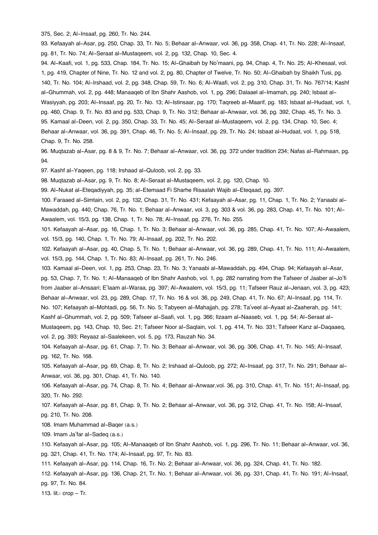375, Sec. 2; Al-Insaaf, pg. 260, Tr. No. 244.

[93.](#page--1-0) Kefaayah al-Asar, pg. 250, Chap. 33, Tr. No. 5; Behaar al-Anwaar, vol. 36, pg. 358, Chap. 41, Tr. No. 228; Al-Insaaf, pg. 81, Tr. No. 74; Al-Seraat al-Mustaqeem, vol. 2, pg. 132, Chap. 10, Sec. 4.

[94.](#page--1-0) Al-Kaafi, vol. 1, pg. 533, Chap. 184, Tr. No. 15; Al-Ghaibah by No'maani, pg. 94, Chap. 4, Tr. No. 25; Al-Khesaal, vol. 1, pg. 419, Chapter of Nine, Tr. No. 12 and vol. 2, pg. 80, Chapter of Twelve, Tr. No. 50; Al-Ghaibah by Shaikh Tusi, pg. 140, Tr. No. 104; Al-Irshaad, vol. 2, pg. 348, Chap. 59, Tr. No. 6; Al-Waafi, vol. 2, pg. 310, Chap. 31, Tr. No. 767/14; Kashf al-Ghummah, vol. 2, pg. 448; Manaaqeb of Ibn Shahr Aashob, vol. 1, pg. 296; Dalaael al-Imamah, pg. 240; Isbaat al-Wasiyyah, pg. 203; Al-Insaaf, pg. 20, Tr. No. 13; Al-Istinsaar, pg. 170; Taqreeb al-Maarif, pg. 183; Isbaat al-Hudaat, vol. 1, pg. 460, Chap. 9, Tr. No. 83 and pg. 533, Chap. 9, Tr. No. 312; Behaar al-Anwaar, vol. 36, pg. 392, Chap. 45, Tr. No. 3. [95.](#page--1-0) Kamaal al-Deen, vol. 2, pg. 350, Chap. 33, Tr. No. 45; Al-Seraat al-Mustaqeem, vol. 2, pg. 134, Chap. 10, Sec. 4; Behaar al-Anwaar, vol. 36, pg. 391, Chap. 46, Tr. No. 5; Al-Insaaf, pg. 29, Tr. No. 24; Isbaat al-Hudaat, vol. 1, pg. 518, Chap. 9, Tr. No. 258.

[96.](#page--1-0) Muqtazab al-Asar, pg. 8 & 9, Tr. No. 7; Behaar al-Anwaar, vol. 36, pg. 372 under tradition 234; Nafas al-Rahmaan, pg. 94.

[97.](#page--1-0) Kashf al-Yaqeen, pg. 118; Irshaad al-Quloob, vol. 2, pg. 33.

[98.](#page--1-0) Muqtazab al-Asar, pg. 9, Tr. No. 8; Al-Seraat al-Mustaqeem, vol. 2, pg. 120, Chap. 10.

[99.](#page--1-0) Al-Nukat al-Eteqadiyyah, pg. 35; al-Etemaad Fi Sharhe Risaalah Wajib al-Eteqaad, pg. 397.

[100.](#page--1-0) Faraaed al-Simtain, vol. 2, pg. 132, Chap. 31, Tr. No. 431; Kefaayah al-Asar, pg. 11, Chap. 1, Tr. No. 2; Yanaabi al-Mawaddah, pg. 440, Chap. 76, Tr. No. 1; Behaar al-Anwaar, vol. 3, pg. 303 & vol. 36, pg. 283, Chap. 41, Tr. No. 101; Al-Awaalem, vol. 15/3, pg. 138, Chap. 1, Tr. No. 78; Al-Insaaf, pg. 276, Tr. No. 255.

[101.](#page--1-0) Kefaayah al-Asar, pg. 16, Chap. 1, Tr. No. 3; Behaar al-Anwaar, vol. 36, pg. 285, Chap. 41, Tr. No. 107; Al-Awaalem, vol. 15/3, pg. 140, Chap. 1, Tr. No. 79; Al-Insaaf, pg. 202, Tr. No. 202.

[102.](#page--1-0) Kefaayah al-Asar, pg. 40, Chap. 5, Tr. No. 1; Behaar al-Anwaar, vol. 36, pg. 289, Chap. 41, Tr. No. 111; Al-Awaalem, vol. 15/3, pg. 144, Chap. 1, Tr. No. 83; Al-Insaaf, pg. 261, Tr. No. 246.

[103.](#page--1-0) Kamaal al-Deen, vol. 1, pg. 253, Chap. 23, Tr. No. 3; Yanaabi al-Mawaddah, pg. 494, Chap. 94; Kefaayah al-Asar, pg. 53, Chap. 7, Tr. No. 1; Al-Manaaqeb of Ibn Shahr Aashob, vol. 1, pg. 282 narrating from the Tafseer of Jaaber al-Jo'fi from Jaaber al-Ansaari; E'laam al-Waraa, pg. 397; Al-Awaalem, vol. 15/3, pg. 11; Tafseer Rauz al-Jenaan, vol. 3, pg. 423; Behaar al-Anwaar, vol. 23, pg. 289, Chap. 17, Tr. No. 16 & vol. 36, pg. 249, Chap. 41, Tr. No. 67; Al-Insaaf, pg. 114, Tr. No. 107; Kefaayah al-Mohtadi, pg. 56, Tr. No. 5; Tabyeen al-Mahajjah, pg. 278; Ta'veel al-Ayaat al-Zaaherah, pg. 141; Kashf al-Ghummah, vol. 2, pg. 509; Tafseer al-Saafi, vol. 1, pg. 366; Ilzaam al-Naaseb, vol. 1, pg. 54; Al-Seraat al-Mustaqeem, pg. 143, Chap. 10, Sec. 21; Tafseer Noor al-Saqlain, vol. 1, pg. 414, Tr. No. 331; Tafseer Kanz al-Daqaaeq, vol. 2, pg. 393; Reyaaz al-Saalekeen, vol. 5, pg. 173, Rauzah No. 34.

[104.](#page--1-0) Kefaayah al-Asar, pg. 61, Chap. 7, Tr. No. 3; Behaar al-Anwaar, vol. 36, pg. 306, Chap. 41, Tr. No. 145; Al-Insaaf, pg. 162, Tr. No. 168.

[105.](#page--1-0) Kefaayah al-Asar, pg. 69, Chap. 8, Tr. No. 2; Irshaad al-Quloob, pg. 272; Al-Insaaf, pg. 317, Tr. No. 291; Behaar al-Anwaar, vol. 36, pg. 301, Chap. 41, Tr. No. 140.

[106.](#page--1-0) Kefaayah al-Asar, pg. 74, Chap. 8, Tr. No. 4; Behaar al-Anwaar,vol. 36, pg. 310, Chap. 41, Tr. No. 151; Al-Insaaf, pg. 320, Tr. No. 292.

[107.](#page--1-0) Kefaayah al-Asar, pg. 81, Chap. 9, Tr. No. 2; Behaar al-Anwaar, vol. 36, pg. 312, Chap. 41, Tr. No. 158; Al-Insaaf, pg. 210, Tr. No. 208.

[108.](#page--1-0) Imam Muhammad al-Baqer (a.s.)

[109.](#page--1-0) Imam Ja'far al-Sadeq (a.s.)

[110.](#page--1-0) Kefaayah al-Asar, pg. 105; Al-Manaaqeb of Ibn Shahr Aashob, vol. 1, pg. 296, Tr. No. 11; Behaar al-Anwaar, vol. 36, pg. 321, Chap. 41, Tr. No. 174; Al-Insaaf, pg. 97, Tr. No. 83.

[111.](#page--1-0) Kefaayah al-Asar, pg. 114, Chap. 16, Tr. No. 2; Behaar al-Anwaar, vol. 36, pg. 324, Chap. 41, Tr. No. 182.

[112.](#page--1-0) Kefaayah al-Asar, pg. 136, Chap. 21, Tr. No. 1; Behaar al-Anwaar, vol. 36, pg. 331, Chap. 41, Tr. No. 191; Al-Insaaf, pg. 97, Tr. No. 84.

[113.](#page--1-0) lit.: crop – Tr.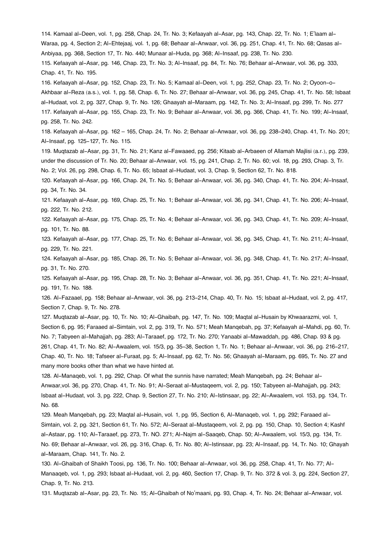[114.](#page--1-0) Kamaal al-Deen, vol. 1, pg. 258, Chap. 24, Tr. No. 3; Kefaayah al-Asar, pg. 143, Chap. 22, Tr. No. 1; E'laam al-Waraa, pg. 4, Section 2; Al-Ehtejaaj, vol. 1, pg. 68; Behaar al-Anwaar, vol. 36, pg. 251, Chap. 41, Tr. No. 68; Qasas al-Anbiyaa, pg. 368, Section 17, Tr. No. 440; Munaar al-Huda, pg. 368; Al-Insaaf, pg. 238, Tr. No. 230. [115.](#page--1-0) Kefaayah al-Asar, pg. 146, Chap. 23, Tr. No. 3; Al-Insaaf, pg. 84, Tr. No. 76; Behaar al-Anwaar, vol. 36, pg. 333, Chap. 41, Tr. No. 195.

[116.](#page--1-0) Kefaayah al-Asar, pg. 152, Chap. 23, Tr. No. 5; Kamaal al-Deen, vol. 1, pg. 252, Chap. 23, Tr. No. 2; Oyoon-o-Akhbaar al-Reza (a.s.), vol. 1, pg. 58, Chap. 6, Tr. No. 27; Behaar al-Anwaar, vol. 36, pg. 245, Chap. 41, Tr. No. 58; Isbaat al-Hudaat, vol. 2, pg. 327, Chap. 9, Tr. No. 126; Ghaayah al-Maraam, pg. 142, Tr. No. 3; Al-Insaaf, pg. 299, Tr. No. 277 [117.](#page--1-0) Kefaayah al-Asar, pg. 155, Chap. 23, Tr. No. 9; Behaar al-Anwaar, vol. 36, pg. 366, Chap. 41, Tr. No. 199; Al-Insaaf, pg. 258, Tr. No. 242.

[118.](#page--1-0) Kefaayah al-Asar, pg. 162 – 165, Chap. 24, Tr. No. 2; Behaar al-Anwaar, vol. 36, pg. 238-240, Chap. 41, Tr. No. 201; Al-Insaaf, pg. 125-127, Tr. No. 115.

[119.](#page--1-0) Muqtazab al-Asar, pg. 31, Tr. No. 21; Kanz al-Fawaaed, pg. 256; Kitaab al-Arbaeen of Allamah Majlisi (a.r.), pg. 239, under the discussion of Tr. No. 20; Behaar al-Anwaar, vol. 15, pg. 241, Chap. 2, Tr. No. 60; vol. 18, pg. 293, Chap. 3, Tr. No. 2; Vol. 26, pg. 298, Chap. 6, Tr. No. 65; Isbaat al-Hudaat, vol. 3, Chap. 9, Section 62, Tr. No. 818.

[120.](#page--1-0) Kefaayah al-Asar, pg. 166, Chap. 24, Tr. No. 5; Behaar al-Anwaar, vol. 36, pg. 340, Chap. 41, Tr. No. 204; Al-Insaaf, pg. 34, Tr. No. 34.

[121.](#page--1-0) Kefaayah al-Asar, pg. 169, Chap. 25, Tr. No. 1; Behaar al-Anwaar, vol. 36, pg. 341, Chap. 41, Tr. No. 206; Al-Insaaf, pg. 222, Tr. No. 212.

[122.](#page--1-0) Kefaayah al-Asar, pg. 175, Chap. 25, Tr. No. 4; Behaar al-Anwaar, vol. 36, pg. 343, Chap. 41, Tr. No. 209; Al-Insaaf, pg. 101, Tr. No. 88.

[123.](#page--1-0) Kefaayah al-Asar, pg. 177, Chap. 25, Tr. No. 6; Behaar al-Anwaar, vol. 36, pg. 345, Chap. 41, Tr. No. 211; Al-Insaaf, pg. 229, Tr. No. 221.

[124.](#page--1-0) Kefaayah al-Asar, pg. 185, Chap. 26, Tr. No. 5; Behaar al-Anwaar, vol. 36, pg. 348, Chap. 41, Tr. No. 217; Al-Insaaf, pg. 31, Tr. No. 270.

[125.](#page--1-0) Kefaayah al-Asar, pg. 195, Chap. 28, Tr. No. 3; Behaar al-Anwaar, vol. 36, pg. 351, Chap. 41, Tr. No. 221; Al-Insaaf, pg. 191, Tr. No. 188.

[126.](#page--1-0) Al-Fazaael, pg. 158; Behaar al-Anwaar, vol. 36, pg. 213-214, Chap. 40, Tr. No. 15; Isbaat al-Hudaat, vol. 2, pg. 417, Section 7, Chap. 9, Tr. No. 278.

[127.](#page--1-0) Muqtazab al-Asar, pg. 10, Tr. No. 10; Al-Ghaibah, pg. 147, Tr. No. 109; Maqtal al-Husain by Khwaarazmi, vol. 1, Section 6, pg. 95; Faraaed al-Simtain, vol. 2, pg. 319, Tr. No. 571; Meah Manqebah, pg. 37; Kefaayah al-Mahdi, pg. 60, Tr. No. 7; Tabyeen al-Mahajjah, pg. 283; Al-Taraaef, pg. 172, Tr. No. 270; Yanaabi al-Mawaddah, pg. 486, Chap. 93 & pg. 261, Chap. 41, Tr. No. 82; Al-Awaalem, vol. 15/3, pg. 35-38, Section 1, Tr. No. 1; Behaar al-Anwaar, vol. 36, pg. 216-217, Chap. 40, Tr. No. 18; Tafseer al-Furaat, pg. 5; Al-Insaaf, pg. 62, Tr. No. 56; Ghaayah al-Maraam, pg. 695, Tr. No. 27 and many more books other than what we have hinted at.

[128.](#page--1-0) Al-Manaqeb, vol. 1, pg. 292, Chap. Of what the sunnis have narrated; Meah Manqebah, pg. 24; Behaar al-Anwaar,vol. 36, pg. 270, Chap. 41, Tr. No. 91; Al-Seraat al-Mustaqeem, vol. 2, pg. 150; Tabyeen al-Mahajjah, pg. 243; Isbaat al-Hudaat, vol. 3, pg. 222, Chap. 9, Section 27, Tr. No. 210; Al-Istinsaar, pg. 22; Al-Awaalem, vol. 153, pg. 134, Tr. No. 68.

[129.](#page--1-0) Meah Manqebah, pg. 23; Maqtal al-Husain, vol. 1, pg. 95, Section 6, Al-Manaqeb, vol. 1, pg. 292; Faraaed al-Simtain, vol. 2, pg. 321, Section 61, Tr. No. 572; Al-Seraat al-Mustaqeem, vol. 2, pg. pg. 150, Chap. 10, Section 4; Kashf al-Astaar, pg. 110; Al-Taraaef, pg. 273, Tr. NO. 271; Al-Najm al-Saaqeb, Chap. 50; Al-Awaalem, vol. 15/3, pg. 134, Tr. No. 69; Behaar al-Anwaar, vol. 26, pg. 316, Chap. 6, Tr. No. 80; Al-Istinsaar, pg. 23; Al-Insaaf, pg. 14, Tr. No. 10; Ghayah al-Maraam, Chap. 141, Tr. No. 2.

[130.](#page--1-0) Al-Ghaibah of Shaikh Toosi, pg. 136, Tr. No. 100; Behaar al-Anwaar, vol. 36, pg. 258, Chap. 41, Tr. No. 77; Al-Manaaqeb, vol. 1, pg. 293; Isbaat al-Hudaat, vol. 2, pg. 460, Section 17, Chap. 9, Tr. No. 372 & vol. 3, pg. 224, Section 27, Chap. 9, Tr. No. 213.

[131.](#page--1-0) Muqtazab al-Asar, pg. 23, Tr. No. 15; Al-Ghaibah of No'maani, pg. 93, Chap. 4, Tr. No. 24; Behaar al-Anwaar, vol.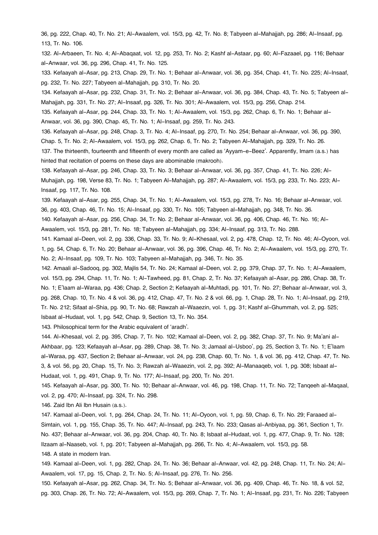36, pg. 222, Chap. 40, Tr. No. 21; Al-Awaalem, vol. 15/3, pg. 42, Tr. No. 8; Tabyeen al-Mahajjah, pg. 286; Al-Insaaf, pg. 113, Tr. No. 106.

[132.](#page--1-0) Al-Arbaeen, Tr. No. 4; Al-Abaqaat, vol. 12, pg. 253, Tr. No. 2; Kashf al-Astaar, pg. 60; Al-Fazaael, pg. 116; Behaar al-Anwaar, vol. 36, pg. 296, Chap. 41, Tr. No. 125.

[133.](#page--1-0) Kefaayah al-Asar, pg. 213, Chap. 29, Tr. No. 1; Behaar al-Anwaar, vol. 36, pg. 354, Chap. 41, Tr. No. 225; Al-Insaaf, pg. 232, Tr. No. 227; Tabyeen al-Mahajjah, pg. 310, Tr. No. 20.

[134.](#page--1-0) Kefaayah al-Asar, pg. 232, Chap. 31, Tr. No. 2; Behaar al-Anwaar, vol. 36, pg. 384, Chap. 43, Tr. No. 5; Tabyeen al-Mahajjah, pg. 331, Tr. No. 27; Al-Insaaf, pg. 326, Tr. No. 301; Al-Awaalem, vol. 15/3, pg. 256, Chap. 214.

[135.](#page--1-0) Kefaayah al-Asar, pg. 244, Chap. 33, Tr. No. 1; Al-Awaalem, vol. 15/3, pg. 262, Chap. 6, Tr. No. 1; Behaar al-

Anwaar, vol. 36, pg. 390, Chap. 45, Tr. No. 1; Al-Insaaf, pg. 259, Tr. No. 243.

[136.](#page--1-0) Kefaayah al-Asar, pg. 248, Chap. 3, Tr. No. 4; Al-Insaaf, pg. 270, Tr. No. 254; Behaar al-Anwaar, vol. 36, pg. 390, Chap. 5, Tr. No. 2; Al-Awaalem, vol. 15/3, pg. 262, Chap. 6, Tr. No. 2; Tabyeen Al-Mahajjah, pg. 329, Tr. No. 26. [137.](#page--1-0) The thirteenth, fourteenth and fifteenth of every month are called as 'Ayyam-e-Beez'. Apparently, Imam (a.s.) has

hinted that recitation of poems on these days are abominable (makrooh).

[138.](#page--1-0) Kefaayah al-Asar, pg. 246, Chap. 33, Tr. No. 3; Behaar al-Anwaar, vol. 36, pg. 357, Chap. 41, Tr. No. 226; Al-Muhajjah, pg. 198, Verse 83, Tr. No. 1; Tabyeen Al-Mahajjah, pg. 287; Al-Awaalem, vol. 15/3, pg. 233, Tr. No. 223; Al-Insaaf, pg. 117, Tr. No. 108.

[139.](#page--1-0) Kefaayah al-Asar, pg. 255, Chap. 34, Tr. No. 1; Al-Awaalem, vol. 15/3, pg. 278, Tr. No. 16; Behaar al-Anwaar, vol. 36, pg. 403, Chap. 46, Tr. No. 15; Al-Insaaf, pg. 330, Tr. No. 105; Tabyeen al-Mahajjah, pg. 348, Tr. No. 36.

[140.](#page--1-0) Kefaayah al-Asar, pg. 256, Chap. 34, Tr. No. 2; Behaar al-Anwaar, vol. 36, pg. 406, Chap. 46, Tr. No. 16; Al-

Awaalem, vol. 15/3, pg. 281, Tr. No. 18; Tabyeen al-Mahajjah, pg. 334; Al-Insaaf, pg. 313, Tr. No. 288.

[141.](#page--1-0) Kamaal al-Deen, vol. 2, pg. 336, Chap. 33, Tr. No. 9; Al-Khesaal, vol. 2, pg. 478, Chap. 12, Tr. No. 46; Al-Oyoon, vol. 1, pg. 54, Chap. 6, Tr. No. 20; Behaar al-Anwaar, vol. 36, pg. 396, Chap. 46, Tr. No. 2; Al-Awaalem, vol. 15/3, pg. 270, Tr. No. 2; Al-Insaaf, pg. 109, Tr. No. 103; Tabyeen al-Mahajjah, pg. 346, Tr. No. 35.

[142.](#page--1-0) Amaali al-Sadooq, pg. 302, Majlis 54, Tr. No. 24; Kamaal al-Deen, vol. 2, pg. 379, Chap. 37, Tr. No. 1; Al-Awaalem, vol. 15/3, pg. 294, Chap. 11, Tr. No. 1; Al-Tawheed, pg. 81, Chap. 2, Tr. No. 37; Kefaayah al-Asar, pg. 286, Chap. 38, Tr. No. 1; E'laam al-Waraa, pg. 436; Chap. 2, Section 2; Kefaayah al-Muhtadi, pg. 101, Tr. No. 27; Behaar al-Anwaar, vol. 3, pg. 268, Chap. 10, Tr. No. 4 & vol. 36, pg. 412, Chap. 47, Tr. No. 2 & vol. 66, pg. 1, Chap. 28, Tr. No. 1; Al-Insaaf, pg. 219, Tr. No. 212; Sifaat al-Shia, pg. 90, Tr. No. 68; Rawzah al-Waaezin, vol. 1, pg. 31; Kashf al-Ghummah, vol. 2, pg. 525; Isbaat al-Hudaat, vol. 1, pg. 542, Chap. 9, Section 13, Tr. No. 354.

[143.](#page--1-0) Philosophical term for the Arabic equivalent of 'aradh'.

[144.](#page--1-0) Al-Khesaal, vol. 2, pg. 395, Chap. 7, Tr. No. 102; Kamaal al-Deen, vol. 2, pg. 382, Chap. 37, Tr. No. 9; Ma'ani al-Akhbaar, pg. 123; Kefaayah al-Asar, pg. 289, Chap. 38, Tr. No. 3; Jamaal al-Usboo', pg. 25, Section 3, Tr. No. 1; E'laam al-Waraa, pg. 437, Section 2; Behaar al-Anwaar, vol. 24, pg. 238, Chap. 60, Tr. No. 1, & vol. 36, pg. 412, Chap. 47, Tr. No. 3, & vol. 56, pg. 20, Chap. 15, Tr. No. 3; Rawzah al-Waaezin, vol. 2, pg. 392; Al-Manaaqeb, vol. 1, pg. 308; Isbaat al-Hudaat, vol. 1, pg. 491, Chap. 9, Tr. No. 177; Al-Insaaf, pg. 200, Tr. No. 201.

[145.](#page--1-0) Kefaayah al-Asar, pg. 300, Tr. No. 10; Behaar al-Anwaar, vol. 46, pg. 198, Chap. 11, Tr. No. 72; Tanqeeh al-Maqaal, vol. 2, pg. 470; Al-Insaaf, pg. 324, Tr. No. 298.

[146.](#page--1-0) Zaid Ibn Ali Ibn Husain (a.s.).

[147.](#page--1-0) Kamaal al-Deen, vol. 1, pg. 264, Chap. 24, Tr. No. 11; Al-Oyoon, vol. 1, pg. 59, Chap. 6, Tr. No. 29; Faraaed al-Simtain, vol. 1, pg. 155, Chap. 35, Tr. No. 447; Al-Insaaf, pg. 243, Tr. No. 233; Qasas al-Anbiyaa, pg. 361, Section 1, Tr. No. 437; Behaar al-Anwaar, vol. 36, pg. 204, Chap. 40, Tr. No. 8; Isbaat al-Hudaat, vol. 1, pg. 477, Chap. 9, Tr. No. 128; Ilzaam al-Naaseb, vol. 1, pg. 201; Tabyeen al-Mahajjah, pg. 266, Tr. No. 4; Al-Awaalem, vol. 15/3, pg. 58. [148.](#page--1-0) A state in modern Iran.

[149.](#page--1-0) Kamaal al-Deen, vol. 1, pg. 282, Chap. 24, Tr. No. 36; Behaar al-Anwaar, vol. 42, pg. 248, Chap. 11, Tr. No. 24; Al-Awaalem, vol. 17, pg. 15, Chap. 2, Tr. No. 5; Al-Insaaf, pg. 276, Tr. No. 256.

[150.](#page--1-0) Kefaayah al-Asar, pg. 262, Chap. 34, Tr. No. 5; Behaar al-Anwaar, vol. 36, pg. 409, Chap. 46, Tr. No. 18, & vol. 52, pg. 303, Chap. 26, Tr. No. 72; Al-Awaalem, vol. 15/3, pg. 269, Chap. 7, Tr. No. 1; Al-Insaaf, pg. 231, Tr. No. 226; Tabyeen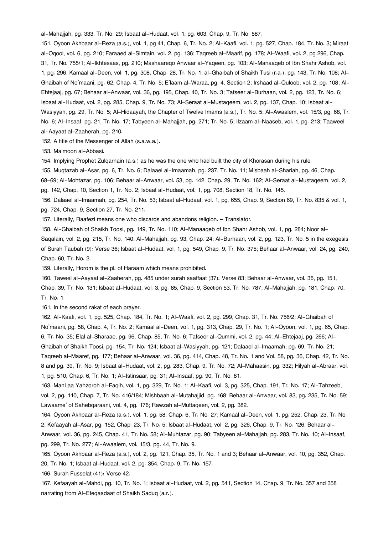al-Mahajjah, pg. 333, Tr. No. 29; Isbaat al-Hudaat, vol. 1, pg. 603, Chap. 9, Tr. No. 587.

[151.](#page--1-0) Oyoon Akhbaar al-Reza (a.s.), vol. 1, pg 41, Chap. 6, Tr. No. 2; Al-Kaafi, vol. 1, pg. 527, Chap. 184, Tr. No. 3; Miraat al-Oqool, vol. 6, pg. 210; Faraaed al-Simtain, vol. 2, pg. 136; Taqreeb al-Maarif, pg. 178; Al-Waafi, vol. 2, pg 296, Chap. 31, Tr. No. 755/1; Al-Ikhtesaas, pg. 210; Mashaareqo Anwaar al-Yaqeen, pg. 103; Al-Manaaqeb of Ibn Shahr Ashob, vol. 1, pg. 296; Kamaal al-Deen, vol. 1, pg. 308, Chap. 28, Tr. No. 1; al-Ghaibah of Shaikh Tusi (r.a.), pg. 143, Tr. No. 108; Al-Ghaibah of No'maani, pg. 62, Chap. 4, Tr. No. 5; E'laam al-Waraa, pg. 4, Section 2; Irshaad al-Quloob, vol. 2, pg. 108; Al-Ehtejaaj, pg. 67; Behaar al-Anwaar, vol. 36, pg. 195, Chap. 40, Tr. No. 3; Tafseer al-Burhaan, vol. 2, pg. 123, Tr. No. 6; Isbaat al-Hudaat, vol. 2, pg. 285, Chap. 9, Tr. No. 73; Al-Seraat al-Mustaqeem, vol. 2, pg. 137, Chap. 10; Isbaat al-Wasiyyah, pg. 29, Tr. No. 5; Al-Hidaayah, the Chapter of Twelve Imams (a.s.), Tr. No. 5; Al-Awaalem, vol. 15/3, pg. 68, Tr. No. 6; Al-Insaaf, pg. 21, Tr. No. 17; Tabyeen al-Mahajjah, pg. 271; Tr. No. 5; Ilzaam al-Naaseb, vol. 1, pg. 213; Taaweel al-Aayaat al-Zaaherah, pg. 210.

[152.](#page--1-0) A title of the Messenger of Allah (s.a.w.a.).

[153.](#page--1-0) Ma'moon al-Abbasi.

[154.](#page--1-0) Implying Prophet Zulqarnain (a.s.) as he was the one who had built the city of Khorasan during his rule.

[155.](#page--1-0) Muqtazab al-Asar, pg. 6, Tr. No. 6; Dalaael al-Imaamah, pg. 237, Tr. No. 11; Misbaah al-Shariah, pg. 46, Chap.

68-69; Al-Mohtazar, pg. 106; Behaar al-Anwaar, vol. 53, pg. 142, Chap. 29, Tr. No. 162; Al-Seraat al-Mustaqeem, vol. 2, pg. 142, Chap. 10, Section 1, Tr. No. 2; Isbaat al-Hudaat, vol. 1, pg. 708, Section 18, Tr. No. 145.

[156.](#page--1-0) Dalaael al-Imaamah, pg. 254, Tr. No. 53; Isbaat al-Hudaat, vol. 1, pg. 655, Chap. 9, Section 69, Tr. No. 835 & vol. 1, pg. 724, Chap. 9, Section 27, Tr. No. 211.

[157.](#page--1-0) Literally, Raafezi means one who discards and abandons religion. – Translator.

[158.](#page--1-0) Al-Ghaibah of Shaikh Toosi, pg. 149, Tr. No. 110; Al-Manaaqeb of Ibn Shahr Ashob, vol. 1, pg. 284; Noor al-Saqalain, vol. 2, pg. 215, Tr. No. 140; Al-Mahajjah, pg. 93, Chap. 24; Al-Burhaan, vol. 2, pg. 123, Tr. No. 5 in the exegesis of Surah Taubah (9): Verse 36; Isbaat al-Hudaat, vol. 1, pg. 549, Chap. 9, Tr. No. 375; Behaar al-Anwaar, vol. 24, pg. 240, Chap. 60, Tr. No. 2.

[159.](#page--1-0) Literally, Horom is the pl. of Haraam which means prohibited.

[160.](#page--1-0) Taweel al-Aayaat al-Zaaherah, pg. 485 under surah saaffaat (37): Verse 83; Behaar al-Anwaar, vol. 36, pg. 151, Chap. 39, Tr. No. 131; Isbaat al-Hudaat, vol. 3, pg. 85, Chap. 9, Section 53, Tr. No. 787; Al-Mahajjah, pg. 181, Chap. 70, Tr. No. 1.

[161.](#page--1-0) In the second rakat of each prayer.

[162.](#page--1-0) Al-Kaafi, vol. 1, pg. 525, Chap. 184, Tr. No. 1; Al-Waafi, vol. 2, pg. 299, Chap. 31, Tr. No. 756/2; Al-Ghaibah of No'maani, pg. 58, Chap. 4, Tr. No. 2; Kamaal al-Deen, vol. 1, pg. 313, Chap. 29, Tr. No. 1; Al-Oyoon, vol. 1, pg. 65, Chap. 6, Tr. No. 35; Elal al-Sharaae, pg. 96, Chap. 85, Tr. No. 6; Tafseer al-Qummi, vol. 2, pg. 44; Al-Ehtejaaj, pg. 266; Al-Ghaibah of Shaikh Toosi, pg. 154, Tr. No. 124; Isbaat al-Wasiyyah, pg. 121; Dalaael al-Imaamah, pg. 69, Tr. No. 21; Taqreeb al-Maaref, pg. 177; Behaar al-Anwaar, vol. 36, pg. 414, Chap. 48, Tr. No. 1 and Vol. 58, pg. 36, Chap. 42, Tr. No. 8 and pg. 39, Tr. No. 9; Isbaat al-Hudaat, vol. 2, pg. 283, Chap. 9, Tr. No. 72; Al-Mahaasin, pg. 332; Hilyah al-Abraar, vol. 1, pg. 510, Chap. 6, Tr. No. 1; Al-Istinsaar, pg. 31; Al-Insaaf, pg. 90, Tr. No. 81.

[163.](#page--1-0) ManLaa Yahzoroh al-Faqih, vol. 1, pg. 329, Tr. No. 1; Al-Kaafi, vol. 3, pg. 325, Chap. 191, Tr. No. 17; Al-Tahzeeb, vol. 2, pg. 110, Chap. 7, Tr. No. 416/184; Mishbaah al-Mutahajjid, pg. 168; Behaar al-Anwaar, vol. 83, pg. 235, Tr. No. 59; Lawaame' of Sahebqaraani, vol. 4, pg. 176; Rawzah al-Muttaqeen, vol. 2, pg. 382.

[164.](#page--1-0) Oyoon Akhbaar al-Reza (a.s.), vol. 1, pg. 58, Chap. 6, Tr. No. 27; Kamaal al-Deen, vol. 1, pg. 252, Chap. 23, Tr. No. 2; Kefaayah al-Asar, pg. 152, Chap. 23, Tr. No. 5; Isbaat al-Hudaat, vol. 2, pg. 326, Chap. 9, Tr. No. 126; Behaar al-

Anwaar, vol. 36, pg. 245, Chap. 41, Tr. No. 58; Al-Muhtazar, pg. 90; Tabyeen al-Mahajjah, pg. 283, Tr. No. 10; Al-Insaaf, pg. 299, Tr. No. 277; Al-Awaalem, vol. 15/3, pg. 44, Tr. No. 9.

[165.](#page--1-0) Oyoon Akhbaar al-Reza (a.s.), vol. 2, pg. 121, Chap. 35, Tr. No. 1 and 3; Behaar al-Anwaar, vol. 10, pg. 352, Chap. 20, Tr. No. 1; Isbaat al-Hudaat, vol. 2, pg. 354, Chap. 9, Tr. No. 157.

[166.](#page--1-0) Surah Fusselat (41): Verse 42.

[167.](#page--1-0) Kefaayah al-Mahdi, pg. 10, Tr. No. 1; Isbaat al-Hudaat, vol. 2, pg. 541, Section 14, Chap. 9, Tr. No. 357 and 358 narrating from Al-Eteqaadaat of Shaikh Saduq (a.r.).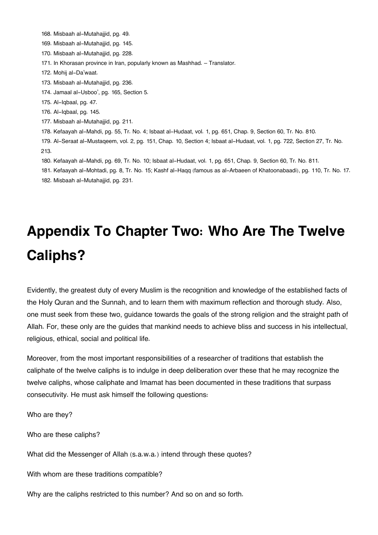[168.](#page--1-0) Misbaah al-Mutahajjid, pg. 49.

[169.](#page--1-0) Misbaah al-Mutahajjid, pg. 145.

[170.](#page--1-0) Misbaah al-Mutahajjid, pg. 228.

[171.](#page--1-0) In Khorasan province in Iran, popularly known as Mashhad. – Translator.

[172.](#page--1-0) Mohij al-Da'waat.

[173.](#page--1-0) Misbaah al-Mutahajjid, pg. 236.

[174.](#page--1-0) Jamaal al-Usboo', pg. 165, Section 5.

[175.](#page--1-0) Al-Iqbaal, pg. 47.

[176.](#page--1-0) Al-Iqbaal, pg. 145.

[177.](#page--1-0) Misbaah al-Mutahajjid, pg. 211.

[178.](#page--1-0) Kefaayah al-Mahdi, pg. 55, Tr. No. 4; Isbaat al-Hudaat, vol. 1, pg. 651, Chap. 9, Section 60, Tr. No. 810.

[179.](#page--1-0) Al-Seraat al-Mustaqeem, vol. 2, pg. 151, Chap. 10, Section 4; Isbaat al-Hudaat, vol. 1, pg. 722, Section 27, Tr. No. 213.

[180.](#page--1-0) Kefaayah al-Mahdi, pg. 69, Tr. No. 10; Isbaat al-Hudaat, vol. 1, pg. 651, Chap. 9, Section 60, Tr. No. 811.

[181.](#page--1-0) Kefaayah al-Mohtadi, pg. 8, Tr. No. 15; Kashf al-Haqq (famous as al-Arbaeen of Khatoonabaadi), pg. 110, Tr. No. 17. [182.](#page--1-0) Misbaah al-Mutahajjid, pg. 231.

# **Appendix To Chapter Two: Who Are The Twelve Caliphs?**

Evidently, the greatest duty of every Muslim is the recognition and knowledge of the established facts of the Holy Quran and the Sunnah, and to learn them with maximum reflection and thorough study. Also, one must seek from these two, guidance towards the goals of the strong religion and the straight path of Allah. For, these only are the guides that mankind needs to achieve bliss and success in his intellectual, religious, ethical, social and political life.

Moreover, from the most important responsibilities of a researcher of traditions that establish the caliphate of the twelve caliphs is to indulge in deep deliberation over these that he may recognize the twelve caliphs, whose caliphate and Imamat has been documented in these traditions that surpass consecutivity. He must ask himself the following questions:

Who are they?

Who are these caliphs?

What did the Messenger of Allah (s.a.w.a.) intend through these quotes?

With whom are these traditions compatible?

Why are the caliphs restricted to this number? And so on and so forth.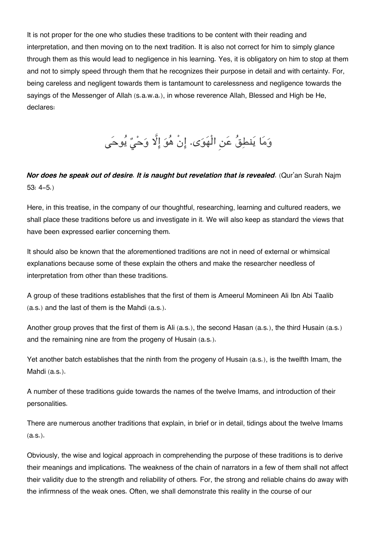It is not proper for the one who studies these traditions to be content with their reading and interpretation, and then moving on to the next tradition. It is also not correct for him to simply glance through them as this would lead to negligence in his learning. Yes, it is obligatory on him to stop at them and not to simply speed through them that he recognizes their purpose in detail and with certainty. For, being careless and negligent towards them is tantamount to carelessness and negligence towards the sayings of the Messenger of Allah (s.a.w.a.), in whose reverence Allah, Blessed and High be He, declares:

وَمَا يَنطِقُ عَنِ الْهَوَى. إِنْ هُوَ إِلَّا وَحْيٌ يُوحَى

### *Nor does he speak out of desire. It is naught but revelation that is revealed*. (Qur'an Surah Najm 53: 4-5.)

Here, in this treatise, in the company of our thoughtful, researching, learning and cultured readers, we shall place these traditions before us and investigate in it. We will also keep as standard the views that have been expressed earlier concerning them.

It should also be known that the aforementioned traditions are not in need of external or whimsical explanations because some of these explain the others and make the researcher needless of interpretation from other than these traditions.

A group of these traditions establishes that the first of them is Ameerul Momineen Ali Ibn Abi Taalib (a.s.) and the last of them is the Mahdi (a.s.).

Another group proves that the first of them is Ali (a.s.), the second Hasan (a.s.), the third Husain (a.s.) and the remaining nine are from the progeny of Husain (a.s.).

Yet another batch establishes that the ninth from the progeny of Husain (a.s.), is the twelfth Imam, the Mahdi (a.s.).

A number of these traditions guide towards the names of the twelve Imams, and introduction of their personalities.

There are numerous another traditions that explain, in brief or in detail, tidings about the twelve Imams (a.s.).

Obviously, the wise and logical approach in comprehending the purpose of these traditions is to derive their meanings and implications. The weakness of the chain of narrators in a few of them shall not affect their validity due to the strength and reliability of others. For, the strong and reliable chains do away with the infirmness of the weak ones. Often, we shall demonstrate this reality in the course of our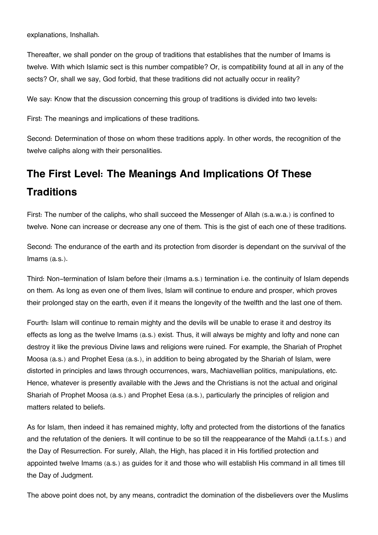explanations, Inshallah.

Thereafter, we shall ponder on the group of traditions that establishes that the number of Imams is twelve. With which Islamic sect is this number compatible? Or, is compatibility found at all in any of the sects? Or, shall we say, God forbid, that these traditions did not actually occur in reality?

We say: Know that the discussion concerning this group of traditions is divided into two levels:

First: The meanings and implications of these traditions.

Second: Determination of those on whom these traditions apply. In other words, the recognition of the twelve caliphs along with their personalities.

### **[The First Level: The Meanings And Implications Of These](#page--1-0) [Traditions](#page--1-0)**

First: The number of the caliphs, who shall succeed the Messenger of Allah (s.a.w.a.) is confined to twelve. None can increase or decrease any one of them. This is the gist of each one of these traditions.

Second: The endurance of the earth and its protection from disorder is dependant on the survival of the Imams (a.s.).

Third: Non-termination of Islam before their (Imams a.s.) termination i.e. the continuity of Islam depends on them. As long as even one of them lives, Islam will continue to endure and prosper, which proves their prolonged stay on the earth, even if it means the longevity of the twelfth and the last one of them.

Fourth: Islam will continue to remain mighty and the devils will be unable to erase it and destroy its effects as long as the twelve Imams (a.s.) exist. Thus, it will always be mighty and lofty and none can destroy it like the previous Divine laws and religions were ruined. For example, the Shariah of Prophet Moosa (a.s.) and Prophet Eesa (a.s.), in addition to being abrogated by the Shariah of Islam, were distorted in principles and laws through occurrences, wars, Machiavellian politics, manipulations, etc. Hence, whatever is presently available with the Jews and the Christians is not the actual and original Shariah of Prophet Moosa (a.s.) and Prophet Eesa (a.s.), particularly the principles of religion and matters related to beliefs.

As for Islam, then indeed it has remained mighty, lofty and protected from the distortions of the fanatics and the refutation of the deniers. It will continue to be so till the reappearance of the Mahdi (a.t.f.s.) and the Day of Resurrection. For surely, Allah, the High, has placed it in His fortified protection and appointed twelve Imams (a.s.) as guides for it and those who will establish His command in all times till the Day of Judgment.

The above point does not, by any means, contradict the domination of the disbelievers over the Muslims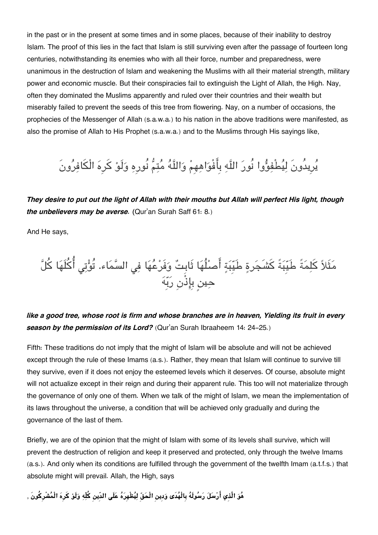in the past or in the present at some times and in some places, because of their inability to destroy Islam. The proof of this lies in the fact that Islam is still surviving even after the passage of fourteen long centuries, notwithstanding its enemies who with all their force, number and preparedness, were unanimous in the destruction of Islam and weakening the Muslims with all their material strength, military power and economic muscle. But their conspiracies fail to extinguish the Light of Allah, the High. Nay, often they dominated the Muslims apparently and ruled over their countries and their wealth but miserably failed to prevent the seeds of this tree from flowering. Nay, on a number of occasions, the prophecies of the Messenger of Allah (s.a.w.a.) to his nation in the above traditions were manifested, as also the promise of Allah to His Prophet (s.a.w.a.) and to the Muslims through His sayings like,

## يُرِيدُونَ لِيُطْفِؤُوا نُورَ اللَّهِ بِأَفْوَاهِهِمْ وَاللَّهُ مُتِمُّ نُورِهِ وَلَوْ كَرِهَ الْكَافِرُونَ

*They desire to put out the light of Allah with their mouths but Allah will perfect His light, though the unbelievers may be averse. (*Qur'an Surah Saff 61: 8.)

And He says,

مَثَلاً كَلِمَةً طَيِّبَةً كَشَجَرةٍ طَيِّبَةٍ أَصلُٰهَا ثَابِتٌ وَفَرْعُهَا فِي السَّمَاء. تُوَّتِي أُكُلَهَا كُلَّ حين بِاذْنِ ربِه

*like a good tree, whose root is firm and whose branches are in heaven, Yielding its fruit in every season by the permission of its Lord?* (Qur'an Surah Ibraaheem 14: 24-25.)

Fifth: These traditions do not imply that the might of Islam will be absolute and will not be achieved except through the rule of these Imams (a.s.). Rather, they mean that Islam will continue to survive till they survive, even if it does not enjoy the esteemed levels which it deserves. Of course, absolute might will not actualize except in their reign and during their apparent rule. This too will not materialize through the governance of only one of them. When we talk of the might of Islam, we mean the implementation of its laws throughout the universe, a condition that will be achieved only gradually and during the governance of the last of them.

Briefly, we are of the opinion that the might of Islam with some of its levels shall survive, which will prevent the destruction of religion and keep it preserved and protected, only through the twelve Imams (a.s.). And only when its conditions are fulfilled through the government of the twelfth Imam (a.t.f.s.) that absolute might will prevail. Allah, the High, says

**هو الَّذِي ارسل رسولَه بِالْهدَى ودِين الْحق ليظْهِره علَ الدِّين كلّه ولَو كرِه الْمشْرِكونَ** ,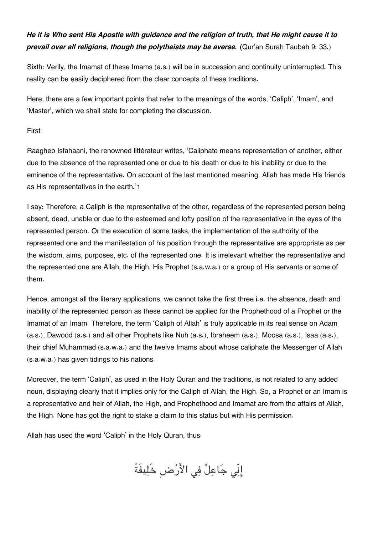### *He it is Who sent His Apostle with guidance and the religion of truth, that He might cause it to prevail over all religions, though the polytheists may be averse. (*Qur'an Surah Taubah 9: 33.)

Sixth: Verily, the Imamat of these Imams (a.s.) will be in succession and continuity uninterrupted. This reality can be easily deciphered from the clear concepts of these traditions.

Here, there are a few important points that refer to the meanings of the words, 'Caliph', 'Imam', and 'Master', which we shall state for completing the discussion.

#### First

Raagheb Isfahaani, the renowned littérateur writes, 'Caliphate means representation of another, either due to the absence of the represented one or due to his death or due to his inability or due to the eminence of the representative. On account of the last mentioned meaning, Allah has made His friends as His representatives in the earth.'[1](#page--1-0)

I say: Therefore, a Caliph is the representative of the other, regardless of the represented person being absent, dead, unable or due to the esteemed and lofty position of the representative in the eyes of the represented person. Or the execution of some tasks, the implementation of the authority of the represented one and the manifestation of his position through the representative are appropriate as per the wisdom, aims, purposes, etc. of the represented one. It is irrelevant whether the representative and the represented one are Allah, the High, His Prophet (s.a.w.a.) or a group of His servants or some of them.

Hence, amongst all the literary applications, we cannot take the first three i.e. the absence, death and inability of the represented person as these cannot be applied for the Prophethood of a Prophet or the Imamat of an Imam. Therefore, the term 'Caliph of Allah' is truly applicable in its real sense on Adam (a.s.), Dawood (a.s.) and all other Prophets like Nuh (a.s.), Ibraheem (a.s.), Moosa (a.s.), Isaa (a.s.), their chief Muhammad (s.a.w.a.) and the twelve Imams about whose caliphate the Messenger of Allah (s.a.w.a.) has given tidings to his nations.

Moreover, the term 'Caliph', as used in the Holy Quran and the traditions, is not related to any added noun, displaying clearly that it implies only for the Caliph of Allah, the High. So, a Prophet or an Imam is a representative and heir of Allah, the High, and Prophethood and Imamat are from the affairs of Allah, the High. None has got the right to stake a claim to this status but with His permission.

Allah has used the word 'Caliph' in the Holy Quran, thus:

إِنّي جَاعِلٌ فِي الأَرْضِ خَلِيفَةً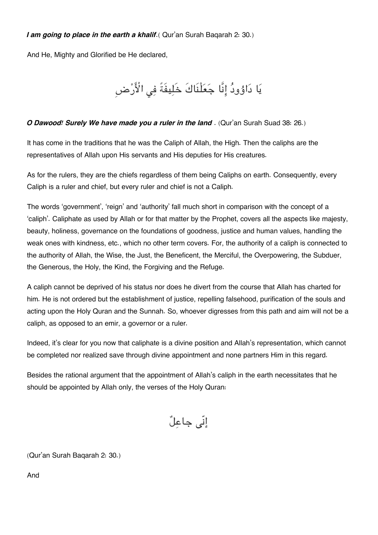#### *I am going to place in the earth a khalif*. (Qur'an Surah Bagarah 2: 30.)

And He, Mighty and Glorified be He declared,

يَا دَاوُودُ إِنَّا جَعَلْنَاكَ خَلِيفَةً فِى الْأَرْض

#### *O Dawood! Surely We have made you a ruler in the land* . (Qur'an Surah Suad 38: 26.)

It has come in the traditions that he was the Caliph of Allah, the High. Then the caliphs are the representatives of Allah upon His servants and His deputies for His creatures.

As for the rulers, they are the chiefs regardless of them being Caliphs on earth. Consequently, every Caliph is a ruler and chief, but every ruler and chief is not a Caliph.

The words 'government', 'reign' and 'authority' fall much short in comparison with the concept of a 'caliph'. Caliphate as used by Allah or for that matter by the Prophet, covers all the aspects like majesty, beauty, holiness, governance on the foundations of goodness, justice and human values, handling the weak ones with kindness, etc., which no other term covers. For, the authority of a caliph is connected to the authority of Allah, the Wise, the Just, the Beneficent, the Merciful, the Overpowering, the Subduer, the Generous, the Holy, the Kind, the Forgiving and the Refuge.

A caliph cannot be deprived of his status nor does he divert from the course that Allah has charted for him. He is not ordered but the establishment of justice, repelling falsehood, purification of the souls and acting upon the Holy Quran and the Sunnah. So, whoever digresses from this path and aim will not be a caliph, as opposed to an emir, a governor or a ruler.

Indeed, it's clear for you now that caliphate is a divine position and Allah's representation, which cannot be completed nor realized save through divine appointment and none partners Him in this regard.

Besides the rational argument that the appointment of Allah's caliph in the earth necessitates that he should be appointed by Allah only, the verses of the Holy Quran:

إنّ جاعل

(Qur'an Surah Baqarah 2: 30.)

And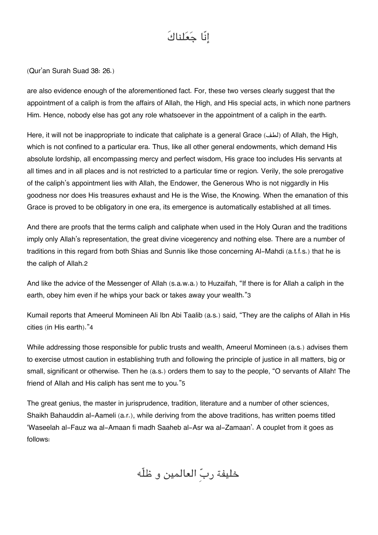# إنّا جعلناكَ

(Qur'an Surah Suad 38: 26.)

are also evidence enough of the aforementioned fact. For, these two verses clearly suggest that the appointment of a caliph is from the affairs of Allah, the High, and His special acts, in which none partners Him. Hence, nobody else has got any role whatsoever in the appointment of a caliph in the earth.

Here, it will not be inappropriate to indicate that caliphate is a general Grace (لطف) of Allah, the High, which is not confined to a particular era. Thus, like all other general endowments, which demand His absolute lordship, all encompassing mercy and perfect wisdom, His grace too includes His servants at all times and in all places and is not restricted to a particular time or region. Verily, the sole prerogative of the caliph's appointment lies with Allah, the Endower, the Generous Who is not niggardly in His goodness nor does His treasures exhaust and He is the Wise, the Knowing. When the emanation of this Grace is proved to be obligatory in one era, its emergence is automatically established at all times.

And there are proofs that the terms caliph and caliphate when used in the Holy Quran and the traditions imply only Allah's representation, the great divine vicegerency and nothing else. There are a number of traditions in this regard from both Shias and Sunnis like those concerning Al-Mahdi (a.t.f.s.) that he is the caliph of Allah.[2](#page--1-0)

And like the advice of the Messenger of Allah (s.a.w.a.) to Huzaifah, "If there is for Allah a caliph in the earth, obey him even if he whips your back or takes away your wealth."[3](#page--1-0)

Kumail reports that Ameerul Momineen Ali Ibn Abi Taalib (a.s.) said, "They are the caliphs of Allah in His cities (in His earth)."[4](#page--1-0)

While addressing those responsible for public trusts and wealth, Ameerul Momineen (a.s.) advises them to exercise utmost caution in establishing truth and following the principle of justice in all matters, big or small, significant or otherwise. Then he (a.s.) orders them to say to the people, "O servants of Allah! The friend of Allah and His caliph has sent me to you."[5](#page--1-0)

The great genius, the master in jurisprudence, tradition, literature and a number of other sciences, Shaikh Bahauddin al-Aameli (a.r.), while deriving from the above traditions, has written poems titled 'Waseelah al-Fauz wa al-Amaan fi madh Saaheb al-Asr wa al-Zamaan'. A couplet from it goes as follows:

خليفة ربِ العالمين و ظلّه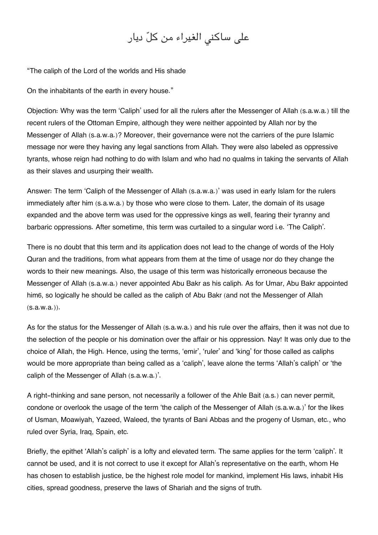# على ساكنى الغيراء من كلّ ديار

"The caliph of the Lord of the worlds and His shade

On the inhabitants of the earth in every house."

Objection: Why was the term 'Caliph' used for all the rulers after the Messenger of Allah (s.a.w.a.) till the recent rulers of the Ottoman Empire, although they were neither appointed by Allah nor by the Messenger of Allah (s.a.w.a.)? Moreover, their governance were not the carriers of the pure Islamic message nor were they having any legal sanctions from Allah. They were also labeled as oppressive tyrants, whose reign had nothing to do with Islam and who had no qualms in taking the servants of Allah as their slaves and usurping their wealth.

Answer: The term 'Caliph of the Messenger of Allah (s.a.w.a.)' was used in early Islam for the rulers immediately after him (s.a.w.a.) by those who were close to them. Later, the domain of its usage expanded and the above term was used for the oppressive kings as well, fearing their tyranny and barbaric oppressions. After sometime, this term was curtailed to a singular word i.e. 'The Caliph'.

There is no doubt that this term and its application does not lead to the change of words of the Holy Quran and the traditions, from what appears from them at the time of usage nor do they change the words to their new meanings. Also, the usage of this term was historically erroneous because the Messenger of Allah (s.a.w.a.) never appointed Abu Bakr as his caliph. As for Umar, Abu Bakr appointed him[6](#page--1-0), so logically he should be called as the caliph of Abu Bakr (and not the Messenger of Allah (s.a.w.a.)).

As for the status for the Messenger of Allah (s.a.w.a.) and his rule over the affairs, then it was not due to the selection of the people or his domination over the affair or his oppression. Nay! It was only due to the choice of Allah, the High. Hence, using the terms, 'emir', 'ruler' and 'king' for those called as caliphs would be more appropriate than being called as a 'caliph', leave alone the terms 'Allah's caliph' or 'the caliph of the Messenger of Allah (s.a.w.a.)'.

A right-thinking and sane person, not necessarily a follower of the Ahle Bait (a.s.) can never permit, condone or overlook the usage of the term 'the caliph of the Messenger of Allah (s.a.w.a.)' for the likes of Usman, Moawiyah, Yazeed, Waleed, the tyrants of Bani Abbas and the progeny of Usman, etc., who ruled over Syria, Iraq, Spain, etc.

Briefly, the epithet 'Allah's caliph' is a lofty and elevated term. The same applies for the term 'caliph'. It cannot be used, and it is not correct to use it except for Allah's representative on the earth, whom He has chosen to establish justice, be the highest role model for mankind, implement His laws, inhabit His cities, spread goodness, preserve the laws of Shariah and the signs of truth.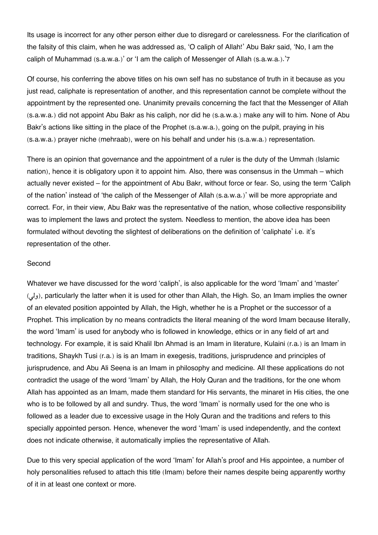Its usage is incorrect for any other person either due to disregard or carelessness. For the clarification of the falsity of this claim, when he was addressed as, 'O caliph of Allah!' Abu Bakr said, 'No, I am the caliph of Muhammad (s.a.w.a.)' or 'I am the caliph of Messenger of Allah (s.a.w.a.).'[7](#page--1-0)

Of course, his conferring the above titles on his own self has no substance of truth in it because as you just read, caliphate is representation of another, and this representation cannot be complete without the appointment by the represented one. Unanimity prevails concerning the fact that the Messenger of Allah (s.a.w.a.) did not appoint Abu Bakr as his caliph, nor did he (s.a.w.a.) make any will to him. None of Abu Bakr's actions like sitting in the place of the Prophet (s.a.w.a.), going on the pulpit, praying in his (s.a.w.a.) prayer niche (mehraab), were on his behalf and under his (s.a.w.a.) representation.

There is an opinion that governance and the appointment of a ruler is the duty of the Ummah (Islamic nation), hence it is obligatory upon it to appoint him. Also, there was consensus in the Ummah – which actually never existed – for the appointment of Abu Bakr, without force or fear. So, using the term 'Caliph of the nation' instead of 'the caliph of the Messenger of Allah (s.a.w.a.)' will be more appropriate and correct. For, in their view, Abu Bakr was the representative of the nation, whose collective responsibility was to implement the laws and protect the system. Needless to mention, the above idea has been formulated without devoting the slightest of deliberations on the definition of 'caliphate' i.e. it's representation of the other.

#### Second

Whatever we have discussed for the word 'caliph', is also applicable for the word 'Imam' and 'master' (ول(, particularly the latter when it is used for other than Allah, the High. So, an Imam implies the owner of an elevated position appointed by Allah, the High, whether he is a Prophet or the successor of a Prophet. This implication by no means contradicts the literal meaning of the word Imam because literally, the word 'Imam' is used for anybody who is followed in knowledge, ethics or in any field of art and technology. For example, it is said Khalil Ibn Ahmad is an Imam in literature, Kulaini (r.a.) is an Imam in traditions, Shaykh Tusi (r.a.) is is an Imam in exegesis, traditions, jurisprudence and principles of jurisprudence, and Abu Ali Seena is an Imam in philosophy and medicine. All these applications do not contradict the usage of the word 'Imam' by Allah, the Holy Quran and the traditions, for the one whom Allah has appointed as an Imam, made them standard for His servants, the minaret in His cities, the one who is to be followed by all and sundry. Thus, the word 'Imam' is normally used for the one who is followed as a leader due to excessive usage in the Holy Quran and the traditions and refers to this specially appointed person. Hence, whenever the word 'Imam' is used independently, and the context does not indicate otherwise, it automatically implies the representative of Allah.

Due to this very special application of the word 'Imam' for Allah's proof and His appointee, a number of holy personalities refused to attach this title (Imam) before their names despite being apparently worthy of it in at least one context or more.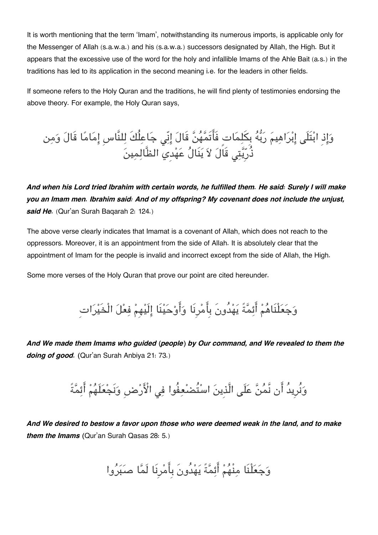It is worth mentioning that the term 'Imam', notwithstanding its numerous imports, is applicable only for the Messenger of Allah (s.a.w.a.) and his (s.a.w.a.) successors designated by Allah, the High. But it appears that the excessive use of the word for the holy and infallible Imams of the Ahle Bait (a.s.) in the traditions has led to its application in the second meaning i.e. for the leaders in other fields.

If someone refers to the Holy Quran and the traditions, he will find plenty of testimonies endorsing the above theory. For example, the Holy Quran says,

وَإِذِ ابْتَلَى إِبْرَاهِيمَ رَبُّهُ بِكَلِمَاتٍ فَأَتَمَّهُنَّ قَالَ إِنِّي جَاعِلُكَ لِلنَّاسِ إِمَامًا قَالَ وَمِن ذُرِيَّتِي قَالَ لاَ يَنَالُ عَهْدي<sup>ِّ</sup> الظَّالِمِينَ

*And when his Lord tried Ibrahim with certain words, he fulfilled them. He said: Surely I will make you an Imam men. Ibrahim said: And of my offspring? My covenant does not include the unjust, said He.* (Qur'an Surah Baqarah 2: 124.)

The above verse clearly indicates that Imamat is a covenant of Allah, which does not reach to the oppressors. Moreover, it is an appointment from the side of Allah. It is absolutely clear that the appointment of Imam for the people is invalid and incorrect except from the side of Allah, the High.

Some more verses of the Holy Quran that prove our point are cited hereunder.

وَجَعَلْنَاهُمْ أَئِمَّةً يَهْدُونَ بِأَمْرِنَا وَأَوْحَيْنَا إِلَيْهِمْ فِعْلَ الْخَيْرَاتِ

*And We made them Imams who guided (people) by Our command, and We revealed to them the doing of good. (*Qur'an Surah Anbiya 21: 73.)

وَنُرِيدُ أَن نَّمُنَّ عَلَى الَّذِينَ اسْتُصْعِفُوا فِي الْأَرْضِ وَنَجْعَلَهُمْ أَئِمَّةً

*And We desired to bestow a favor upon those who were deemed weak in the land, and to make them the Imams (*Qur'an Surah Qasas 28: 5.)

وَجَعَلْنَا مِنْهُمْ أَئِمَّةً يَهْدُونَ بِأَمْرِنَا لَمَّا صَبَرُوا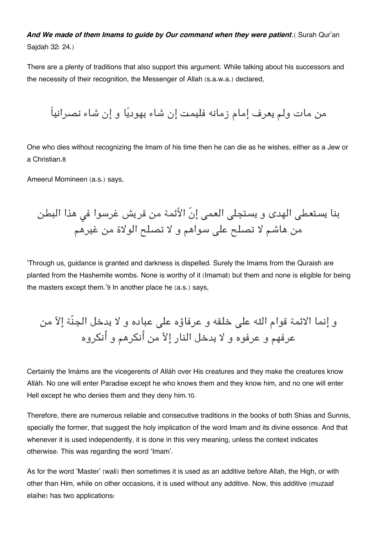And We made of them Imams to quide by Our command when they were patient. (Surah Qur'an Sajdah 32: 24.)

There are a plenty of traditions that also support this argument. While talking about his successors and the necessity of their recognition, the Messenger of Allah (s.a.w.a.) declared,

من مات ولم يعرف إمام زمانه فليمت إن شاء يهوديا و إن شاء نصرانياً

One who dies without recognizing the Imam of his time then he can die as he wishes, either as a Jew or a Christian.[8](#page--1-0)

Ameerul Momineen (a.s.) says,

بنا يستعطى الهدى و يستجلى العمى إنّ الأئمة من قريش غرسوا فى هذا البطن من هاشم لا تصلح عل سواهم و لا تصلح الولاة من غيرهم

'Through us, guidance is granted and darkness is dispelled. Surely the Imams from the Quraish are planted from the Hashemite wombs. None is worthy of it (Imamat) but them and none is eligible for being the masters except them.'[9](#page--1-0) In another place he (a.s.) says,

و إنما الائمة قوام اله عل خلقه و عرفاؤه عل عباده و لا يدخل الجنّة إلا من عرفهم و عرفوه و لا يدخل النار إلاّ من أنكرهم و أنكروه

Certainly the Imáms are the vicegerents of Alláh over His creatures and they make the creatures know Alláh. No one will enter Paradise except he who knows them and they know him, and no one will enter Hell except he who denies them and they deny him.[10](#page--1-0).

Therefore, there are numerous reliable and consecutive traditions in the books of both Shias and Sunnis, specially the former, that suggest the holy implication of the word Imam and its divine essence. And that whenever it is used independently, it is done in this very meaning, unless the context indicates otherwise. This was regarding the word 'Imam'.

As for the word 'Master' (wali) then sometimes it is used as an additive before Allah, the High, or with other than Him, while on other occasions, it is used without any additive. Now, this additive (muzaaf elaihe) has two applications: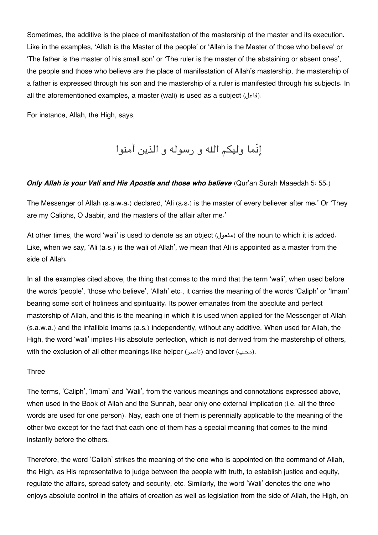Sometimes, the additive is the place of manifestation of the mastership of the master and its execution. Like in the examples, 'Allah is the Master of the people' or 'Allah is the Master of those who believe' or 'The father is the master of his small son' or 'The ruler is the master of the abstaining or absent ones', the people and those who believe are the place of manifestation of Allah's mastership, the mastership of a father is expressed through his son and the mastership of a ruler is manifested through his subjects. In all the aforementioned examples, a master (wali) is used as a subject (فاعل).

For instance, Allah, the High, says,

إنّما وليم اله و رسوله و الذين آمنوا

#### *Only Allah is your Vali and His Apostle and those who believe* (Qur'an Surah Maaedah 5: 55.)

The Messenger of Allah (s.a.w.a.) declared, 'Ali (a.s.) is the master of every believer after me.' Or 'They are my Caliphs, O Jaabir, and the masters of the affair after me.'

At other times, the word 'wali' is used to denote as an object (مفعول (of the noun to which it is added. Like, when we say, 'Ali (a.s.) is the wali of Allah', we mean that Ali is appointed as a master from the side of Allah.

In all the examples cited above, the thing that comes to the mind that the term 'wali', when used before the words 'people', 'those who believe', 'Allah' etc., it carries the meaning of the words 'Caliph' or 'Imam' bearing some sort of holiness and spirituality. Its power emanates from the absolute and perfect mastership of Allah, and this is the meaning in which it is used when applied for the Messenger of Allah (s.a.w.a.) and the infallible Imams (a.s.) independently, without any additive. When used for Allah, the High, the word 'wali' implies His absolute perfection, which is not derived from the mastership of others, with the exclusion of all other meanings like helper (ناصر) and lover (محب).

#### Three

The terms, 'Caliph', 'Imam' and 'Wali', from the various meanings and connotations expressed above, when used in the Book of Allah and the Sunnah, bear only one external implication (i.e. all the three words are used for one person). Nay, each one of them is perennially applicable to the meaning of the other two except for the fact that each one of them has a special meaning that comes to the mind instantly before the others.

Therefore, the word 'Caliph' strikes the meaning of the one who is appointed on the command of Allah, the High, as His representative to judge between the people with truth, to establish justice and equity, regulate the affairs, spread safety and security, etc. Similarly, the word 'Wali' denotes the one who enjoys absolute control in the affairs of creation as well as legislation from the side of Allah, the High, on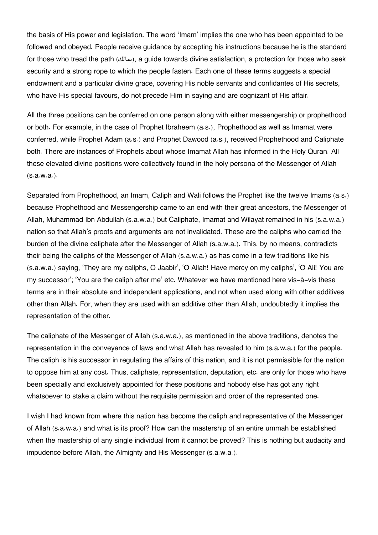the basis of His power and legislation. The word 'Imam' implies the one who has been appointed to be followed and obeyed. People receive guidance by accepting his instructions because he is the standard for those who tread the path (سالك), a guide towards divine satisfaction, a protection for those who seek security and a strong rope to which the people fasten. Each one of these terms suggests a special endowment and a particular divine grace, covering His noble servants and confidantes of His secrets, who have His special favours, do not precede Him in saying and are cognizant of His affair.

All the three positions can be conferred on one person along with either messengership or prophethood or both. For example, in the case of Prophet Ibraheem (a.s.), Prophethood as well as Imamat were conferred, while Prophet Adam (a.s.) and Prophet Dawood (a.s.), received Prophethood and Caliphate both. There are instances of Prophets about whose Imamat Allah has informed in the Holy Quran. All these elevated divine positions were collectively found in the holy persona of the Messenger of Allah (s.a.w.a.).

Separated from Prophethood, an Imam, Caliph and Wali follows the Prophet like the twelve Imams (a.s.) because Prophethood and Messengership came to an end with their great ancestors, the Messenger of Allah, Muhammad Ibn Abdullah (s.a.w.a.) but Caliphate, Imamat and Wilayat remained in his (s.a.w.a.) nation so that Allah's proofs and arguments are not invalidated. These are the caliphs who carried the burden of the divine caliphate after the Messenger of Allah (s.a.w.a.). This, by no means, contradicts their being the caliphs of the Messenger of Allah (s.a.w.a.) as has come in a few traditions like his (s.a.w.a.) saying, 'They are my caliphs, O Jaabir', 'O Allah! Have mercy on my caliphs', 'O Ali! You are my successor'; 'You are the caliph after me' etc. Whatever we have mentioned here vis-à-vis these terms are in their absolute and independent applications, and not when used along with other additives other than Allah. For, when they are used with an additive other than Allah, undoubtedly it implies the representation of the other.

The caliphate of the Messenger of Allah (s.a.w.a.), as mentioned in the above traditions, denotes the representation in the conveyance of laws and what Allah has revealed to him (s.a.w.a.) for the people. The caliph is his successor in regulating the affairs of this nation, and it is not permissible for the nation to oppose him at any cost. Thus, caliphate, representation, deputation, etc. are only for those who have been specially and exclusively appointed for these positions and nobody else has got any right whatsoever to stake a claim without the requisite permission and order of the represented one.

I wish I had known from where this nation has become the caliph and representative of the Messenger of Allah (s.a.w.a.) and what is its proof? How can the mastership of an entire ummah be established when the mastership of any single individual from it cannot be proved? This is nothing but audacity and impudence before Allah, the Almighty and His Messenger (s.a.w.a.).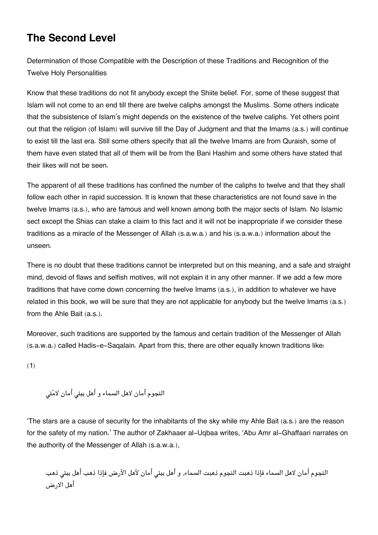## **[The Second Level](#page--1-0)**

Determination of those Compatible with the Description of these Traditions and Recognition of the Twelve Holy Personalities

Know that these traditions do not fit anybody except the Shiite belief. For, some of these suggest that Islam will not come to an end till there are twelve caliphs amongst the Muslims. Some others indicate that the subsistence of Islam's might depends on the existence of the twelve caliphs. Yet others point out that the religion (of Islam) will survive till the Day of Judgment and that the Imams (a.s.) will continue to exist till the last era. Still some others specify that all the twelve Imams are from Quraish, some of them have even stated that all of them will be from the Bani Hashim and some others have stated that their likes will not be seen.

The apparent of all these traditions has confined the number of the caliphs to twelve and that they shall follow each other in rapid succession. It is known that these characteristics are not found save in the twelve Imams (a.s.), who are famous and well known among both the major sects of Islam. No Islamic sect except the Shias can stake a claim to this fact and it will not be inappropriate if we consider these traditions as a miracle of the Messenger of Allah (s.a.w.a.) and his (s.a.w.a.) information about the unseen.

There is no doubt that these traditions cannot be interpreted but on this meaning, and a safe and straight mind, devoid of flaws and selfish motives, will not explain it in any other manner. If we add a few more traditions that have come down concerning the twelve Imams (a.s.), in addition to whatever we have related in this book, we will be sure that they are not applicable for anybody but the twelve Imams (a.s.) from the Ahle Bait (a.s.).

Moreover, such traditions are supported by the famous and certain tradition of the Messenger of Allah (s.a.w.a.) called Hadis-e-Saqalain. Apart from this, there are other equally known traditions like:

(1)

النجوم أمان لاهل السماء و أهل بيت أمان لامت

'The stars are a cause of security for the inhabitants of the sky while my Ahle Bait (a.s.) are the reason for the safety of my nation.' The author of Zakhaaer al-Uqbaa writes, 'Abu Amr al-Ghaffaari narrates on the authority of the Messenger of Allah (s.a.w.a.),

النجوم أمان لاهل السماء فإذا ذهبت النجوم ذهبت السماء, و أهل بيتي أمان لأهل الأرض فإذا ذهب أهل بيتي ذهب أهل الارض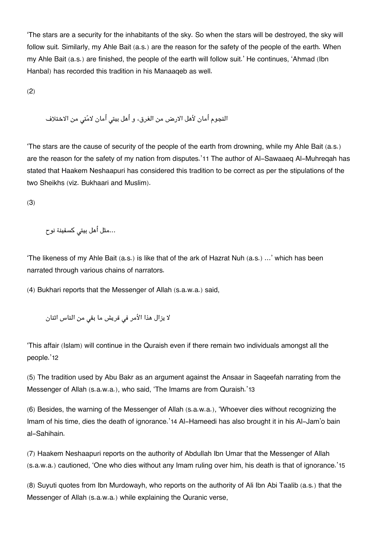'The stars are a security for the inhabitants of the sky. So when the stars will be destroyed, the sky will follow suit. Similarly, my Ahle Bait (a.s.) are the reason for the safety of the people of the earth. When my Ahle Bait (a.s.) are finished, the people of the earth will follow suit.' He continues, 'Ahmad (Ibn Hanbal) has recorded this tradition in his Manaaqeb as well.

(2)

النجوم أمان لأهل الارض من الغرق، و أهل بيتى أمان لامّتى من الاختلاف

'The stars are the cause of security of the people of the earth from drowning, while my Ahle Bait (a.s.) are the reason for the safety of my nation from disputes.'[11](#page--1-0) The author of Al-Sawaaeq Al-Muhreqah has stated that Haakem Neshaapuri has considered this tradition to be correct as per the stipulations of the two Sheikhs (viz. Bukhaari and Muslim).

(3)

...مثل أهل بيت كسفينة نوح

'The likeness of my Ahle Bait (a.s.) is like that of the ark of Hazrat Nuh (a.s.) …' which has been narrated through various chains of narrators.

(4) Bukhari reports that the Messenger of Allah (s.a.w.a.) said,

```
لا يزال هذا الأمر في قريش ما بقى من الناس اثنان
```
'This affair (Islam) will continue in the Quraish even if there remain two individuals amongst all the people.'[12](#page--1-0)

(5) The tradition used by Abu Bakr as an argument against the Ansaar in Saqeefah narrating from the Messenger of Allah (s.a.w.a.), who said, 'The Imams are from Quraish.'[13](#page--1-0)

(6) Besides, the warning of the Messenger of Allah (s.a.w.a.), 'Whoever dies without recognizing the Imam of his time, dies the death of ignorance.'[14](#page--1-0) Al-Hameedi has also brought it in his Al-Jam'o bain al-Sahihain.

(7) Haakem Neshaapuri reports on the authority of Abdullah Ibn Umar that the Messenger of Allah (s.a.w.a.) cautioned, 'One who dies without any Imam ruling over him, his death is that of ignorance.'[15](#page--1-0)

(8) Suyuti quotes from Ibn Murdowayh, who reports on the authority of Ali Ibn Abi Taalib (a.s.) that the Messenger of Allah (s.a.w.a.) while explaining the Quranic verse,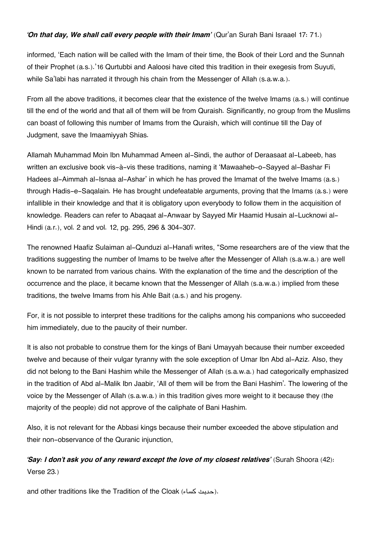#### *'On that day, We shall call every people with their Imam'* (Qur'an Surah Bani Israael 17: 71.)

informed, 'Each nation will be called with the Imam of their time, the Book of their Lord and the Sunnah of their Prophet (a.s.).'[16](#page--1-0) Qurtubbi and Aaloosi have cited this tradition in their exegesis from Suyuti, while Sa'labi has narrated it through his chain from the Messenger of Allah (s.a.w.a.).

From all the above traditions, it becomes clear that the existence of the twelve Imams (a.s.) will continue till the end of the world and that all of them will be from Quraish. Significantly, no group from the Muslims can boast of following this number of Imams from the Quraish, which will continue till the Day of Judgment, save the Imaamiyyah Shias.

Allamah Muhammad Moin Ibn Muhammad Ameen al-Sindi, the author of Deraasaat al-Labeeb, has written an exclusive book vis-à-vis these traditions, naming it 'Mawaaheb-o-Sayyed al-Bashar Fi Hadees al-Aimmah al-Isnaa al-Ashar' in which he has proved the Imamat of the twelve Imams (a.s.) through Hadis-e-Saqalain. He has brought undefeatable arguments, proving that the Imams (a.s.) were infallible in their knowledge and that it is obligatory upon everybody to follow them in the acquisition of knowledge. Readers can refer to Abaqaat al-Anwaar by Sayyed Mir Haamid Husain al-Lucknowi al-Hindi (a.r.), vol. 2 and vol. 12, pg. 295, 296 & 304-307.

The renowned Haafiz Sulaiman al-Qunduzi al-Hanafi writes, "Some researchers are of the view that the traditions suggesting the number of Imams to be twelve after the Messenger of Allah (s.a.w.a.) are well known to be narrated from various chains. With the explanation of the time and the description of the occurrence and the place, it became known that the Messenger of Allah (s.a.w.a.) implied from these traditions, the twelve Imams from his Ahle Bait (a.s.) and his progeny.

For, it is not possible to interpret these traditions for the caliphs among his companions who succeeded him immediately, due to the paucity of their number.

It is also not probable to construe them for the kings of Bani Umayyah because their number exceeded twelve and because of their vulgar tyranny with the sole exception of Umar Ibn Abd al-Aziz. Also, they did not belong to the Bani Hashim while the Messenger of Allah (s.a.w.a.) had categorically emphasized in the tradition of Abd al-Malik Ibn Jaabir, 'All of them will be from the Bani Hashim'. The lowering of the voice by the Messenger of Allah (s.a.w.a.) in this tradition gives more weight to it because they (the majority of the people) did not approve of the caliphate of Bani Hashim.

Also, it is not relevant for the Abbasi kings because their number exceeded the above stipulation and their non-observance of the Quranic injunction,

### *'Say: I don't ask you of any reward except the love of my closest relatives'* (Surah Shoora (42): Verse 23.)

and other traditions like the Tradition of the Cloak (حديث كساء).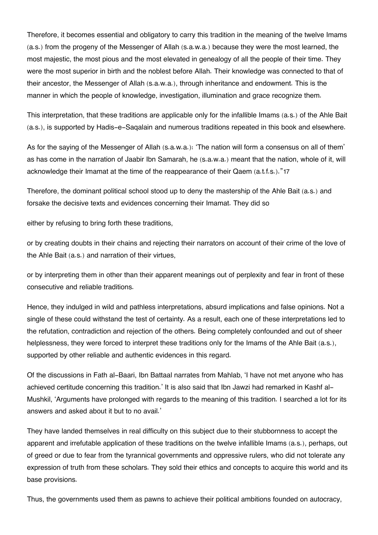Therefore, it becomes essential and obligatory to carry this tradition in the meaning of the twelve Imams (a.s.) from the progeny of the Messenger of Allah (s.a.w.a.) because they were the most learned, the most majestic, the most pious and the most elevated in genealogy of all the people of their time. They were the most superior in birth and the noblest before Allah. Their knowledge was connected to that of their ancestor, the Messenger of Allah (s.a.w.a.), through inheritance and endowment. This is the manner in which the people of knowledge, investigation, illumination and grace recognize them.

This interpretation, that these traditions are applicable only for the infallible Imams (a.s.) of the Ahle Bait (a.s.), is supported by Hadis-e-Saqalain and numerous traditions repeated in this book and elsewhere.

As for the saying of the Messenger of Allah (s.a.w.a.): 'The nation will form a consensus on all of them' as has come in the narration of Jaabir Ibn Samarah, he (s.a.w.a.) meant that the nation, whole of it, will acknowledge their Imamat at the time of the reappearance of their Qaem (a.t.f.s.)."[17](#page--1-0)

Therefore, the dominant political school stood up to deny the mastership of the Ahle Bait (a.s.) and forsake the decisive texts and evidences concerning their Imamat. They did so

either by refusing to bring forth these traditions,

or by creating doubts in their chains and rejecting their narrators on account of their crime of the love of the Ahle Bait (a.s.) and narration of their virtues,

or by interpreting them in other than their apparent meanings out of perplexity and fear in front of these consecutive and reliable traditions.

Hence, they indulged in wild and pathless interpretations, absurd implications and false opinions. Not a single of these could withstand the test of certainty. As a result, each one of these interpretations led to the refutation, contradiction and rejection of the others. Being completely confounded and out of sheer helplessness, they were forced to interpret these traditions only for the Imams of the Ahle Bait (a.s.), supported by other reliable and authentic evidences in this regard.

Of the discussions in Fath al-Baari, Ibn Battaal narrates from Mahlab, 'I have not met anyone who has achieved certitude concerning this tradition.' It is also said that Ibn Jawzi had remarked in Kashf al-Mushkil, 'Arguments have prolonged with regards to the meaning of this tradition. I searched a lot for its answers and asked about it but to no avail.'

They have landed themselves in real difficulty on this subject due to their stubbornness to accept the apparent and irrefutable application of these traditions on the twelve infallible Imams (a.s.), perhaps, out of greed or due to fear from the tyrannical governments and oppressive rulers, who did not tolerate any expression of truth from these scholars. They sold their ethics and concepts to acquire this world and its base provisions.

Thus, the governments used them as pawns to achieve their political ambitions founded on autocracy,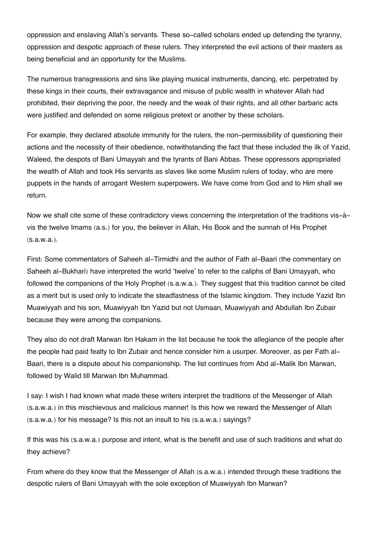oppression and enslaving Allah's servants. These so-called scholars ended up defending the tyranny, oppression and despotic approach of these rulers. They interpreted the evil actions of their masters as being beneficial and an opportunity for the Muslims.

The numerous transgressions and sins like playing musical instruments, dancing, etc. perpetrated by these kings in their courts, their extravagance and misuse of public wealth in whatever Allah had prohibited, their depriving the poor, the needy and the weak of their rights, and all other barbaric acts were justified and defended on some religious pretext or another by these scholars.

For example, they declared absolute immunity for the rulers, the non-permissibility of questioning their actions and the necessity of their obedience, notwithstanding the fact that these included the ilk of Yazid, Waleed, the despots of Bani Umayyah and the tyrants of Bani Abbas. These oppressors appropriated the wealth of Allah and took His servants as slaves like some Muslim rulers of today, who are mere puppets in the hands of arrogant Western superpowers. We have come from God and to Him shall we return.

Now we shall cite some of these contradictory views concerning the interpretation of the traditions vis-àvis the twelve Imams (a.s.) for you, the believer in Allah, His Book and the sunnah of His Prophet (s.a.w.a.).

First: Some commentators of Saheeh al-Tirmidhi and the author of Fath al-Baari (the commentary on Saheeh al-Bukhari) have interpreted the world 'twelve' to refer to the caliphs of Bani Umayyah, who followed the companions of the Holy Prophet (s.a.w.a.). They suggest that this tradition cannot be cited as a merit but is used only to indicate the steadfastness of the Islamic kingdom. They include Yazid Ibn Muawiyyah and his son, Muawiyyah Ibn Yazid but not Usmaan, Muawiyyah and Abdullah Ibn Zubair because they were among the companions.

They also do not draft Marwan Ibn Hakam in the list because he took the allegiance of the people after the people had paid fealty to Ibn Zubair and hence consider him a usurper. Moreover, as per Fath al-Baari, there is a dispute about his companionship. The list continues from Abd al-Malik Ibn Marwan, followed by Walid till Marwan Ibn Muhammad.

I say: I wish I had known what made these writers interpret the traditions of the Messenger of Allah (s.a.w.a.) in this mischievous and malicious manner! Is this how we reward the Messenger of Allah (s.a.w.a.) for his message? Is this not an insult to his (s.a.w.a.) sayings?

If this was his (s.a.w.a.) purpose and intent, what is the benefit and use of such traditions and what do they achieve?

From where do they know that the Messenger of Allah (s.a.w.a.) intended through these traditions the despotic rulers of Bani Umayyah with the sole exception of Muawiyyah Ibn Marwan?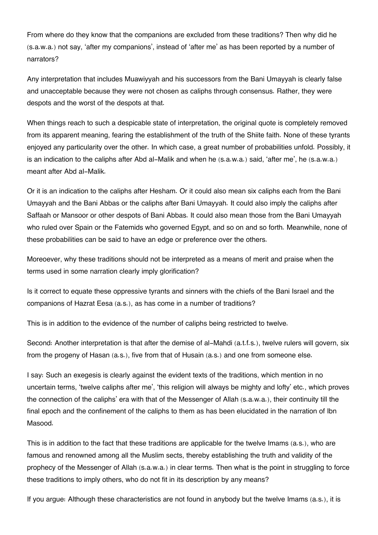From where do they know that the companions are excluded from these traditions? Then why did he (s.a.w.a.) not say, 'after my companions', instead of 'after me' as has been reported by a number of narrators?

Any interpretation that includes Muawiyyah and his successors from the Bani Umayyah is clearly false and unacceptable because they were not chosen as caliphs through consensus. Rather, they were despots and the worst of the despots at that.

When things reach to such a despicable state of interpretation, the original quote is completely removed from its apparent meaning, fearing the establishment of the truth of the Shiite faith. None of these tyrants enjoyed any particularity over the other. In which case, a great number of probabilities unfold. Possibly, it is an indication to the caliphs after Abd al-Malik and when he (s.a.w.a.) said, 'after me', he (s.a.w.a.) meant after Abd al-Malik.

Or it is an indication to the caliphs after Hesham. Or it could also mean six caliphs each from the Bani Umayyah and the Bani Abbas or the caliphs after Bani Umayyah. It could also imply the caliphs after Saffaah or Mansoor or other despots of Bani Abbas. It could also mean those from the Bani Umayyah who ruled over Spain or the Fatemids who governed Egypt, and so on and so forth. Meanwhile, none of these probabilities can be said to have an edge or preference over the others.

Moreoever, why these traditions should not be interpreted as a means of merit and praise when the terms used in some narration clearly imply glorification?

Is it correct to equate these oppressive tyrants and sinners with the chiefs of the Bani Israel and the companions of Hazrat Eesa (a.s.), as has come in a number of traditions?

This is in addition to the evidence of the number of caliphs being restricted to twelve.

Second: Another interpretation is that after the demise of al-Mahdi (a.t.f.s.), twelve rulers will govern, six from the progeny of Hasan (a.s.), five from that of Husain (a.s.) and one from someone else.

I say: Such an exegesis is clearly against the evident texts of the traditions, which mention in no uncertain terms, 'twelve caliphs after me', 'this religion will always be mighty and lofty' etc., which proves the connection of the caliphs' era with that of the Messenger of Allah (s.a.w.a.), their continuity till the final epoch and the confinement of the caliphs to them as has been elucidated in the narration of Ibn Masood.

This is in addition to the fact that these traditions are applicable for the twelve Imams (a.s.), who are famous and renowned among all the Muslim sects, thereby establishing the truth and validity of the prophecy of the Messenger of Allah (s.a.w.a.) in clear terms. Then what is the point in struggling to force these traditions to imply others, who do not fit in its description by any means?

If you argue: Although these characteristics are not found in anybody but the twelve Imams (a.s.), it is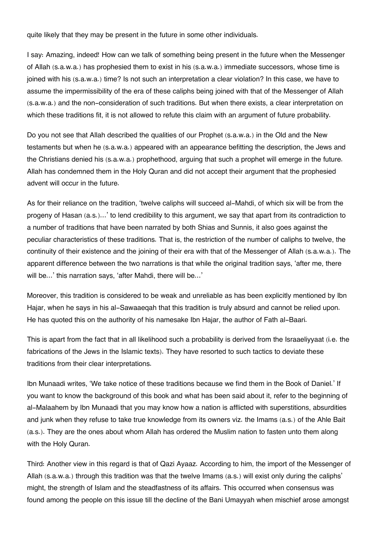quite likely that they may be present in the future in some other individuals.

I say: Amazing, indeed! How can we talk of something being present in the future when the Messenger of Allah (s.a.w.a.) has prophesied them to exist in his (s.a.w.a.) immediate successors, whose time is joined with his (s.a.w.a.) time? Is not such an interpretation a clear violation? In this case, we have to assume the impermissibility of the era of these caliphs being joined with that of the Messenger of Allah (s.a.w.a.) and the non-consideration of such traditions. But when there exists, a clear interpretation on which these traditions fit, it is not allowed to refute this claim with an argument of future probability.

Do you not see that Allah described the qualities of our Prophet (s.a.w.a.) in the Old and the New testaments but when he (s.a.w.a.) appeared with an appearance befitting the description, the Jews and the Christians denied his (s.a.w.a.) prophethood, arguing that such a prophet will emerge in the future. Allah has condemned them in the Holy Quran and did not accept their argument that the prophesied advent will occur in the future.

As for their reliance on the tradition, 'twelve caliphs will succeed al-Mahdi, of which six will be from the progeny of Hasan (a.s.)…' to lend credibility to this argument, we say that apart from its contradiction to a number of traditions that have been narrated by both Shias and Sunnis, it also goes against the peculiar characteristics of these traditions. That is, the restriction of the number of caliphs to twelve, the continuity of their existence and the joining of their era with that of the Messenger of Allah (s.a.w.a.). The apparent difference between the two narrations is that while the original tradition says, 'after me, there will be...' this narration says, 'after Mahdi, there will be...'

Moreover, this tradition is considered to be weak and unreliable as has been explicitly mentioned by Ibn Hajar, when he says in his al-Sawaaeqah that this tradition is truly absurd and cannot be relied upon. He has quoted this on the authority of his namesake Ibn Hajar, the author of Fath al-Baari.

This is apart from the fact that in all likelihood such a probability is derived from the Israaeliyyaat (i.e. the fabrications of the Jews in the Islamic texts). They have resorted to such tactics to deviate these traditions from their clear interpretations.

Ibn Munaadi writes, 'We take notice of these traditions because we find them in the Book of Daniel.' If you want to know the background of this book and what has been said about it, refer to the beginning of al-Malaahem by Ibn Munaadi that you may know how a nation is afflicted with superstitions, absurdities and junk when they refuse to take true knowledge from its owners viz. the Imams (a.s.) of the Ahle Bait (a.s.). They are the ones about whom Allah has ordered the Muslim nation to fasten unto them along with the Holy Quran.

Third: Another view in this regard is that of Qazi Ayaaz. According to him, the import of the Messenger of Allah (s.a.w.a.) through this tradition was that the twelve Imams (a.s.) will exist only during the caliphs' might, the strength of Islam and the steadfastness of its affairs. This occurred when consensus was found among the people on this issue till the decline of the Bani Umayyah when mischief arose amongst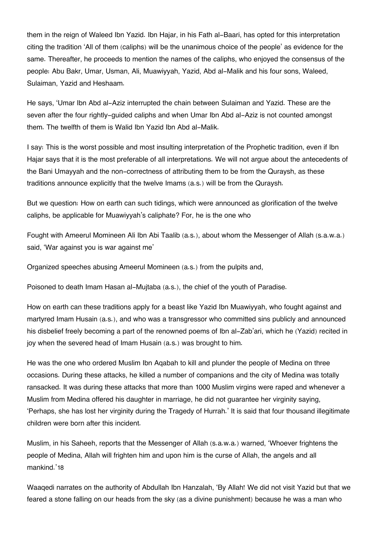them in the reign of Waleed Ibn Yazid. Ibn Hajar, in his Fath al-Baari, has opted for this interpretation citing the tradition 'All of them (caliphs) will be the unanimous choice of the people' as evidence for the same. Thereafter, he proceeds to mention the names of the caliphs, who enjoyed the consensus of the people: Abu Bakr, Umar, Usman, Ali, Muawiyyah, Yazid, Abd al-Malik and his four sons, Waleed, Sulaiman, Yazid and Heshaam.

He says, 'Umar Ibn Abd al-Aziz interrupted the chain between Sulaiman and Yazid. These are the seven after the four rightly-guided caliphs and when Umar Ibn Abd al-Aziz is not counted amongst them. The twelfth of them is Walid Ibn Yazid Ibn Abd al-Malik.

I say: This is the worst possible and most insulting interpretation of the Prophetic tradition, even if Ibn Hajar says that it is the most preferable of all interpretations. We will not argue about the antecedents of the Bani Umayyah and the non-correctness of attributing them to be from the Quraysh, as these traditions announce explicitly that the twelve Imams (a.s.) will be from the Quraysh.

But we question: How on earth can such tidings, which were announced as glorification of the twelve caliphs, be applicable for Muawiyyah's caliphate? For, he is the one who

Fought with Ameerul Momineen Ali Ibn Abi Taalib (a.s.), about whom the Messenger of Allah (s.a.w.a.) said, 'War against you is war against me'

Organized speeches abusing Ameerul Momineen (a.s.) from the pulpits and,

Poisoned to death Imam Hasan al-Mujtaba (a.s.), the chief of the youth of Paradise.

How on earth can these traditions apply for a beast like Yazid Ibn Muawiyyah, who fought against and martyred Imam Husain (a.s.), and who was a transgressor who committed sins publicly and announced his disbelief freely becoming a part of the renowned poems of Ibn al-Zab'ari, which he (Yazid) recited in joy when the severed head of Imam Husain (a.s.) was brought to him.

He was the one who ordered Muslim Ibn Aqabah to kill and plunder the people of Medina on three occasions. During these attacks, he killed a number of companions and the city of Medina was totally ransacked. It was during these attacks that more than 1000 Muslim virgins were raped and whenever a Muslim from Medina offered his daughter in marriage, he did not guarantee her virginity saying, 'Perhaps, she has lost her virginity during the Tragedy of Hurrah.' It is said that four thousand illegitimate children were born after this incident.

Muslim, in his Saheeh, reports that the Messenger of Allah (s.a.w.a.) warned, 'Whoever frightens the people of Medina, Allah will frighten him and upon him is the curse of Allah, the angels and all mankind.'[18](#page--1-0)

Waaqedi narrates on the authority of Abdullah Ibn Hanzalah, 'By Allah! We did not visit Yazid but that we feared a stone falling on our heads from the sky (as a divine punishment) because he was a man who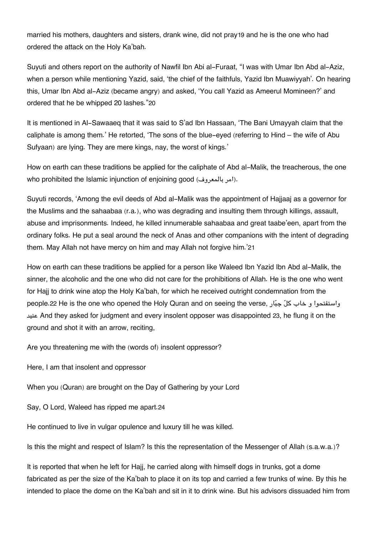married his mothers, daughters and sisters, drank wine, did not pray[19](#page--1-0) and he is the one who had ordered the attack on the Holy Ka'bah.

Suyuti and others report on the authority of Nawfil Ibn Abi al-Furaat, "I was with Umar Ibn Abd al-Aziz, when a person while mentioning Yazid, said, 'the chief of the faithfuls, Yazid Ibn Muawiyyah'. On hearing this, Umar Ibn Abd al-Aziz (became angry) and asked, 'You call Yazid as Ameerul Momineen?' and ordered that he be whipped 20 lashes."[20](#page--1-0)

It is mentioned in Al-Sawaaeq that it was said to S'ad Ibn Hassaan, 'The Bani Umayyah claim that the caliphate is among them.' He retorted, 'The sons of the blue-eyed (referring to Hind – the wife of Abu Sufyaan) are lying. They are mere kings, nay, the worst of kings.'

How on earth can these traditions be applied for the caliphate of Abd al-Malik, the treacherous, the one who prohibited the Islamic injunction of enjoining good (امر بالمعروف).

Suyuti records, 'Among the evil deeds of Abd al-Malik was the appointment of Hajjaaj as a governor for the Muslims and the sahaabaa (r.a.), who was degrading and insulting them through killings, assault, abuse and imprisonments. Indeed, he killed innumerable sahaabaa and great taabe'een, apart from the ordinary folks. He put a seal around the neck of Anas and other companions with the intent of degrading them. May Allah not have mercy on him and may Allah not forgive him.'[21](#page--1-0)

How on earth can these traditions be applied for a person like Waleed Ibn Yazid Ibn Abd al-Malik, the sinner, the alcoholic and the one who did not care for the prohibitions of Allah. He is the one who went for Hajj to drink wine atop the Holy Ka'bah, for which he received outright condemnation from the people.[22](#page--1-0) He is the one who opened the Holy Quran and on seeing the verse, ارجب كل خاب و واستفتحوا عنيد And they asked for judgment and every insolent opposer was disappointed [23](#page--1-0), he flung it on the ground and shot it with an arrow, reciting,

Are you threatening me with the (words of) insolent oppressor?

Here, I am that insolent and oppressor

When you (Quran) are brought on the Day of Gathering by your Lord

Say, O Lord, Waleed has ripped me apart.[24](#page--1-0)

He continued to live in vulgar opulence and luxury till he was killed.

Is this the might and respect of Islam? Is this the representation of the Messenger of Allah (s.a.w.a.)?

It is reported that when he left for Hajj, he carried along with himself dogs in trunks, got a dome fabricated as per the size of the Ka'bah to place it on its top and carried a few trunks of wine. By this he intended to place the dome on the Ka'bah and sit in it to drink wine. But his advisors dissuaded him from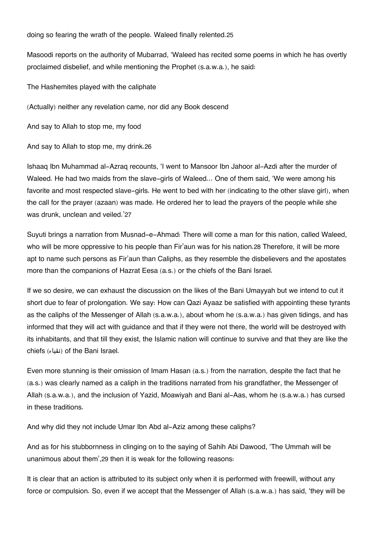doing so fearing the wrath of the people. Waleed finally relented.[25](#page--1-0)

Masoodi reports on the authority of Mubarrad, 'Waleed has recited some poems in which he has overtly proclaimed disbelief, and while mentioning the Prophet (s.a.w.a.), he said:

The Hashemites played with the caliphate

(Actually) neither any revelation came, nor did any Book descend

And say to Allah to stop me, my food

And say to Allah to stop me, my drink.[26](#page--1-0)

Ishaaq Ibn Muhammad al-Azraq recounts, 'I went to Mansoor Ibn Jahoor al-Azdi after the murder of Waleed. He had two maids from the slave-girls of Waleed… One of them said, 'We were among his favorite and most respected slave-girls. He went to bed with her (indicating to the other slave girl), when the call for the prayer (azaan) was made. He ordered her to lead the prayers of the people while she was drunk, unclean and veiled.'[27](#page--1-0)

Suyuti brings a narration from Musnad-e-Ahmad: There will come a man for this nation, called Waleed, who will be more oppressive to his people than Fir'aun was for his nation.[28](#page--1-0) Therefore, it will be more apt to name such persons as Fir'aun than Caliphs, as they resemble the disbelievers and the apostates more than the companions of Hazrat Eesa (a.s.) or the chiefs of the Bani Israel.

If we so desire, we can exhaust the discussion on the likes of the Bani Umayyah but we intend to cut it short due to fear of prolongation. We say: How can Qazi Ayaaz be satisfied with appointing these tyrants as the caliphs of the Messenger of Allah (s.a.w.a.), about whom he (s.a.w.a.) has given tidings, and has informed that they will act with guidance and that if they were not there, the world will be destroyed with its inhabitants, and that till they exist, the Islamic nation will continue to survive and that they are like the chiefs (نقباء) of the Bani Israel.

Even more stunning is their omission of Imam Hasan (a.s.) from the narration, despite the fact that he (a.s.) was clearly named as a caliph in the traditions narrated from his grandfather, the Messenger of Allah (s.a.w.a.), and the inclusion of Yazid, Moawiyah and Bani al-Aas, whom he (s.a.w.a.) has cursed in these traditions.

And why did they not include Umar Ibn Abd al-Aziz among these caliphs?

And as for his stubbornness in clinging on to the saying of Sahih Abi Dawood, 'The Ummah will be unanimous about them',[29](#page--1-0) then it is weak for the following reasons:

It is clear that an action is attributed to its subject only when it is performed with freewill, without any force or compulsion. So, even if we accept that the Messenger of Allah (s.a.w.a.) has said, 'they will be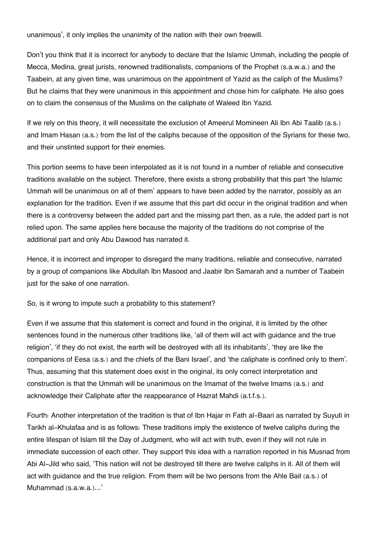unanimous', it only implies the unanimity of the nation with their own freewill.

Don't you think that it is incorrect for anybody to declare that the Islamic Ummah, including the people of Mecca, Medina, great jurists, renowned traditionalists, companions of the Prophet (s.a.w.a.) and the Taabein, at any given time, was unanimous on the appointment of Yazid as the caliph of the Muslims? But he claims that they were unanimous in this appointment and chose him for caliphate. He also goes on to claim the consensus of the Muslims on the caliphate of Waleed Ibn Yazid.

If we rely on this theory, it will necessitate the exclusion of Ameerul Momineen Ali Ibn Abi Taalib (a.s.) and Imam Hasan (a.s.) from the list of the caliphs because of the opposition of the Syrians for these two, and their unstinted support for their enemies.

This portion seems to have been interpolated as it is not found in a number of reliable and consecutive traditions available on the subject. Therefore, there exists a strong probability that this part 'the Islamic Ummah will be unanimous on all of them' appears to have been added by the narrator, possibly as an explanation for the tradition. Even if we assume that this part did occur in the original tradition and when there is a controversy between the added part and the missing part then, as a rule, the added part is not relied upon. The same applies here because the majority of the traditions do not comprise of the additional part and only Abu Dawood has narrated it.

Hence, it is incorrect and improper to disregard the many traditions, reliable and consecutive, narrated by a group of companions like Abdullah Ibn Masood and Jaabir Ibn Samarah and a number of Taabein just for the sake of one narration.

So, is it wrong to impute such a probability to this statement?

Even if we assume that this statement is correct and found in the original, it is limited by the other sentences found in the numerous other traditions like, 'all of them will act with guidance and the true religion', 'if they do not exist, the earth will be destroyed with all its inhabitants', 'they are like the companions of Eesa (a.s.) and the chiefs of the Bani Israel', and 'the caliphate is confined only to them'. Thus, assuming that this statement does exist in the original, its only correct interpretation and construction is that the Ummah will be unanimous on the Imamat of the twelve Imams (a.s.) and acknowledge their Caliphate after the reappearance of Hazrat Mahdi (a.t.f.s.).

Fourth: Another interpretation of the tradition is that of Ibn Hajar in Fath al-Baari as narrated by Suyuti in Tarikh al-Khulafaa and is as follows: These traditions imply the existence of twelve caliphs during the entire lifespan of Islam till the Day of Judgment, who will act with truth, even if they will not rule in immediate succession of each other. They support this idea with a narration reported in his Musnad from Abi Al-Jild who said, 'This nation will not be destroyed till there are twelve caliphs in it. All of them will act with guidance and the true religion. From them will be two persons from the Ahle Bait (a.s.) of Muhammad (s.a.w.a.)…'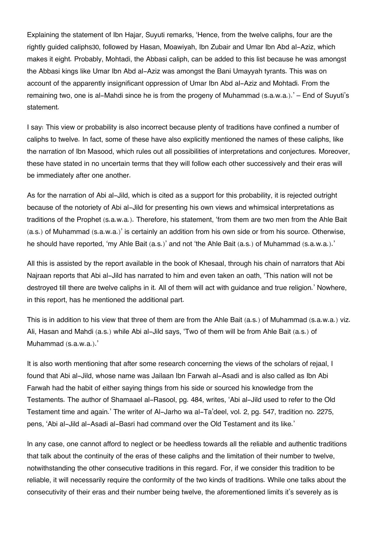Explaining the statement of Ibn Hajar, Suyuti remarks, 'Hence, from the twelve caliphs, four are the rightly guided caliphs[30](#page--1-0), followed by Hasan, Moawiyah, Ibn Zubair and Umar Ibn Abd al-Aziz, which makes it eight. Probably, Mohtadi, the Abbasi caliph, can be added to this list because he was amongst the Abbasi kings like Umar Ibn Abd al-Aziz was amongst the Bani Umayyah tyrants. This was on account of the apparently insignificant oppression of Umar Ibn Abd al-Aziz and Mohtadi. From the remaining two, one is al-Mahdi since he is from the progeny of Muhammad (s.a.w.a.).' – End of Suyuti's statement.

I say: This view or probability is also incorrect because plenty of traditions have confined a number of caliphs to twelve. In fact, some of these have also explicitly mentioned the names of these caliphs, like the narration of Ibn Masood, which rules out all possibilities of interpretations and conjectures. Moreover, these have stated in no uncertain terms that they will follow each other successively and their eras will be immediately after one another.

As for the narration of Abi al-Jild, which is cited as a support for this probability, it is rejected outright because of the notoriety of Abi al-Jild for presenting his own views and whimsical interpretations as traditions of the Prophet (s.a.w.a.). Therefore, his statement, 'from them are two men from the Ahle Bait (a.s.) of Muhammad (s.a.w.a.)' is certainly an addition from his own side or from his source. Otherwise, he should have reported, 'my Ahle Bait (a.s.)' and not 'the Ahle Bait (a.s.) of Muhammad (s.a.w.a.).'

All this is assisted by the report available in the book of Khesaal, through his chain of narrators that Abi Najraan reports that Abi al-Jild has narrated to him and even taken an oath, 'This nation will not be destroyed till there are twelve caliphs in it. All of them will act with guidance and true religion.' Nowhere, in this report, has he mentioned the additional part.

This is in addition to his view that three of them are from the Ahle Bait (a.s.) of Muhammad (s.a.w.a.) viz. Ali, Hasan and Mahdi (a.s.) while Abi al-Jild says, 'Two of them will be from Ahle Bait (a.s.) of Muhammad (s.a.w.a.).'

It is also worth mentioning that after some research concerning the views of the scholars of rejaal, I found that Abi al-Jild, whose name was Jailaan Ibn Farwah al-Asadi and is also called as Ibn Abi Farwah had the habit of either saying things from his side or sourced his knowledge from the Testaments. The author of Shamaael al-Rasool, pg. 484, writes, 'Abi al-Jild used to refer to the Old Testament time and again.' The writer of Al-Jarho wa al-Ta'deel, vol. 2, pg. 547, tradition no. 2275, pens, 'Abi al-Jild al-Asadi al-Basri had command over the Old Testament and its like.'

In any case, one cannot afford to neglect or be heedless towards all the reliable and authentic traditions that talk about the continuity of the eras of these caliphs and the limitation of their number to twelve, notwithstanding the other consecutive traditions in this regard. For, if we consider this tradition to be reliable, it will necessarily require the conformity of the two kinds of traditions. While one talks about the consecutivity of their eras and their number being twelve, the aforementioned limits it's severely as is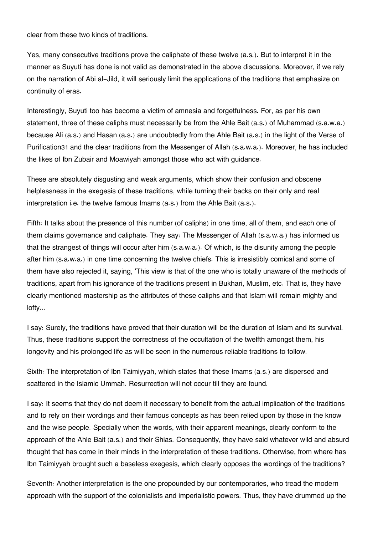clear from these two kinds of traditions.

Yes, many consecutive traditions prove the caliphate of these twelve (a.s.). But to interpret it in the manner as Suyuti has done is not valid as demonstrated in the above discussions. Moreover, if we rely on the narration of Abi al-Jild, it will seriously limit the applications of the traditions that emphasize on continuity of eras.

Interestingly, Suyuti too has become a victim of amnesia and forgetfulness. For, as per his own statement, three of these caliphs must necessarily be from the Ahle Bait (a.s.) of Muhammad (s.a.w.a.) because Ali (a.s.) and Hasan (a.s.) are undoubtedly from the Ahle Bait (a.s.) in the light of the Verse of Purification[31](#page--1-0) and the clear traditions from the Messenger of Allah (s.a.w.a.). Moreover, he has included the likes of Ibn Zubair and Moawiyah amongst those who act with guidance.

These are absolutely disgusting and weak arguments, which show their confusion and obscene helplessness in the exegesis of these traditions, while turning their backs on their only and real interpretation i.e. the twelve famous Imams (a.s.) from the Ahle Bait (a.s.).

Fifth: It talks about the presence of this number (of caliphs) in one time, all of them, and each one of them claims governance and caliphate. They say: The Messenger of Allah (s.a.w.a.) has informed us that the strangest of things will occur after him (s.a.w.a.). Of which, is the disunity among the people after him (s.a.w.a.) in one time concerning the twelve chiefs. This is irresistibly comical and some of them have also rejected it, saying, 'This view is that of the one who is totally unaware of the methods of traditions, apart from his ignorance of the traditions present in Bukhari, Muslim, etc. That is, they have clearly mentioned mastership as the attributes of these caliphs and that Islam will remain mighty and lofty…

I say: Surely, the traditions have proved that their duration will be the duration of Islam and its survival. Thus, these traditions support the correctness of the occultation of the twelfth amongst them, his longevity and his prolonged life as will be seen in the numerous reliable traditions to follow.

Sixth: The interpretation of Ibn Taimiyyah, which states that these Imams (a.s.) are dispersed and scattered in the Islamic Ummah. Resurrection will not occur till they are found.

I say: It seems that they do not deem it necessary to benefit from the actual implication of the traditions and to rely on their wordings and their famous concepts as has been relied upon by those in the know and the wise people. Specially when the words, with their apparent meanings, clearly conform to the approach of the Ahle Bait (a.s.) and their Shias. Consequently, they have said whatever wild and absurd thought that has come in their minds in the interpretation of these traditions. Otherwise, from where has Ibn Taimiyyah brought such a baseless exegesis, which clearly opposes the wordings of the traditions?

Seventh: Another interpretation is the one propounded by our contemporaries, who tread the modern approach with the support of the colonialists and imperialistic powers. Thus, they have drummed up the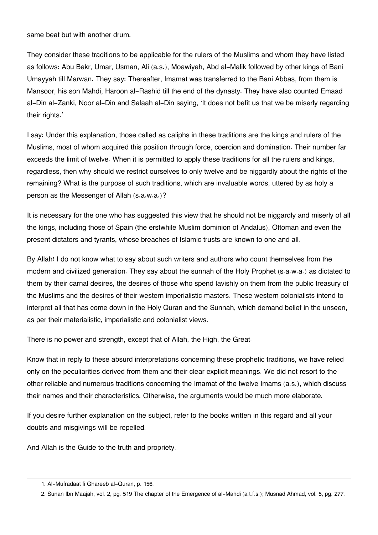same beat but with another drum.

They consider these traditions to be applicable for the rulers of the Muslims and whom they have listed as follows: Abu Bakr, Umar, Usman, Ali (a.s.), Moawiyah, Abd al-Malik followed by other kings of Bani Umayyah till Marwan. They say: Thereafter, Imamat was transferred to the Bani Abbas, from them is Mansoor, his son Mahdi, Haroon al-Rashid till the end of the dynasty. They have also counted Emaad al-Din al-Zanki, Noor al-Din and Salaah al-Din saying, 'It does not befit us that we be miserly regarding their rights.'

I say: Under this explanation, those called as caliphs in these traditions are the kings and rulers of the Muslims, most of whom acquired this position through force, coercion and domination. Their number far exceeds the limit of twelve. When it is permitted to apply these traditions for all the rulers and kings, regardless, then why should we restrict ourselves to only twelve and be niggardly about the rights of the remaining? What is the purpose of such traditions, which are invaluable words, uttered by as holy a person as the Messenger of Allah (s.a.w.a.)?

It is necessary for the one who has suggested this view that he should not be niggardly and miserly of all the kings, including those of Spain (the erstwhile Muslim dominion of Andalus), Ottoman and even the present dictators and tyrants, whose breaches of Islamic trusts are known to one and all.

By Allah! I do not know what to say about such writers and authors who count themselves from the modern and civilized generation. They say about the sunnah of the Holy Prophet (s.a.w.a.) as dictated to them by their carnal desires, the desires of those who spend lavishly on them from the public treasury of the Muslims and the desires of their western imperialistic masters. These western colonialists intend to interpret all that has come down in the Holy Quran and the Sunnah, which demand belief in the unseen, as per their materialistic, imperialistic and colonialist views.

There is no power and strength, except that of Allah, the High, the Great.

Know that in reply to these absurd interpretations concerning these prophetic traditions, we have relied only on the peculiarities derived from them and their clear explicit meanings. We did not resort to the other reliable and numerous traditions concerning the Imamat of the twelve Imams (a.s.), which discuss their names and their characteristics. Otherwise, the arguments would be much more elaborate.

If you desire further explanation on the subject, refer to the books written in this regard and all your doubts and misgivings will be repelled.

And Allah is the Guide to the truth and propriety.

[<sup>1.</sup>](#page--1-0) Al-Mufradaat fi Ghareeb al-Quran, p. 156.

[<sup>2.</sup>](#page--1-0) Sunan Ibn Maajah, vol. 2, pg. 519 The chapter of the Emergence of al-Mahdi (a.t.f.s.); Musnad Ahmad, vol. 5, pg. 277.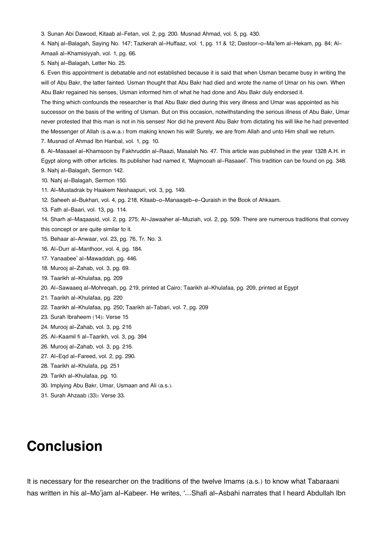[3.](#page--1-0) Sunan Abi Dawood, Kitaab al-Fetan, vol. 2, pg. 200. Musnad Ahmad, vol. 5, pg. 430.

[4.](#page--1-0) Nahj al-Balagah, Saying No. 147; Tazkerah al-Huffaaz, vol. 1, pg. 11 & 12; Dastoor-o-Ma'lem al-Hekam, pg. 84; Al-Amaali al-Khamisiyyah, vol. 1, pg. 66.

[5.](#page--1-0) Nahj al-Balagah, Letter No. 25.

[6.](#page--1-0) Even this appointment is debatable and not established because it is said that when Usman became busy in writing the will of Abu Bakr, the latter fainted. Usman thought that Abu Bakr had died and wrote the name of Umar on his own. When Abu Bakr regained his senses, Usman informed him of what he had done and Abu Bakr duly endorsed it.

The thing which confounds the researcher is that Abu Bakr died during this very illness and Umar was appointed as his successor on the basis of the writing of Usman. But on this occasion, notwithstanding the serious illness of Abu Bakr, Umar never protested that this man is not in his senses! Nor did he prevent Abu Bakr from dictating his will like he had prevented the Messenger of Allah (s.a.w.a.) from making known his will! Surely, we are from Allah and unto Him shall we return.

[7.](#page--1-0) Musnad of Ahmad Ibn Hanbal, vol. 1, pg. 10.

[8.](#page--1-0) Al-Masaael al-Khamsoon by Fakhruddin al-Raazi, Masalah No. 47. This article was published in the year 1328 A.H. in Egypt along with other articles. Its publisher had named it, 'Majmooah al-Rasaael'. This tradition can be found on pg. 348. [9.](#page--1-0) Nahj al-Balagah, Sermon 142.

[10.](#page--1-0) Nahj al-Balagah, Sermon 150.

- [11.](#page--1-0) Al-Mustadrak by Haakem Neshaapuri, vol. 3, pg. 149.
- [12.](#page--1-0) Saheeh al-Bukhari, vol. 4, pg. 218, Kitaab-o-Manaaqeb-e-Quraish in the Book of Ahkaam.
- [13.](#page--1-0) Fath al-Baari, vol. 13, pg. 114.

[14.](#page--1-0) Sharh al-Maqaasid, vol. 2, pg. 275; Al-Jawaaher al-Muziah, vol. 2, pg. 509. There are numerous traditions that convey this concept or are quite similar to it.

- [15.](#page--1-0) Behaar al-Anwaar, vol. 23, pg. 76, Tr. No. 3.
- [16.](#page--1-0) Al-Durr al-Manthoor, vol. 4, pg. 184.
- [17.](#page--1-0) Yanaabee' al-Mawaddah, pg. 446.
- [18.](#page--1-0) Murooj al-Zahab, vol. 3, pg. 69.
- [19.](#page--1-0) Taarikh al-Khulafaa, pg. 209
- [20.](#page--1-0) Al-Sawaaeq al-Mohreqah, pg. 219, printed at Cairo; Taarikh al-Khulafaa, pg. 209, printed at Egypt
- [21.](#page--1-0) Taarikh al-Khulafaa, pg. 220
- [22.](#page--1-0) Taarikh al-Khulafaa, pg. 250; Taarikh al-Tabari, vol. 7, pg. 209
- [23.](#page--1-0) Surah Ibraheem (14): Verse 15
- [24.](#page--1-0) Murooj al-Zahab, vol. 3, pg. 216
- [25.](#page--1-0) Al-Kaamil fi al-Taarikh, vol. 3, pg. 394
- [26.](#page--1-0) Murooj al-Zahab, vol. 3, pg. 216.
- [27.](#page--1-0) Al-Eqd al-Fareed, vol. 2, pg. 290.
- [28.](#page--1-0) Taarikh al-Khulafa, pg. 251
- [29.](#page--1-0) Tarikh al-Khulafaa, pg. 10.
- [30.](#page--1-0) Implying Abu Bakr, Umar, Usmaan and Ali (a.s.).
- [31.](#page--1-0) Surah Ahzaab (33): Verse 33.

# **Conclusion**

It is necessary for the researcher on the traditions of the twelve Imams (a.s.) to know what Tabaraani has written in his al-Mo'jam al-Kabeer. He writes, '…Shafi al-Asbahi narrates that I heard Abdullah Ibn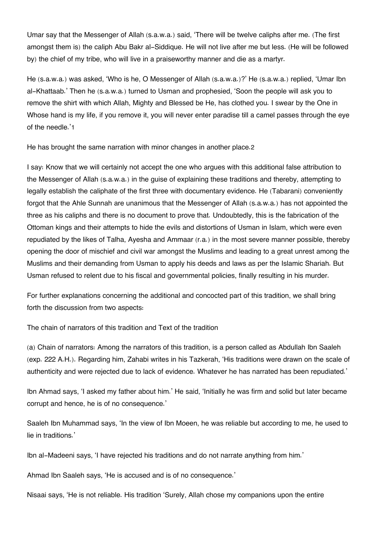Umar say that the Messenger of Allah (s.a.w.a.) said, 'There will be twelve caliphs after me. (The first amongst them is) the caliph Abu Bakr al-Siddique. He will not live after me but less. (He will be followed by) the chief of my tribe, who will live in a praiseworthy manner and die as a martyr.

He (s.a.w.a.) was asked, 'Who is he, O Messenger of Allah (s.a.w.a.)?' He (s.a.w.a.) replied, 'Umar Ibn al-Khattaab.' Then he (s.a.w.a.) turned to Usman and prophesied, 'Soon the people will ask you to remove the shirt with which Allah, Mighty and Blessed be He, has clothed you. I swear by the One in Whose hand is my life, if you remove it, you will never enter paradise till a camel passes through the eye of the needle.'[1](#page--1-0)

He has brought the same narration with minor changes in another place.[2](#page--1-0)

I say: Know that we will certainly not accept the one who argues with this additional false attribution to the Messenger of Allah (s.a.w.a.) in the guise of explaining these traditions and thereby, attempting to legally establish the caliphate of the first three with documentary evidence. He (Tabarani) conveniently forgot that the Ahle Sunnah are unanimous that the Messenger of Allah (s.a.w.a.) has not appointed the three as his caliphs and there is no document to prove that. Undoubtedly, this is the fabrication of the Ottoman kings and their attempts to hide the evils and distortions of Usman in Islam, which were even repudiated by the likes of Talha, Ayesha and Ammaar (r.a.) in the most severe manner possible, thereby opening the door of mischief and civil war amongst the Muslims and leading to a great unrest among the Muslims and their demanding from Usman to apply his deeds and laws as per the Islamic Shariah. But Usman refused to relent due to his fiscal and governmental policies, finally resulting in his murder.

For further explanations concerning the additional and concocted part of this tradition, we shall bring forth the discussion from two aspects:

The chain of narrators of this tradition and Text of the tradition

(a) Chain of narrators: Among the narrators of this tradition, is a person called as Abdullah Ibn Saaleh (exp. 222 A.H.). Regarding him, Zahabi writes in his Tazkerah, 'His traditions were drawn on the scale of authenticity and were rejected due to lack of evidence. Whatever he has narrated has been repudiated.'

Ibn Ahmad says, 'I asked my father about him.' He said, 'Initially he was firm and solid but later became corrupt and hence, he is of no consequence.'

Saaleh Ibn Muhammad says, 'In the view of Ibn Moeen, he was reliable but according to me, he used to lie in traditions.'

Ibn al-Madeeni says, 'I have rejected his traditions and do not narrate anything from him.'

Ahmad Ibn Saaleh says, 'He is accused and is of no consequence.'

Nisaai says, 'He is not reliable. His tradition 'Surely, Allah chose my companions upon the entire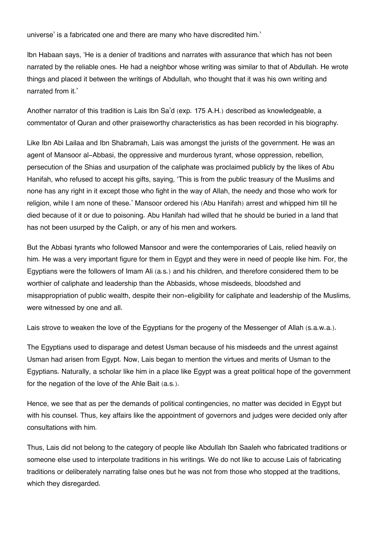universe' is a fabricated one and there are many who have discredited him.'

Ibn Habaan says, 'He is a denier of traditions and narrates with assurance that which has not been narrated by the reliable ones. He had a neighbor whose writing was similar to that of Abdullah. He wrote things and placed it between the writings of Abdullah, who thought that it was his own writing and narrated from it.'

Another narrator of this tradition is Lais Ibn Sa'd (exp. 175 A.H.) described as knowledgeable, a commentator of Quran and other praiseworthy characteristics as has been recorded in his biography.

Like Ibn Abi Lailaa and Ibn Shabramah, Lais was amongst the jurists of the government. He was an agent of Mansoor al-Abbasi, the oppressive and murderous tyrant, whose oppression, rebellion, persecution of the Shias and usurpation of the caliphate was proclaimed publicly by the likes of Abu Hanifah, who refused to accept his gifts, saying, 'This is from the public treasury of the Muslims and none has any right in it except those who fight in the way of Allah, the needy and those who work for religion, while I am none of these.' Mansoor ordered his (Abu Hanifah) arrest and whipped him till he died because of it or due to poisoning. Abu Hanifah had willed that he should be buried in a land that has not been usurped by the Caliph, or any of his men and workers.

But the Abbasi tyrants who followed Mansoor and were the contemporaries of Lais, relied heavily on him. He was a very important figure for them in Egypt and they were in need of people like him. For, the Egyptians were the followers of Imam Ali (a.s.) and his children, and therefore considered them to be worthier of caliphate and leadership than the Abbasids, whose misdeeds, bloodshed and misappropriation of public wealth, despite their non-eligibility for caliphate and leadership of the Muslims, were witnessed by one and all.

Lais strove to weaken the love of the Egyptians for the progeny of the Messenger of Allah (s.a.w.a.).

The Egyptians used to disparage and detest Usman because of his misdeeds and the unrest against Usman had arisen from Egypt. Now, Lais began to mention the virtues and merits of Usman to the Egyptians. Naturally, a scholar like him in a place like Egypt was a great political hope of the government for the negation of the love of the Ahle Bait (a.s.).

Hence, we see that as per the demands of political contingencies, no matter was decided in Egypt but with his counsel. Thus, key affairs like the appointment of governors and judges were decided only after consultations with him.

Thus, Lais did not belong to the category of people like Abdullah Ibn Saaleh who fabricated traditions or someone else used to interpolate traditions in his writings. We do not like to accuse Lais of fabricating traditions or deliberately narrating false ones but he was not from those who stopped at the traditions, which they disregarded.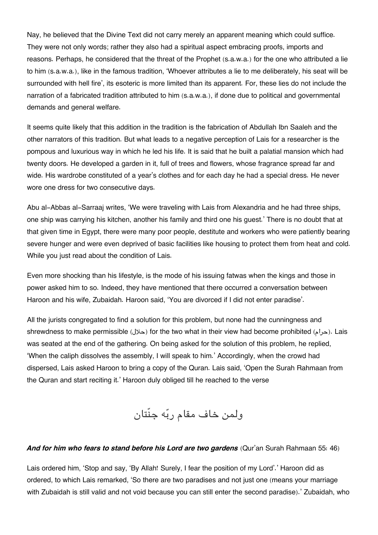Nay, he believed that the Divine Text did not carry merely an apparent meaning which could suffice. They were not only words; rather they also had a spiritual aspect embracing proofs, imports and reasons. Perhaps, he considered that the threat of the Prophet (s.a.w.a.) for the one who attributed a lie to him (s.a.w.a.), like in the famous tradition, 'Whoever attributes a lie to me deliberately, his seat will be surrounded with hell fire', its esoteric is more limited than its apparent. For, these lies do not include the narration of a fabricated tradition attributed to him (s.a.w.a.), if done due to political and governmental demands and general welfare.

It seems quite likely that this addition in the tradition is the fabrication of Abdullah Ibn Saaleh and the other narrators of this tradition. But what leads to a negative perception of Lais for a researcher is the pompous and luxurious way in which he led his life. It is said that he built a palatial mansion which had twenty doors. He developed a garden in it, full of trees and flowers, whose fragrance spread far and wide. His wardrobe constituted of a year's clothes and for each day he had a special dress. He never wore one dress for two consecutive days.

Abu al-Abbas al-Sarraaj writes, 'We were traveling with Lais from Alexandria and he had three ships, one ship was carrying his kitchen, another his family and third one his guest.' There is no doubt that at that given time in Egypt, there were many poor people, destitute and workers who were patiently bearing severe hunger and were even deprived of basic facilities like housing to protect them from heat and cold. While you just read about the condition of Lais.

Even more shocking than his lifestyle, is the mode of his issuing fatwas when the kings and those in power asked him to so. Indeed, they have mentioned that there occurred a conversation between Haroon and his wife, Zubaidah. Haroon said, 'You are divorced if I did not enter paradise'.

All the jurists congregated to find a solution for this problem, but none had the cunningness and shrewdness to make permissible (حلال (for the two what in their view had become prohibited (حرام(. Lais was seated at the end of the gathering. On being asked for the solution of this problem, he replied, 'When the caliph dissolves the assembly, I will speak to him.' Accordingly, when the crowd had dispersed, Lais asked Haroon to bring a copy of the Quran. Lais said, 'Open the Surah Rahmaan from the Quran and start reciting it.' Haroon duly obliged till he reached to the verse

ولمن خاف مقام ربه جنّتان

#### *And for him who fears to stand before his Lord are two gardens* (Qur'an Surah Rahmaan 55: 46)

Lais ordered him, 'Stop and say, 'By Allah! Surely, I fear the position of my Lord'.' Haroon did as ordered, to which Lais remarked, 'So there are two paradises and not just one (means your marriage with Zubaidah is still valid and not void because you can still enter the second paradise).' Zubaidah, who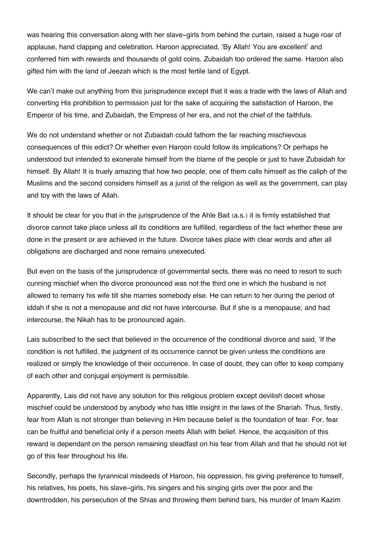was hearing this conversation along with her slave-girls from behind the curtain, raised a huge roar of applause, hand clapping and celebration. Haroon appreciated, 'By Allah! You are excellent' and conferred him with rewards and thousands of gold coins. Zubaidah too ordered the same. Haroon also gifted him with the land of Jeezah which is the most fertile land of Egypt.

We can't make out anything from this jurisprudence except that it was a trade with the laws of Allah and converting His prohibition to permission just for the sake of acquiring the satisfaction of Haroon, the Emperor of his time, and Zubaidah, the Empress of her era, and not the chief of the faithfuls.

We do not understand whether or not Zubaidah could fathom the far reaching mischievous consequences of this edict? Or whether even Haroon could follow its implications? Or perhaps he understood but intended to exonerate himself from the blame of the people or just to have Zubaidah for himself. By Allah! It is truely amazing that how two people, one of them calls himself as the caliph of the Muslims and the second considers himself as a jurist of the religion as well as the government, can play and toy with the laws of Allah.

It should be clear for you that in the jurisprudence of the Ahle Bait (a.s.) it is firmly established that divorce cannot take place unless all its conditions are fulfilled, regardless of the fact whether these are done in the present or are achieved in the future. Divorce takes place with clear words and after all obligations are discharged and none remains unexecuted.

But even on the basis of the jurisprudence of governmental sects, there was no need to resort to such cunning mischief when the divorce pronounced was not the third one in which the husband is not allowed to remarry his wife till she marries somebody else. He can return to her during the period of iddah if she is not a menopause and did not have intercourse. But if she is a menopause, and had intercourse, the Nikah has to be pronounced again.

Lais subscribed to the sect that believed in the occurrence of the conditional divorce and said, 'If the condition is not fulfilled, the judgment of its occurrence cannot be given unless the conditions are realized or simply the knowledge of their occurrence. In case of doubt, they can offer to keep company of each other and conjugal enjoyment is permissible.

Apparently, Lais did not have any solution for this religious problem except devilish deceit whose mischief could be understood by anybody who has little insight in the laws of the Shariah. Thus, firstly, fear from Allah is not stronger than believing in Him because belief is the foundation of fear. For, fear can be fruitful and beneficial only if a person meets Allah with belief. Hence, the acquisition of this reward is dependant on the person remaining steadfast on his fear from Allah and that he should not let go of this fear throughout his life.

Secondly, perhaps the tyrannical misdeeds of Haroon, his oppression, his giving preference to himself, his relatives, his poets, his slave-girls, his singers and his singing girls over the poor and the downtrodden, his persecution of the Shias and throwing them behind bars, his murder of Imam Kazim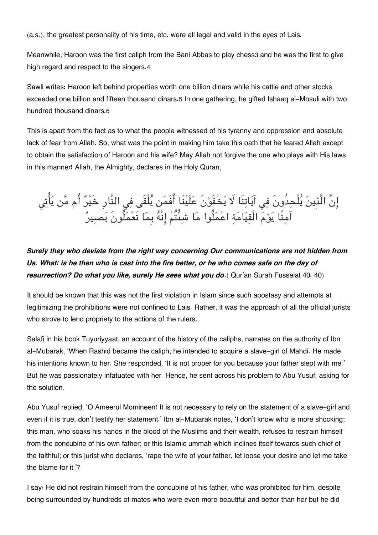(a.s.), the greatest personality of his time, etc. were all legal and valid in the eyes of Lais.

Meanwhile, Haroon was the first caliph from the Bani Abbas to play chess[3](#page--1-0) and he was the first to give high regard and respect to the singers.[4](#page--1-0)

Sawli writes: Haroon left behind properties worth one billion dinars while his cattle and other stocks exceeded one billion and fifteen thousand dinars.[5](#page--1-0) In one gathering, he gifted Ishaaq al-Mosuli with two hundred thousand dinars.[6](#page--1-0)

This is apart from the fact as to what the people witnessed of his tyranny and oppression and absolute lack of fear from Allah. So, what was the point in making him take this oath that he feared Allah except to obtain the satisfaction of Haroon and his wife? May Allah not forgive the one who plays with His laws in this manner! Allah, the Almighty, declares in the Holy Quran,

# إِنَّ الَّذِينَ يُلْحِدُونَ فِي آيَاتِنَا لَا يَخْفَوْنَ عَلَيْنَا أَفَمَن يُلْقَى فِي النَّارِ خَيْرٌ أَم مَّن يَأْتِي آمنًا يوم الْقيامة اعملُوا ما شىتُم انَّه بِما تَعملُونَ بصير

## *Surely they who deviate from the right way concerning Our communications are not hidden from Us. What! is he then who is cast into the fire better, or he who comes safe on the day of resurrection? Do what you like, surely He sees what you do*.( Qur'an Surah Fusselat 40: 40)

It should be known that this was not the first violation in Islam since such apostasy and attempts at legitimizing the prohibitions were not confined to Lais. Rather, it was the approach of all the official jurists who strove to lend propriety to the actions of the rulers.

Salafi in his book Tuyuriyyaat, an account of the history of the caliphs, narrates on the authority of Ibn al-Mubarak, 'When Rashid became the caliph, he intended to acquire a slave-girl of Mahdi. He made his intentions known to her. She responded, 'It is not proper for you because your father slept with me.' But he was passionately infatuated with her. Hence, he sent across his problem to Abu Yusuf, asking for the solution.

Abu Yusuf replied, 'O Ameerul Momineen! It is not necessary to rely on the statement of a slave-girl and even if it is true, don't testify her statement.' Ibn al-Mubarak notes, 'I don't know who is more shocking; this man, who soaks his hands in the blood of the Muslims and their wealth, refuses to restrain himself from the concubine of his own father; or this Islamic ummah which inclines itself towards such chief of the faithful; or this jurist who declares, 'rape the wife of your father, let loose your desire and let me take the blame for it.'[7](#page--1-0)

I say: He did not restrain himself from the concubine of his father, who was prohibited for him, despite being surrounded by hundreds of mates who were even more beautiful and better than her but he did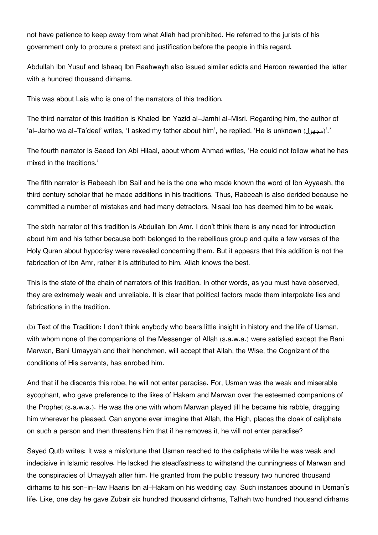not have patience to keep away from what Allah had prohibited. He referred to the jurists of his government only to procure a pretext and justification before the people in this regard.

Abdullah Ibn Yusuf and Ishaaq Ibn Raahwayh also issued similar edicts and Haroon rewarded the latter with a hundred thousand dirhams.

This was about Lais who is one of the narrators of this tradition.

The third narrator of this tradition is Khaled Ibn Yazid al-Jamhi al-Misri. Regarding him, the author of 'al-Jarho wa al-Ta'deel' writes, 'I asked my father about him', he replied, 'He is unknown ( $\sim$ مجهول)'.'

The fourth narrator is Saeed Ibn Abi Hilaal, about whom Ahmad writes, 'He could not follow what he has mixed in the traditions.'

The fifth narrator is Rabeeah Ibn Saif and he is the one who made known the word of Ibn Ayyaash, the third century scholar that he made additions in his traditions. Thus, Rabeeah is also derided because he committed a number of mistakes and had many detractors. Nisaai too has deemed him to be weak.

The sixth narrator of this tradition is Abdullah Ibn Amr. I don't think there is any need for introduction about him and his father because both belonged to the rebellious group and quite a few verses of the Holy Quran about hypocrisy were revealed concerning them. But it appears that this addition is not the fabrication of Ibn Amr, rather it is attributed to him. Allah knows the best.

This is the state of the chain of narrators of this tradition. In other words, as you must have observed, they are extremely weak and unreliable. It is clear that political factors made them interpolate lies and fabrications in the tradition.

(b) Text of the Tradition: I don't think anybody who bears little insight in history and the life of Usman, with whom none of the companions of the Messenger of Allah (s.a.w.a.) were satisfied except the Bani Marwan, Bani Umayyah and their henchmen, will accept that Allah, the Wise, the Cognizant of the conditions of His servants, has enrobed him.

And that if he discards this robe, he will not enter paradise. For, Usman was the weak and miserable sycophant, who gave preference to the likes of Hakam and Marwan over the esteemed companions of the Prophet (s.a.w.a.). He was the one with whom Marwan played till he became his rabble, dragging him wherever he pleased. Can anyone ever imagine that Allah, the High, places the cloak of caliphate on such a person and then threatens him that if he removes it, he will not enter paradise?

Sayed Qutb writes: It was a misfortune that Usman reached to the caliphate while he was weak and indecisive in Islamic resolve. He lacked the steadfastness to withstand the cunningness of Marwan and the conspiracies of Umayyah after him. He granted from the public treasury two hundred thousand dirhams to his son-in-law Haaris Ibn al-Hakam on his wedding day. Such instances abound in Usman's life. Like, one day he gave Zubair six hundred thousand dirhams, Talhah two hundred thousand dirhams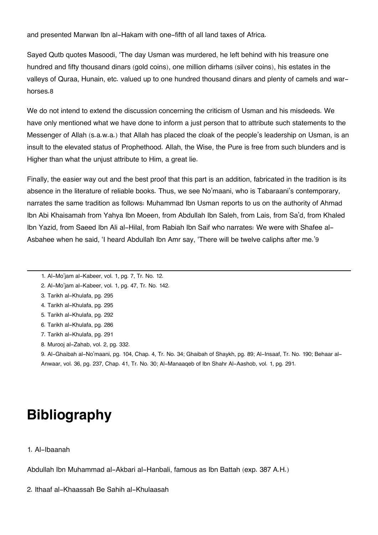and presented Marwan Ibn al-Hakam with one-fifth of all land taxes of Africa.

Sayed Qutb quotes Masoodi, 'The day Usman was murdered, he left behind with his treasure one hundred and fifty thousand dinars (gold coins), one million dirhams (silver coins), his estates in the valleys of Quraa, Hunain, etc. valued up to one hundred thousand dinars and plenty of camels and warhorses.[8](#page--1-0)

We do not intend to extend the discussion concerning the criticism of Usman and his misdeeds. We have only mentioned what we have done to inform a just person that to attribute such statements to the Messenger of Allah (s.a.w.a.) that Allah has placed the cloak of the people's leadership on Usman, is an insult to the elevated status of Prophethood. Allah, the Wise, the Pure is free from such blunders and is Higher than what the unjust attribute to Him, a great lie.

Finally, the easier way out and the best proof that this part is an addition, fabricated in the tradition is its absence in the literature of reliable books. Thus, we see No'maani, who is Tabaraani's contemporary, narrates the same tradition as follows: Muhammad Ibn Usman reports to us on the authority of Ahmad Ibn Abi Khaisamah from Yahya Ibn Moeen, from Abdullah Ibn Saleh, from Lais, from Sa'd, from Khaled Ibn Yazid, from Saeed Ibn Ali al-Hilal, from Rabiah Ibn Saif who narrates: We were with Shafee al-Asbahee when he said, 'I heard Abdullah Ibn Amr say, 'There will be twelve caliphs after me.'[9](#page--1-0)

- [1.](#page--1-0) Al-Mo'jam al-Kabeer, vol. 1, pg. 7, Tr. No. 12.
- [2.](#page--1-0) Al-Mo'jam al-Kabeer, vol. 1, pg. 47, Tr. No. 142.
- [3.](#page--1-0) Tarikh al-Khulafa, pg. 295
- [4.](#page--1-0) Tarikh al-Khulafa, pg. 295
- [5.](#page--1-0) Tarikh al-Khulafa, pg. 292
- [6.](#page--1-0) Tarikh al-Khulafa, pg. 286
- [7.](#page--1-0) Tarikh al-Khulafa, pg. 291
- [8.](#page--1-0) Murooj al-Zahab, vol. 2, pg. 332.

[9.](#page--1-0) Al-Ghaibah al-No'maani, pg. 104, Chap. 4, Tr. No. 34; Ghaibah of Shaykh, pg. 89; Al-Insaaf, Tr. No. 190; Behaar al-Anwaar, vol. 36, pg. 237, Chap. 41, Tr. No. 30; Al-Manaaqeb of Ibn Shahr Al-Aashob, vol. 1, pg. 291.

# **Bibliography**

1. Al-Ibaanah

Abdullah Ibn Muhammad al-Akbari al-Hanbali, famous as Ibn Battah (exp. 387 A.H.)

2. Ithaaf al-Khaassah Be Sahih al-Khulaasah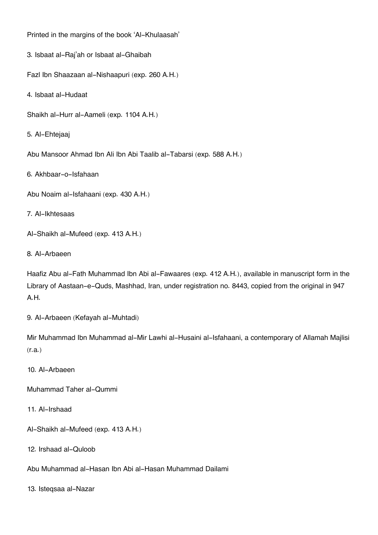Printed in the margins of the book 'Al-Khulaasah'

3. Isbaat al-Raj'ah or Isbaat al-Ghaibah

Fazl Ibn Shaazaan al-Nishaapuri (exp. 260 A.H.)

4. Isbaat al-Hudaat

Shaikh al-Hurr al-Aameli (exp. 1104 A.H.)

5. Al-Ehtejaaj

Abu Mansoor Ahmad Ibn Ali Ibn Abi Taalib al-Tabarsi (exp. 588 A.H.)

6. Akhbaar-o-Isfahaan

Abu Noaim al-Isfahaani (exp. 430 A.H.)

7. Al-Ikhtesaas

Al-Shaikh al-Mufeed (exp. 413 A.H.)

8. Al-Arbaeen

Haafiz Abu al-Fath Muhammad Ibn Abi al-Fawaares (exp. 412 A.H.), available in manuscript form in the Library of Aastaan-e-Quds, Mashhad, Iran, under registration no. 8443, copied from the original in 947 A.H.

9. Al-Arbaeen (Kefayah al-Muhtadi)

Mir Muhammad Ibn Muhammad al-Mir Lawhi al-Husaini al-Isfahaani, a contemporary of Allamah Majlisi (r.a.)

10. Al-Arbaeen

Muhammad Taher al-Qummi

11. Al-Irshaad

Al-Shaikh al-Mufeed (exp. 413 A.H.)

12. Irshaad al-Quloob

Abu Muhammad al-Hasan Ibn Abi al-Hasan Muhammad Dailami

13. Isteqsaa al-Nazar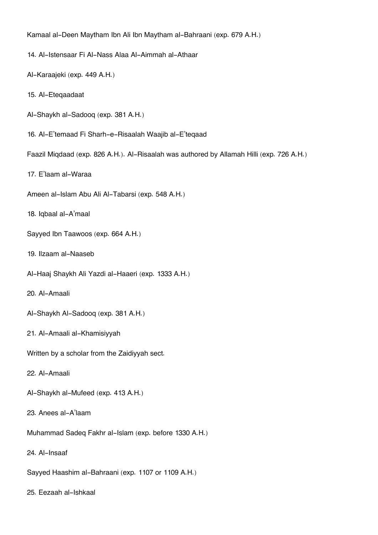Kamaal al-Deen Maytham Ibn Ali Ibn Maytham al-Bahraani (exp. 679 A.H.)

- 14. Al-Istensaar Fi Al-Nass Alaa Al-Aimmah al-Athaar
- Al-Karaajeki (exp. 449 A.H.)
- 15. Al-Eteqaadaat
- Al-Shaykh al-Sadooq (exp. 381 A.H.)
- 16. Al-E'temaad Fi Sharh-e-Risaalah Waajib al-E'teqaad
- Faazil Miqdaad (exp. 826 A.H.). Al-Risaalah was authored by Allamah Hilli (exp. 726 A.H.)
- 17. E'laam al-Waraa
- Ameen al-Islam Abu Ali Al-Tabarsi (exp. 548 A.H.)
- 18. Iqbaal al-A'maal
- Sayyed Ibn Taawoos (exp. 664 A.H.)
- 19. Ilzaam al-Naaseb
- Al-Haaj Shaykh Ali Yazdi al-Haaeri (exp. 1333 A.H.)
- 20. Al-Amaali
- Al-Shaykh Al-Sadooq (exp. 381 A.H.)
- 21. Al-Amaali al-Khamisiyyah
- Written by a scholar from the Zaidiyyah sect.
- 22. Al-Amaali
- Al-Shaykh al-Mufeed (exp. 413 A.H.)
- 23. Anees al-A'laam
- Muhammad Sadeq Fakhr al-Islam (exp. before 1330 A.H.)
- 24. Al-Insaaf
- Sayyed Haashim al-Bahraani (exp. 1107 or 1109 A.H.)
- 25. Eezaah al-Ishkaal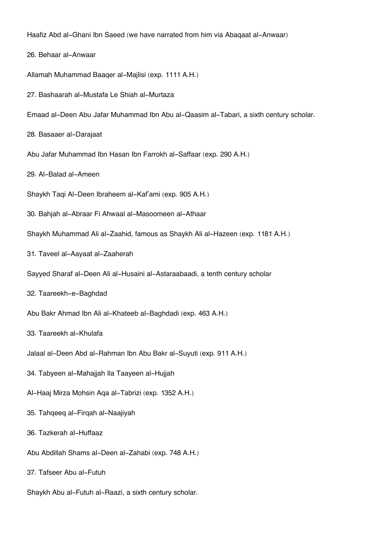Haafiz Abd al-Ghani Ibn Saeed (we have narrated from him via Abaqaat al-Anwaar)

- 26. Behaar al-Anwaar
- Allamah Muhammad Baaqer al-Majlisi (exp. 1111 A.H.)
- 27. Bashaarah al-Mustafa Le Shiah al-Murtaza
- Emaad al-Deen Abu Jafar Muhammad Ibn Abu al-Qaasim al-Tabari, a sixth century scholar.
- 28. Basaaer al-Darajaat
- Abu Jafar Muhammad Ibn Hasan Ibn Farrokh al-Saffaar (exp. 290 A.H.)
- 29. Al-Balad al-Ameen
- Shaykh Taqi Al-Deen Ibraheem al-Kaf'ami (exp. 905 A.H.)
- 30. Bahjah al-Abraar Fi Ahwaal al-Masoomeen al-Athaar
- Shaykh Muhammad Ali al-Zaahid, famous as Shaykh Ali al-Hazeen (exp. 1181 A.H.)
- 31. Taveel al-Aayaat al-Zaaherah
- Sayyed Sharaf al-Deen Ali al-Husaini al-Astaraabaadi, a tenth century scholar
- 32. Taareekh-e-Baghdad
- Abu Bakr Ahmad Ibn Ali al-Khateeb al-Baghdadi (exp. 463 A.H.)
- 33. Taareekh al-Khulafa
- Jalaal al-Deen Abd al-Rahman Ibn Abu Bakr al-Suyuti (exp. 911 A.H.)
- 34. Tabyeen al-Mahajjah Ila Taayeen al-Hujjah
- Al-Haaj Mirza Mohsin Aqa al-Tabrizi (exp. 1352 A.H.)
- 35. Tahqeeq al-Firqah al-Naajiyah
- 36. Tazkerah al-Huffaaz
- Abu Abdillah Shams al-Deen al-Zahabi (exp. 748 A.H.)
- 37. Tafseer Abu al-Futuh
- Shaykh Abu al-Futuh al-Raazi, a sixth century scholar.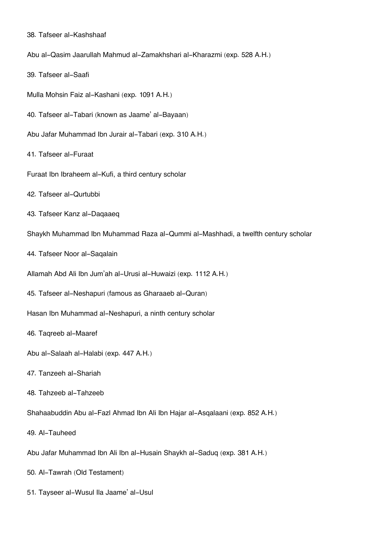- 38. Tafseer al-Kashshaaf
- Abu al-Qasim Jaarullah Mahmud al-Zamakhshari al-Kharazmi (exp. 528 A.H.)
- 39. Tafseer al-Saafi
- Mulla Mohsin Faiz al-Kashani (exp. 1091 A.H.)
- 40. Tafseer al-Tabari (known as Jaame' al-Bayaan)
- Abu Jafar Muhammad Ibn Jurair al-Tabari (exp. 310 A.H.)
- 41. Tafseer al-Furaat
- Furaat Ibn Ibraheem al-Kufi, a third century scholar
- 42. Tafseer al-Qurtubbi
- 43. Tafseer Kanz al-Daqaaeq
- Shaykh Muhammad Ibn Muhammad Raza al-Qummi al-Mashhadi, a twelfth century scholar
- 44. Tafseer Noor al-Saqalain
- Allamah Abd Ali Ibn Jum'ah al-Urusi al-Huwaizi (exp. 1112 A.H.)
- 45. Tafseer al-Neshapuri (famous as Gharaaeb al-Quran)
- Hasan Ibn Muhammad al-Neshapuri, a ninth century scholar
- 46. Taqreeb al-Maaref
- Abu al-Salaah al-Halabi (exp. 447 A.H.)
- 47. Tanzeeh al-Shariah
- 48. Tahzeeb al-Tahzeeb
- Shahaabuddin Abu al-Fazl Ahmad Ibn Ali Ibn Hajar al-Asqalaani (exp. 852 A.H.)
- 49. Al-Tauheed
- Abu Jafar Muhammad Ibn Ali Ibn al-Husain Shaykh al-Saduq (exp. 381 A.H.)
- 50. Al-Tawrah (Old Testament)
- 51. Tayseer al-Wusul Ila Jaame' al-Usul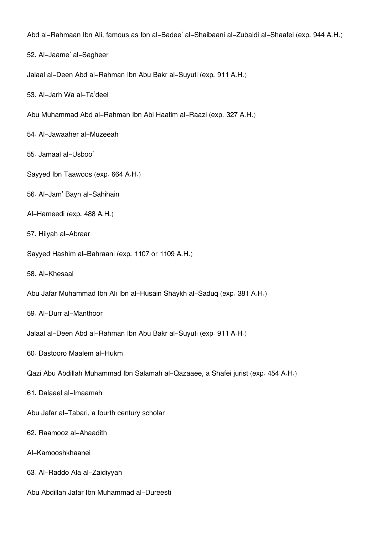Abd al-Rahmaan Ibn Ali, famous as Ibn al-Badee' al-Shaibaani al-Zubaidi al-Shaafei (exp. 944 A.H.)

- 52. Al-Jaame' al-Sagheer
- Jalaal al-Deen Abd al-Rahman Ibn Abu Bakr al-Suyuti (exp. 911 A.H.)
- 53. Al-Jarh Wa al-Ta'deel
- Abu Muhammad Abd al-Rahman Ibn Abi Haatim al-Raazi (exp. 327 A.H.)
- 54. Al-Jawaaher al-Muzeeah
- 55. Jamaal al-Usboo'
- Sayyed Ibn Taawoos (exp. 664 A.H.)
- 56. Al-Jam' Bayn al-Sahihain
- Al-Hameedi (exp. 488 A.H.)
- 57. Hilyah al-Abraar
- Sayyed Hashim al-Bahraani (exp. 1107 or 1109 A.H.)
- 58. Al-Khesaal
- Abu Jafar Muhammad Ibn Ali Ibn al-Husain Shaykh al-Saduq (exp. 381 A.H.)
- 59. Al-Durr al-Manthoor
- Jalaal al-Deen Abd al-Rahman Ibn Abu Bakr al-Suyuti (exp. 911 A.H.)
- 60. Dastooro Maalem al-Hukm
- Qazi Abu Abdillah Muhammad Ibn Salamah al-Qazaaee, a Shafei jurist (exp. 454 A.H.)
- 61. Dalaael al-Imaamah
- Abu Jafar al-Tabari, a fourth century scholar
- 62. Raamooz al-Ahaadith
- Al-Kamooshkhaanei
- 63. Al-Raddo Ala al-Zaidiyyah
- Abu Abdillah Jafar Ibn Muhammad al-Dureesti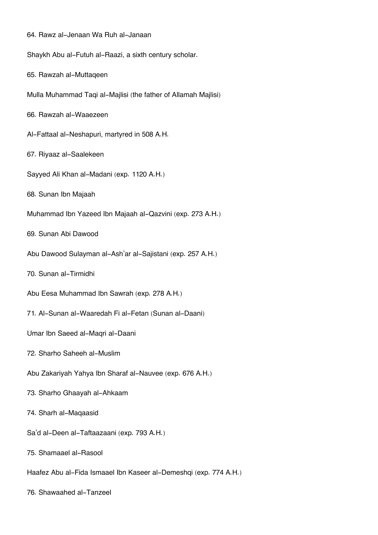| 64. Rawz al-Jenaan Wa Ruh al-Janaan                               |
|-------------------------------------------------------------------|
| Shaykh Abu al-Futuh al-Raazi, a sixth century scholar.            |
| 65. Rawzah al-Muttaqeen                                           |
| Mulla Muhammad Taqi al-Majlisi (the father of Allamah Majlisi)    |
| 66. Rawzah al-Waaezeen                                            |
| Al-Fattaal al-Neshapuri, martyred in 508 A.H.                     |
| 67. Riyaaz al-Saalekeen                                           |
| Sayyed Ali Khan al-Madani (exp. 1120 A.H.)                        |
| 68. Sunan Ibn Majaah                                              |
| Muhammad Ibn Yazeed Ibn Majaah al-Qazvini (exp. 273 A.H.)         |
| 69. Sunan Abi Dawood                                              |
| Abu Dawood Sulayman al-Ash'ar al-Sajistani (exp. 257 A.H.)        |
| 70. Sunan al-Tirmidhi                                             |
| Abu Eesa Muhammad Ibn Sawrah (exp. 278 A.H.)                      |
| 71. Al-Sunan al-Waaredah Fi al-Fetan (Sunan al-Daani)             |
| Umar Ibn Saeed al-Maqri al-Daani                                  |
| 72. Sharho Saheeh al-Muslim                                       |
| Abu Zakariyah Yahya Ibn Sharaf al-Nauvee (exp. 676 A.H.)          |
| 73. Sharho Ghaayah al-Ahkaam                                      |
| 74. Sharh al-Maqaasid                                             |
| Sa'd al-Deen al-Taftaazaani (exp. 793 A.H.)                       |
| 75. Shamaael al-Rasool                                            |
| Haafez Abu al-Fida Ismaael Ibn Kaseer al-Demeshqi (exp. 774 A.H.) |
|                                                                   |

76. Shawaahed al-Tanzeel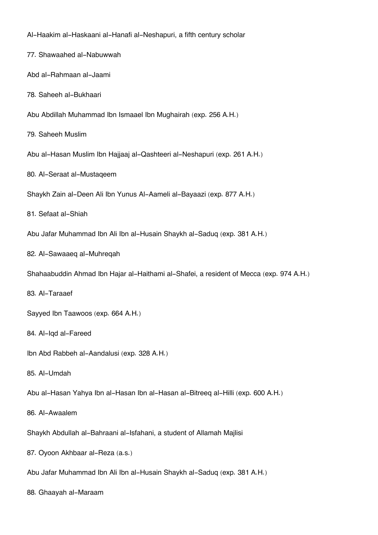Al-Haakim al-Haskaani al-Hanafi al-Neshapuri, a fifth century scholar 77. Shawaahed al-Nabuwwah Abd al-Rahmaan al-Jaami 78. Saheeh al-Bukhaari Abu Abdillah Muhammad Ibn Ismaael Ibn Mughairah (exp. 256 A.H.) 79. Saheeh Muslim Abu al-Hasan Muslim Ibn Hajjaaj al-Qashteeri al-Neshapuri (exp. 261 A.H.) 80. Al-Seraat al-Mustaqeem Shaykh Zain al-Deen Ali Ibn Yunus Al-Aameli al-Bayaazi (exp. 877 A.H.) 81. Sefaat al-Shiah Abu Jafar Muhammad Ibn Ali Ibn al-Husain Shaykh al-Saduq (exp. 381 A.H.) 82. Al-Sawaaeq al-Muhreqah Shahaabuddin Ahmad Ibn Hajar al-Haithami al-Shafei, a resident of Mecca (exp. 974 A.H.) 83. Al-Taraaef Sayyed Ibn Taawoos (exp. 664 A.H.) 84. Al-Iqd al-Fareed Ibn Abd Rabbeh al-Aandalusi (exp. 328 A.H.) 85. Al-Umdah Abu al-Hasan Yahya Ibn al-Hasan Ibn al-Hasan al-Bitreeq al-Hilli (exp. 600 A.H.) 86. Al-Awaalem Shaykh Abdullah al-Bahraani al-Isfahani, a student of Allamah Majlisi 87. Oyoon Akhbaar al-Reza (a.s.) Abu Jafar Muhammad Ibn Ali Ibn al-Husain Shaykh al-Saduq (exp. 381 A.H.)

88. Ghaayah al-Maraam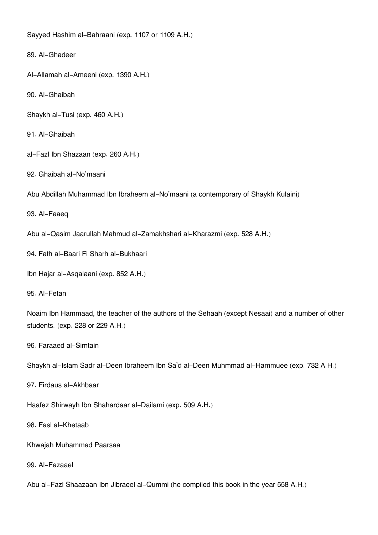Sayyed Hashim al-Bahraani (exp. 1107 or 1109 A.H.)

89. Al-Ghadeer

Al-Allamah al-Ameeni (exp. 1390 A.H.)

90. Al-Ghaibah

Shaykh al-Tusi (exp. 460 A.H.)

91. Al-Ghaibah

al-Fazl Ibn Shazaan (exp. 260 A.H.)

92. Ghaibah al-No'maani

Abu Abdillah Muhammad Ibn Ibraheem al-No'maani (a contemporary of Shaykh Kulaini)

93. Al-Faaeq

Abu al-Qasim Jaarullah Mahmud al-Zamakhshari al-Kharazmi (exp. 528 A.H.)

94. Fath al-Baari Fi Sharh al-Bukhaari

Ibn Hajar al-Asqalaani (exp. 852 A.H.)

95. Al-Fetan

Noaim Ibn Hammaad, the teacher of the authors of the Sehaah (except Nesaai) and a number of other students. (exp. 228 or 229 A.H.)

96. Faraaed al-Simtain

Shaykh al-Islam Sadr al-Deen Ibraheem Ibn Sa'd al-Deen Muhmmad al-Hammuee (exp. 732 A.H.)

97. Firdaus al-Akhbaar

Haafez Shirwayh Ibn Shahardaar al-Dailami (exp. 509 A.H.)

98. Fasl al-Khetaab

Khwajah Muhammad Paarsaa

99. Al-Fazaael

Abu al-Fazl Shaazaan Ibn Jibraeel al-Qummi (he compiled this book in the year 558 A.H.)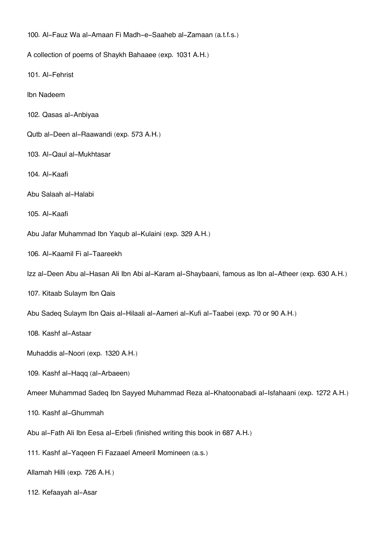100. Al-Fauz Wa al-Amaan Fi Madh-e-Saaheb al-Zamaan (a.t.f.s.)

A collection of poems of Shaykh Bahaaee (exp. 1031 A.H.)

101. Al-Fehrist

Ibn Nadeem

- 102. Qasas al-Anbiyaa
- Qutb al-Deen al-Raawandi (exp. 573 A.H.)
- 103. Al-Qaul al-Mukhtasar

104. Al-Kaafi

Abu Salaah al-Halabi

105. Al-Kaafi

Abu Jafar Muhammad Ibn Yaqub al-Kulaini (exp. 329 A.H.)

106. Al-Kaamil Fi al-Taareekh

Izz al-Deen Abu al-Hasan Ali Ibn Abi al-Karam al-Shaybaani, famous as Ibn al-Atheer (exp. 630 A.H.)

107. Kitaab Sulaym Ibn Qais

Abu Sadeq Sulaym Ibn Qais al-Hilaali al-Aameri al-Kufi al-Taabei (exp. 70 or 90 A.H.)

108. Kashf al-Astaar

Muhaddis al-Noori (exp. 1320 A.H.)

109. Kashf al-Haqq (al-Arbaeen)

Ameer Muhammad Sadeq Ibn Sayyed Muhammad Reza al-Khatoonabadi al-Isfahaani (exp. 1272 A.H.)

110. Kashf al-Ghummah

Abu al-Fath Ali Ibn Eesa al-Erbeli (finished writing this book in 687 A.H.)

111. Kashf al-Yaqeen Fi Fazaael Ameeril Momineen (a.s.)

Allamah Hilli (exp. 726 A.H.)

112. Kefaayah al-Asar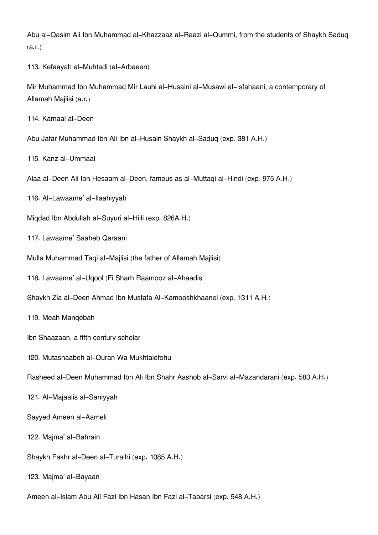Abu al-Qasim Ali Ibn Muhammad al-Khazzaaz al-Raazi al-Qummi, from the students of Shaykh Saduq (a.r.)

113. Kefaayah al-Muhtadi (al-Arbaeen)

Mir Muhammad Ibn Muhammad Mir Lauhi al-Husaini al-Musawi al-Isfahaani, a contemporary of Allamah Majlisi (a.r.)

114. Kamaal al-Deen

Abu Jafar Muhammad Ibn Ali Ibn al-Husain Shaykh al-Saduq (exp. 381 A.H.)

115. Kanz al-Ummaal

Alaa al-Deen Ali Ibn Hesaam al-Deen, famous as al-Muttaqi al-Hindi (exp. 975 A.H.)

116. Al-Lawaame' al-Ilaahiyyah

Miqdad Ibn Abdullah al-Suyuri al-Hilli (exp. 826A.H.)

117. Lawaame' Saaheb Qaraani

Mulla Muhammad Taqi al-Majlisi (the father of Allamah Majlisi)

118. Lawaame' al-Uqool (Fi Sharh Raamooz al-Ahaadis

Shaykh Zia al-Deen Ahmad Ibn Mustafa Al-Kamooshkhaanei (exp. 1311 A.H.)

119. Meah Manqebah

Ibn Shaazaan, a fifth century scholar

120. Mutashaabeh al-Quran Wa Mukhtalefohu

Rasheed al-Deen Muhammad Ibn Ali Ibn Shahr Aashob al-Sarvi al-Mazandarani (exp. 583 A.H.)

121. Al-Majaalis al-Saniyyah

Sayyed Ameen al-Aameli

122. Majma' al-Bahrain

Shaykh Fakhr al-Deen al-Turaihi (exp. 1085 A.H.)

123. Majma' al-Bayaan

Ameen al-Islam Abu Ali Fazl Ibn Hasan Ibn Fazl al-Tabarsi (exp. 548 A.H.)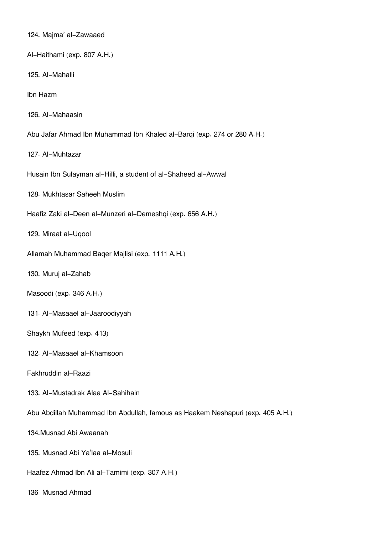124. Majma' al-Zawaaed Al-Haithami (exp. 807 A.H.) 125. Al-Mahalli Ibn Hazm 126. Al-Mahaasin Abu Jafar Ahmad Ibn Muhammad Ibn Khaled al-Barqi (exp. 274 or 280 A.H.) 127. Al-Muhtazar Husain Ibn Sulayman al-Hilli, a student of al-Shaheed al-Awwal 128. Mukhtasar Saheeh Muslim Haafiz Zaki al-Deen al-Munzeri al-Demeshqi (exp. 656 A.H.) 129. Miraat al-Uqool Allamah Muhammad Baqer Majlisi (exp. 1111 A.H.) 130. Muruj al-Zahab Masoodi (exp. 346 A.H.) 131. Al-Masaael al-Jaaroodiyyah Shaykh Mufeed (exp. 413) 132. Al-Masaael al-Khamsoon Fakhruddin al-Raazi 133. Al-Mustadrak Alaa Al-Sahihain Abu Abdillah Muhammad Ibn Abdullah, famous as Haakem Neshapuri (exp. 405 A.H.) 134.Musnad Abi Awaanah 135. Musnad Abi Ya'laa al-Mosuli Haafez Ahmad Ibn Ali al-Tamimi (exp. 307 A.H.) 136. Musnad Ahmad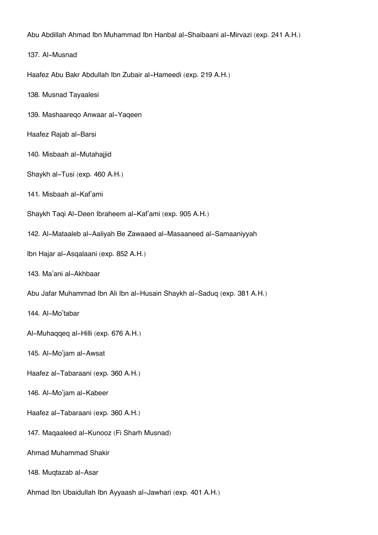Abu Abdillah Ahmad Ibn Muhammad Ibn Hanbal al-Shaibaani al-Mirvazi (exp. 241 A.H.)

137. Al-Musnad

Haafez Abu Bakr Abdullah Ibn Zubair al-Hameedi (exp. 219 A.H.)

138. Musnad Tayaalesi

139. Mashaareqo Anwaar al-Yaqeen

Haafez Rajab al-Barsi

140. Misbaah al-Mutahajjid

Shaykh al-Tusi (exp. 460 A.H.)

141. Misbaah al-Kaf'ami

Shaykh Taqi Al-Deen Ibraheem al-Kaf'ami (exp. 905 A.H.)

142. Al-Mataaleb al-Aaliyah Be Zawaaed al-Masaaneed al-Samaaniyyah

Ibn Hajar al-Asqalaani (exp. 852 A.H.)

143. Ma'ani al-Akhbaar

Abu Jafar Muhammad Ibn Ali Ibn al-Husain Shaykh al-Saduq (exp. 381 A.H.)

144. Al-Mo'tabar

Al-Muhaqqeq al-Hilli (exp. 676 A.H.)

145. Al-Mo'jam al-Awsat

Haafez al-Tabaraani (exp. 360 A.H.)

146. Al-Mo'jam al-Kabeer

Haafez al-Tabaraani (exp. 360 A.H.)

147. Maqaaleed al-Kunooz (Fi Sharh Musnad)

Ahmad Muhammad Shakir

148. Muqtazab al-Asar

Ahmad Ibn Ubaidullah Ibn Ayyaash al-Jawhari (exp. 401 A.H.)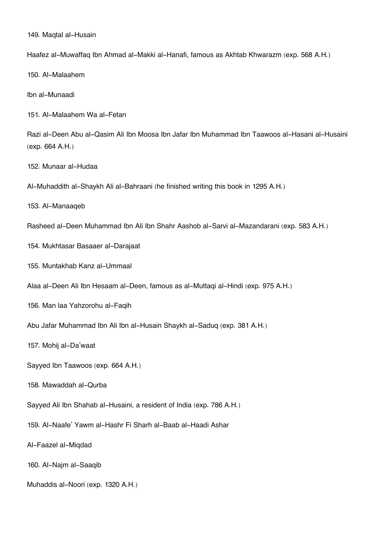149. Maqtal al-Husain

Haafez al-Muwaffaq Ibn Ahmad al-Makki al-Hanafi, famous as Akhtab Khwarazm (exp. 568 A.H.)

150. Al-Malaahem

Ibn al-Munaadi

151. Al-Malaahem Wa al-Fetan

Razi al-Deen Abu al-Qasim Ali Ibn Moosa Ibn Jafar Ibn Muhammad Ibn Taawoos al-Hasani al-Husaini (exp. 664 A.H.)

152. Munaar al-Hudaa

Al-Muhaddith al-Shaykh Ali al-Bahraani (he finished writing this book in 1295 A.H.)

153. Al-Manaaqeb

Rasheed al-Deen Muhammad Ibn Ali Ibn Shahr Aashob al-Sarvi al-Mazandarani (exp. 583 A.H.)

154. Mukhtasar Basaaer al-Darajaat

155. Muntakhab Kanz al-Ummaal

Alaa al-Deen Ali Ibn Hesaam al-Deen, famous as al-Muttaqi al-Hindi (exp. 975 A.H.)

156. Man laa Yahzorohu al-Faqih

Abu Jafar Muhammad Ibn Ali Ibn al-Husain Shaykh al-Saduq (exp. 381 A.H.)

157. Mohij al-Da'waat

Sayyed Ibn Taawoos (exp. 664 A.H.)

158. Mawaddah al-Qurba

Sayyed Ali Ibn Shahab al-Husaini, a resident of India (exp. 786 A.H.)

159. Al-Naafe' Yawm al-Hashr Fi Sharh al-Baab al-Haadi Ashar

Al-Faazel al-Miqdad

160. Al-Najm al-Saaqib

Muhaddis al-Noori (exp. 1320 A.H.)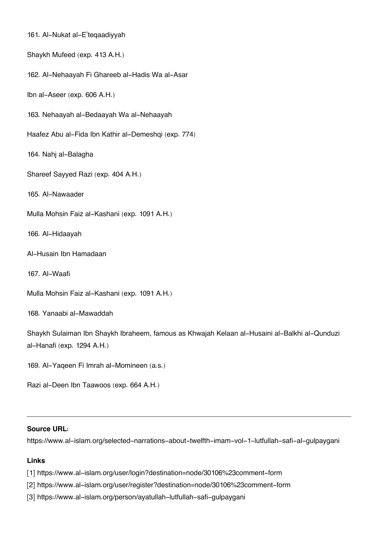161. Al-Nukat al-E'teqaadiyyah

Shaykh Mufeed (exp. 413 A.H.)

162. Al-Nehaayah Fi Ghareeb al-Hadis Wa al-Asar

Ibn al-Aseer (exp. 606 A.H.)

163. Nehaayah al-Bedaayah Wa al-Nehaayah

Haafez Abu al-Fida Ibn Kathir al-Demeshqi (exp. 774)

164. Nahj al-Balagha

Shareef Sayyed Razi (exp. 404 A.H.)

165. Al-Nawaader

Mulla Mohsin Faiz al-Kashani (exp. 1091 A.H.)

166. Al-Hidaayah

Al-Husain Ibn Hamadaan

167. Al-Waafi

```
Mulla Mohsin Faiz al-Kashani (exp. 1091 A.H.)
```
168. Yanaabi al-Mawaddah

Shaykh Sulaiman Ibn Shaykh Ibraheem, famous as Khwajah Kelaan al-Husaini al-Balkhi al-Qunduzi al-Hanafi (exp. 1294 A.H.)

169. Al-Yaqeen Fi Imrah al-Momineen (a.s.)

Razi al-Deen Ibn Taawoos (exp. 664 A.H.)

## **Source URL:**

https://www.al-islam.org/selected-narrations-about-twelfth-imam-vol-1-lutfullah-safi-al-gulpaygani

## **Links**

[1] https://www.al-islam.org/user/login?destination=node/30106%23comment-form

- [2] https://www.al-islam.org/user/register?destination=node/30106%23comment-form
- [3] https://www.al-islam.org/person/ayatullah-lutfullah-safi-gulpaygani